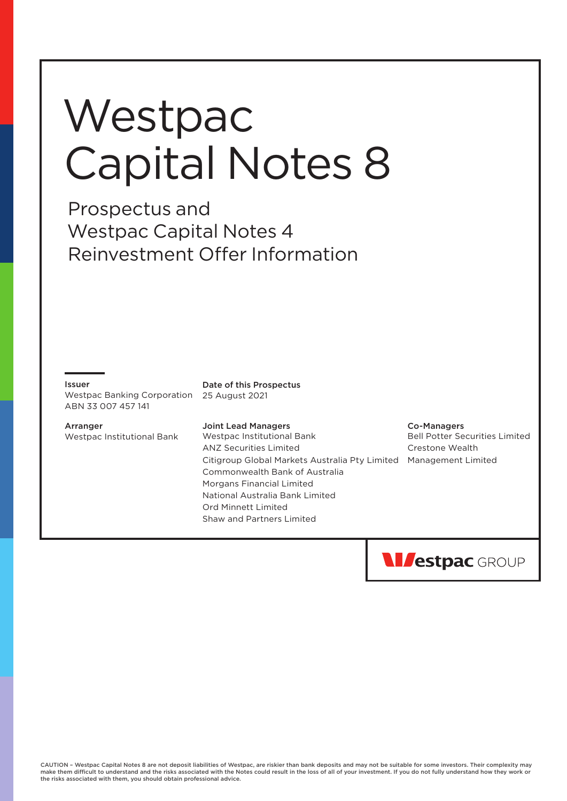# **Westpac** Capital Notes 8

Prospectus and Westpac Capital Notes 4 Reinvestment Offer Information

#### Issuer

Westpac Banking Corporation 25 August 2021 ABN 33 007 457 141

**Arranger** Westpac Institutional Bank Date of this Prospectus

#### Joint Lead Managers

Westpac Institutional Bank ANZ Securities Limited Citigroup Global Markets Australia Pty Limited Management Limited Commonwealth Bank of Australia Morgans Financial Limited National Australia Bank Limited Ord Minnett Limited Shaw and Partners Limited

#### Co-Managers

Bell Potter Securities Limited Crestone Wealth

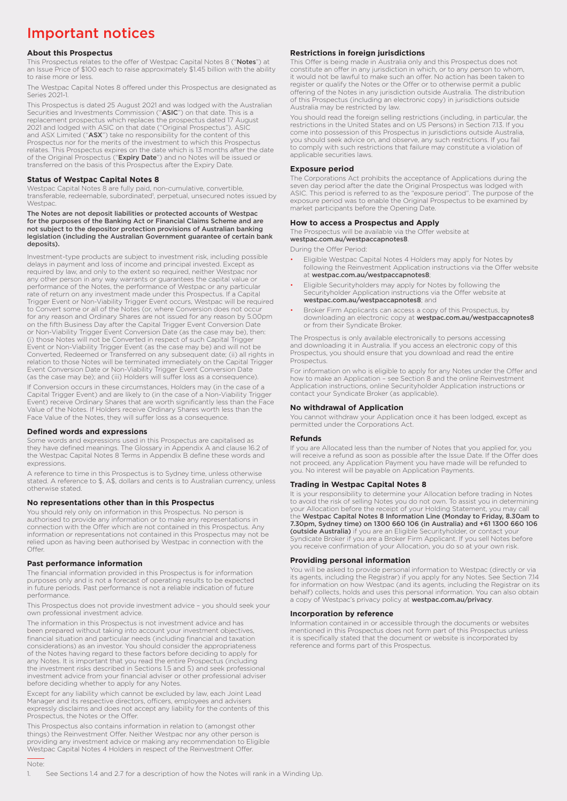# Important notices

#### **About this Prospectus**

This Prospectus relates to the offer of Westpac Capital Notes 8 ("Notes") at an Issue Price of \$100 each to raise approximately \$1.45 billion with the ability to raise more or less.

The Westpac Capital Notes 8 offered under this Prospectus are designated as Series 2021-1

This Prospectus is dated 25 August 2021 and was lodged with the Australian<br>Securities and Investments Commission ("**ASIC**") on that date. This is a replacement prospectus which replaces the prospectus dated 17 August 2021 and lodged with ASIC on that date ("Original Prospectus"). ASI and ASX Limited ("**ASX**") take no responsibility for the content of this<br>Prospectus nor for the merits of the investment to which this Prospectus relates. This Prospectus expires on the date which is 13 months after the date of the Original Prospectus ("Expiry Date") and no Notes will be issued or transferred on the basis of this Prospectus after the Expiry Date.

#### **Status of Westpac Capital Notes 8**

Westpac Capital Notes 8 are fully paid, non-cumulative, convertible,<br>transferable, redeemable, subordinated<sup>1</sup>, perpetual, unsecured notes issued by **Westpac** 

The Notes are not deposit liabilities or protected accounts of Westpac for the purposes of the Banking Act or Financial Claims Scheme and are not subject to the depositor protection provisions of Australian banking legislation (including the Australian Government guarantee of certain bank deposits).

Investment-type products are subject to investment risk, including possible delays in payment and loss of income and principal invested. Except as required by law, and only to the extent so required, neither Westpac nor any other person in any way warrants or guarantees the capital value or performance of the Notes, the performance of Westpac or any particular rate of return on any investment made under this Prospectus. If a Capital Trigger Event or Non-Viability Trigger Event occurs, Westpac will be required to Convert some or all of the Notes (or, where Conversion does not occur for any reason and Ordinary Shares are not issued for any reason by 5.00pm on the fifth Business Day after the Capital Trigger Event Conversion Date or Non-Viability Trigger Event Conversion Date (as the case may be), then: (i) those Notes will not be Converted in respect of such Capital Trigger Event or Non-Viability Trigger Event (as the case may be) and will not be Converted, Redeemed or Transferred on any subsequent date; (ii) all rights in relation to those Notes will be terminated immediately on the Capital Trigger Event Conversion Date or Non-Viability Trigger Event Conversion Date (as the case may be); and (iii) Holders will suffer loss as a consequence).

If Conversion occurs in these circumstances, Holders may (in the case of a Capital Trigger Event) and are likely to (in the case of a Non-Viability Trigger Event) receive Ordinary Shares that are worth significantly less than the Face Value of the Notes. If Holders receive Ordinary Shares worth less than the Face Value of the Notes, they will suffer loss as a consequence.

#### **Defined words and expressions**

Some words and expressions used in this Prospectus are capitalised as they have defined meanings. The Glossary in Appendix A and clause 16.2 of the Westpac Capital Notes 8 Terms in Appendix B define these words and expressions.

A reference to time in this Prospectus is to Sydney time, unless otherwise stated. A reference to \$, A\$, dollars and cents is to Australian currency, unless otherwise stated.

#### **No representations other than in this Prospectus**

You should rely only on information in this Prospectus. No person is authorised to provide any information or to make any representations in connection with the Offer which are not contained in this Prospectus. Any information or representations not contained in this Prospectus may not be relied upon as having been authorised by Westpac in connection with the Offer

#### **Past performance information**

The financial information provided in this Prospectus is for information purposes only and is not a forecast of operating results to be expected in future periods. Past performance is not a reliable indication of future performance.

This Prospectus does not provide investment advice – you should seek your own professional investment advice.

The information in this Prospectus is not investment advice and has been prepared without taking into account your investment objectives, financial situation and particular needs (including financial and taxation considerations) as an investor. You should consider the appropriateness of the Notes having regard to these factors before deciding to apply for any Notes. It is important that you read the entire Prospectus (including the investment risks described in Sections 1.5 and 5) and seek professional investment advice from your financial adviser or other professional adviser before deciding whether to apply for any Notes.

Except for any liability which cannot be excluded by law, each Joint Lead Manager and its respective directors, officers, employees and advisers expressly disclaims and does not accept any liability for the contents of this Prospectus, the Notes or the Offer.

This Prospectus also contains information in relation to (amongst other things) the Reinvestment Offer. Neither Westpac nor any other person is providing any investment advice or making any recommendation to Eligible Westpac Capital Notes 4 Holders in respect of the Reinvestment Offer.

#### **Restrictions in foreign jurisdictions**

This Offer is being made in Australia only and this Prospectus does not constitute an offer in any jurisdiction in which, or to any person to whom, it would not be lawful to make such an offer. No action has been taken to register or qualify the Notes or the Offer or to otherwise permit a public offering of the Notes in any jurisdiction outside Australia. The distribution of this Prospectus (including an electronic copy) in jurisdictions outside Australia may be restricted by law.

You should read the foreign selling restrictions (including, in particular, the restrictions in the United States and on US Persons) in Section 7.13. If you come into possession of this Prospectus in jurisdictions outside Australia, you should seek advice on, and observe, any such restrictions. If you fail to comply with such restrictions that failure may constitute a violation of applicable securities laws.

#### **Exposure period**

The Corporations Act prohibits the acceptance of Applications during the seven day period after the date the Original Prospectus was lodged with ASIC. This period is referred to as the "exposure period". The purpose of the exposure period was to enable the Original Prospectus to be examined by market participants before the Opening Date.

#### **How to access a Prospectus and Apply**

The Prospectus will be available via the Offer website at [westpac.com.au/westpaccapnotes8](http://westpac.com.au/westpaccapnotes8).

During the Offer Period:

- Eligible Westpac Capital Notes 4 Holders may apply for Notes by following the Reinvestment Application instructions via the Offer website at [westpac.com.au/westpaccapnotes8](http://westpac.com.au/westpaccapnotes8);
- Eligible Securityholders may apply for Notes by following the Securityholder Application instructions via the Offer website at [westpac.com.au/westpaccapnotes8](http://westpac.com.au/westpaccapnotes8); and
- Broker Firm Applicants can access a copy of this Prospectus, by downloading an electronic copy at [westpac.com.au/westpaccapnotes8](http://westpac.com.au/westpaccapnotes8) or from their Syndicate Broker.

The Prospectus is only available electronically to persons accessing and downloading it in Australia. If you access an electronic copy of this Prospectus, you should ensure that you download and read the entire Prospectus.

For information on who is eligible to apply for any Notes under the Offer and how to make an Application – see Section 8 and the online Reinvestment Application instructions, online Securityholder Application instructions or contact your Syndicate Broker (as applicable).

#### **No withdrawal of Application**

You cannot withdraw your Application once it has been lodged, except as permitted under the Corporations Act.

#### **Refunds**

If you are Allocated less than the number of Notes that you applied for, you will receive a refund as soon as possible after the Issue Date. If the Offer does not proceed, any Application Payment you have made will be refunded to you. No interest will be payable on Application Payments.

#### **Trading in Westpac Capital Notes 8**

It is your responsibility to determine your Allocation before trading in Notes to avoid the risk of selling Notes you do not own. To assist you in determining your Allocation before the receipt of your Holding Statement, you may call<br>the **Westpac Capital Notes 8 Information Line (Monday to Friday, 8.30am to** 7.30pm, Sydney time) on 1300 660 106 (in Australia) and +61 1300 660 106 (outside Australia) if you are an Eligible Securityholder, or contact your Syndicate Broker if you are a Broker Firm Applicant. If you sell Notes before you receive confirmation of your Allocation, you do so at your own risk.

#### **Providing personal information**

You will be asked to provide personal information to Westpac (directly or via its agents, including the Registrar) if you apply for any Notes. See Section 7.14<br>for information on how Westpac (and its agents, including the Registrar on its<br>behalf) collects, holds and uses this personal information. Y a copy of Westpac's privacy policy at [westpac.com.au/privacy](http://westpac.com.au/privacy).

#### **Incorporation by reference**

Information contained in or accessible through the documents or websites mentioned in this Prospectus does not form part of this Prospectus unless it is specifically stated that the document or website is incorporated by reference and forms part of this Prospectus.

#### Note:

#### 1. See Sections 1.4 and 2.7 for a description of how the Notes will rank in a Winding Up.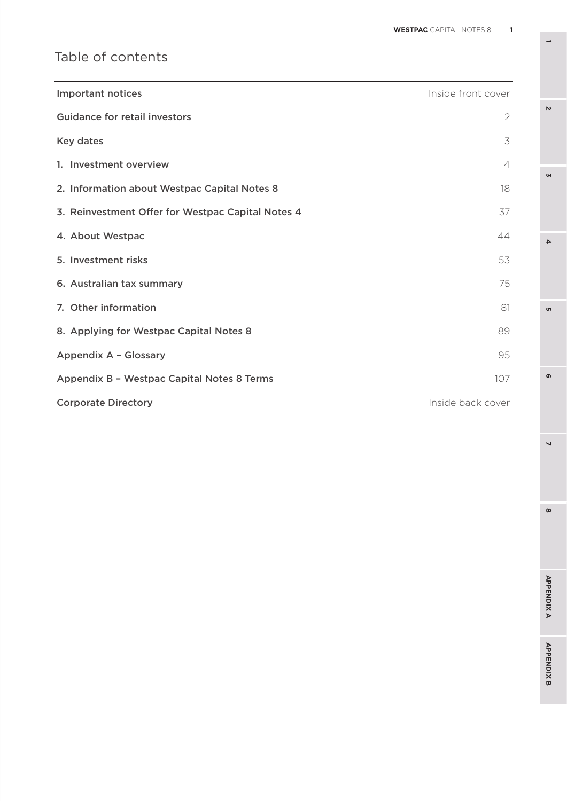# Table of contents

| <b>Important notices</b>                          | Inside front cover |
|---------------------------------------------------|--------------------|
| Guidance for retail investors                     | $\overline{2}$     |
| Key dates                                         | 3                  |
| 1. Investment overview                            | $\overline{4}$     |
| 2. Information about Westpac Capital Notes 8      | 18                 |
| 3. Reinvestment Offer for Westpac Capital Notes 4 | 37                 |
| 4. About Westpac                                  | 44                 |
| 5. Investment risks                               | 53                 |
| 6. Australian tax summary                         | 75                 |
| 7. Other information                              | 81                 |
| 8. Applying for Westpac Capital Notes 8           | 89                 |
| Appendix A - Glossary                             | 95                 |
| Appendix B - Westpac Capital Notes 8 Terms        | 107                |
| <b>Corporate Directory</b>                        | Inside back cover  |

**3**

 $\overline{\mathbf{4}}$ 

 $\sigma$ 

 $\sim$ 

**8 5**

 $\overline{\phantom{0}}$ 

 $\infty$ 

 $\bullet$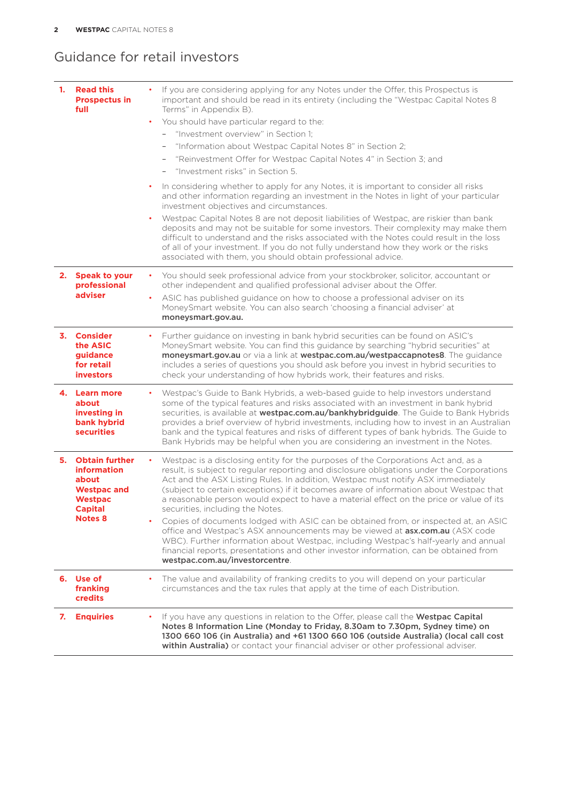## Guidance for retail investors

| 1. | <b>Read this</b><br><b>Prospectus in</b><br>full                                                                             | If you are considering applying for any Notes under the Offer, this Prospectus is<br>important and should be read in its entirety (including the "Westpac Capital Notes 8<br>Terms" in Appendix B).<br>You should have particular regard to the:<br>$\bullet$<br>"Investment overview" in Section 1:<br>$-$<br>"Information about Westpac Capital Notes 8" in Section 2;<br>$\overline{\phantom{a}}$<br>"Reinvestment Offer for Westpac Capital Notes 4" in Section 3; and<br>"Investment risks" in Section 5.<br>$\overline{\phantom{a}}$<br>In considering whether to apply for any Notes, it is important to consider all risks<br>٠<br>and other information regarding an investment in the Notes in light of your particular<br>investment objectives and circumstances.<br>Westpac Capital Notes 8 are not deposit liabilities of Westpac, are riskier than bank<br>deposits and may not be suitable for some investors. Their complexity may make them<br>difficult to understand and the risks associated with the Notes could result in the loss<br>of all of your investment. If you do not fully understand how they work or the risks<br>associated with them, you should obtain professional advice. |
|----|------------------------------------------------------------------------------------------------------------------------------|-------------------------------------------------------------------------------------------------------------------------------------------------------------------------------------------------------------------------------------------------------------------------------------------------------------------------------------------------------------------------------------------------------------------------------------------------------------------------------------------------------------------------------------------------------------------------------------------------------------------------------------------------------------------------------------------------------------------------------------------------------------------------------------------------------------------------------------------------------------------------------------------------------------------------------------------------------------------------------------------------------------------------------------------------------------------------------------------------------------------------------------------------------------------------------------------------------------------|
|    | 2. Speak to your<br>professional<br>adviser                                                                                  | You should seek professional advice from your stockbroker, solicitor, accountant or<br>٠<br>other independent and qualified professional adviser about the Offer.<br>ASIC has published guidance on how to choose a professional adviser on its<br>$\bullet$<br>MoneySmart website. You can also search 'choosing a financial adviser' at<br>moneysmart.gov.au.                                                                                                                                                                                                                                                                                                                                                                                                                                                                                                                                                                                                                                                                                                                                                                                                                                                   |
|    | 3. Consider<br>the ASIC<br>guidance<br>for retail<br><b>investors</b>                                                        | Further guidance on investing in bank hybrid securities can be found on ASIC's<br>MoneySmart website. You can find this guidance by searching "hybrid securities" at<br>moneysmart.gov.au or via a link at westpac.com.au/westpaccapnotes8. The guidance<br>includes a series of questions you should ask before you invest in hybrid securities to<br>check your understanding of how hybrids work, their features and risks.                                                                                                                                                                                                                                                                                                                                                                                                                                                                                                                                                                                                                                                                                                                                                                                    |
|    | 4. Learn more<br>about<br>investing in<br>bank hybrid<br><b>securities</b>                                                   | Westpac's Guide to Bank Hybrids, a web-based guide to help investors understand<br>٠<br>some of the typical features and risks associated with an investment in bank hybrid<br>securities, is available at westpac.com.au/bankhybridguide. The Guide to Bank Hybrids<br>provides a brief overview of hybrid investments, including how to invest in an Australian<br>bank and the typical features and risks of different types of bank hybrids. The Guide to<br>Bank Hybrids may be helpful when you are considering an investment in the Notes.                                                                                                                                                                                                                                                                                                                                                                                                                                                                                                                                                                                                                                                                 |
|    | 5. Obtain further<br><b>information</b><br>about<br><b>Westpac and</b><br><b>Westpac</b><br><b>Capital</b><br><b>Notes 8</b> | Westpac is a disclosing entity for the purposes of the Corporations Act and, as a<br>result, is subject to regular reporting and disclosure obligations under the Corporations<br>Act and the ASX Listing Rules. In addition, Westpac must notify ASX immediately<br>(subject to certain exceptions) if it becomes aware of information about Westpac that<br>a reasonable person would expect to have a material effect on the price or value of its<br>securities, including the Notes.<br>Copies of documents lodged with ASIC can be obtained from, or inspected at, an ASIC<br>$\bullet$<br>office and Westpac's ASX announcements may be viewed at <b>asx.com.au</b> (ASX code<br>WBC). Further information about Westpac, including Westpac's half-yearly and annual<br>financial reports, presentations and other investor information, can be obtained from<br>westpac.com.au/investorcentre.                                                                                                                                                                                                                                                                                                            |
|    | 6. Use of<br>franking<br><b>credits</b>                                                                                      | The value and availability of franking credits to you will depend on your particular<br>٠<br>circumstances and the tax rules that apply at the time of each Distribution.                                                                                                                                                                                                                                                                                                                                                                                                                                                                                                                                                                                                                                                                                                                                                                                                                                                                                                                                                                                                                                         |
| 7. | <b>Enquiries</b>                                                                                                             | If you have any questions in relation to the Offer, please call the Westpac Capital<br>Notes 8 Information Line (Monday to Friday, 8.30am to 7.30pm, Sydney time) on<br>1300 660 106 (in Australia) and +61 1300 660 106 (outside Australia) (local call cost<br>within Australia) or contact your financial adviser or other professional adviser.                                                                                                                                                                                                                                                                                                                                                                                                                                                                                                                                                                                                                                                                                                                                                                                                                                                               |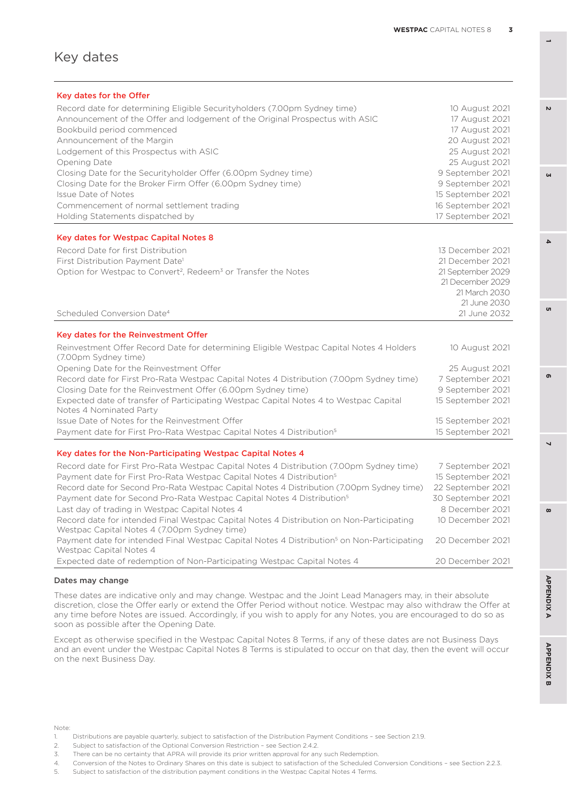#### Key dates

| Key dates for the Offer                                                                                                                  |                   |
|------------------------------------------------------------------------------------------------------------------------------------------|-------------------|
| Record date for determining Eligible Securityholders (7.00pm Sydney time)                                                                | 10 August 2021    |
| Announcement of the Offer and lodgement of the Original Prospectus with ASIC                                                             | 17 August 2021    |
| Bookbuild period commenced                                                                                                               | 17 August 2021    |
| Announcement of the Margin                                                                                                               | 20 August 2021    |
| Lodgement of this Prospectus with ASIC                                                                                                   | 25 August 2021    |
| Opening Date                                                                                                                             | 25 August 2021    |
| Closing Date for the Securityholder Offer (6.00pm Sydney time)                                                                           | 9 September 2021  |
| Closing Date for the Broker Firm Offer (6.00pm Sydney time)                                                                              | 9 September 2021  |
| <b>Issue Date of Notes</b>                                                                                                               | 15 September 2021 |
| Commencement of normal settlement trading                                                                                                | 16 September 2021 |
| Holding Statements dispatched by                                                                                                         | 17 September 2021 |
| <b>Key dates for Westpac Capital Notes 8</b>                                                                                             |                   |
| Record Date for first Distribution                                                                                                       | 13 December 2021  |
| First Distribution Payment Date <sup>1</sup>                                                                                             | 21 December 2021  |
| Option for Westpac to Convert <sup>2</sup> , Redeem <sup>3</sup> or Transfer the Notes                                                   | 21 September 2029 |
|                                                                                                                                          | 21 December 2029  |
|                                                                                                                                          | 21 March 2030     |
|                                                                                                                                          | 21 June 2030      |
| Scheduled Conversion Date <sup>4</sup>                                                                                                   | 21 June 2032      |
| Key dates for the Reinvestment Offer                                                                                                     |                   |
| Reinvestment Offer Record Date for determining Eligible Westpac Capital Notes 4 Holders<br>(7.00pm Sydney time)                          | 10 August 2021    |
| Opening Date for the Reinvestment Offer                                                                                                  | 25 August 2021    |
| Record date for First Pro-Rata Westpac Capital Notes 4 Distribution (7.00pm Sydney time)                                                 | 7 September 2021  |
| Closing Date for the Reinvestment Offer (6.00pm Sydney time)                                                                             | 9 September 2021  |
| Expected date of transfer of Participating Westpac Capital Notes 4 to Westpac Capital<br>Notes 4 Nominated Party                         | 15 September 2021 |
| Issue Date of Notes for the Reinvestment Offer                                                                                           | 15 September 2021 |
| Payment date for First Pro-Rata Westpac Capital Notes 4 Distribution <sup>5</sup>                                                        | 15 September 2021 |
| Key dates for the Non-Participating Westpac Capital Notes 4                                                                              |                   |
| Record date for First Pro-Rata Westpac Capital Notes 4 Distribution (7.00pm Sydney time)                                                 | 7 September 2021  |
| Payment date for First Pro-Rata Westpac Capital Notes 4 Distribution <sup>5</sup>                                                        | 15 September 2021 |
| Record date for Second Pro-Rata Westpac Capital Notes 4 Distribution (7.00pm Sydney time)                                                | 22 September 2021 |
| Payment date for Second Pro-Rata Westpac Capital Notes 4 Distribution <sup>5</sup>                                                       | 30 September 2021 |
| Last day of trading in Westpac Capital Notes 4                                                                                           | 8 December 2021   |
| Record date for intended Final Westpac Capital Notes 4 Distribution on Non-Participating<br>Westpac Capital Notes 4 (7.00pm Sydney time) | 10 December 2021  |
| Payment date for intended Final Westpac Capital Notes 4 Distribution <sup>5</sup> on Non-Participating<br>Westpac Capital Notes 4        | 20 December 2021  |
| Expected date of redemption of Non-Participating Westpac Capital Notes 4                                                                 | 20 December 2021  |

#### Dates may change

These dates are indicative only and may change. Westpac and the Joint Lead Managers may, in their absolute discretion, close the Offer early or extend the Offer Period without notice. Westpac may also withdraw the Offer at any time before Notes are issued. Accordingly, if you wish to apply for any Notes, you are encouraged to do so as soon as possible after the Opening Date.

Except as otherwise specified in the Westpac Capital Notes 8 Terms, if any of these dates are not Business Days and an event under the Westpac Capital Notes 8 Terms is stipulated to occur on that day, then the event will occur on the next Business Day.

Note:

2. Subject to satisfaction of the Optional Conversion Restriction – see Section 2.4.2.

4. Conversion of the Notes to Ordinary Shares on this date is subject to satisfaction of the Scheduled Conversion Conditions – see Section 2.2.3.

**1**

**3**

 $\Delta$ 

u

 $\mathbf{v}$ 

**8 5**

 $\overline{\phantom{0}}$ 

 $\omega$ 

ക

<sup>1.</sup> Distributions are payable quarterly, subject to satisfaction of the Distribution Payment Conditions – see Section 2.1.9.

<sup>3.</sup> There can be no certainty that APRA will provide its prior written approval for any such Redemption.

<sup>5.</sup> Subject to satisfaction of the distribution payment conditions in the Westpac Capital Notes 4 Terms.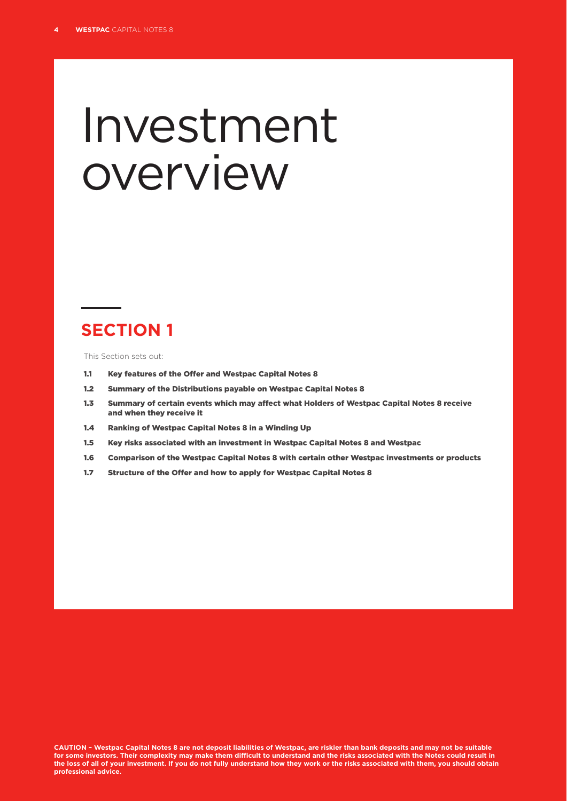# Investment overview

# **SECTION 1**

This Section sets out:

- 1.1 Key features of the Offer and Westpac Capital Notes 8
- 1.2 Summary of the Distributions payable on Westpac Capital Notes 8
- 1.3 Summary of certain events which may affect what Holders of Westpac Capital Notes 8 receive and when they receive it
- 1.4 Ranking of Westpac Capital Notes 8 in a Winding Up
- 1.5 Key risks associated with an investment in Westpac Capital Notes 8 and Westpac
- 1.6 Comparison of the Westpac Capital Notes 8 with certain other Westpac investments or products
- 1.7 Structure of the Offer and how to apply for Westpac Capital Notes 8

**CAUTION – Westpac Capital Notes 8 are not deposit liabilities of Westpac, are riskier than bank deposits and may not be suitable for some investors. Their complexity may make them difficult to understand and the risks associated with the Notes could result in the loss of all of your investment. If you do not fully understand how they work or the risks associated with them, you should obtain professional advice.**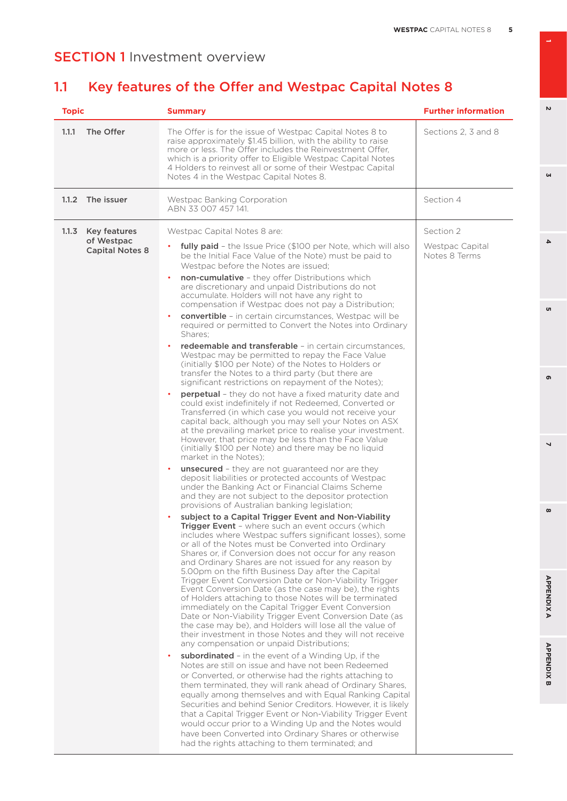# 1.1 Key features of the Offer and Westpac Capital Notes 8

| 1.1.1<br>The Offer<br>The Offer is for the issue of Westpac Capital Notes 8 to<br>raise approximately \$1.45 billion, with the ability to raise<br>more or less. The Offer includes the Reinvestment Offer,<br>which is a priority offer to Eligible Westpac Capital Notes<br>4 Holders to reinvest all or some of their Westpac Capital<br>Notes 4 in the Westpac Capital Notes 8.                                                                                                                                                                                                                                                                                                                                                                                                                                                                                                                                                                                                                                                                                                                                                                                                                                                                                                                                                                                                                                                                                                                                                                                                                                                                                                                                                                                                                                                                                                                                                                                                                                                                                                                                                                                                                                                                                                                                                                                                                                                                                                                                                                                                                                                                                                                                                                                                                                                                                                                                                                                                                                                                                                                                                                                  | Sections 2, 3 and 8                           |
|----------------------------------------------------------------------------------------------------------------------------------------------------------------------------------------------------------------------------------------------------------------------------------------------------------------------------------------------------------------------------------------------------------------------------------------------------------------------------------------------------------------------------------------------------------------------------------------------------------------------------------------------------------------------------------------------------------------------------------------------------------------------------------------------------------------------------------------------------------------------------------------------------------------------------------------------------------------------------------------------------------------------------------------------------------------------------------------------------------------------------------------------------------------------------------------------------------------------------------------------------------------------------------------------------------------------------------------------------------------------------------------------------------------------------------------------------------------------------------------------------------------------------------------------------------------------------------------------------------------------------------------------------------------------------------------------------------------------------------------------------------------------------------------------------------------------------------------------------------------------------------------------------------------------------------------------------------------------------------------------------------------------------------------------------------------------------------------------------------------------------------------------------------------------------------------------------------------------------------------------------------------------------------------------------------------------------------------------------------------------------------------------------------------------------------------------------------------------------------------------------------------------------------------------------------------------------------------------------------------------------------------------------------------------------------------------------------------------------------------------------------------------------------------------------------------------------------------------------------------------------------------------------------------------------------------------------------------------------------------------------------------------------------------------------------------------------------------------------------------------------------------------------------------------|-----------------------------------------------|
| 1.1.2<br>The issuer<br>Westpac Banking Corporation<br>ABN 33 007 457 141.                                                                                                                                                                                                                                                                                                                                                                                                                                                                                                                                                                                                                                                                                                                                                                                                                                                                                                                                                                                                                                                                                                                                                                                                                                                                                                                                                                                                                                                                                                                                                                                                                                                                                                                                                                                                                                                                                                                                                                                                                                                                                                                                                                                                                                                                                                                                                                                                                                                                                                                                                                                                                                                                                                                                                                                                                                                                                                                                                                                                                                                                                            | Section 4                                     |
| 1.1.3<br>Key features<br>Westpac Capital Notes 8 are:<br>of Westpac<br><b>fully paid</b> - the Issue Price (\$100 per Note, which will also<br>$\bullet$<br><b>Capital Notes 8</b><br>be the Initial Face Value of the Note) must be paid to<br>Westpac before the Notes are issued;<br><b>non-cumulative</b> - they offer Distributions which<br>are discretionary and unpaid Distributions do not<br>accumulate. Holders will not have any right to<br>compensation if Westpac does not pay a Distribution;<br>convertible - in certain circumstances, Westpac will be<br>required or permitted to Convert the Notes into Ordinary<br>Shares:<br><b>redeemable and transferable</b> - in certain circumstances,<br>Westpac may be permitted to repay the Face Value<br>(initially \$100 per Note) of the Notes to Holders or<br>transfer the Notes to a third party (but there are<br>significant restrictions on repayment of the Notes);<br>perpetual - they do not have a fixed maturity date and<br>could exist indefinitely if not Redeemed, Converted or<br>Transferred (in which case you would not receive your<br>capital back, although you may sell your Notes on ASX<br>at the prevailing market price to realise your investment.<br>However, that price may be less than the Face Value<br>(initially \$100 per Note) and there may be no liquid<br>market in the Notes);<br><b>unsecured</b> - they are not guaranteed nor are they<br>deposit liabilities or protected accounts of Westpac<br>under the Banking Act or Financial Claims Scheme<br>and they are not subject to the depositor protection<br>provisions of Australian banking legislation;<br>subject to a Capital Trigger Event and Non-Viability<br><b>Trigger Event</b> - where such an event occurs (which<br>includes where Westpac suffers significant losses), some<br>or all of the Notes must be Converted into Ordinary<br>Shares or, if Conversion does not occur for any reason<br>and Ordinary Shares are not issued for any reason by<br>5.00pm on the fifth Business Day after the Capital<br>Trigger Event Conversion Date or Non-Viability Trigger<br>Event Conversion Date (as the case may be), the rights<br>of Holders attaching to those Notes will be terminated<br>immediately on the Capital Trigger Event Conversion<br>Date or Non-Viability Trigger Event Conversion Date (as<br>the case may be), and Holders will lose all the value of<br>their investment in those Notes and they will not receive<br>any compensation or unpaid Distributions;<br>subordinated - in the event of a Winding Up, if the<br>Notes are still on issue and have not been Redeemed<br>or Converted, or otherwise had the rights attaching to<br>them terminated, they will rank ahead of Ordinary Shares,<br>equally among themselves and with Equal Ranking Capital<br>Securities and behind Senior Creditors. However, it is likely<br>that a Capital Trigger Event or Non-Viability Trigger Event<br>would occur prior to a Winding Up and the Notes would<br>have been Converted into Ordinary Shares or otherwise<br>had the rights attaching to them terminated; and | Section 2<br>Westpac Capital<br>Notes 8 Terms |

**1**

 $\overline{v}$ 

 $\omega$ 

**6 3**

o,

 $\overline{\mathbf{4}}$ 

**8 5 APPENDIX B 2 7 4 APPENDIX A**

 $\overline{a}$ 

 $\infty$ 

**APPENDIXA** 

**APPENDIX B** 

ഐ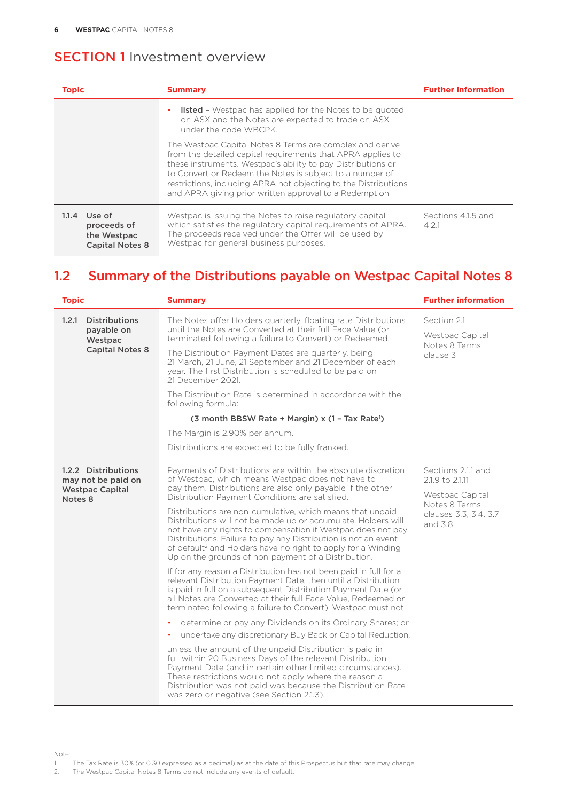| <b>Topic</b>                                                           | <b>Summary</b>                                                                                                                                                                                                                                                                                                                                                                    | <b>Further information</b> |
|------------------------------------------------------------------------|-----------------------------------------------------------------------------------------------------------------------------------------------------------------------------------------------------------------------------------------------------------------------------------------------------------------------------------------------------------------------------------|----------------------------|
|                                                                        | <b>listed</b> - Westpac has applied for the Notes to be quoted<br>٠<br>on ASX and the Notes are expected to trade on ASX<br>under the code WBCPK.                                                                                                                                                                                                                                 |                            |
|                                                                        | The Westpac Capital Notes 8 Terms are complex and derive<br>from the detailed capital requirements that APRA applies to<br>these instruments. Westpac's ability to pay Distributions or<br>to Convert or Redeem the Notes is subject to a number of<br>restrictions, including APRA not objecting to the Distributions<br>and APRA giving prior written approval to a Redemption. |                            |
| $1.1.4$ Use of<br>proceeds of<br>the Westpac<br><b>Capital Notes 8</b> | Westpac is issuing the Notes to raise regulatory capital<br>which satisfies the regulatory capital requirements of APRA.<br>The proceeds received under the Offer will be used by<br>Westpac for general business purposes.                                                                                                                                                       | Sections 4.1.5 and<br>421  |

## 1.2 Summary of the Distributions payable on Westpac Capital Notes 8

| <b>Topic</b><br><b>Summary</b>                                                   |                                                                                                                                                                                                                                                                                                                                                                                                                                                                                                                                                                                                                                                                                                                                                                                                                                                                                                                                                                                                                                                                                                                                                                                                                                                                                                                                                                                                                                                                                            | <b>Further information</b>                                                                                                              |
|----------------------------------------------------------------------------------|--------------------------------------------------------------------------------------------------------------------------------------------------------------------------------------------------------------------------------------------------------------------------------------------------------------------------------------------------------------------------------------------------------------------------------------------------------------------------------------------------------------------------------------------------------------------------------------------------------------------------------------------------------------------------------------------------------------------------------------------------------------------------------------------------------------------------------------------------------------------------------------------------------------------------------------------------------------------------------------------------------------------------------------------------------------------------------------------------------------------------------------------------------------------------------------------------------------------------------------------------------------------------------------------------------------------------------------------------------------------------------------------------------------------------------------------------------------------------------------------|-----------------------------------------------------------------------------------------------------------------------------------------|
| 1.2.1<br><b>Distributions</b><br>pavable on<br>Westpac<br><b>Capital Notes 8</b> | The Notes offer Holders quarterly, floating rate Distributions<br>until the Notes are Converted at their full Face Value (or<br>terminated following a failure to Convert) or Redeemed.<br>The Distribution Payment Dates are quarterly, being<br>21 March, 21 June, 21 September and 21 December of each<br>year. The first Distribution is scheduled to be paid on<br>21 December 2021.<br>The Distribution Rate is determined in accordance with the<br>following formula:                                                                                                                                                                                                                                                                                                                                                                                                                                                                                                                                                                                                                                                                                                                                                                                                                                                                                                                                                                                                              | Section 2.1<br>Westpac Capital<br>Notes 8 Terms<br>clause 3                                                                             |
|                                                                                  | (3 month BBSW Rate + Margin) x (1 - Tax Rate <sup>1</sup> )                                                                                                                                                                                                                                                                                                                                                                                                                                                                                                                                                                                                                                                                                                                                                                                                                                                                                                                                                                                                                                                                                                                                                                                                                                                                                                                                                                                                                                |                                                                                                                                         |
|                                                                                  | The Margin is 2.90% per annum.                                                                                                                                                                                                                                                                                                                                                                                                                                                                                                                                                                                                                                                                                                                                                                                                                                                                                                                                                                                                                                                                                                                                                                                                                                                                                                                                                                                                                                                             |                                                                                                                                         |
|                                                                                  | Distributions are expected to be fully franked.                                                                                                                                                                                                                                                                                                                                                                                                                                                                                                                                                                                                                                                                                                                                                                                                                                                                                                                                                                                                                                                                                                                                                                                                                                                                                                                                                                                                                                            |                                                                                                                                         |
| 1.2.2 Distributions<br>may not be paid on<br><b>Westpac Capital</b><br>Notes 8   | Payments of Distributions are within the absolute discretion<br>of Westpac, which means Westpac does not have to<br>pay them. Distributions are also only payable if the other<br>Distribution Payment Conditions are satisfied.<br>Distributions are non-cumulative, which means that unpaid<br>Distributions will not be made up or accumulate. Holders will<br>not have any rights to compensation if Westpac does not pay<br>Distributions. Failure to pay any Distribution is not an event<br>of default <sup>2</sup> and Holders have no right to apply for a Winding<br>Up on the grounds of non-payment of a Distribution.<br>If for any reason a Distribution has not been paid in full for a<br>relevant Distribution Payment Date, then until a Distribution<br>is paid in full on a subsequent Distribution Payment Date (or<br>all Notes are Converted at their full Face Value. Redeemed or<br>terminated following a failure to Convert), Westpac must not:<br>determine or pay any Dividends on its Ordinary Shares; or<br>$\bullet$<br>undertake any discretionary Buy Back or Capital Reduction,<br>$\bullet$<br>unless the amount of the unpaid Distribution is paid in<br>full within 20 Business Days of the relevant Distribution<br>Payment Date (and in certain other limited circumstances).<br>These restrictions would not apply where the reason a<br>Distribution was not paid was because the Distribution Rate<br>was zero or negative (see Section 2.1.3). | Sections 2.1.1 and<br>2.1.9 to 2.1.11<br>Westpac Capital<br>Notes 8 Terms<br>clauses 3.3, 3.4, 3.7<br>and $\overline{3}$ $\overline{8}$ |

Note:

1. The Tax Rate is 30% (or 0.30 expressed as a decimal) as at the date of this Prospectus but that rate may change.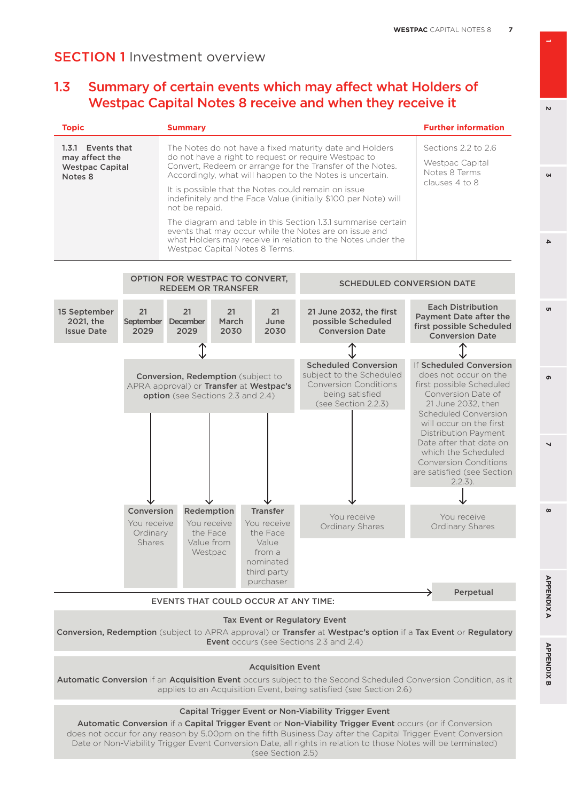### 1.3 Summary of certain events which may affect what Holders of Westpac Capital Notes 8 receive and when they receive it

| <b>Topic</b>                                                                                                                                                                                                                                                                                                                                                                                                                                                     |                                                                                                                           | <b>Summary</b>                                              |                     |                                                                           |                                                                                                                                                                                        | <b>Further information</b>                                                                                                                                                                                                                                                                                                               |
|------------------------------------------------------------------------------------------------------------------------------------------------------------------------------------------------------------------------------------------------------------------------------------------------------------------------------------------------------------------------------------------------------------------------------------------------------------------|---------------------------------------------------------------------------------------------------------------------------|-------------------------------------------------------------|---------------------|---------------------------------------------------------------------------|----------------------------------------------------------------------------------------------------------------------------------------------------------------------------------------|------------------------------------------------------------------------------------------------------------------------------------------------------------------------------------------------------------------------------------------------------------------------------------------------------------------------------------------|
| 1.3.1 Events that<br>The Notes do not have a fixed maturity date and Holders<br>do not have a right to request or require Westpac to<br>may affect the<br>Convert, Redeem or arrange for the Transfer of the Notes.<br><b>Westpac Capital</b><br>Accordingly, what will happen to the Notes is uncertain.<br>Notes 8<br>It is possible that the Notes could remain on issue<br>indefinitely and the Face Value (initially \$100 per Note) will<br>not be repaid. |                                                                                                                           |                                                             |                     | Sections 2.2 to 2.6<br>Westpac Capital<br>Notes 8 Terms<br>clauses 4 to 8 |                                                                                                                                                                                        |                                                                                                                                                                                                                                                                                                                                          |
|                                                                                                                                                                                                                                                                                                                                                                                                                                                                  |                                                                                                                           |                                                             |                     | Westpac Capital Notes 8 Terms.                                            | The diagram and table in this Section 1.3.1 summarise certain<br>events that may occur while the Notes are on issue and<br>what Holders may receive in relation to the Notes under the |                                                                                                                                                                                                                                                                                                                                          |
|                                                                                                                                                                                                                                                                                                                                                                                                                                                                  |                                                                                                                           | OPTION FOR WESTPAC TO CONVERT,<br><b>REDEEM OR TRANSFER</b> |                     |                                                                           |                                                                                                                                                                                        | <b>SCHEDULED CONVERSION DATE</b>                                                                                                                                                                                                                                                                                                         |
| 15 September<br>2021, the<br><b>Issue Date</b>                                                                                                                                                                                                                                                                                                                                                                                                                   | 21<br>September<br>2029                                                                                                   | 21<br>December<br>2029                                      | 21<br>March<br>2030 | 21<br>June<br>2030                                                        | 21 June 2032, the first<br>possible Scheduled<br><b>Conversion Date</b>                                                                                                                | <b>Each Distribution</b><br>Payment Date after the<br>first possible Scheduled<br><b>Conversion Date</b>                                                                                                                                                                                                                                 |
|                                                                                                                                                                                                                                                                                                                                                                                                                                                                  |                                                                                                                           |                                                             |                     |                                                                           |                                                                                                                                                                                        |                                                                                                                                                                                                                                                                                                                                          |
|                                                                                                                                                                                                                                                                                                                                                                                                                                                                  | <b>Conversion, Redemption</b> (subject to<br>APRA approval) or Transfer at Westpac's<br>option (see Sections 2.3 and 2.4) |                                                             |                     |                                                                           | <b>Scheduled Conversion</b><br>subject to the Scheduled<br><b>Conversion Conditions</b><br>being satisfied<br>(see Section 2.2.3)                                                      | If Scheduled Conversion<br>does not occur on the<br>first possible Scheduled<br>Conversion Date of<br>21 June 2032, then<br><b>Scheduled Conversion</b><br>will occur on the first<br>Distribution Payment<br>Date after that date on<br>which the Scheduled<br><b>Conversion Conditions</b><br>are satisfied (see Section<br>$2.2.3$ ). |
|                                                                                                                                                                                                                                                                                                                                                                                                                                                                  |                                                                                                                           |                                                             |                     |                                                                           |                                                                                                                                                                                        |                                                                                                                                                                                                                                                                                                                                          |
|                                                                                                                                                                                                                                                                                                                                                                                                                                                                  | Conversion<br>You receive<br>Ordinary                                                                                     | Redemption<br>You receive<br>the Face                       |                     | <b>Transfer</b><br>You receive<br>the Face                                | You receive<br><b>Ordinary Shares</b>                                                                                                                                                  | You receive<br>Ordinary Shares                                                                                                                                                                                                                                                                                                           |
|                                                                                                                                                                                                                                                                                                                                                                                                                                                                  | <b>Shares</b>                                                                                                             | Value from<br>Westpac                                       |                     | Value<br>trom a<br>nominated<br>third party<br>purchaser                  |                                                                                                                                                                                        |                                                                                                                                                                                                                                                                                                                                          |
| Perpetual<br><b>EVENTS THAT COULD OCCUR AT ANY TIME:</b>                                                                                                                                                                                                                                                                                                                                                                                                         |                                                                                                                           |                                                             |                     |                                                                           |                                                                                                                                                                                        |                                                                                                                                                                                                                                                                                                                                          |
| Tax Event or Regulatory Event<br>Conversion, Redemption (subject to APRA approval) or Transfer at Westpac's option if a Tax Event or Regulatory<br><b>Event</b> occurs (see Sections 2.3 and 2.4)                                                                                                                                                                                                                                                                |                                                                                                                           |                                                             |                     |                                                                           |                                                                                                                                                                                        |                                                                                                                                                                                                                                                                                                                                          |
| <b>Acquisition Event</b><br>Automatic Conversion if an Acquisition Event occurs subject to the Second Scheduled Conversion Condition, as it                                                                                                                                                                                                                                                                                                                      |                                                                                                                           |                                                             |                     |                                                                           |                                                                                                                                                                                        |                                                                                                                                                                                                                                                                                                                                          |

applies to an Acquisition Event, being satisfied (see Section 2.6)

#### Capital Trigger Event or Non-Viability Trigger Event

Automatic Conversion if a Capital Trigger Event or Non-Viability Trigger Event occurs (or if Conversion does not occur for any reason by 5.00pm on the fifth Business Day after the Capital Trigger Event Conversion Date or Non-Viability Trigger Event Conversion Date, all rights in relation to those Notes will be terminated) (see Section 2.5)

**1**

 $\mathbf{v}$ 

**GN** 

 $\Delta$ 





 $\overline{\phantom{0}}$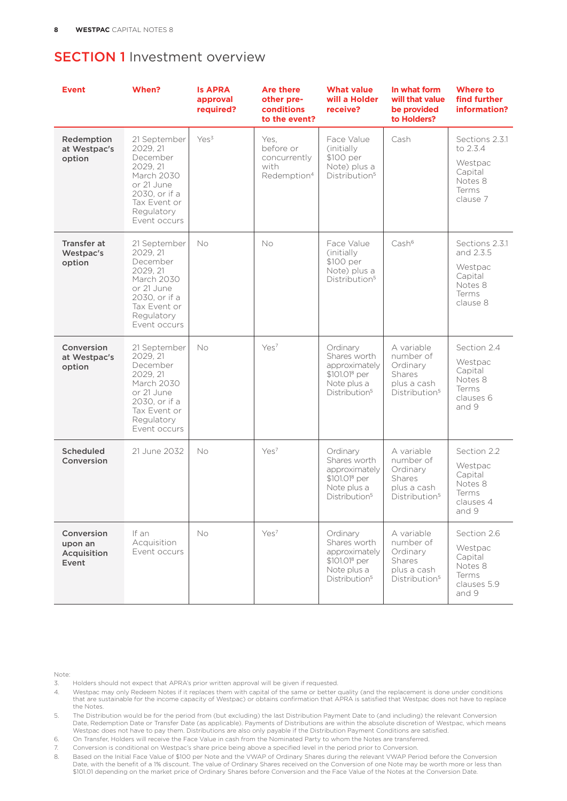| <b>Event</b>                                  | When?                                                                                                                                       | <b>Is APRA</b><br>approval<br>required? | <b>Are there</b><br>other pre-<br>conditions<br>to the event?        | <b>What value</b><br>will a Holder<br>receive?                                                                     | In what form<br>will that value<br>be provided<br>to Holders?                                    | <b>Where to</b><br>find further<br>information?                                   |
|-----------------------------------------------|---------------------------------------------------------------------------------------------------------------------------------------------|-----------------------------------------|----------------------------------------------------------------------|--------------------------------------------------------------------------------------------------------------------|--------------------------------------------------------------------------------------------------|-----------------------------------------------------------------------------------|
| Redemption<br>at Westpac's<br>option          | 21 September<br>2029, 21<br>December<br>2029, 21<br>March 2030<br>or 21 June<br>2030, or if a<br>Tax Event or<br>Regulatory<br>Event occurs | Yes <sup>3</sup>                        | Yes,<br>before or<br>concurrently<br>with<br>Redemption <sup>4</sup> | Face Value<br>(initially)<br>\$100 per<br>Note) plus a<br>Distribution <sup>5</sup>                                | Cash                                                                                             | Sections 2.3.1<br>to 2.3.4<br>Westpac<br>Capital<br>Notes 8<br>Terms<br>clause 7  |
| <b>Transfer at</b><br>Westpac's<br>option     | 21 September<br>2029, 21<br>December<br>2029, 21<br>March 2030<br>or 21 June<br>2030, or if a<br>Tax Event or<br>Regulatory<br>Event occurs | No                                      | No                                                                   | Face Value<br>(initially)<br>\$100 per<br>Note) plus a<br>Distribution <sup>5</sup>                                | Cash <sup>6</sup>                                                                                | Sections 2.3.1<br>and 2.3.5<br>Westpac<br>Capital<br>Notes 8<br>Terms<br>clause 8 |
| Conversion<br>at Westpac's<br>option          | 21 September<br>2029.21<br>December<br>2029, 21<br>March 2030<br>or 21 June<br>2030, or if a<br>Tax Event or<br>Regulatory<br>Event occurs  | No                                      | Yes <sup>7</sup>                                                     | Ordinary<br>Shares worth<br>approximately<br>\$101.01 <sup>8</sup> per<br>Note plus a<br>Distribution <sup>5</sup> | A variable<br>number of<br>Ordinary<br>Shares<br>plus a cash<br>Distribution <sup>5</sup>        | Section 2.4<br>Westpac<br>Capital<br>Notes 8<br>Terms<br>clauses 6<br>and 9       |
| <b>Scheduled</b><br>Conversion                | 21 June 2032                                                                                                                                | No                                      | Yes <sup>7</sup>                                                     | Ordinary<br>Shares worth<br>approximately<br>\$101.01 <sup>8</sup> per<br>Note plus a<br>Distribution <sup>5</sup> | A variable<br>number of<br>Ordinary<br><b>Shares</b><br>plus a cash<br>Distribution <sup>5</sup> | Section 2.2<br>Westpac<br>Capital<br>Notes 8<br>Terms<br>clauses 4<br>and 9       |
| Conversion<br>upon an<br>Acquisition<br>Event | If an<br>Acquisition<br>Event occurs                                                                                                        | <b>No</b>                               | Yes <sup>7</sup>                                                     | Ordinary<br>Shares worth<br>approximately<br>\$101.01 <sup>8</sup> per<br>Note plus a<br>Distribution <sup>5</sup> | A variable<br>number of<br>Ordinary<br>Shares<br>plus a cash<br>Distribution <sup>5</sup>        | Section 2.6<br>Westpac<br>Capital<br>Notes 8<br>Terms<br>clauses 5.9<br>and 9     |

Note:

- 3. Holders should not expect that APRA's prior written approval will be given if requested.
- 4. Westpac may only Redeem Notes if it replaces them with capital of the same or better quality (and the replacement is done under conditions that are sustainable for the income capacity of Westpac) or obtains confirmation that APRA is satisfied that Westpac does not have to replace the Notes.
- 5. The Distribution would be for the period from (but excluding) the last Distribution Payment Date to (and including) the relevant Conversion Date, Redemption Date or Transfer Date (as applicable). Payments of Distributions are within the absolute discretion of Westpac, which means Westpac does not have to pay them. Distributions are also only payable if the Distribution Payment Conditions are satisfied.
- 6. On Transfer, Holders will receive the Face Value in cash from the Nominated Party to whom the Notes are transferred.
- 7. Conversion is conditional on Westpac's share price being above a specified level in the period prior to Conversion.
- 8. Based on the Initial Face Value of \$100 per Note and the VWAP of Ordinary Shares during the relevant VWAP Period before the Conversion Date, with the benefit of a 1% discount. The value of Ordinary Shares received on the Conversion of one Note may be worth more or less than<br>\$101.01 depending on the market price of Ordinary Shares before Conversion and the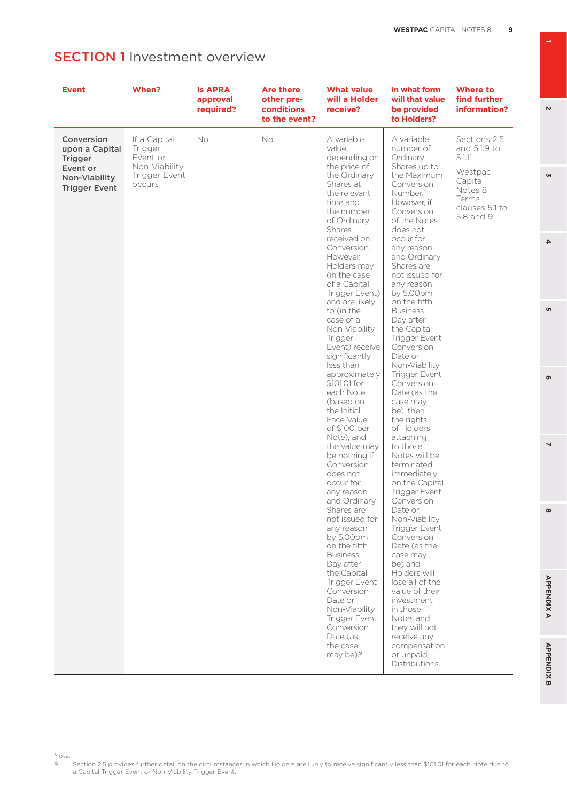| <b>Event</b>                                                                                        | When?                                                                           | <b>Is APRA</b><br>approval<br>required? | <b>Are there</b><br>other pre-<br>conditions<br>to the event? | What value<br>will a Holder<br>receive?                                                                                                                                                                                                                                                                                                                                                                                                                                                                                                                                                                                                                                                                                                                                                                                                                                                                            | In what form<br>will that value<br>be provided<br>to Holders?                                                                                                                                                                                                                                                                                                                                                                                                                                                                                                                                                                                                                                                                                                                                                                                                                                                 | <b>Where to</b><br>find further<br>information?                                                                 |
|-----------------------------------------------------------------------------------------------------|---------------------------------------------------------------------------------|-----------------------------------------|---------------------------------------------------------------|--------------------------------------------------------------------------------------------------------------------------------------------------------------------------------------------------------------------------------------------------------------------------------------------------------------------------------------------------------------------------------------------------------------------------------------------------------------------------------------------------------------------------------------------------------------------------------------------------------------------------------------------------------------------------------------------------------------------------------------------------------------------------------------------------------------------------------------------------------------------------------------------------------------------|---------------------------------------------------------------------------------------------------------------------------------------------------------------------------------------------------------------------------------------------------------------------------------------------------------------------------------------------------------------------------------------------------------------------------------------------------------------------------------------------------------------------------------------------------------------------------------------------------------------------------------------------------------------------------------------------------------------------------------------------------------------------------------------------------------------------------------------------------------------------------------------------------------------|-----------------------------------------------------------------------------------------------------------------|
| Conversion<br>upon a Capital<br><b>Trigger</b><br>Event or<br>Non-Viability<br><b>Trigger Event</b> | If a Capital<br>Trigger<br>Event or<br>Non-Viability<br>Trigger Event<br>occurs | No                                      | <b>No</b>                                                     | A variable<br>value,<br>depending on<br>the price of<br>the Ordinary<br>Shares at<br>the relevant<br>time and<br>the number<br>of Ordinary<br>Shares<br>received on<br>Conversion.<br>However,<br>Holders may<br>(in the case)<br>of a Capital<br>Trigger Event)<br>and are likely<br>to (in the<br>case of a<br>Non-Viability<br><b>Trigger</b><br>Event) receive<br>significantly<br>less than<br>approximately<br>\$101.01 for<br>each Note<br>(based on<br>the Initial<br>Face Value<br>of \$100 per<br>Note), and<br>the value may<br>be nothing if<br>Conversion<br>does not<br>occur for<br>any reason<br>and Ordinary<br>Shares are<br>not issued for<br>any reason<br>by $5.00pm$<br>on the fifth<br><b>Business</b><br>Day after<br>the Capital<br><b>Trigger Event</b><br>Conversion<br>Date or<br>Non-Viability<br><b>Trigger Event</b><br>Conversion<br>Date (as<br>the case<br>may be). <sup>9</sup> | A variable<br>number of<br>Ordinary<br>Shares up to<br>the Maximum<br>Conversion<br>Number.<br>However, if<br>Conversion<br>of the Notes<br>does not<br>occur for<br>any reason<br>and Ordinary<br>Shares are<br>not issued for<br>any reason<br>by $5.00pm$<br>on the fifth<br><b>Business</b><br>Day after<br>the Capital<br>Trigger Event<br>Conversion<br>Date or<br>Non-Viability<br><b>Trigger Event</b><br>Conversion<br>Date (as the<br>case may<br>be), then<br>the rights<br>of Holders<br>attaching<br>to those<br>Notes will be<br>terminated<br>immediately<br>on the Capital<br>Trigger Event<br>Conversion<br>Date or<br>Non-Viability<br><b>Trigger Event</b><br>Conversion<br>Date (as the<br>case may<br>be) and<br>Holders will<br>lose all of the<br>value of their<br>investment<br>in those<br>Notes and<br>they will not<br>receive any<br>compensation<br>or unpaid<br>Distributions. | Sections 2.5<br>and 5.1.9 to<br>5.1.11<br>Westpac<br>Capital<br>Notes 8<br>Terms<br>clauses 5.1 to<br>5.8 and 9 |

**6 3**

o,

 $\bullet$ 

 $\overline{\mathbf{4}}$ 

**1**

 $\mathbf{v}$ 

 $\omega$ 

**8 5**

 $\infty$ 

 $\overline{a}$ 

Note:<br>9. 9. Section 2.5 provides further detail on the circumstances in which Holders are likely to receive significantly less than \$101.01 for each Note due to a Capital Trigger Event or Non-Viability Trigger Event.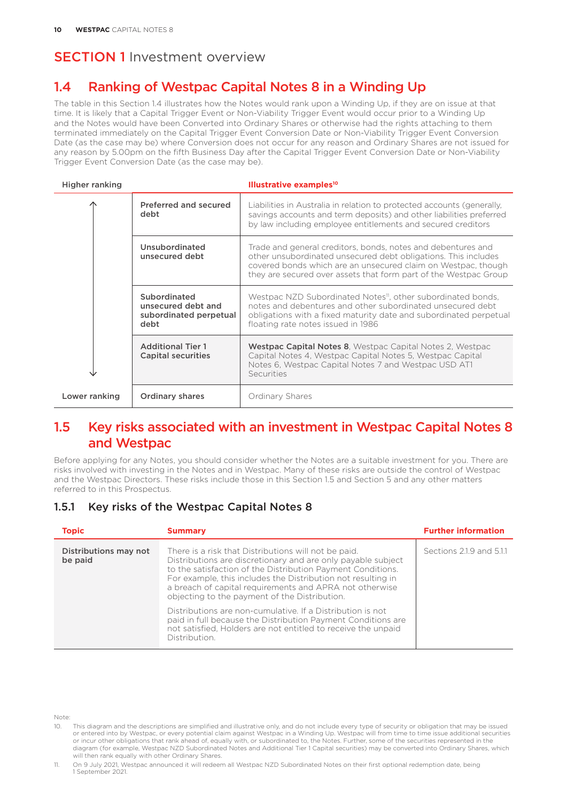## 1.4 Ranking of Westpac Capital Notes 8 in a Winding Up

The table in this Section 1.4 illustrates how the Notes would rank upon a Winding Up, if they are on issue at that time. It is likely that a Capital Trigger Event or Non-Viability Trigger Event would occur prior to a Winding Up and the Notes would have been Converted into Ordinary Shares or otherwise had the rights attaching to them terminated immediately on the Capital Trigger Event Conversion Date or Non-Viability Trigger Event Conversion Date (as the case may be) where Conversion does not occur for any reason and Ordinary Shares are not issued for any reason by 5.00pm on the fifth Business Day after the Capital Trigger Event Conversion Date or Non-Viability Trigger Event Conversion Date (as the case may be).

| Higher ranking |                                                                      | Illustrative examples <sup>10</sup>                                                                                                                                                                                                                                 |
|----------------|----------------------------------------------------------------------|---------------------------------------------------------------------------------------------------------------------------------------------------------------------------------------------------------------------------------------------------------------------|
|                | Preferred and secured<br>debt                                        | Liabilities in Australia in relation to protected accounts (generally,<br>savings accounts and term deposits) and other liabilities preferred<br>by law including employee entitlements and secured creditors                                                       |
|                | Unsubordinated<br>unsecured debt                                     | Trade and general creditors, bonds, notes and debentures and<br>other unsubordinated unsecured debt obligations. This includes<br>covered bonds which are an unsecured claim on Westpac, though<br>they are secured over assets that form part of the Westpac Group |
|                | Subordinated<br>unsecured debt and<br>subordinated perpetual<br>debt | Westpac NZD Subordinated Notes <sup>11</sup> , other subordinated bonds,<br>notes and debentures and other subordinated unsecured debt<br>obligations with a fixed maturity date and subordinated perpetual<br>floating rate notes issued in 1986                   |
|                | <b>Additional Tier 1</b><br><b>Capital securities</b>                | Westpac Capital Notes 8, Westpac Capital Notes 2, Westpac<br>Capital Notes 4, Westpac Capital Notes 5, Westpac Capital<br>Notes 6, Westpac Capital Notes 7 and Westpac USD AT1<br>Securities                                                                        |
| Lower ranking  | <b>Ordinary shares</b>                                               | Ordinary Shares                                                                                                                                                                                                                                                     |

## 1.5 Key risks associated with an investment in Westpac Capital Notes 8 and Westpac

Before applying for any Notes, you should consider whether the Notes are a suitable investment for you. There are risks involved with investing in the Notes and in Westpac. Many of these risks are outside the control of Westpac and the Westpac Directors. These risks include those in this Section 1.5 and Section 5 and any other matters referred to in this Prospectus.

#### 1.5.1 Key risks of the Westpac Capital Notes 8

| <b>Topic</b>                     | <b>Summary</b>                                                                                                                                                                                                                                                                                                                                                                                                                                                                                                                                                                  | <b>Further information</b> |
|----------------------------------|---------------------------------------------------------------------------------------------------------------------------------------------------------------------------------------------------------------------------------------------------------------------------------------------------------------------------------------------------------------------------------------------------------------------------------------------------------------------------------------------------------------------------------------------------------------------------------|----------------------------|
| Distributions may not<br>be paid | There is a risk that Distributions will not be paid.<br>Distributions are discretionary and are only payable subject<br>to the satisfaction of the Distribution Payment Conditions.<br>For example, this includes the Distribution not resulting in<br>a breach of capital requirements and APRA not otherwise<br>objecting to the payment of the Distribution.<br>Distributions are non-cumulative. If a Distribution is not<br>paid in full because the Distribution Payment Conditions are<br>not satisfied. Holders are not entitled to receive the unpaid<br>Distribution. | Sections 2.1.9 and 5.1.1   |

Note:

<sup>10.</sup> This diagram and the descriptions are simplified and illustrative only, and do not include every type of security or obligation that may be issued or entered into by Westpac, or every potential claim against Westpac in a Winding Up. Westpac will from time to time issue additional securities or incur other obligations that rank ahead of, equally with, or subordinated to, the Notes. Further, some of the securities represented in the<br>diagram (for example, Westpac NZD Subordinated Notes and Additional Tier 1 Capi will then rank equally with other Ordinary Shares.

<sup>11.</sup> On 9 July 2021, Westpac announced it will redeem all Westpac NZD Subordinated Notes on their first optional redemption date, being 1 September 2021.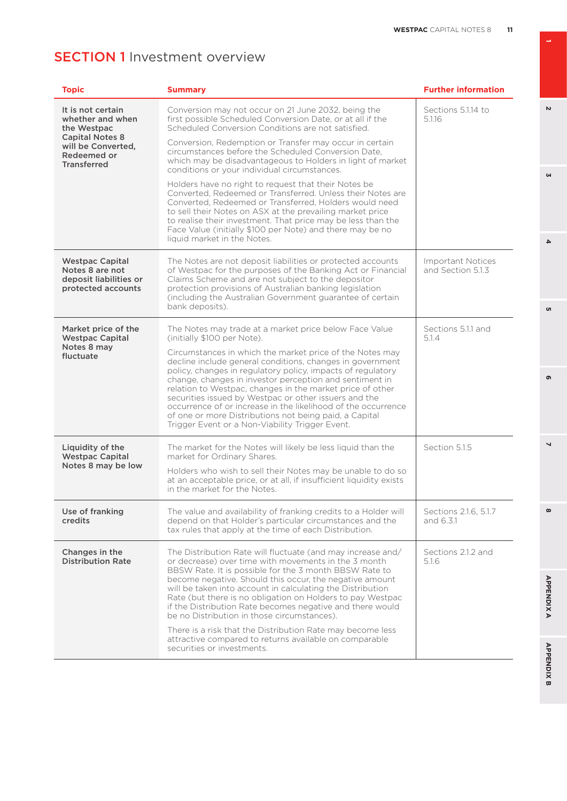| <b>Topic</b>                                                                              | <b>Summary</b>                                                                                                                                                                                                                                                                                                                                                                                                                                                                                                                                                                                                                               | <b>Further information</b>             |
|-------------------------------------------------------------------------------------------|----------------------------------------------------------------------------------------------------------------------------------------------------------------------------------------------------------------------------------------------------------------------------------------------------------------------------------------------------------------------------------------------------------------------------------------------------------------------------------------------------------------------------------------------------------------------------------------------------------------------------------------------|----------------------------------------|
| It is not certain<br>whether and when<br>the Westpac                                      | Conversion may not occur on 21 June 2032, being the<br>first possible Scheduled Conversion Date, or at all if the<br>Scheduled Conversion Conditions are not satisfied.                                                                                                                                                                                                                                                                                                                                                                                                                                                                      | Sections 5.1.14 to<br>5.1.16           |
| <b>Capital Notes 8</b><br>will be Converted,<br>Redeemed or<br><b>Transferred</b>         | Conversion, Redemption or Transfer may occur in certain<br>circumstances before the Scheduled Conversion Date.<br>which may be disadvantageous to Holders in light of market<br>conditions or your individual circumstances.                                                                                                                                                                                                                                                                                                                                                                                                                 |                                        |
|                                                                                           | Holders have no right to request that their Notes be<br>Converted, Redeemed or Transferred. Unless their Notes are<br>Converted, Redeemed or Transferred, Holders would need<br>to sell their Notes on ASX at the prevailing market price<br>to realise their investment. That price may be less than the<br>Face Value (initially \$100 per Note) and there may be no<br>liquid market in the Notes.                                                                                                                                                                                                                                        |                                        |
| <b>Westpac Capital</b><br>Notes 8 are not<br>deposit liabilities or<br>protected accounts | The Notes are not deposit liabilities or protected accounts<br>of Westpac for the purposes of the Banking Act or Financial<br>Claims Scheme and are not subject to the depositor<br>protection provisions of Australian banking legislation<br>(including the Australian Government guarantee of certain<br>bank deposits).                                                                                                                                                                                                                                                                                                                  | Important Notices<br>and Section 5.1.3 |
| Market price of the<br><b>Westpac Capital</b><br>Notes 8 may<br>fluctuate                 | The Notes may trade at a market price below Face Value<br>(initially \$100 per Note).<br>Circumstances in which the market price of the Notes may<br>decline include general conditions, changes in government<br>policy, changes in regulatory policy, impacts of regulatory<br>change, changes in investor perception and sentiment in<br>relation to Westpac, changes in the market price of other<br>securities issued by Westpac or other issuers and the<br>occurrence of or increase in the likelihood of the occurrence<br>of one or more Distributions not being paid, a Capital<br>Trigger Event or a Non-Viability Trigger Event. | Sections 5.1.1 and<br>5.1.4            |
| Liquidity of the<br><b>Westpac Capital</b><br>Notes 8 may be low                          | The market for the Notes will likely be less liquid than the<br>market for Ordinary Shares.<br>Holders who wish to sell their Notes may be unable to do so<br>at an acceptable price, or at all, if insufficient liquidity exists<br>in the market for the Notes.                                                                                                                                                                                                                                                                                                                                                                            | Section 5.1.5                          |
| Use of franking<br>credits                                                                | The value and availability of franking credits to a Holder will<br>depend on that Holder's particular circumstances and the<br>tax rules that apply at the time of each Distribution.                                                                                                                                                                                                                                                                                                                                                                                                                                                        | Sections 2.1.6, 5.1.7<br>and 6.3.1     |
| Changes in the<br><b>Distribution Rate</b>                                                | The Distribution Rate will fluctuate (and may increase and/<br>or decrease) over time with movements in the 3 month<br>BBSW Rate. It is possible for the 3 month BBSW Rate to<br>become negative. Should this occur, the negative amount<br>will be taken into account in calculating the Distribution<br>Rate (but there is no obligation on Holders to pay Westpac<br>if the Distribution Rate becomes negative and there would<br>be no Distribution in those circumstances).<br>There is a risk that the Distribution Rate may become less<br>attractive compared to returns available on comparable<br>securities or investments.       | Sections 2.1.2 and<br>5.1.6            |

 $\overline{v}$ 

 $\omega$ 

**6 3**

 $\sigma$ 

 $\overline{\mathbf{4}}$ 

**8 5 APPENDIX B 2 7 4 APPENDIX A**

 $\overline{a}$ 

 $\infty$ 

**APPENDIXA** 

**APPENDIX B** 

 $\bullet$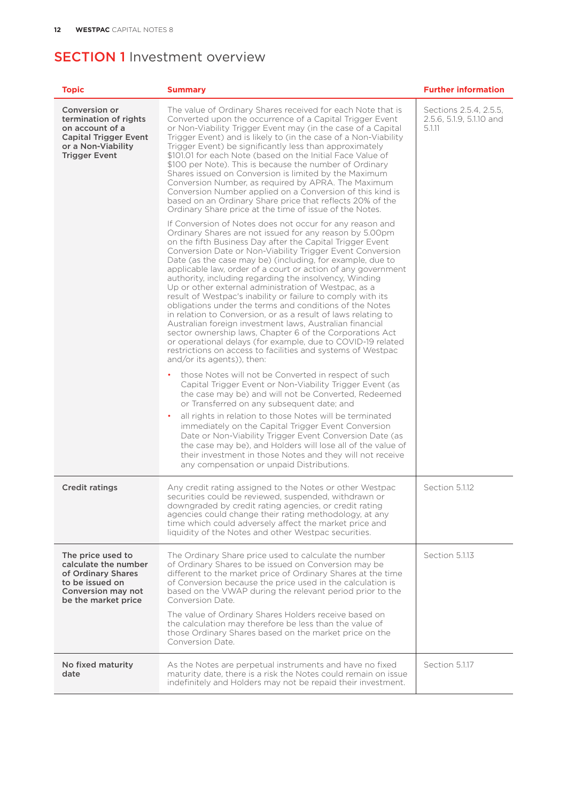| <b>Topic</b>                                                                                                                            | <b>Summary</b>                                                                                                                                                                                                                                                                                                                                                                                                                                                                                                                                                                                                                                                                                                                                                                                                                                                                                                                                                                                                                                                                                                                                                                                                                                                                                                                                                                                                                                                                                                                                                                                                                                                                                                                                                                                                                                                                                                                                                                                                                                                                                                                                                                                                                                                                                                           | <b>Further information</b>                                   |
|-----------------------------------------------------------------------------------------------------------------------------------------|--------------------------------------------------------------------------------------------------------------------------------------------------------------------------------------------------------------------------------------------------------------------------------------------------------------------------------------------------------------------------------------------------------------------------------------------------------------------------------------------------------------------------------------------------------------------------------------------------------------------------------------------------------------------------------------------------------------------------------------------------------------------------------------------------------------------------------------------------------------------------------------------------------------------------------------------------------------------------------------------------------------------------------------------------------------------------------------------------------------------------------------------------------------------------------------------------------------------------------------------------------------------------------------------------------------------------------------------------------------------------------------------------------------------------------------------------------------------------------------------------------------------------------------------------------------------------------------------------------------------------------------------------------------------------------------------------------------------------------------------------------------------------------------------------------------------------------------------------------------------------------------------------------------------------------------------------------------------------------------------------------------------------------------------------------------------------------------------------------------------------------------------------------------------------------------------------------------------------------------------------------------------------------------------------------------------------|--------------------------------------------------------------|
| Conversion or<br>termination of rights<br>on account of a<br><b>Capital Trigger Event</b><br>or a Non-Viability<br><b>Trigger Event</b> | The value of Ordinary Shares received for each Note that is<br>Converted upon the occurrence of a Capital Trigger Event<br>or Non-Viability Trigger Event may (in the case of a Capital<br>Trigger Event) and is likely to (in the case of a Non-Viability<br>Trigger Event) be significantly less than approximately<br>\$101.01 for each Note (based on the Initial Face Value of<br>\$100 per Note). This is because the number of Ordinary<br>Shares issued on Conversion is limited by the Maximum<br>Conversion Number, as required by APRA. The Maximum<br>Conversion Number applied on a Conversion of this kind is<br>based on an Ordinary Share price that reflects 20% of the<br>Ordinary Share price at the time of issue of the Notes.<br>If Conversion of Notes does not occur for any reason and<br>Ordinary Shares are not issued for any reason by 5.00pm<br>on the fifth Business Day after the Capital Trigger Event<br>Conversion Date or Non-Viability Trigger Event Conversion<br>Date (as the case may be) (including, for example, due to<br>applicable law, order of a court or action of any government<br>authority, including regarding the insolvency, Winding<br>Up or other external administration of Westpac, as a<br>result of Westpac's inability or failure to comply with its<br>obligations under the terms and conditions of the Notes<br>in relation to Conversion, or as a result of laws relating to<br>Australian foreign investment laws, Australian financial<br>sector ownership laws, Chapter 6 of the Corporations Act<br>or operational delays (for example, due to COVID-19 related<br>restrictions on access to facilities and systems of Westpac<br>and/or its agents)), then:<br>those Notes will not be Converted in respect of such<br>Capital Trigger Event or Non-Viability Trigger Event (as<br>the case may be) and will not be Converted, Redeemed<br>or Transferred on any subsequent date; and<br>all rights in relation to those Notes will be terminated<br>٠<br>immediately on the Capital Trigger Event Conversion<br>Date or Non-Viability Trigger Event Conversion Date (as<br>the case may be), and Holders will lose all of the value of<br>their investment in those Notes and they will not receive<br>any compensation or unpaid Distributions. | Sections 2.5.4, 2.5.5,<br>2.5.6, 5.1.9, 5.1.10 and<br>5.1.11 |
| <b>Credit ratings</b>                                                                                                                   | Any credit rating assigned to the Notes or other Westpac<br>securities could be reviewed, suspended, withdrawn or<br>downgraded by credit rating agencies, or credit rating<br>agencies could change their rating methodology, at any<br>time which could adversely affect the market price and<br>liquidity of the Notes and other Westpac securities.                                                                                                                                                                                                                                                                                                                                                                                                                                                                                                                                                                                                                                                                                                                                                                                                                                                                                                                                                                                                                                                                                                                                                                                                                                                                                                                                                                                                                                                                                                                                                                                                                                                                                                                                                                                                                                                                                                                                                                  | Section 5.1.12                                               |
| The price used to<br>calculate the number<br>of Ordinary Shares<br>to be issued on<br>Conversion may not<br>be the market price         | The Ordinary Share price used to calculate the number<br>of Ordinary Shares to be issued on Conversion may be<br>different to the market price of Ordinary Shares at the time<br>of Conversion because the price used in the calculation is<br>based on the VWAP during the relevant period prior to the<br>Conversion Date.<br>The value of Ordinary Shares Holders receive based on<br>the calculation may therefore be less than the value of<br>those Ordinary Shares based on the market price on the<br>Conversion Date.                                                                                                                                                                                                                                                                                                                                                                                                                                                                                                                                                                                                                                                                                                                                                                                                                                                                                                                                                                                                                                                                                                                                                                                                                                                                                                                                                                                                                                                                                                                                                                                                                                                                                                                                                                                           | Section 5.1.13                                               |
| No fixed maturity<br>date                                                                                                               | As the Notes are perpetual instruments and have no fixed<br>maturity date, there is a risk the Notes could remain on issue<br>indefinitely and Holders may not be repaid their investment.                                                                                                                                                                                                                                                                                                                                                                                                                                                                                                                                                                                                                                                                                                                                                                                                                                                                                                                                                                                                                                                                                                                                                                                                                                                                                                                                                                                                                                                                                                                                                                                                                                                                                                                                                                                                                                                                                                                                                                                                                                                                                                                               | Section 5.1.17                                               |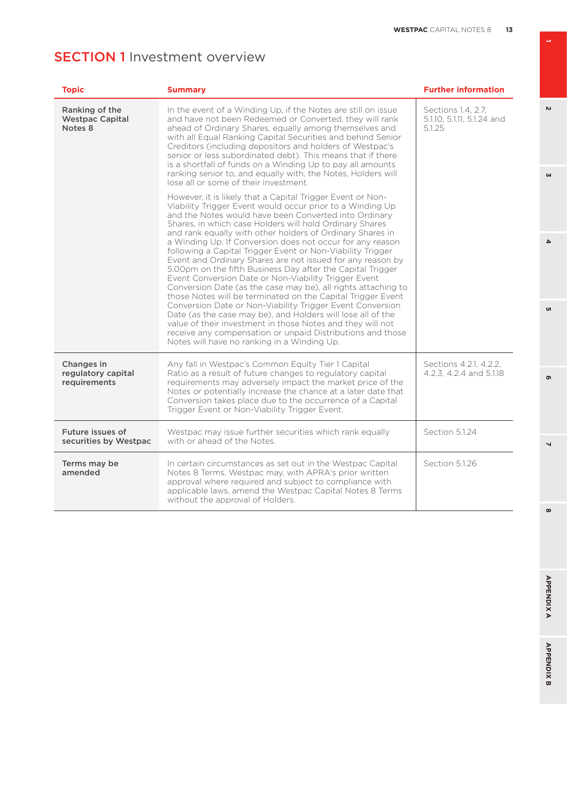| <b>Topic</b>                                        | <b>Summary</b>                                                                                                                                                                                                                                                                                                                                                                                                                                                                                                                                                                                                                                                                                                                                                                                                                                                                                                                                                                                                                                                 | <b>Further information</b>                                 |
|-----------------------------------------------------|----------------------------------------------------------------------------------------------------------------------------------------------------------------------------------------------------------------------------------------------------------------------------------------------------------------------------------------------------------------------------------------------------------------------------------------------------------------------------------------------------------------------------------------------------------------------------------------------------------------------------------------------------------------------------------------------------------------------------------------------------------------------------------------------------------------------------------------------------------------------------------------------------------------------------------------------------------------------------------------------------------------------------------------------------------------|------------------------------------------------------------|
| Ranking of the<br><b>Westpac Capital</b><br>Notes 8 | In the event of a Winding Up, if the Notes are still on issue<br>and have not been Redeemed or Converted, they will rank<br>ahead of Ordinary Shares, equally among themselves and<br>with all Equal Ranking Capital Securities and behind Senior<br>Creditors (including depositors and holders of Westpac's<br>senior or less subordinated debt). This means that if there<br>is a shortfall of funds on a Winding Up to pay all amounts<br>ranking senior to, and equally with, the Notes, Holders will<br>lose all or some of their investment.                                                                                                                                                                                                                                                                                                                                                                                                                                                                                                            | Sections 1.4, 2.7,<br>5.1.10, 5.1.11, 5.1.24 and<br>5.1.25 |
|                                                     | However, it is likely that a Capital Trigger Event or Non-<br>Viability Trigger Event would occur prior to a Winding Up<br>and the Notes would have been Converted into Ordinary<br>Shares, in which case Holders will hold Ordinary Shares<br>and rank equally with other holders of Ordinary Shares in<br>a Winding Up. If Conversion does not occur for any reason<br>following a Capital Trigger Event or Non-Viability Trigger<br>Event and Ordinary Shares are not issued for any reason by<br>5.00pm on the fifth Business Day after the Capital Trigger<br>Event Conversion Date or Non-Viability Trigger Event<br>Conversion Date (as the case may be), all rights attaching to<br>those Notes will be terminated on the Capital Trigger Event<br>Conversion Date or Non-Viability Trigger Event Conversion<br>Date (as the case may be), and Holders will lose all of the<br>value of their investment in those Notes and they will not<br>receive any compensation or unpaid Distributions and those<br>Notes will have no ranking in a Winding Up. |                                                            |
| Changes in<br>regulatory capital<br>requirements    | Any fall in Westpac's Common Equity Tier 1 Capital<br>Ratio as a result of future changes to regulatory capital<br>requirements may adversely impact the market price of the<br>Notes or potentially increase the chance at a later date that<br>Conversion takes place due to the occurrence of a Capital<br>Trigger Event or Non-Viability Trigger Event.                                                                                                                                                                                                                                                                                                                                                                                                                                                                                                                                                                                                                                                                                                    | Sections 4.2.1, 4.2.2,<br>4.2.3. 4.2.4 and 5.1.18          |
| Future issues of<br>securities by Westpac           | Westpac may issue further securities which rank equally<br>with or ahead of the Notes.                                                                                                                                                                                                                                                                                                                                                                                                                                                                                                                                                                                                                                                                                                                                                                                                                                                                                                                                                                         | Section 5.1.24                                             |
| Terms may be<br>amended                             | In certain circumstances as set out in the Westpac Capital<br>Notes 8 Terms, Westpac may, with APRA's prior written<br>approval where required and subject to compliance with<br>applicable laws, amend the Westpac Capital Notes 8 Terms<br>without the approval of Holders.                                                                                                                                                                                                                                                                                                                                                                                                                                                                                                                                                                                                                                                                                                                                                                                  | Section 5.1.26                                             |

**1**

 $\overline{v}$ 

 $\omega$ 

 $\infty$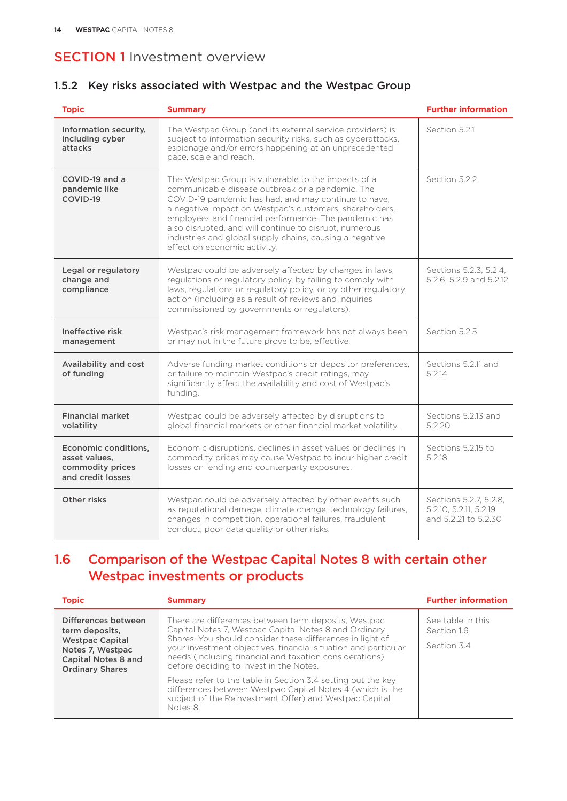#### 1.5.2 Key risks associated with Westpac and the Westpac Group

| <b>Topic</b>                                                                   | <b>Summary</b>                                                                                                                                                                                                                                                                                                                                                                                                                           | <b>Further information</b>                                               |
|--------------------------------------------------------------------------------|------------------------------------------------------------------------------------------------------------------------------------------------------------------------------------------------------------------------------------------------------------------------------------------------------------------------------------------------------------------------------------------------------------------------------------------|--------------------------------------------------------------------------|
| Information security,<br>including cyber<br>attacks                            | The Westpac Group (and its external service providers) is<br>subject to information security risks, such as cyberattacks.<br>espionage and/or errors happening at an unprecedented<br>pace, scale and reach.                                                                                                                                                                                                                             | Section 5.2.1                                                            |
| COVID-19 and a<br>pandemic like<br>COVID-19                                    | The Westpac Group is vulnerable to the impacts of a<br>communicable disease outbreak or a pandemic. The<br>COVID-19 pandemic has had, and may continue to have,<br>a negative impact on Westpac's customers, shareholders,<br>employees and financial performance. The pandemic has<br>also disrupted, and will continue to disrupt, numerous<br>industries and global supply chains, causing a negative<br>effect on economic activity. | Section 5.2.2                                                            |
| Legal or regulatory<br>change and<br>compliance                                | Westpac could be adversely affected by changes in laws,<br>regulations or regulatory policy, by failing to comply with<br>laws, regulations or regulatory policy, or by other regulatory<br>action (including as a result of reviews and inquiries<br>commissioned by governments or regulators).                                                                                                                                        | Sections 5.2.3, 5.2.4,<br>5.2.6, 5.2.9 and 5.2.12                        |
| Ineffective risk<br>management                                                 | Westpac's risk management framework has not always been,<br>or may not in the future prove to be, effective.                                                                                                                                                                                                                                                                                                                             | Section 5.2.5                                                            |
| Availability and cost<br>of funding                                            | Adverse funding market conditions or depositor preferences,<br>or failure to maintain Westpac's credit ratings, may<br>significantly affect the availability and cost of Westpac's<br>funding.                                                                                                                                                                                                                                           | Sections 5.2.11 and<br>5.2.14                                            |
| <b>Financial market</b><br>volatility                                          | Westpac could be adversely affected by disruptions to<br>global financial markets or other financial market volatility.                                                                                                                                                                                                                                                                                                                  | Sections 5.2.13 and<br>5.2.20                                            |
| Economic conditions,<br>asset values,<br>commodity prices<br>and credit losses | Economic disruptions, declines in asset values or declines in<br>commodity prices may cause Westpac to incur higher credit<br>losses on lending and counterparty exposures.                                                                                                                                                                                                                                                              | Sections 5.2.15 to<br>5.2.18                                             |
| Other risks                                                                    | Westpac could be adversely affected by other events such<br>as reputational damage, climate change, technology failures,<br>changes in competition, operational failures, fraudulent<br>conduct, poor data quality or other risks.                                                                                                                                                                                                       | Sections 5.2.7, 5.2.8,<br>5.2.10, 5.2.11, 5.2.19<br>and 5.2.21 to 5.2.30 |

## 1.6 Comparison of the Westpac Capital Notes 8 with certain other Westpac investments or products

| <b>Topic</b>                                                                                                                                | <b>Summary</b>                                                                                                                                                                                                                                                                                                                                                                                                                                                                                                                                        | <b>Further information</b>                      |
|---------------------------------------------------------------------------------------------------------------------------------------------|-------------------------------------------------------------------------------------------------------------------------------------------------------------------------------------------------------------------------------------------------------------------------------------------------------------------------------------------------------------------------------------------------------------------------------------------------------------------------------------------------------------------------------------------------------|-------------------------------------------------|
| Differences between<br>term deposits,<br><b>Westpac Capital</b><br>Notes 7, Westpac<br><b>Capital Notes 8 and</b><br><b>Ordinary Shares</b> | There are differences between term deposits, Westpac<br>Capital Notes 7, Westpac Capital Notes 8 and Ordinary<br>Shares. You should consider these differences in light of<br>your investment objectives, financial situation and particular<br>needs (including financial and taxation considerations)<br>before deciding to invest in the Notes.<br>Please refer to the table in Section 3.4 setting out the key<br>differences between Westpac Capital Notes 4 (which is the<br>subject of the Reinvestment Offer) and Westpac Capital<br>Notes 8. | See table in this<br>Section 1.6<br>Section 3.4 |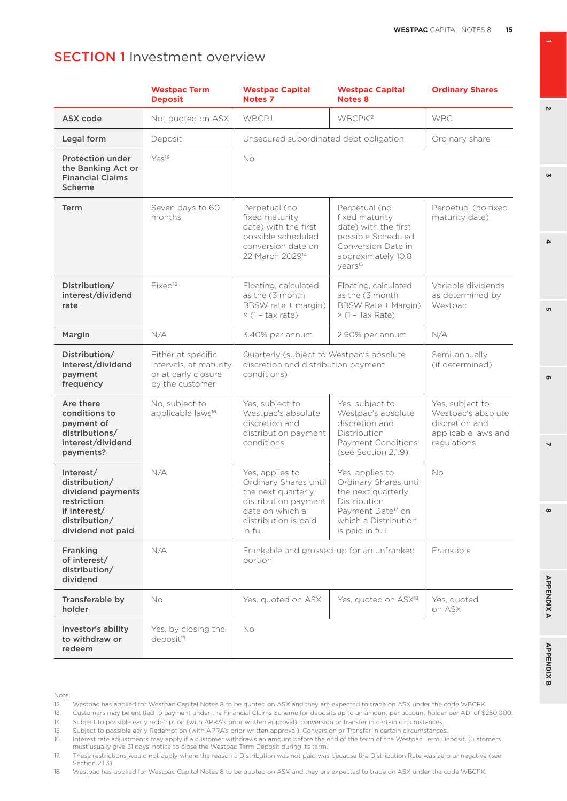|                                                                                                                      | <b>Westpac Term</b><br><b>Deposit</b>                                                  | <b>Westpac Capital</b><br><b>Notes 7</b>                                                                                                                                                                                                                                               | <b>Westpac Capital</b><br><b>Notes 8</b>                                                                                                                   | <b>Ordinary Shares</b>                                                                        |
|----------------------------------------------------------------------------------------------------------------------|----------------------------------------------------------------------------------------|----------------------------------------------------------------------------------------------------------------------------------------------------------------------------------------------------------------------------------------------------------------------------------------|------------------------------------------------------------------------------------------------------------------------------------------------------------|-----------------------------------------------------------------------------------------------|
| ASX code                                                                                                             | Not quoted on ASX                                                                      | WBCPJ                                                                                                                                                                                                                                                                                  | WBCPK <sup>12</sup>                                                                                                                                        | <b>WBC</b>                                                                                    |
| Legal form                                                                                                           | Deposit                                                                                | Unsecured subordinated debt obligation                                                                                                                                                                                                                                                 |                                                                                                                                                            | Ordinary share                                                                                |
| <b>Protection under</b><br>the Banking Act or<br><b>Financial Claims</b><br>Scheme                                   | Yes <sup>13</sup>                                                                      | <b>No</b>                                                                                                                                                                                                                                                                              |                                                                                                                                                            |                                                                                               |
| Term                                                                                                                 | Seven days to 60<br>months                                                             | Perpetual (no<br>Perpetual (no<br>fixed maturity<br>fixed maturity<br>date) with the first<br>date) with the first<br>possible scheduled<br>possible Scheduled<br>conversion date on<br>Conversion Date in<br>22 March 2029 <sup>14</sup><br>approximately 10.8<br>years <sup>15</sup> |                                                                                                                                                            | Perpetual (no fixed<br>maturity date)                                                         |
| Distribution/<br>interest/dividend<br>rate                                                                           | Fixed <sup>16</sup>                                                                    | Floating, calculated<br>as the (3 month)<br>BBSW rate + margin)<br>$\times$ (1 - tax rate)                                                                                                                                                                                             | Floating, calculated<br>as the (3 month<br>BBSW Rate + Margin)<br>$\times$ (1 - Tax Rate)                                                                  | Variable dividends<br>as determined by<br>Westpac                                             |
| Margin                                                                                                               | N/A                                                                                    | 3.40% per annum                                                                                                                                                                                                                                                                        | 2.90% per annum                                                                                                                                            | N/A                                                                                           |
| Distribution/<br>interest/dividend<br>payment<br>frequency                                                           | Either at specific<br>intervals, at maturity<br>or at early closure<br>by the customer | Quarterly (subject to Westpac's absolute<br>discretion and distribution payment<br>conditions)                                                                                                                                                                                         |                                                                                                                                                            | Semi-annually<br>(if determined)                                                              |
| Are there<br>conditions to<br>payment of<br>distributions/<br>interest/dividend<br>payments?                         | No, subject to<br>applicable laws <sup>16</sup>                                        | Yes, subject to<br>Yes, subject to<br>Westpac's absolute<br>Westpac's absolute<br>discretion and<br>discretion and<br>distribution payment<br>Distribution<br>Payment Conditions<br>conditions<br>(see Section 2.1.9)                                                                  |                                                                                                                                                            | Yes, subject to<br>Westpac's absolute<br>discretion and<br>applicable laws and<br>regulations |
| Interest/<br>distribution/<br>dividend payments<br>restriction<br>if interest/<br>distribution/<br>dividend not paid | N/A                                                                                    | Yes, applies to<br>Ordinary Shares until<br>the next quarterly<br>distribution payment<br>date on which a<br>distribution is paid<br>in full                                                                                                                                           | Yes, applies to<br>Ordinary Shares until<br>the next quarterly<br>Distribution<br>Payment Date <sup>17</sup> on<br>which a Distribution<br>is paid in full | <b>No</b>                                                                                     |
| Franking<br>of interest/<br>distribution/<br>dividend                                                                | N/A                                                                                    | portion                                                                                                                                                                                                                                                                                | Frankable and grossed-up for an unfranked                                                                                                                  | Frankable                                                                                     |
| Transferable by<br>holder                                                                                            | No                                                                                     | Yes, quoted on ASX                                                                                                                                                                                                                                                                     | Yes, quoted on ASX <sup>18</sup>                                                                                                                           | Yes, quoted<br>on ASX                                                                         |
| Investor's ability<br>to withdraw or<br>redeem                                                                       | Yes, by closing the<br>deposit <sup>19</sup>                                           | <b>No</b>                                                                                                                                                                                                                                                                              |                                                                                                                                                            |                                                                                               |

Note:

13. Customers may be entitled to payment under the Financial Claims Scheme for deposits up to an amount per account holder per ADI of \$250,000.

 $\mathbf{v}$ 

**GN** 

**6 3**

u

 $\Delta$ 

**8 5 APPENDIX B 2 7 4 APPENDIX A**

 $\overline{\phantom{0}}$ 

 $\infty$ 

**APPENDIXA** 

**APPENDIX B** 

൭

<sup>12.</sup> Westpac has applied for Westpac Capital Notes 8 to be quoted on ASX and they are expected to trade on ASX under the code WBCPK.

<sup>14.</sup> Subject to possible early redemption (with APRA's prior written approval), conversion or transfer in certain circumstances. 15. Subject to possible early Redemption (with APRA's prior written approval), Conversion or Transfer in certain circumstances.

<sup>16.</sup> Interest rate adjustments may apply if a customer withdraws an amount before the end of the term of the Westpac Term Deposit. Customers must usually give 31 days' notice to close the Westpac Term Deposit during its term.

<sup>17.</sup> These restrictions would not apply where the reason a Distribution was not paid was because the Distribution Rate was zero or negative (see Section 2.1.3).

<sup>18</sup> Westpac has applied for Westpac Capital Notes 8 to be quoted on ASX and they are expected to trade on ASX under the code WBCPK.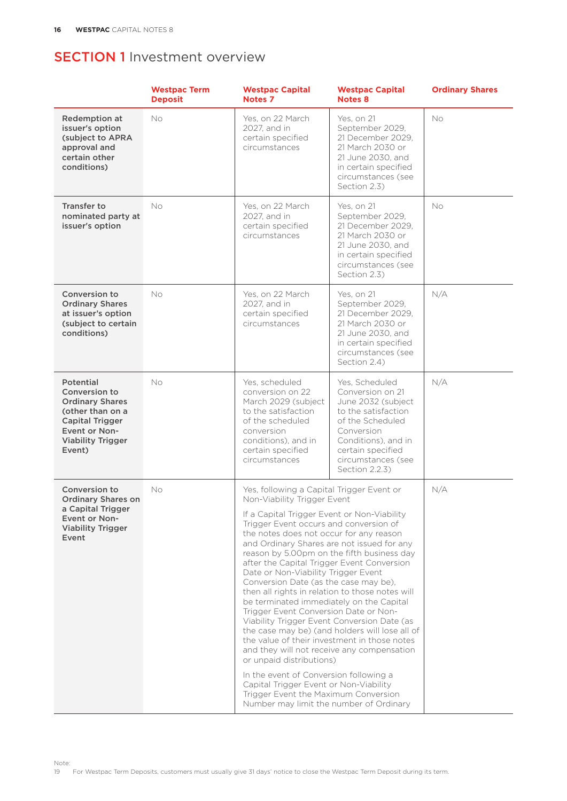|                                                                                                                                                           | <b>Westpac Term</b><br><b>Deposit</b> | <b>Westpac Capital</b><br>Notes <sub>7</sub>                                                                                                                                                                                                                                                                                                                                                                                                                                                                                                                                                                                                                                                                                                                                                                                       | <b>Westpac Capital</b><br><b>Notes 8</b>                                                                                                                                                              | <b>Ordinary Shares</b> |
|-----------------------------------------------------------------------------------------------------------------------------------------------------------|---------------------------------------|------------------------------------------------------------------------------------------------------------------------------------------------------------------------------------------------------------------------------------------------------------------------------------------------------------------------------------------------------------------------------------------------------------------------------------------------------------------------------------------------------------------------------------------------------------------------------------------------------------------------------------------------------------------------------------------------------------------------------------------------------------------------------------------------------------------------------------|-------------------------------------------------------------------------------------------------------------------------------------------------------------------------------------------------------|------------------------|
| Redemption at<br>issuer's option<br>(subject to APRA<br>approval and<br>certain other<br>conditions)                                                      | No                                    | Yes, on 22 March<br>2027, and in<br>certain specified<br>circumstances                                                                                                                                                                                                                                                                                                                                                                                                                                                                                                                                                                                                                                                                                                                                                             | Yes, on 21<br>September 2029,<br>21 December 2029.<br>21 March 2030 or<br>21 June 2030, and<br>in certain specified<br>circumstances (see<br>Section 2.3)                                             | No                     |
| <b>Transfer to</b><br>nominated party at<br>issuer's option                                                                                               | <b>No</b>                             | Yes. on 22 March<br>2027, and in<br>certain specified<br>circumstances                                                                                                                                                                                                                                                                                                                                                                                                                                                                                                                                                                                                                                                                                                                                                             | Yes, on 21<br>September 2029,<br>21 December 2029,<br>21 March 2030 or<br>21 June 2030, and<br>in certain specified<br>circumstances (see<br>Section 2.3)                                             | No.                    |
| Conversion to<br><b>Ordinary Shares</b><br>at issuer's option<br>(subject to certain<br>conditions)                                                       | <b>No</b>                             | Yes, on 22 March<br>2027, and in<br>certain specified<br>circumstances                                                                                                                                                                                                                                                                                                                                                                                                                                                                                                                                                                                                                                                                                                                                                             | Yes, on 21<br>September 2029,<br>21 December 2029,<br>21 March 2030 or<br>21 June 2030, and<br>in certain specified<br>circumstances (see<br>Section 2.4)                                             | N/A                    |
| Potential<br>Conversion to<br><b>Ordinary Shares</b><br>(other than on a<br><b>Capital Trigger</b><br>Event or Non-<br><b>Viability Trigger</b><br>Event) | No                                    | Yes, scheduled<br>conversion on 22<br>March 2029 (subject<br>to the satisfaction<br>of the scheduled<br>conversion<br>conditions), and in<br>certain specified<br>circumstances                                                                                                                                                                                                                                                                                                                                                                                                                                                                                                                                                                                                                                                    | Yes, Scheduled<br>Conversion on 21<br>June 2032 (subject<br>to the satisfaction<br>of the Scheduled<br>Conversion<br>Conditions), and in<br>certain specified<br>circumstances (see<br>Section 2.2.3) | N/A                    |
| Conversion to<br><b>Ordinary Shares on</b><br>a Capital Trigger<br>Event or Non-<br><b>Viability Trigger</b><br>Event                                     | No                                    | Yes, following a Capital Trigger Event or<br>Non-Viability Trigger Event<br>If a Capital Trigger Event or Non-Viability<br>Trigger Event occurs and conversion of<br>the notes does not occur for any reason<br>and Ordinary Shares are not issued for any<br>after the Capital Trigger Event Conversion<br>Date or Non-Viability Trigger Event<br>Conversion Date (as the case may be),<br>then all rights in relation to those notes will<br>be terminated immediately on the Capital<br>Trigger Event Conversion Date or Non-<br>Viability Trigger Event Conversion Date (as<br>the value of their investment in those notes<br>or unpaid distributions)<br>In the event of Conversion following a<br>Capital Trigger Event or Non-Viability<br>Trigger Event the Maximum Conversion<br>Number may limit the number of Ordinary | reason by 5.00pm on the fifth business day<br>the case may be) (and holders will lose all of<br>and they will not receive any compensation                                                            | N/A                    |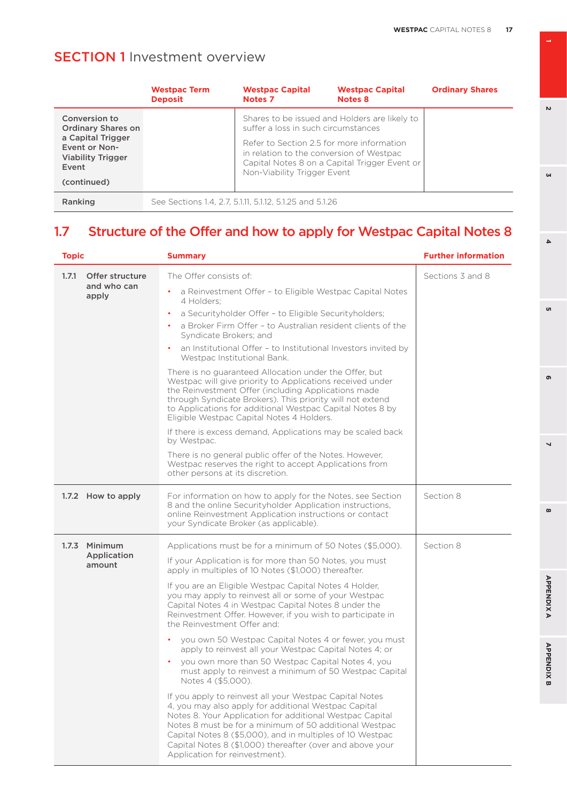|                                                                  | <b>Westpac Term</b><br><b>Deposit</b> | <b>Westpac Capital</b><br><b>Notes 7</b>                                                                             | <b>Westpac Capital</b><br><b>Notes 8</b>      | <b>Ordinary Shares</b> |
|------------------------------------------------------------------|---------------------------------------|----------------------------------------------------------------------------------------------------------------------|-----------------------------------------------|------------------------|
| Conversion to<br><b>Ordinary Shares on</b>                       |                                       | suffer a loss in such circumstances                                                                                  | Shares to be issued and Holders are likely to |                        |
| a Capital Trigger<br>Event or Non-<br>Viability Trigger<br>Event |                                       | Refer to Section 2.5 for more information<br>in relation to the conversion of Westpac<br>Non-Viability Trigger Event | Capital Notes 8 on a Capital Trigger Event or |                        |
| (continued)                                                      |                                       |                                                                                                                      |                                               |                        |
| Ranking                                                          |                                       | See Sections 1.4, 2.7, 5.1.11, 5.1.12, 5.1.25 and 5.1.26                                                             |                                               |                        |

# 1.7 Structure of the Offer and how to apply for Westpac Capital Notes 8

| <b>Topic</b> |                       | <b>Summary</b>                                                                                                                                                                                                                                                                                                                                                                                    | <b>Further information</b> |
|--------------|-----------------------|---------------------------------------------------------------------------------------------------------------------------------------------------------------------------------------------------------------------------------------------------------------------------------------------------------------------------------------------------------------------------------------------------|----------------------------|
| 1.7.1        | Offer structure       | The Offer consists of:                                                                                                                                                                                                                                                                                                                                                                            | Sections 3 and 8           |
|              | and who can<br>apply  | a Reinvestment Offer - to Eligible Westpac Capital Notes<br>4 Holders:                                                                                                                                                                                                                                                                                                                            |                            |
|              |                       | a Securityholder Offer - to Eligible Securityholders;<br>$\bullet$                                                                                                                                                                                                                                                                                                                                |                            |
|              |                       | a Broker Firm Offer - to Australian resident clients of the<br>Syndicate Brokers; and                                                                                                                                                                                                                                                                                                             |                            |
|              |                       | an Institutional Offer - to Institutional Investors invited by<br>Westpac Institutional Bank.                                                                                                                                                                                                                                                                                                     |                            |
|              |                       | There is no guaranteed Allocation under the Offer, but<br>Westpac will give priority to Applications received under<br>the Reinvestment Offer (including Applications made<br>through Syndicate Brokers). This priority will not extend<br>to Applications for additional Westpac Capital Notes 8 by<br>Eligible Westpac Capital Notes 4 Holders.                                                 |                            |
|              |                       | If there is excess demand, Applications may be scaled back<br>by Westpac.                                                                                                                                                                                                                                                                                                                         |                            |
|              |                       | There is no general public offer of the Notes. However,<br>Westpac reserves the right to accept Applications from<br>other persons at its discretion.                                                                                                                                                                                                                                             |                            |
|              | 1.7.2 How to apply    | For information on how to apply for the Notes, see Section<br>8 and the online Securityholder Application instructions,<br>online Reinvestment Application instructions or contact<br>your Syndicate Broker (as applicable).                                                                                                                                                                      | Section 8                  |
|              | 1.7.3 Minimum         | Applications must be for a minimum of 50 Notes (\$5,000).                                                                                                                                                                                                                                                                                                                                         | Section 8                  |
|              | Application<br>amount | If your Application is for more than 50 Notes, you must<br>apply in multiples of 10 Notes (\$1,000) thereafter.                                                                                                                                                                                                                                                                                   |                            |
|              |                       | If you are an Eligible Westpac Capital Notes 4 Holder,<br>you may apply to reinvest all or some of your Westpac<br>Capital Notes 4 in Westpac Capital Notes 8 under the<br>Reinvestment Offer. However, if you wish to participate in<br>the Reinvestment Offer and:                                                                                                                              |                            |
|              |                       | you own 50 Westpac Capital Notes 4 or fewer, you must<br>apply to reinvest all your Westpac Capital Notes 4; or                                                                                                                                                                                                                                                                                   |                            |
|              |                       | you own more than 50 Westpac Capital Notes 4, you<br>must apply to reinvest a minimum of 50 Westpac Capital<br>Notes 4 (\$5,000).                                                                                                                                                                                                                                                                 |                            |
|              |                       | If you apply to reinvest all your Westpac Capital Notes<br>4, you may also apply for additional Westpac Capital<br>Notes 8. Your Application for additional Westpac Capital<br>Notes 8 must be for a minimum of 50 additional Westpac<br>Capital Notes 8 (\$5,000), and in multiples of 10 Westpac<br>Capital Notes 8 (\$1,000) thereafter (over and above your<br>Application for reinvestment). |                            |

 $\overline{v}$ 

 $\omega$ 

**6 3**

o,

 $\overline{\bf 4}$ 

**8 5 APPENDIX B 2 7 4 APPENDIX A**

 $\overline{a}$ 

 $\infty$ 

**APPENDIXA** 

**APPENDIX B** 

ഐ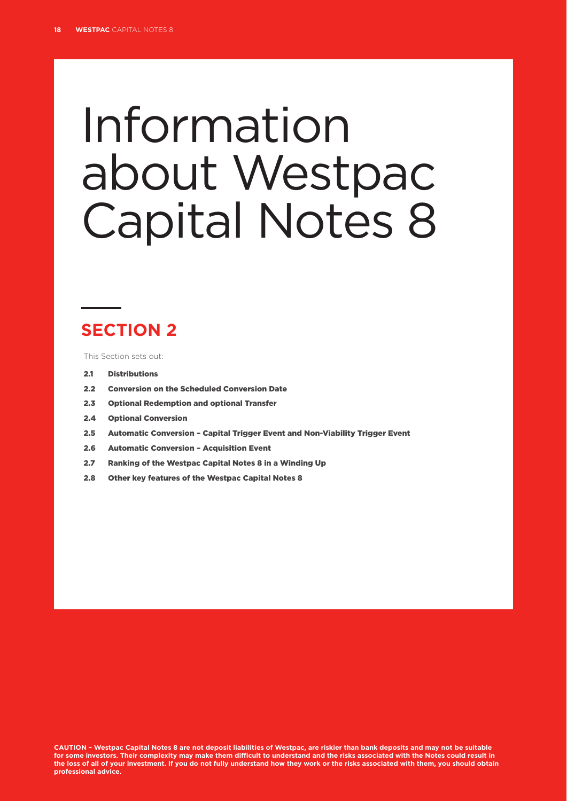# Information about Westpac Capital Notes 8

# **SECTION 2**

This Section sets out:

- 2.1 Distributions
- 2.2 Conversion on the Scheduled Conversion Date
- 2.3 Optional Redemption and optional Transfer
- 2.4 Optional Conversion
- 2.5 Automatic Conversion Capital Trigger Event and Non-Viability Trigger Event
- 2.6 Automatic Conversion Acquisition Event
- 2.7 Ranking of the Westpac Capital Notes 8 in a Winding Up
- 2.8 Other key features of the Westpac Capital Notes 8

**CAUTION – Westpac Capital Notes 8 are not deposit liabilities of Westpac, are riskier than bank deposits and may not be suitable for some investors. Their complexity may make them difficult to understand and the risks associated with the Notes could result in the loss of all of your investment. If you do not fully understand how they work or the risks associated with them, you should obtain professional advice.**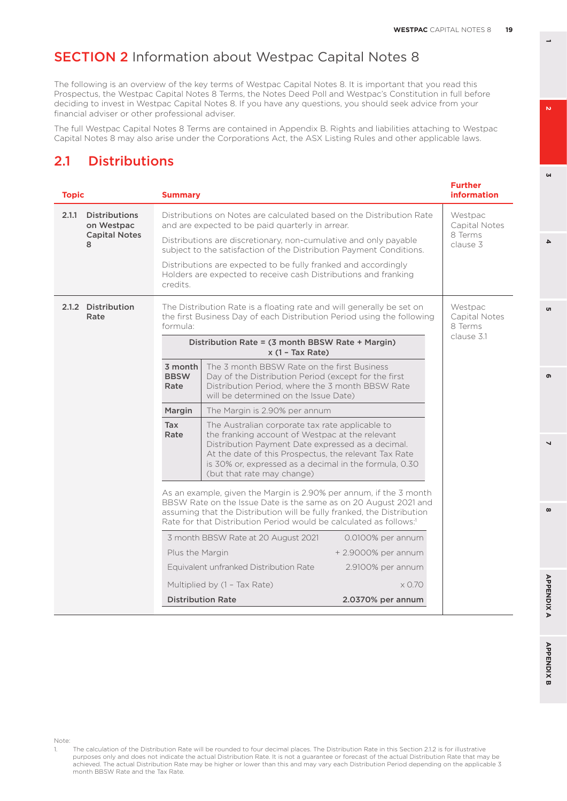The following is an overview of the key terms of Westpac Capital Notes 8. It is important that you read this Prospectus, the Westpac Capital Notes 8 Terms, the Notes Deed Poll and Westpac's Constitution in full before deciding to invest in Westpac Capital Notes 8. If you have any questions, you should seek advice from your financial adviser or other professional adviser.

The full Westpac Capital Notes 8 Terms are contained in Appendix B. Rights and liabilities attaching to Westpac Capital Notes 8 may also arise under the Corporations Act, the ASX Listing Rules and other applicable laws.

## 2.1 Distributions

<span id="page-20-0"></span>

| <b>Topic</b>                                | <b>Summary</b>                                                                                                                          |                                                                                                                                                                                                                                                                                                          |                                                 | <b>Further</b><br><b>information</b> |
|---------------------------------------------|-----------------------------------------------------------------------------------------------------------------------------------------|----------------------------------------------------------------------------------------------------------------------------------------------------------------------------------------------------------------------------------------------------------------------------------------------------------|-------------------------------------------------|--------------------------------------|
| 2.1.1<br><b>Distributions</b><br>on Westpac | Distributions on Notes are calculated based on the Distribution Rate<br>and are expected to be paid quarterly in arrear.                |                                                                                                                                                                                                                                                                                                          | Westpac<br>Capital Notes<br>8 Terms<br>clause 3 |                                      |
| <b>Capital Notes</b><br>8                   | Distributions are discretionary, non-cumulative and only payable<br>subject to the satisfaction of the Distribution Payment Conditions. |                                                                                                                                                                                                                                                                                                          |                                                 |                                      |
|                                             | credits.                                                                                                                                | Distributions are expected to be fully franked and accordingly<br>Holders are expected to receive cash Distributions and franking                                                                                                                                                                        |                                                 |                                      |
| 2.1.2 Distribution<br>Rate                  | formula:                                                                                                                                | The Distribution Rate is a floating rate and will generally be set on<br>the first Business Day of each Distribution Period using the following                                                                                                                                                          |                                                 | Westpac<br>Capital Notes<br>8 Terms  |
|                                             |                                                                                                                                         | Distribution Rate = (3 month BBSW Rate + Margin)<br>$x(1 - Tax Rate)$                                                                                                                                                                                                                                    |                                                 | clause 3.1                           |
|                                             | 3 month<br><b>BBSW</b><br>Rate                                                                                                          | The 3 month BBSW Rate on the first Business<br>Day of the Distribution Period (except for the first<br>Distribution Period, where the 3 month BBSW Rate<br>will be determined on the Issue Date)                                                                                                         |                                                 |                                      |
|                                             | Margin                                                                                                                                  | The Margin is 2.90% per annum                                                                                                                                                                                                                                                                            |                                                 |                                      |
|                                             | Tax<br>Rate                                                                                                                             | The Australian corporate tax rate applicable to<br>the franking account of Westpac at the relevant<br>Distribution Payment Date expressed as a decimal.<br>At the date of this Prospectus, the relevant Tax Rate<br>is 30% or, expressed as a decimal in the formula, 0.30<br>(but that rate may change) |                                                 |                                      |
|                                             |                                                                                                                                         | As an example, given the Margin is 2.90% per annum, if the 3 month<br>BBSW Rate on the Issue Date is the same as on 20 August 2021 and<br>assuming that the Distribution will be fully franked, the Distribution<br>Rate for that Distribution Period would be calculated as follows:1                   |                                                 |                                      |
|                                             |                                                                                                                                         | 3 month BBSW Rate at 20 August 2021                                                                                                                                                                                                                                                                      | 0.0100% per annum                               |                                      |
|                                             | Plus the Margin                                                                                                                         |                                                                                                                                                                                                                                                                                                          | + 2.9000% per annum                             |                                      |
|                                             |                                                                                                                                         | Equivalent unfranked Distribution Rate                                                                                                                                                                                                                                                                   | 2.9100% per annum                               |                                      |
|                                             |                                                                                                                                         | Multiplied by (1 - Tax Rate)                                                                                                                                                                                                                                                                             | $\times$ 0.70                                   |                                      |
|                                             |                                                                                                                                         | <b>Distribution Rate</b>                                                                                                                                                                                                                                                                                 | 2.0370% per annum                               |                                      |

**8 5**

 $\overline{ }$ 

 $\infty$ 

ക

Note:

**3**

 $\Delta$ 

'n

кs.

<sup>1.</sup> The calculation of the Distribution Rate will be rounded to four decimal places. The Distribution Rate in this Section [2.1.2](#page-20-0) is for illustrative purposes only and does not indicate the actual Distribution Rate. It is not a guarantee or forecast of the actual Distribution Rate that may be achieved. The actual Distribution Rate may be higher or lower than this and may vary each Distribution Period depending on the applicable 3 month BBSW Rate and the Tax Rate.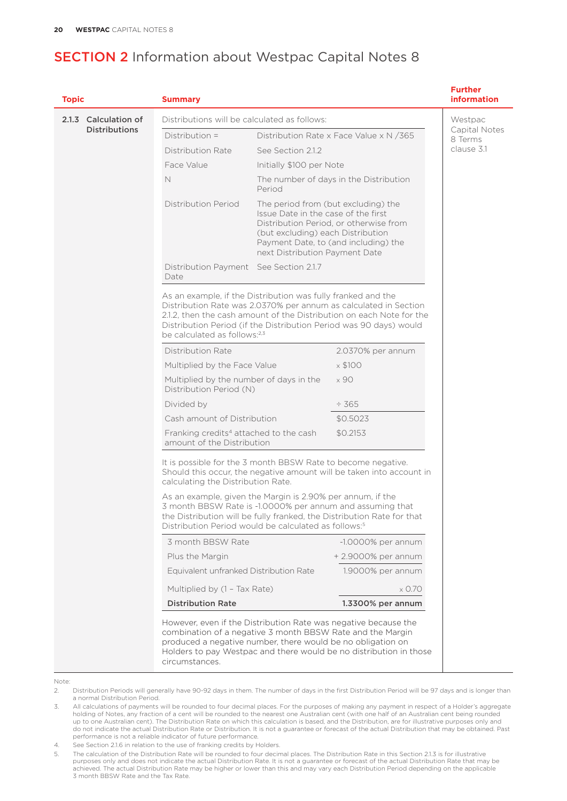#### **Topic Summary Further information** 2.1.3 Calculation of Distributions Distributions will be calculated as follows: Distribution = Distribution Rate x Face Value x N / 365 Distribution Rate See Section 212 Face Value Initially \$100 per Note N The number of days in the Distribution Period Distribution Period The period from (but excluding) the Issue Date in the case of the first Distribution Period, or otherwise from (but excluding) each Distribution Payment Date, to (and including) the next Distribution Payment Date Distribution Payment See Section 2.1.7 Date As an example, if the Distribution was fully franked and the Distribution Rate was 2.0370% per annum as calculated in Section 2.1.2, then the cash amount of the Distribution on each Note for the Distribution Period (if the Distribution Period was 90 days) would be calculated as follows:2,3 Distribution Rate 2.0370% per annum Multiplied by the Face Value  $\times $100$ Multiplied by the number of days in the Distribution Period (N)  $\times$  90 Divided by  $\div$  365 Cash amount of Distribution  $$0.5023$ Franking credits<sup>4</sup> attached to the cash amount of the Distribution \$0.2153 It is possible for the 3 month BBSW Rate to become negative. Should this occur, the negative amount will be taken into account in calculating the Distribution Rate. As an example, given the Margin is 2.90% per annum, if the 3 month BBSW Rate is -1.0000% per annum and assuming that the Distribution will be fully franked, the Distribution Rate for that Distribution Period would be calculated as follows:<sup>5</sup> 3 month BBSW Rate -1.0000% per annum Plus the Margin + 2.9000% per annum Equivalent unfranked Distribution Rate Multiplied by (1 – Tax Rate) 1.9000% per annum x 0.70 Distribution Rate 1.3300% per annum However, even if the Distribution Rate was negative because the combination of a negative 3 month BBSW Rate and the Margin produced a negative number, there would be no obligation on Holders to pay Westpac and there would be no distribution in those circumstances. Westpac Capital Notes 8 Terms clause 3.1

- 2. Distribution Periods will generally have 90-92 days in them. The number of days in the first Distribution Period will be 97 days and is longer than a normal Distribution Period.
- 3. All calculations of payments will be rounded to four decimal places. For the purposes of making any payment in respect of a Holder's aggregate holding of Notes, any fraction of a cent will be rounded to the nearest one Australian cent (with one half of an Australian cent being rounded up to one Australian cent). The Distribution Rate on which this calculation is based, and the Distribution, are for illustrative purposes only and do not indicate the actual Distribution Rate or Distribution. It is not a guarantee or forecast of the actual Distribution that may be obtained. Past performance is not a reliable indicator of future performance.
- 4. See Section [2.1.6](#page-23-0) in relation to the use of franking credits by Holders.

Note:

<sup>5.</sup> The calculation of the Distribution Rate will be rounded to four decimal places. The Distribution Rate in this Section 2.1.3 is for illustrative purposes only and does not indicate the actual Distribution Rate. It is not a guarantee or forecast of the actual Distribution Rate that may be achieved. The actual Distribution Rate may be higher or lower than this and may vary each Distribution Period depending on the applicable 3 month BBSW Rate and the Tax Rate.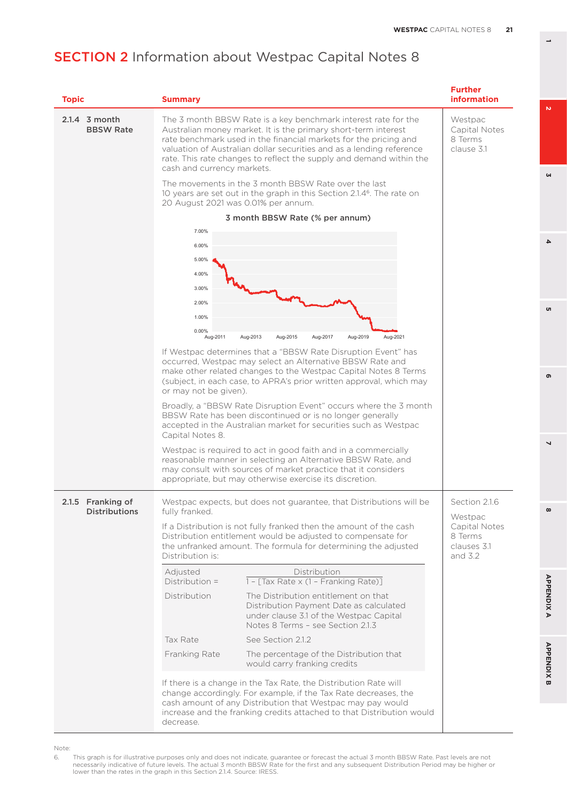| <b>Topic</b>                              | <b>Summary</b>                                                                                                                                                                                                                                                                                                                                                                                                                                                                                                                                                                                                                                                         | <b>Further</b><br><b>information</b>                                             |
|-------------------------------------------|------------------------------------------------------------------------------------------------------------------------------------------------------------------------------------------------------------------------------------------------------------------------------------------------------------------------------------------------------------------------------------------------------------------------------------------------------------------------------------------------------------------------------------------------------------------------------------------------------------------------------------------------------------------------|----------------------------------------------------------------------------------|
| $2.1.4$ 3 month<br><b>BBSW Rate</b>       | The 3 month BBSW Rate is a key benchmark interest rate for the<br>Australian money market. It is the primary short-term interest<br>rate benchmark used in the financial markets for the pricing and<br>valuation of Australian dollar securities and as a lending reference<br>rate. This rate changes to reflect the supply and demand within the<br>cash and currency markets.                                                                                                                                                                                                                                                                                      | Westpac<br>Capital Notes<br>8 Terms<br>clause 3.1                                |
|                                           | The movements in the 3 month BBSW Rate over the last<br>10 years are set out in the graph in this Section 2.1.4 <sup>6</sup> . The rate on<br>20 August 2021 was 0.01% per annum.                                                                                                                                                                                                                                                                                                                                                                                                                                                                                      |                                                                                  |
|                                           | 3 month BBSW Rate (% per annum)                                                                                                                                                                                                                                                                                                                                                                                                                                                                                                                                                                                                                                        |                                                                                  |
|                                           | 7.00%<br>6.00%<br>5.00%<br>4.00%<br>3.00%<br>2.00%<br>1.00%<br>0.00%<br>Aug-2013<br>Aug-2015<br>Aug-2017<br>Aug-2019<br>Aug-2021<br>Aug-2011<br>If Westpac determines that a "BBSW Rate Disruption Event" has<br>occurred, Westpac may select an Alternative BBSW Rate and<br>make other related changes to the Westpac Capital Notes 8 Terms<br>(subject, in each case, to APRA's prior written approval, which may<br>or may not be given).<br>Broadly, a "BBSW Rate Disruption Event" occurs where the 3 month<br>BBSW Rate has been discontinued or is no longer generally<br>accepted in the Australian market for securities such as Westpac<br>Capital Notes 8. |                                                                                  |
|                                           | Westpac is required to act in good faith and in a commercially<br>reasonable manner in selecting an Alternative BBSW Rate, and<br>may consult with sources of market practice that it considers<br>appropriate, but may otherwise exercise its discretion.                                                                                                                                                                                                                                                                                                                                                                                                             |                                                                                  |
| 2.1.5 Franking of<br><b>Distributions</b> | Westpac expects, but does not guarantee, that Distributions will be<br>fully franked.<br>If a Distribution is not fully franked then the amount of the cash<br>Distribution entitlement would be adjusted to compensate for<br>the unfranked amount. The formula for determining the adjusted<br>Distribution is:                                                                                                                                                                                                                                                                                                                                                      | Section 2.1.6<br>Westpac<br>Capital Notes<br>8 Terms<br>clauses 3.1<br>and $3.2$ |
|                                           | Adjusted<br>Distribution                                                                                                                                                                                                                                                                                                                                                                                                                                                                                                                                                                                                                                               |                                                                                  |
|                                           | $1 - \lceil \text{Tax Rate} \times (1 - \text{Franking Rate}) \rceil$<br>Distribution =<br>The Distribution entitlement on that<br>Distribution<br>Distribution Payment Date as calculated<br>under clause 3.1 of the Westpac Capital<br>Notes 8 Terms - see Section 2.1.3                                                                                                                                                                                                                                                                                                                                                                                             |                                                                                  |
|                                           | Tax Rate<br>See Section 2.1.2                                                                                                                                                                                                                                                                                                                                                                                                                                                                                                                                                                                                                                          |                                                                                  |
|                                           | The percentage of the Distribution that<br>Franking Rate<br>would carry franking credits                                                                                                                                                                                                                                                                                                                                                                                                                                                                                                                                                                               |                                                                                  |
|                                           | If there is a change in the Tax Rate, the Distribution Rate will<br>change accordingly. For example, if the Tax Rate decreases, the<br>cash amount of any Distribution that Westpac may pay would<br>increase and the franking credits attached to that Distribution would<br>decrease.                                                                                                                                                                                                                                                                                                                                                                                |                                                                                  |

Note:

6. This graph is for illustrative purposes only and does not indicate, guarantee or forecast the actual 3 month BBSW Rate. Past levels are not<br>necessarily indicative of future levels. The actual 3 month BBSW Rate for the f

**3**

 $\overline{4}$ 

<sub>o</sub>

 $\mathbf{a}$ 

**8 5 APPENDIX B 2 7 4 APPENDIX A 6**

 $\overline{\phantom{0}}$ 

 $\infty$ 

**APPENDIXA** 

**APPENDIX B** 

 $\bullet$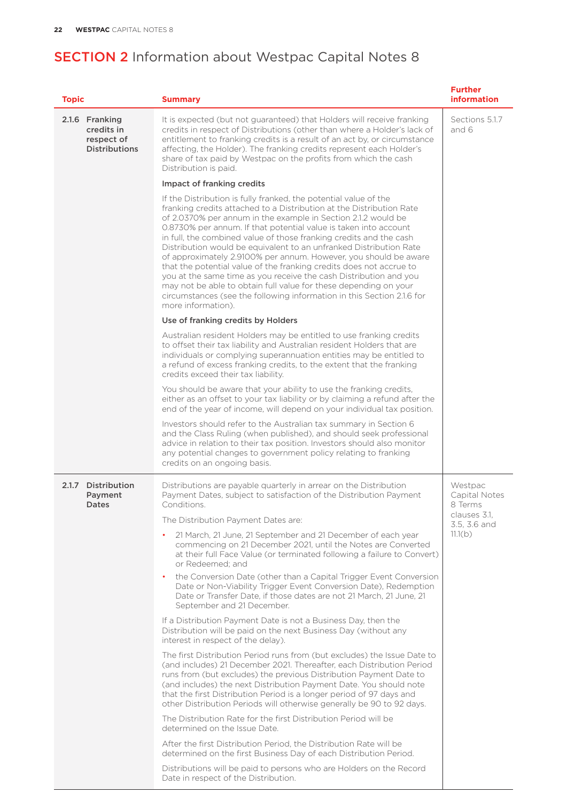<span id="page-23-0"></span>

| <b>Topic</b>                                                       | <b>Summary</b>                                                                                                                                                                                                                                                                                                                                                                                                                                                                                                                                                                                                                                                                                                                                                                                                | <b>Further</b><br>information       |
|--------------------------------------------------------------------|---------------------------------------------------------------------------------------------------------------------------------------------------------------------------------------------------------------------------------------------------------------------------------------------------------------------------------------------------------------------------------------------------------------------------------------------------------------------------------------------------------------------------------------------------------------------------------------------------------------------------------------------------------------------------------------------------------------------------------------------------------------------------------------------------------------|-------------------------------------|
| 2.1.6 Franking<br>credits in<br>respect of<br><b>Distributions</b> | It is expected (but not guaranteed) that Holders will receive franking<br>credits in respect of Distributions (other than where a Holder's lack of<br>entitlement to franking credits is a result of an act by, or circumstance<br>affecting, the Holder). The franking credits represent each Holder's<br>share of tax paid by Westpac on the profits from which the cash<br>Distribution is paid.                                                                                                                                                                                                                                                                                                                                                                                                           | Sections 5.1.7<br>and 6             |
|                                                                    | Impact of franking credits                                                                                                                                                                                                                                                                                                                                                                                                                                                                                                                                                                                                                                                                                                                                                                                    |                                     |
|                                                                    | If the Distribution is fully franked, the potential value of the<br>franking credits attached to a Distribution at the Distribution Rate<br>of 2.0370% per annum in the example in Section 2.1.2 would be<br>0.8730% per annum. If that potential value is taken into account<br>in full, the combined value of those franking credits and the cash<br>Distribution would be equivalent to an unfranked Distribution Rate<br>of approximately 2.9100% per annum. However, you should be aware<br>that the potential value of the franking credits does not accrue to<br>you at the same time as you receive the cash Distribution and you<br>may not be able to obtain full value for these depending on your<br>circumstances (see the following information in this Section 2.1.6 for<br>more information). |                                     |
|                                                                    | Use of franking credits by Holders                                                                                                                                                                                                                                                                                                                                                                                                                                                                                                                                                                                                                                                                                                                                                                            |                                     |
|                                                                    | Australian resident Holders may be entitled to use franking credits<br>to offset their tax liability and Australian resident Holders that are<br>individuals or complying superannuation entities may be entitled to<br>a refund of excess franking credits, to the extent that the franking<br>credits exceed their tax liability.                                                                                                                                                                                                                                                                                                                                                                                                                                                                           |                                     |
|                                                                    | You should be aware that your ability to use the franking credits,<br>either as an offset to your tax liability or by claiming a refund after the<br>end of the year of income, will depend on your individual tax position.                                                                                                                                                                                                                                                                                                                                                                                                                                                                                                                                                                                  |                                     |
|                                                                    | Investors should refer to the Australian tax summary in Section 6<br>and the Class Ruling (when published), and should seek professional<br>advice in relation to their tax position. Investors should also monitor<br>any potential changes to government policy relating to franking<br>credits on an ongoing basis.                                                                                                                                                                                                                                                                                                                                                                                                                                                                                        |                                     |
| 2.1.7 Distribution<br>Payment<br>Dates                             | Distributions are payable quarterly in arrear on the Distribution<br>Payment Dates, subject to satisfaction of the Distribution Payment<br>Conditions.                                                                                                                                                                                                                                                                                                                                                                                                                                                                                                                                                                                                                                                        | Westpac<br>Capital Notes<br>8 Terms |
|                                                                    | The Distribution Payment Dates are:                                                                                                                                                                                                                                                                                                                                                                                                                                                                                                                                                                                                                                                                                                                                                                           | clauses 3.1,<br>3.5, 3.6 and        |
|                                                                    | 21 March, 21 June, 21 September and 21 December of each year<br>٠<br>commencing on 21 December 2021, until the Notes are Converted<br>at their full Face Value (or terminated following a failure to Convert)<br>or Redeemed; and                                                                                                                                                                                                                                                                                                                                                                                                                                                                                                                                                                             | 11.1(b)                             |
|                                                                    | the Conversion Date (other than a Capital Trigger Event Conversion<br>Date or Non-Viability Trigger Event Conversion Date), Redemption<br>Date or Transfer Date, if those dates are not 21 March, 21 June, 21<br>September and 21 December.                                                                                                                                                                                                                                                                                                                                                                                                                                                                                                                                                                   |                                     |
|                                                                    | If a Distribution Payment Date is not a Business Day, then the<br>Distribution will be paid on the next Business Day (without any<br>interest in respect of the delay).                                                                                                                                                                                                                                                                                                                                                                                                                                                                                                                                                                                                                                       |                                     |
|                                                                    | The first Distribution Period runs from (but excludes) the Issue Date to<br>(and includes) 21 December 2021. Thereafter, each Distribution Period<br>runs from (but excludes) the previous Distribution Payment Date to<br>(and includes) the next Distribution Payment Date. You should note<br>that the first Distribution Period is a longer period of 97 days and<br>other Distribution Periods will otherwise generally be 90 to 92 days.                                                                                                                                                                                                                                                                                                                                                                |                                     |
|                                                                    | The Distribution Rate for the first Distribution Period will be<br>determined on the Issue Date.                                                                                                                                                                                                                                                                                                                                                                                                                                                                                                                                                                                                                                                                                                              |                                     |
|                                                                    | After the first Distribution Period, the Distribution Rate will be<br>determined on the first Business Day of each Distribution Period.                                                                                                                                                                                                                                                                                                                                                                                                                                                                                                                                                                                                                                                                       |                                     |
|                                                                    | Distributions will be paid to persons who are Holders on the Record<br>Date in respect of the Distribution.                                                                                                                                                                                                                                                                                                                                                                                                                                                                                                                                                                                                                                                                                                   |                                     |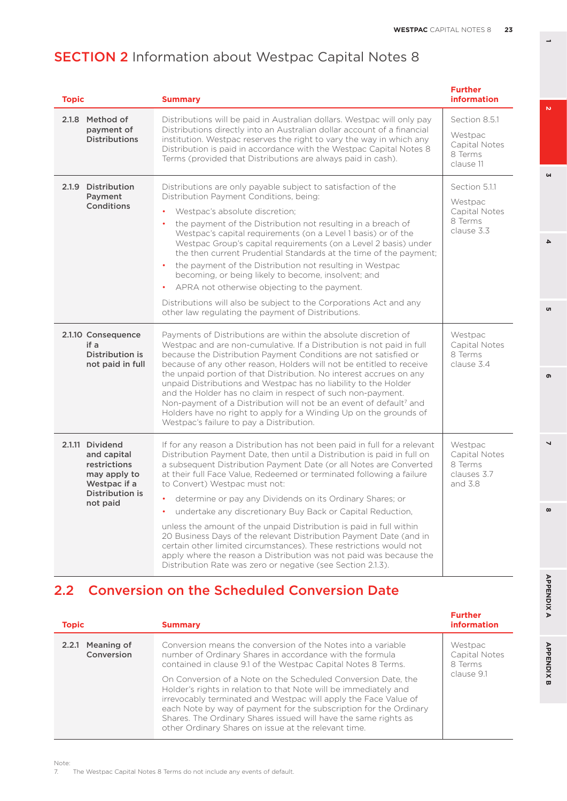| <b>Topic</b>                                                                                                  | <b>Summary</b>                                                                                                                                                                                                                                                                                                                                                                                                                                                                                                                                                                                                                                                                                                                                                                                                                                   | <b>Further</b><br>information                                      |
|---------------------------------------------------------------------------------------------------------------|--------------------------------------------------------------------------------------------------------------------------------------------------------------------------------------------------------------------------------------------------------------------------------------------------------------------------------------------------------------------------------------------------------------------------------------------------------------------------------------------------------------------------------------------------------------------------------------------------------------------------------------------------------------------------------------------------------------------------------------------------------------------------------------------------------------------------------------------------|--------------------------------------------------------------------|
| 2.1.8 Method of<br>payment of<br><b>Distributions</b>                                                         | Distributions will be paid in Australian dollars. Westpac will only pay<br>Distributions directly into an Australian dollar account of a financial<br>institution. Westpac reserves the right to vary the way in which any<br>Distribution is paid in accordance with the Westpac Capital Notes 8<br>Terms (provided that Distributions are always paid in cash).                                                                                                                                                                                                                                                                                                                                                                                                                                                                                | Section 8.5.1<br>Westpac<br>Capital Notes<br>8 Terms<br>clause 11  |
| 2.1.9 Distribution<br>Payment<br>Conditions                                                                   | Distributions are only payable subject to satisfaction of the<br>Distribution Payment Conditions, being:<br>Westpac's absolute discretion;<br>the payment of the Distribution not resulting in a breach of<br>Westpac's capital requirements (on a Level 1 basis) or of the<br>Westpac Group's capital requirements (on a Level 2 basis) under<br>the then current Prudential Standards at the time of the payment;<br>the payment of the Distribution not resulting in Westpac<br>$\bullet$<br>becoming, or being likely to become, insolvent; and<br>APRA not otherwise objecting to the payment.<br>Distributions will also be subject to the Corporations Act and any<br>other law regulating the payment of Distributions.                                                                                                                  | Section 5.1.1<br>Westpac<br>Capital Notes<br>8 Terms<br>clause 3.3 |
| 2.1.10 Consequence<br>if a<br>Distribution is<br>not paid in full                                             | Payments of Distributions are within the absolute discretion of<br>Westpac and are non-cumulative. If a Distribution is not paid in full<br>because the Distribution Payment Conditions are not satisfied or<br>because of any other reason, Holders will not be entitled to receive<br>the unpaid portion of that Distribution. No interest accrues on any<br>unpaid Distributions and Westpac has no liability to the Holder<br>and the Holder has no claim in respect of such non-payment.<br>Non-payment of a Distribution will not be an event of default <sup>7</sup> and<br>Holders have no right to apply for a Winding Up on the grounds of<br>Westpac's failure to pay a Distribution.                                                                                                                                                 | Westpac<br>Capital Notes<br>8 Terms<br>clause 3.4                  |
| 2.1.11 Dividend<br>and capital<br>restrictions<br>may apply to<br>Westpac if a<br>Distribution is<br>not paid | If for any reason a Distribution has not been paid in full for a relevant<br>Distribution Payment Date, then until a Distribution is paid in full on<br>a subsequent Distribution Payment Date (or all Notes are Converted<br>at their full Face Value, Redeemed or terminated following a failure<br>to Convert) Westpac must not:<br>determine or pay any Dividends on its Ordinary Shares; or<br>$\bullet$<br>undertake any discretionary Buy Back or Capital Reduction,<br>$\bullet$<br>unless the amount of the unpaid Distribution is paid in full within<br>20 Business Days of the relevant Distribution Payment Date (and in<br>certain other limited circumstances). These restrictions would not<br>apply where the reason a Distribution was not paid was because the<br>Distribution Rate was zero or negative (see Section 2.1.3). | Westpac<br>Capital Notes<br>8 Terms<br>clauses 3.7<br>and 3.8      |

# 2.2 Conversion on the Scheduled Conversion Date

| <b>Topic</b>                   | <b>Summary</b>                                                                                                                                                                                                                                                                                                                                                                                                                                                                                                                                                                                    | <b>Further</b><br><b>information</b>              |
|--------------------------------|---------------------------------------------------------------------------------------------------------------------------------------------------------------------------------------------------------------------------------------------------------------------------------------------------------------------------------------------------------------------------------------------------------------------------------------------------------------------------------------------------------------------------------------------------------------------------------------------------|---------------------------------------------------|
| 2.2.1 Meaning of<br>Conversion | Conversion means the conversion of the Notes into a variable<br>number of Ordinary Shares in accordance with the formula<br>contained in clause 9.1 of the Westpac Capital Notes 8 Terms.<br>On Conversion of a Note on the Scheduled Conversion Date, the<br>Holder's rights in relation to that Note will be immediately and<br>irrevocably terminated and Westpac will apply the Face Value of<br>each Note by way of payment for the subscription for the Ordinary<br>Shares. The Ordinary Shares issued will have the same rights as<br>other Ordinary Shares on issue at the relevant time. | Westpac<br>Capital Notes<br>8 Terms<br>clause 9.1 |

7. The Westpac Capital Notes 8 Terms do not include any events of default.

 $\mathbf{a}$ 

**3**

 $\overline{\bf 4}$ 

<sub>o</sub>

 $\bullet$ 

 $\overline{\phantom{0}}$ 

**8 5**  $\infty$ 

**APPENDIX B**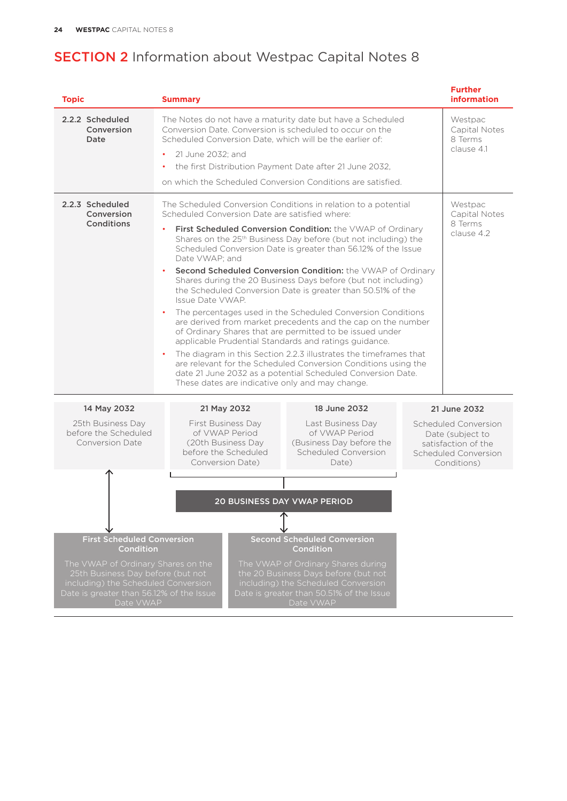| <b>Topic</b>                                                                                                                                                                                                                     | <b>Summary</b>                                                                                                                                                                                                                                                                                                                                              |                                                                                                                                                                                                                                                                                                                                                                                                                                                                                                                                                                                                                                                                                                                                                                                                           | <b>Further</b><br><b>information</b>                                                                   |
|----------------------------------------------------------------------------------------------------------------------------------------------------------------------------------------------------------------------------------|-------------------------------------------------------------------------------------------------------------------------------------------------------------------------------------------------------------------------------------------------------------------------------------------------------------------------------------------------------------|-----------------------------------------------------------------------------------------------------------------------------------------------------------------------------------------------------------------------------------------------------------------------------------------------------------------------------------------------------------------------------------------------------------------------------------------------------------------------------------------------------------------------------------------------------------------------------------------------------------------------------------------------------------------------------------------------------------------------------------------------------------------------------------------------------------|--------------------------------------------------------------------------------------------------------|
| 2.2.2 Scheduled<br>Conversion<br>Date                                                                                                                                                                                            | The Notes do not have a maturity date but have a Scheduled<br>Conversion Date. Conversion is scheduled to occur on the<br>Scheduled Conversion Date, which will be the earlier of:<br>21 June 2032; and<br>$\bullet$<br>the first Distribution Payment Date after 21 June 2032,<br>$\bullet$<br>on which the Scheduled Conversion Conditions are satisfied. |                                                                                                                                                                                                                                                                                                                                                                                                                                                                                                                                                                                                                                                                                                                                                                                                           | Westpac<br>Capital Notes<br>8 Terms<br>clause 4.1                                                      |
| 2.2.3 Scheduled<br>Conversion<br>Conditions                                                                                                                                                                                      | The Scheduled Conversion Conditions in relation to a potential<br>Scheduled Conversion Date are satisfied where:<br>Date VWAP: and<br>Issue Date VWAP.<br>applicable Prudential Standards and ratings guidance.<br>These dates are indicative only and may change.                                                                                          | First Scheduled Conversion Condition: the VWAP of Ordinary<br>Shares on the 25 <sup>th</sup> Business Day before (but not including) the<br>Scheduled Conversion Date is greater than 56.12% of the Issue<br>Second Scheduled Conversion Condition: the VWAP of Ordinary<br>Shares during the 20 Business Days before (but not including)<br>the Scheduled Conversion Date is greater than 50.51% of the<br>The percentages used in the Scheduled Conversion Conditions<br>are derived from market precedents and the cap on the number<br>of Ordinary Shares that are permitted to be issued under<br>The diagram in this Section 2.2.3 illustrates the timeframes that<br>are relevant for the Scheduled Conversion Conditions using the<br>date 21 June 2032 as a potential Scheduled Conversion Date. | Westpac<br>Capital Notes<br>8 Terms<br>clause 4.2                                                      |
| 14 May 2032                                                                                                                                                                                                                      | 21 May 2032                                                                                                                                                                                                                                                                                                                                                 | 18 June 2032                                                                                                                                                                                                                                                                                                                                                                                                                                                                                                                                                                                                                                                                                                                                                                                              | 21 June 2032                                                                                           |
| 25th Business Day<br>before the Scheduled<br><b>Conversion Date</b>                                                                                                                                                              | First Business Day<br>of VWAP Period<br>(20th Business Day)<br>before the Scheduled<br>Conversion Date)                                                                                                                                                                                                                                                     | Last Business Day<br>of VWAP Period<br>(Business Day before the<br>Scheduled Conversion<br>Date)                                                                                                                                                                                                                                                                                                                                                                                                                                                                                                                                                                                                                                                                                                          | Scheduled Conversion<br>Date (subject to<br>satisfaction of the<br>Scheduled Conversion<br>Conditions) |
| <b>First Scheduled Conversion</b><br><b>Condition</b><br>The VWAP of Ordinary Shares on the<br>25th Business Day before (but not<br>including) the Scheduled Conversion<br>Date is greater than 56.12% of the Issue<br>Date VWAP |                                                                                                                                                                                                                                                                                                                                                             | <b>20 BUSINESS DAY VWAP PERIOD</b><br><b>Second Scheduled Conversion</b><br><b>Condition</b><br>The VWAP of Ordinary Shares during<br>the 20 Business Days before (but not<br>including) the Scheduled Conversion<br>Date is greater than 50.51% of the Issue<br>Date VWAP                                                                                                                                                                                                                                                                                                                                                                                                                                                                                                                                |                                                                                                        |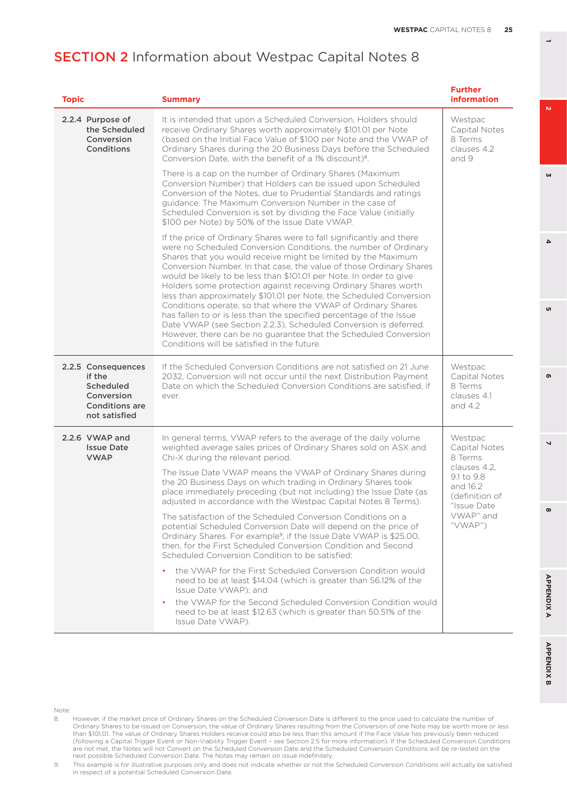| <b>Topic</b>                                                                                      | <b>Summary</b>                                                                                                                                                                                                                                                                                                                                                                                                                                                                                                                                                                                                                                                                                                                                                                                                                  | <b>Further</b><br><b>information</b>                                |
|---------------------------------------------------------------------------------------------------|---------------------------------------------------------------------------------------------------------------------------------------------------------------------------------------------------------------------------------------------------------------------------------------------------------------------------------------------------------------------------------------------------------------------------------------------------------------------------------------------------------------------------------------------------------------------------------------------------------------------------------------------------------------------------------------------------------------------------------------------------------------------------------------------------------------------------------|---------------------------------------------------------------------|
| 2.2.4 Purpose of<br>the Scheduled<br>Conversion<br>Conditions                                     | It is intended that upon a Scheduled Conversion, Holders should<br>receive Ordinary Shares worth approximately \$101.01 per Note<br>(based on the Initial Face Value of \$100 per Note and the VWAP of<br>Ordinary Shares during the 20 Business Days before the Scheduled<br>Conversion Date, with the benefit of a 1% discount) <sup>8</sup> .                                                                                                                                                                                                                                                                                                                                                                                                                                                                                | Westpac<br>Capital Notes<br>8 Terms<br>clauses 4.2<br>and 9         |
|                                                                                                   | There is a cap on the number of Ordinary Shares (Maximum<br>Conversion Number) that Holders can be issued upon Scheduled<br>Conversion of the Notes, due to Prudential Standards and ratings<br>quidance. The Maximum Conversion Number in the case of<br>Scheduled Conversion is set by dividing the Face Value (initially<br>\$100 per Note) by 50% of the Issue Date VWAP.                                                                                                                                                                                                                                                                                                                                                                                                                                                   |                                                                     |
|                                                                                                   | If the price of Ordinary Shares were to fall significantly and there<br>were no Scheduled Conversion Conditions, the number of Ordinary<br>Shares that you would receive might be limited by the Maximum<br>Conversion Number. In that case, the value of those Ordinary Shares<br>would be likely to be less than \$101.01 per Note. In order to give<br>Holders some protection against receiving Ordinary Shares worth<br>less than approximately \$101.01 per Note, the Scheduled Conversion<br>Conditions operate, so that where the VWAP of Ordinary Shares<br>has fallen to or is less than the specified percentage of the Issue<br>Date VWAP (see Section 2.2.3), Scheduled Conversion is deferred.<br>However, there can be no guarantee that the Scheduled Conversion<br>Conditions will be satisfied in the future. |                                                                     |
| 2.2.5 Consequences<br>if the<br>Scheduled<br>Conversion<br><b>Conditions are</b><br>not satisfied | If the Scheduled Conversion Conditions are not satisfied on 21 June<br>2032, Conversion will not occur until the next Distribution Payment<br>Date on which the Scheduled Conversion Conditions are satisfied, if<br>ever.                                                                                                                                                                                                                                                                                                                                                                                                                                                                                                                                                                                                      | Westpac<br>Capital Notes<br>8 Terms<br>clauses 4.1<br>and $4.2$     |
| 2.2.6 VWAP and<br><b>Issue Date</b><br><b>VWAP</b>                                                | In general terms, VWAP refers to the average of the daily volume<br>weighted average sales prices of Ordinary Shares sold on ASX and<br>Chi-X during the relevant period.<br>The Issue Date VWAP means the VWAP of Ordinary Shares during                                                                                                                                                                                                                                                                                                                                                                                                                                                                                                                                                                                       | Westpac<br>Capital Notes<br>8 Terms<br>clauses 4.2.<br>9.1 to 9.8   |
|                                                                                                   | the 20 Business Days on which trading in Ordinary Shares took<br>place immediately preceding (but not including) the Issue Date (as<br>adjusted in accordance with the Westpac Capital Notes 8 Terms).                                                                                                                                                                                                                                                                                                                                                                                                                                                                                                                                                                                                                          | and 16.2<br>(definition of<br>"Issue Date<br>VWAP" and<br>" $VWAP"$ |
|                                                                                                   | The satisfaction of the Scheduled Conversion Conditions on a<br>potential Scheduled Conversion Date will depend on the price of<br>Ordinary Shares. For example <sup>9</sup> , if the Issue Date VWAP is \$25.00,<br>then, for the First Scheduled Conversion Condition and Second<br>Scheduled Conversion Condition to be satisfied:                                                                                                                                                                                                                                                                                                                                                                                                                                                                                           |                                                                     |
|                                                                                                   | the VWAP for the First Scheduled Conversion Condition would<br>need to be at least \$14.04 (which is greater than 56.12% of the<br>Issue Date VWAP); and                                                                                                                                                                                                                                                                                                                                                                                                                                                                                                                                                                                                                                                                        |                                                                     |
|                                                                                                   | the VWAP for the Second Scheduled Conversion Condition would<br>need to be at least \$12.63 (which is greater than 50.51% of the<br>Issue Date VWAP).                                                                                                                                                                                                                                                                                                                                                                                                                                                                                                                                                                                                                                                                           |                                                                     |

APPENDIX A

Note:

<u>1</u>

**3**

 $\Delta$ 

u

кs.

**8 5**

 $\overline{ }$ 

 $\infty$ 

൭

<sup>8.</sup> However, if the market price of Ordinary Shares on the Scheduled Conversion Date is different to the price used to calculate the number of Ordinary Shares to be issued on Conversion, the value of Ordinary Shares resulting from the Conversion of one Note may be worth more or less than \$101.01. The value of Ordinary Shares Holders receive could also be less than this amount if the Face Value has previously been reduced (following a Capital Trigger Event or Non-Viability Trigger Event – see Section 2.5 for more information). If the Scheduled Conversion Conditions<br>are not met, the Notes will not Convert on the Scheduled Conversion Date and

<sup>9.</sup> This example is for illustrative purposes only and does not indicate whether or not the Scheduled Conversion Conditions will actually be satisfied in respect of a potential Scheduled Conversion Date.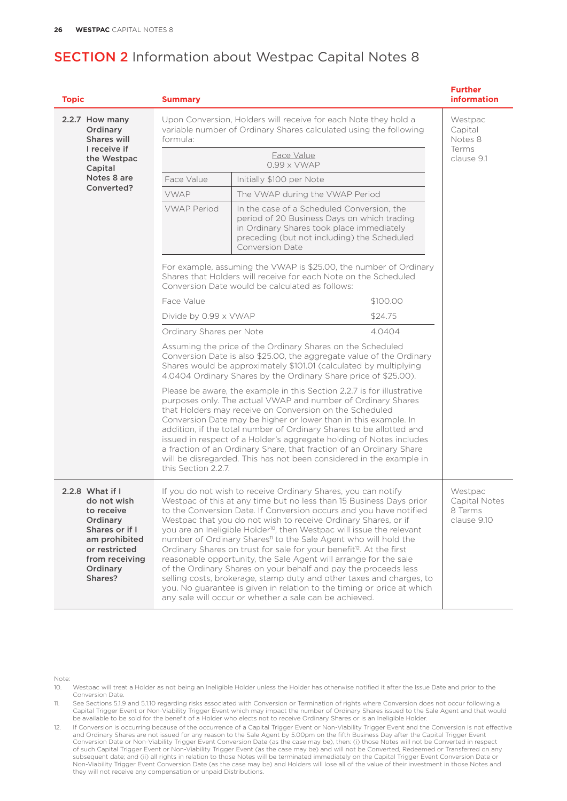| <b>Topic</b>                                                                                                                                          | <b>Summary</b>           |                                                                                                                                                                                                                                                                                                                                                                                                                                                                                                                                                                                                                                                                                                                                                                                                                                                                                        | <b>Further</b><br><b>information</b>               |
|-------------------------------------------------------------------------------------------------------------------------------------------------------|--------------------------|----------------------------------------------------------------------------------------------------------------------------------------------------------------------------------------------------------------------------------------------------------------------------------------------------------------------------------------------------------------------------------------------------------------------------------------------------------------------------------------------------------------------------------------------------------------------------------------------------------------------------------------------------------------------------------------------------------------------------------------------------------------------------------------------------------------------------------------------------------------------------------------|----------------------------------------------------|
| 2.2.7 How many<br>Ordinary<br><b>Shares will</b>                                                                                                      | formula:                 | Upon Conversion, Holders will receive for each Note they hold a<br>variable number of Ordinary Shares calculated using the following                                                                                                                                                                                                                                                                                                                                                                                                                                                                                                                                                                                                                                                                                                                                                   | Westpac<br>Capital<br>Notes 8                      |
| I receive if<br>the Westpac<br>Capital                                                                                                                |                          | Face Value<br>$0.99 \times$ VWAP                                                                                                                                                                                                                                                                                                                                                                                                                                                                                                                                                                                                                                                                                                                                                                                                                                                       | Terms<br>clause 9.1                                |
| Notes 8 are                                                                                                                                           | Face Value               | Initially \$100 per Note                                                                                                                                                                                                                                                                                                                                                                                                                                                                                                                                                                                                                                                                                                                                                                                                                                                               |                                                    |
| Converted?                                                                                                                                            | <b>VWAP</b>              | The VWAP during the VWAP Period                                                                                                                                                                                                                                                                                                                                                                                                                                                                                                                                                                                                                                                                                                                                                                                                                                                        |                                                    |
|                                                                                                                                                       | <b>VWAP Period</b>       | In the case of a Scheduled Conversion, the<br>period of 20 Business Days on which trading<br>in Ordinary Shares took place immediately<br>preceding (but not including) the Scheduled<br><b>Conversion Date</b>                                                                                                                                                                                                                                                                                                                                                                                                                                                                                                                                                                                                                                                                        |                                                    |
|                                                                                                                                                       |                          | For example, assuming the VWAP is \$25.00, the number of Ordinary<br>Shares that Holders will receive for each Note on the Scheduled<br>Conversion Date would be calculated as follows:                                                                                                                                                                                                                                                                                                                                                                                                                                                                                                                                                                                                                                                                                                |                                                    |
|                                                                                                                                                       | Face Value               | \$100.00                                                                                                                                                                                                                                                                                                                                                                                                                                                                                                                                                                                                                                                                                                                                                                                                                                                                               |                                                    |
|                                                                                                                                                       | Divide by 0.99 x VWAP    | \$24.75                                                                                                                                                                                                                                                                                                                                                                                                                                                                                                                                                                                                                                                                                                                                                                                                                                                                                |                                                    |
|                                                                                                                                                       | Ordinary Shares per Note | 4.0404                                                                                                                                                                                                                                                                                                                                                                                                                                                                                                                                                                                                                                                                                                                                                                                                                                                                                 |                                                    |
|                                                                                                                                                       |                          | Assuming the price of the Ordinary Shares on the Scheduled<br>Conversion Date is also \$25.00, the aggregate value of the Ordinary<br>Shares would be approximately \$101.01 (calculated by multiplying<br>4.0404 Ordinary Shares by the Ordinary Share price of \$25.00).                                                                                                                                                                                                                                                                                                                                                                                                                                                                                                                                                                                                             |                                                    |
|                                                                                                                                                       | this Section 2.2.7.      | Please be aware, the example in this Section 2.2.7 is for illustrative<br>purposes only. The actual VWAP and number of Ordinary Shares<br>that Holders may receive on Conversion on the Scheduled<br>Conversion Date may be higher or lower than in this example. In<br>addition, if the total number of Ordinary Shares to be allotted and<br>issued in respect of a Holder's aggregate holding of Notes includes<br>a fraction of an Ordinary Share, that fraction of an Ordinary Share<br>will be disregarded. This has not been considered in the example in                                                                                                                                                                                                                                                                                                                       |                                                    |
| 2.2.8 What if I<br>do not wish<br>to receive<br>Ordinary<br>Shares or if I<br>am prohibited<br>or restricted<br>from receiving<br>Ordinary<br>Shares? |                          | If you do not wish to receive Ordinary Shares, you can notify<br>Westpac of this at any time but no less than 15 Business Days prior<br>to the Conversion Date. If Conversion occurs and you have notified<br>Westpac that you do not wish to receive Ordinary Shares, or if<br>you are an Ineligible Holder <sup>10</sup> , then Westpac will issue the relevant<br>number of Ordinary Shares <sup>11</sup> to the Sale Agent who will hold the<br>Ordinary Shares on trust for sale for your benefit <sup>12</sup> . At the first<br>reasonable opportunity, the Sale Agent will arrange for the sale<br>of the Ordinary Shares on your behalf and pay the proceeds less<br>selling costs, brokerage, stamp duty and other taxes and charges, to<br>you. No guarantee is given in relation to the timing or price at which<br>any sale will occur or whether a sale can be achieved. | Westpac<br>Capital Notes<br>8 Terms<br>clause 9.10 |

Note:

10. Westpac will treat a Holder as not being an Ineligible Holder unless the Holder has otherwise notified it after the Issue Date and prior to the Conversion Date.

11. See Sections 5.1.9 and 5.1.10 regarding risks associated with Conversion or Termination of rights where Conversion does not occur following a<br>Capital Trigger Event or Non-Viability Trigger Event which may impact the nu

12. If Conversion is occurring because of the occurrence of a Capital Trigger Event or Non-Viability Trigger Event and the Conversion is not effective<br>and Ordinary Shares are not issued for any reason to the Sale Agent by Conversion Date or Non-Viability Trigger Event Conversion Date (as the case may be), then: (i) those Notes will not be Converted in respect of such Capital Trigger Event or Non-Viability Trigger Event (as the case may be) and will not be Converted, Redeemed or Transferred on any subsequent date; and (ii) all rights in relation to those Notes will be terminated immediately on the Capital Trigger Event Conversion Date or Non-Viability Trigger Event Conversion Date (as the case may be) and Holders will lose all of the value of their investment in those Notes and they will not receive any compensation or unpaid Distributions.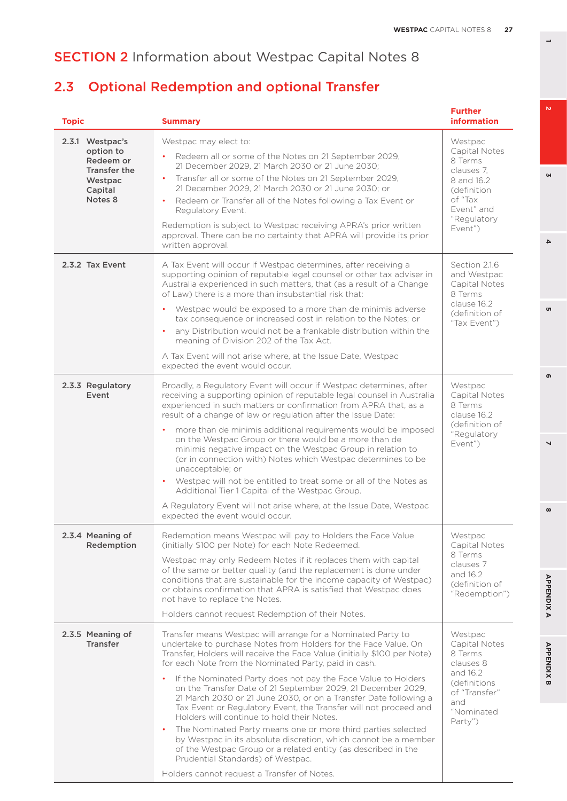# 2.3 Optional Redemption and optional Transfer

| <b>Topic</b>                                                                               | <b>Summary</b>                                                                                                                                                                                                                                                                                                                                                                                                                                                                                                                                                                                                                                                                                                                                                                                                                                                                      | <b>Further</b><br><b>information</b>                                                                                               |
|--------------------------------------------------------------------------------------------|-------------------------------------------------------------------------------------------------------------------------------------------------------------------------------------------------------------------------------------------------------------------------------------------------------------------------------------------------------------------------------------------------------------------------------------------------------------------------------------------------------------------------------------------------------------------------------------------------------------------------------------------------------------------------------------------------------------------------------------------------------------------------------------------------------------------------------------------------------------------------------------|------------------------------------------------------------------------------------------------------------------------------------|
| 2.3.1 Westpac's<br>option to<br>Redeem or<br>Transfer the<br>Westpac<br>Capital<br>Notes 8 | Westpac may elect to:<br>Redeem all or some of the Notes on 21 September 2029,<br>21 December 2029, 21 March 2030 or 21 June 2030;<br>Transfer all or some of the Notes on 21 September 2029.<br>21 December 2029, 21 March 2030 or 21 June 2030; or<br>Redeem or Transfer all of the Notes following a Tax Event or<br>Regulatory Event.<br>Redemption is subject to Westpac receiving APRA's prior written<br>approval. There can be no certainty that APRA will provide its prior<br>written approval.                                                                                                                                                                                                                                                                                                                                                                           | Westpac<br>Capital Notes<br>8 Terms<br>clauses 7.<br>8 and 16.2<br>(definition)<br>of "Tax<br>Event" and<br>"Regulatory<br>Event") |
| 2.3.2 Tax Event                                                                            | A Tax Event will occur if Westpac determines, after receiving a<br>supporting opinion of reputable legal counsel or other tax adviser in<br>Australia experienced in such matters, that (as a result of a Change<br>of Law) there is a more than insubstantial risk that:<br>Westpac would be exposed to a more than de minimis adverse<br>$\bullet$<br>tax consequence or increased cost in relation to the Notes; or<br>any Distribution would not be a frankable distribution within the<br>meaning of Division 202 of the Tax Act.<br>A Tax Event will not arise where, at the Issue Date, Westpac<br>expected the event would occur.                                                                                                                                                                                                                                           | Section 2.1.6<br>and Westpac<br>Capital Notes<br>8 Terms<br>clause 16.2<br>(definition of<br>"Tax Event")                          |
| 2.3.3 Regulatory<br>Event                                                                  | Broadly, a Regulatory Event will occur if Westpac determines, after<br>receiving a supporting opinion of reputable legal counsel in Australia<br>experienced in such matters or confirmation from APRA that, as a<br>result of a change of law or regulation after the Issue Date:<br>more than de minimis additional requirements would be imposed<br>on the Westpac Group or there would be a more than de<br>minimis negative impact on the Westpac Group in relation to<br>(or in connection with) Notes which Westpac determines to be<br>unacceptable; or<br>Westpac will not be entitled to treat some or all of the Notes as<br>Additional Tier 1 Capital of the Westpac Group.<br>A Regulatory Event will not arise where, at the Issue Date, Westpac<br>expected the event would occur.                                                                                   | Westpac<br>Capital Notes<br>8 Terms<br>clause 16.2<br>(definition of<br>"Regulatory<br>Event")                                     |
| 2.3.4 Meaning of<br>Redemption                                                             | Redemption means Westpac will pay to Holders the Face Value<br>(initially \$100 per Note) for each Note Redeemed.<br>Westpac may only Redeem Notes if it replaces them with capital<br>of the same or better quality (and the replacement is done under<br>conditions that are sustainable for the income capacity of Westpac)<br>or obtains confirmation that APRA is satisfied that Westpac does<br>not have to replace the Notes.<br>Holders cannot request Redemption of their Notes.                                                                                                                                                                                                                                                                                                                                                                                           | Westpac<br>Capital Notes<br>8 Terms<br>clauses 7<br>and 16.2<br>(definition of<br>"Redemption")                                    |
| 2.3.5 Meaning of<br><b>Transfer</b>                                                        | Transfer means Westpac will arrange for a Nominated Party to<br>undertake to purchase Notes from Holders for the Face Value. On<br>Transfer, Holders will receive the Face Value (initially \$100 per Note)<br>for each Note from the Nominated Party, paid in cash.<br>If the Nominated Party does not pay the Face Value to Holders<br>on the Transfer Date of 21 September 2029, 21 December 2029,<br>21 March 2030 or 21 June 2030, or on a Transfer Date following a<br>Tax Event or Regulatory Event, the Transfer will not proceed and<br>Holders will continue to hold their Notes.<br>The Nominated Party means one or more third parties selected<br>by Westpac in its absolute discretion, which cannot be a member<br>of the Westpac Group or a related entity (as described in the<br>Prudential Standards) of Westpac.<br>Holders cannot request a Transfer of Notes. | Westpac<br>Capital Notes<br>8 Terms<br>clauses 8<br>and 16.2<br>(definitions)<br>of "Transfer"<br>and<br>"Nominated<br>Party")     |

**3**

 $\overline{\mathbf{4}}$ 

<sub>o</sub>

 $\mathbf{v}$ 

**8 5 APPENDIX B 2 7 4 APPENDIX A 6**

 $\overline{ }$ 

 $\infty$ 

**APPENDIXA** 

**APPENDIX B** 

ഐ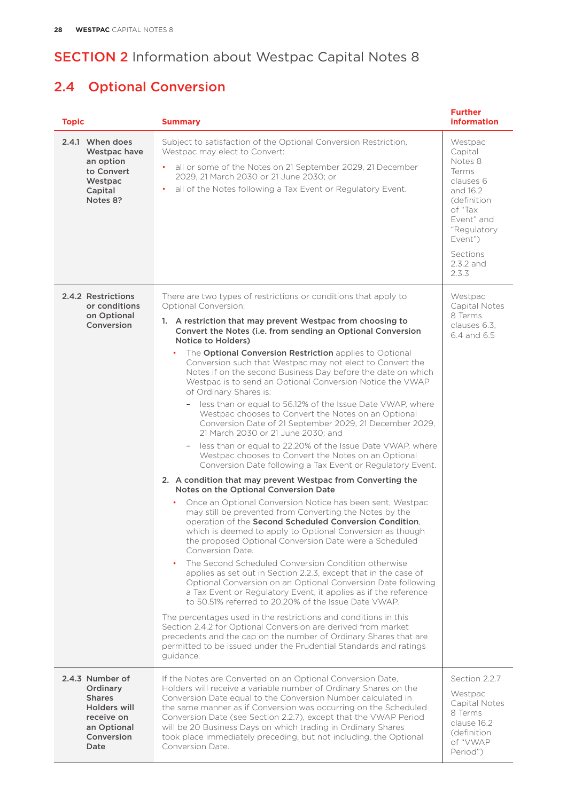# 2.4 Optional Conversion

| <b>Topic</b>                                                                                                    | <b>Summary</b>                                                                                                                                                                                                                                                                                                                                                                                                                                                                                                                                                                                                                                                                                                                                                                                                                                                                                                                                                                                                                                                                                                                                                                                                                                                                                                                                                                                                                                                                                                                                                                                                                                                                                                                                                                                                                                                                                                                                                                                                                        | <b>Further</b><br><b>information</b>                                                                                                                                 |
|-----------------------------------------------------------------------------------------------------------------|---------------------------------------------------------------------------------------------------------------------------------------------------------------------------------------------------------------------------------------------------------------------------------------------------------------------------------------------------------------------------------------------------------------------------------------------------------------------------------------------------------------------------------------------------------------------------------------------------------------------------------------------------------------------------------------------------------------------------------------------------------------------------------------------------------------------------------------------------------------------------------------------------------------------------------------------------------------------------------------------------------------------------------------------------------------------------------------------------------------------------------------------------------------------------------------------------------------------------------------------------------------------------------------------------------------------------------------------------------------------------------------------------------------------------------------------------------------------------------------------------------------------------------------------------------------------------------------------------------------------------------------------------------------------------------------------------------------------------------------------------------------------------------------------------------------------------------------------------------------------------------------------------------------------------------------------------------------------------------------------------------------------------------------|----------------------------------------------------------------------------------------------------------------------------------------------------------------------|
| 2.4.1 When does<br>Westpac have<br>an option<br>to Convert<br>Westpac<br>Capital<br>Notes 8?                    | Subject to satisfaction of the Optional Conversion Restriction,<br>Westpac may elect to Convert:<br>all or some of the Notes on 21 September 2029, 21 December<br>2029, 21 March 2030 or 21 June 2030; or<br>all of the Notes following a Tax Event or Regulatory Event.                                                                                                                                                                                                                                                                                                                                                                                                                                                                                                                                                                                                                                                                                                                                                                                                                                                                                                                                                                                                                                                                                                                                                                                                                                                                                                                                                                                                                                                                                                                                                                                                                                                                                                                                                              | Westpac<br>Capital<br>Notes 8<br>Terms<br>clauses 6<br>and 16.2<br>(definition)<br>of "Tax<br>Event" and<br>"Regulatory<br>Event")<br>Sections<br>2.3.2 and<br>2.3.3 |
| 2.4.2 Restrictions<br>or conditions<br>on Optional<br>Conversion                                                | There are two types of restrictions or conditions that apply to<br>Optional Conversion:<br>1. A restriction that may prevent Westpac from choosing to<br>Convert the Notes (i.e. from sending an Optional Conversion<br>Notice to Holders)<br>The Optional Conversion Restriction applies to Optional<br>Conversion such that Westpac may not elect to Convert the<br>Notes if on the second Business Day before the date on which<br>Westpac is to send an Optional Conversion Notice the VWAP<br>of Ordinary Shares is:<br>less than or equal to 56.12% of the Issue Date VWAP, where<br>$\overline{\phantom{a}}$<br>Westpac chooses to Convert the Notes on an Optional<br>Conversion Date of 21 September 2029, 21 December 2029,<br>21 March 2030 or 21 June 2030; and<br>less than or equal to 22.20% of the Issue Date VWAP, where<br>Westpac chooses to Convert the Notes on an Optional<br>Conversion Date following a Tax Event or Regulatory Event.<br>2. A condition that may prevent Westpac from Converting the<br>Notes on the Optional Conversion Date<br>Once an Optional Conversion Notice has been sent, Westpac<br>۰<br>may still be prevented from Converting the Notes by the<br>operation of the Second Scheduled Conversion Condition,<br>which is deemed to apply to Optional Conversion as though<br>the proposed Optional Conversion Date were a Scheduled<br>Conversion Date.<br>The Second Scheduled Conversion Condition otherwise<br>$\bullet$<br>applies as set out in Section 2.2.3, except that in the case of<br>Optional Conversion on an Optional Conversion Date following<br>a Tax Event or Regulatory Event, it applies as if the reference<br>to 50.51% referred to 20.20% of the Issue Date VWAP.<br>The percentages used in the restrictions and conditions in this<br>Section 2.4.2 for Optional Conversion are derived from market<br>precedents and the cap on the number of Ordinary Shares that are<br>permitted to be issued under the Prudential Standards and ratings<br>guidance. | Westpac<br>Capital Notes<br>8 Terms<br>clauses 6.3.<br>6.4 and 6.5                                                                                                   |
| 2.4.3 Number of<br>Ordinary<br><b>Shares</b><br>Holders will<br>receive on<br>an Optional<br>Conversion<br>Date | If the Notes are Converted on an Optional Conversion Date,<br>Holders will receive a variable number of Ordinary Shares on the<br>Conversion Date equal to the Conversion Number calculated in<br>the same manner as if Conversion was occurring on the Scheduled<br>Conversion Date (see Section 2.2.7), except that the VWAP Period<br>will be 20 Business Days on which trading in Ordinary Shares<br>took place immediately preceding, but not including, the Optional<br>Conversion Date.                                                                                                                                                                                                                                                                                                                                                                                                                                                                                                                                                                                                                                                                                                                                                                                                                                                                                                                                                                                                                                                                                                                                                                                                                                                                                                                                                                                                                                                                                                                                        | Section 2.2.7<br>Westpac<br>Capital Notes<br>8 Terms<br>clause 16.2<br>(definition<br>of "VWAP<br>Period")                                                           |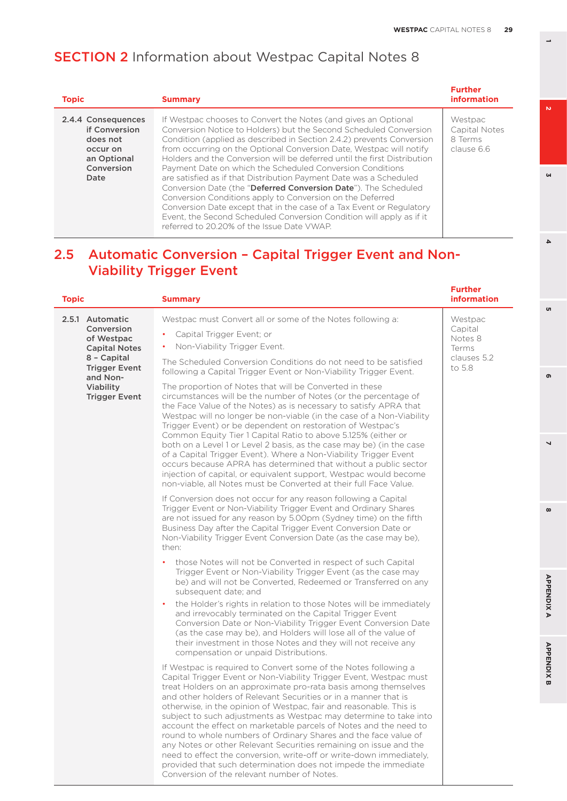| <b>Topic</b>                                                                                     | <b>Summary</b>                                                                                                                                                                                                                                                                                                                                                                                                                                                                                                                                                                                                                                                                                                                                                                                                                   | <b>Further</b><br>information                     |
|--------------------------------------------------------------------------------------------------|----------------------------------------------------------------------------------------------------------------------------------------------------------------------------------------------------------------------------------------------------------------------------------------------------------------------------------------------------------------------------------------------------------------------------------------------------------------------------------------------------------------------------------------------------------------------------------------------------------------------------------------------------------------------------------------------------------------------------------------------------------------------------------------------------------------------------------|---------------------------------------------------|
| 2.4.4 Consequences<br>if Conversion<br>does not<br>occur on<br>an Optional<br>Conversion<br>Date | If Westpac chooses to Convert the Notes (and gives an Optional<br>Conversion Notice to Holders) but the Second Scheduled Conversion<br>Condition (applied as described in Section 2.4.2) prevents Conversion<br>from occurring on the Optional Conversion Date, Westpac will notify<br>Holders and the Conversion will be deferred until the first Distribution<br>Payment Date on which the Scheduled Conversion Conditions<br>are satisfied as if that Distribution Payment Date was a Scheduled<br>Conversion Date (the "Deferred Conversion Date"). The Scheduled<br>Conversion Conditions apply to Conversion on the Deferred<br>Conversion Date except that in the case of a Tax Event or Regulatory<br>Event, the Second Scheduled Conversion Condition will apply as if it<br>referred to 20.20% of the Issue Date VWAP. | Westpac<br>Capital Notes<br>8 Terms<br>clause 6.6 |

## 2.5 Automatic Conversion – Capital Trigger Event and Non-Viability Trigger Event

| <b>Topic</b>                                                        | <b>Summary</b>                                                                                                                                                                                                                                                                                                                                                                                                                                                                                                                                                                                                                                                                                                                                                                                                              | <b>Further</b><br><b>information</b>   |
|---------------------------------------------------------------------|-----------------------------------------------------------------------------------------------------------------------------------------------------------------------------------------------------------------------------------------------------------------------------------------------------------------------------------------------------------------------------------------------------------------------------------------------------------------------------------------------------------------------------------------------------------------------------------------------------------------------------------------------------------------------------------------------------------------------------------------------------------------------------------------------------------------------------|----------------------------------------|
| 2.5.1 Automatic<br>Conversion<br>of Westpac<br><b>Capital Notes</b> | Westpac must Convert all or some of the Notes following a:<br>Capital Trigger Event; or<br>Non-Viability Trigger Event.                                                                                                                                                                                                                                                                                                                                                                                                                                                                                                                                                                                                                                                                                                     | Westpac<br>Capital<br>Notes 8<br>Terms |
| 8 - Capital<br><b>Trigger Event</b>                                 | The Scheduled Conversion Conditions do not need to be satisfied<br>following a Capital Trigger Event or Non-Viability Trigger Event.                                                                                                                                                                                                                                                                                                                                                                                                                                                                                                                                                                                                                                                                                        | clauses 5.2<br>to 5.8                  |
| and Non-<br>Viability<br><b>Trigger Event</b>                       | The proportion of Notes that will be Converted in these<br>circumstances will be the number of Notes (or the percentage of<br>the Face Value of the Notes) as is necessary to satisfy APRA that<br>Westpac will no longer be non-viable (in the case of a Non-Viability<br>Trigger Event) or be dependent on restoration of Westpac's<br>Common Equity Tier 1 Capital Ratio to above 5.125% (either or<br>both on a Level 1 or Level 2 basis, as the case may be) (in the case<br>of a Capital Trigger Event). Where a Non-Viability Trigger Event<br>occurs because APRA has determined that without a public sector<br>injection of capital, or equivalent support, Westpac would become<br>non-viable, all Notes must be Converted at their full Face Value.                                                             |                                        |
|                                                                     | If Conversion does not occur for any reason following a Capital<br>Trigger Event or Non-Viability Trigger Event and Ordinary Shares<br>are not issued for any reason by 5.00pm (Sydney time) on the fifth<br>Business Day after the Capital Trigger Event Conversion Date or<br>Non-Viability Trigger Event Conversion Date (as the case may be),<br>then:                                                                                                                                                                                                                                                                                                                                                                                                                                                                  |                                        |
|                                                                     | those Notes will not be Converted in respect of such Capital<br>Trigger Event or Non-Viability Trigger Event (as the case may<br>be) and will not be Converted, Redeemed or Transferred on any<br>subsequent date; and                                                                                                                                                                                                                                                                                                                                                                                                                                                                                                                                                                                                      |                                        |
|                                                                     | the Holder's rights in relation to those Notes will be immediately<br>and irrevocably terminated on the Capital Trigger Event<br>Conversion Date or Non-Viability Trigger Event Conversion Date<br>(as the case may be), and Holders will lose all of the value of<br>their investment in those Notes and they will not receive any<br>compensation or unpaid Distributions.                                                                                                                                                                                                                                                                                                                                                                                                                                                |                                        |
|                                                                     | If Westpac is required to Convert some of the Notes following a<br>Capital Trigger Event or Non-Viability Trigger Event, Westpac must<br>treat Holders on an approximate pro-rata basis among themselves<br>and other holders of Relevant Securities or in a manner that is<br>otherwise, in the opinion of Westpac, fair and reasonable. This is<br>subject to such adjustments as Westpac may determine to take into<br>account the effect on marketable parcels of Notes and the need to<br>round to whole numbers of Ordinary Shares and the face value of<br>any Notes or other Relevant Securities remaining on issue and the<br>need to effect the conversion, write-off or write-down immediately,<br>provided that such determination does not impede the immediate<br>Conversion of the relevant number of Notes. |                                        |

 $\omega$ 

 $\Delta$ 

<sub>o</sub>

 $\mathbf{v}$ 

**8 5 APPENDIX B 2 7 4 APPENDIX A 6**

 $\infty$ 

**APPENDIXA** 

**APPENDIX B** 

൭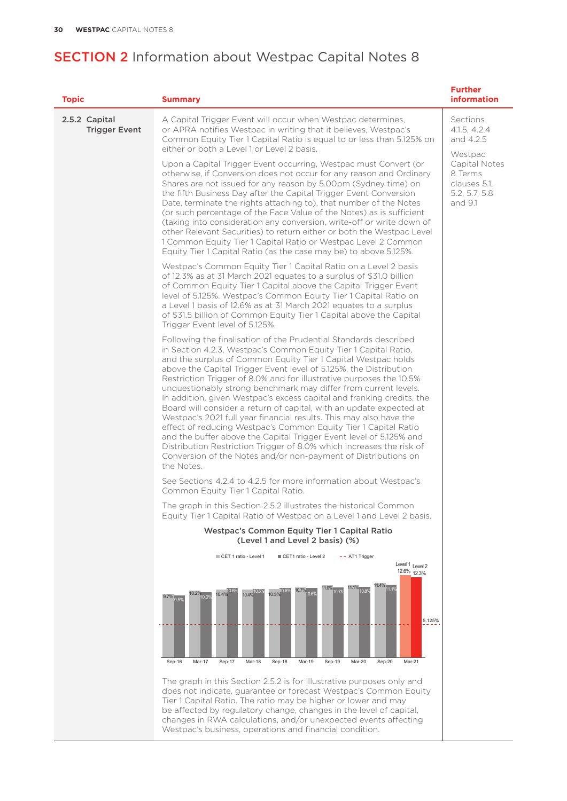| <b>Topic</b>                          | <b>Summary</b>                                                                                                                                                                                                                                                                                                                                                                                                                                                                                                                                                                                                                                                                                                                                                                                                                                                                                                                             | <b>Further</b><br><b>information</b>                                 |
|---------------------------------------|--------------------------------------------------------------------------------------------------------------------------------------------------------------------------------------------------------------------------------------------------------------------------------------------------------------------------------------------------------------------------------------------------------------------------------------------------------------------------------------------------------------------------------------------------------------------------------------------------------------------------------------------------------------------------------------------------------------------------------------------------------------------------------------------------------------------------------------------------------------------------------------------------------------------------------------------|----------------------------------------------------------------------|
| 2.5.2 Capital<br><b>Trigger Event</b> | A Capital Trigger Event will occur when Westpac determines,<br>or APRA notifies Westpac in writing that it believes, Westpac's<br>Common Equity Tier 1 Capital Ratio is equal to or less than 5.125% on<br>either or both a Level 1 or Level 2 basis.                                                                                                                                                                                                                                                                                                                                                                                                                                                                                                                                                                                                                                                                                      | Sections<br>4.1.5, 4.2.4<br>and 4.2.5<br>Westpac                     |
|                                       | Upon a Capital Trigger Event occurring, Westpac must Convert (or<br>otherwise, if Conversion does not occur for any reason and Ordinary<br>Shares are not issued for any reason by 5.00pm (Sydney time) on<br>the fifth Business Day after the Capital Trigger Event Conversion<br>Date, terminate the rights attaching to), that number of the Notes<br>(or such percentage of the Face Value of the Notes) as is sufficient<br>(taking into consideration any conversion, write-off or write down of<br>other Relevant Securities) to return either or both the Westpac Level<br>1 Common Equity Tier 1 Capital Ratio or Westpac Level 2 Common<br>Equity Tier 1 Capital Ratio (as the case may be) to above 5.125%.                                                                                                                                                                                                                     | Capital Notes<br>8 Terms<br>clauses 5.1.<br>5.2, 5.7, 5.8<br>and 9.1 |
|                                       | Westpac's Common Equity Tier 1 Capital Ratio on a Level 2 basis<br>of 12.3% as at 31 March 2021 equates to a surplus of \$31.0 billion<br>of Common Equity Tier 1 Capital above the Capital Trigger Event<br>level of 5.125%. Westpac's Common Equity Tier 1 Capital Ratio on<br>a Level 1 basis of 12.6% as at 31 March 2021 equates to a surplus<br>of \$31.5 billion of Common Equity Tier 1 Capital above the Capital<br>Trigger Event level of 5.125%.                                                                                                                                                                                                                                                                                                                                                                                                                                                                                |                                                                      |
|                                       | Following the finalisation of the Prudential Standards described<br>in Section 4.2.3, Westpac's Common Equity Tier 1 Capital Ratio,<br>and the surplus of Common Equity Tier 1 Capital Westpac holds<br>above the Capital Trigger Event level of 5.125%, the Distribution<br>Restriction Trigger of 8.0% and for illustrative purposes the 10.5%<br>unquestionably strong benchmark may differ from current levels.<br>In addition, given Westpac's excess capital and franking credits, the<br>Board will consider a return of capital, with an update expected at<br>Westpac's 2021 full year financial results. This may also have the<br>effect of reducing Westpac's Common Equity Tier 1 Capital Ratio<br>and the buffer above the Capital Trigger Event level of 5.125% and<br>Distribution Restriction Trigger of 8.0% which increases the risk of<br>Conversion of the Notes and/or non-payment of Distributions on<br>the Notes. |                                                                      |
|                                       | See Sections 4.2.4 to 4.2.5 for more information about Westpac's<br>Common Equity Tier 1 Capital Ratio.                                                                                                                                                                                                                                                                                                                                                                                                                                                                                                                                                                                                                                                                                                                                                                                                                                    |                                                                      |
|                                       | The graph in this Section 2.5.2 illustrates the historical Common<br>Equity Tier 1 Capital Ratio of Westpac on a Level 1 and Level 2 basis.                                                                                                                                                                                                                                                                                                                                                                                                                                                                                                                                                                                                                                                                                                                                                                                                |                                                                      |
|                                       | <b>Westpac's Common Equity Tier 1 Capital Ratio</b><br>(Level 1 and Level 2 basis) (%)                                                                                                                                                                                                                                                                                                                                                                                                                                                                                                                                                                                                                                                                                                                                                                                                                                                     |                                                                      |
|                                       | CET 1 ratio - Level 1<br>CET1 ratio - Level 2<br>- - AT1 Trigger<br>Level 1 Level 2<br>12.6% 12.3%<br>11.4% 11.1%<br>$11.1\%$ $10.8\%$<br>11.0% 10.7%                                                                                                                                                                                                                                                                                                                                                                                                                                                                                                                                                                                                                                                                                                                                                                                      |                                                                      |
|                                       | 10.7% 10.6°<br>10.5% 10.6%<br>10.4% 10.6%<br>10.4% 10.5%<br>$10.2\%_{10,0\%}$<br>$9.7\%$ <sub>9.5%</sub><br>5.125%<br>Sep-16<br>Mar-17<br>Sep-17<br>Mar-18<br>Sep-18<br>Mar-19<br>Sep-19<br>Mar-20<br>Mar-21<br>Sep-20                                                                                                                                                                                                                                                                                                                                                                                                                                                                                                                                                                                                                                                                                                                     |                                                                      |
|                                       | The graph in this Section 2.5.2 is for illustrative purposes only and                                                                                                                                                                                                                                                                                                                                                                                                                                                                                                                                                                                                                                                                                                                                                                                                                                                                      |                                                                      |
|                                       | does not indicate, guarantee or forecast Westpac's Common Equity<br>Tier 1 Capital Ratio. The ratio may be higher or lower and may<br>be affected by regulatory change, changes in the level of capital,<br>changes in RWA calculations, and/or unexpected events affecting<br>Westpac's business, operations and financial condition.                                                                                                                                                                                                                                                                                                                                                                                                                                                                                                                                                                                                     |                                                                      |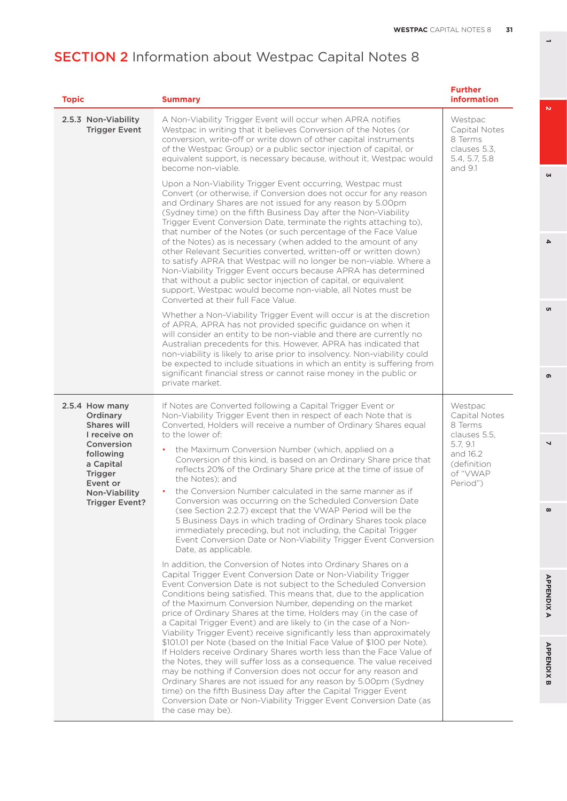| <b>Topic</b>                                                                                                                                                              | <b>Summary</b>                                                                                                                                                                                                                                                                                                                                                                                                                                                                                                                                                                                                                                                                                                                                                                                                                                                                                                                                                                                                                                                                                                                                                                                                                                                                                                                                                                                                                                                                                                                                                                                                                                                                                                                                                                                                                                                                                                                                                               | <b>Further</b><br><b>information</b>                                                                               |
|---------------------------------------------------------------------------------------------------------------------------------------------------------------------------|------------------------------------------------------------------------------------------------------------------------------------------------------------------------------------------------------------------------------------------------------------------------------------------------------------------------------------------------------------------------------------------------------------------------------------------------------------------------------------------------------------------------------------------------------------------------------------------------------------------------------------------------------------------------------------------------------------------------------------------------------------------------------------------------------------------------------------------------------------------------------------------------------------------------------------------------------------------------------------------------------------------------------------------------------------------------------------------------------------------------------------------------------------------------------------------------------------------------------------------------------------------------------------------------------------------------------------------------------------------------------------------------------------------------------------------------------------------------------------------------------------------------------------------------------------------------------------------------------------------------------------------------------------------------------------------------------------------------------------------------------------------------------------------------------------------------------------------------------------------------------------------------------------------------------------------------------------------------------|--------------------------------------------------------------------------------------------------------------------|
| 2.5.3 Non-Viability<br><b>Trigger Event</b>                                                                                                                               | A Non-Viability Trigger Event will occur when APRA notifies<br>Westpac in writing that it believes Conversion of the Notes (or<br>conversion, write-off or write down of other capital instruments<br>of the Westpac Group) or a public sector injection of capital, or<br>equivalent support, is necessary because, without it, Westpac would<br>become non-viable.                                                                                                                                                                                                                                                                                                                                                                                                                                                                                                                                                                                                                                                                                                                                                                                                                                                                                                                                                                                                                                                                                                                                                                                                                                                                                                                                                                                                                                                                                                                                                                                                         | Westpac<br>Capital Notes<br>8 Terms<br>clauses 5.3.<br>5.4, 5.7, 5.8<br>and 9.1                                    |
|                                                                                                                                                                           | Upon a Non-Viability Trigger Event occurring, Westpac must<br>Convert (or otherwise, if Conversion does not occur for any reason<br>and Ordinary Shares are not issued for any reason by 5.00pm<br>(Sydney time) on the fifth Business Day after the Non-Viability<br>Trigger Event Conversion Date, terminate the rights attaching to),<br>that number of the Notes (or such percentage of the Face Value<br>of the Notes) as is necessary (when added to the amount of any<br>other Relevant Securities converted, written-off or written down)<br>to satisfy APRA that Westpac will no longer be non-viable. Where a<br>Non-Viability Trigger Event occurs because APRA has determined<br>that without a public sector injection of capital, or equivalent<br>support, Westpac would become non-viable, all Notes must be<br>Converted at their full Face Value.                                                                                                                                                                                                                                                                                                                                                                                                                                                                                                                                                                                                                                                                                                                                                                                                                                                                                                                                                                                                                                                                                                          |                                                                                                                    |
|                                                                                                                                                                           | Whether a Non-Viability Trigger Event will occur is at the discretion<br>of APRA. APRA has not provided specific guidance on when it<br>will consider an entity to be non-viable and there are currently no<br>Australian precedents for this. However, APRA has indicated that<br>non-viability is likely to arise prior to insolvency. Non-viability could<br>be expected to include situations in which an entity is suffering from<br>significant financial stress or cannot raise money in the public or<br>private market.                                                                                                                                                                                                                                                                                                                                                                                                                                                                                                                                                                                                                                                                                                                                                                                                                                                                                                                                                                                                                                                                                                                                                                                                                                                                                                                                                                                                                                             |                                                                                                                    |
| 2.5.4 How many<br>Ordinary<br>Shares will<br>I receive on<br>Conversion<br>following<br>a Capital<br><b>Trigger</b><br>Event or<br>Non-Viability<br><b>Trigger Event?</b> | If Notes are Converted following a Capital Trigger Event or<br>Non-Viability Trigger Event then in respect of each Note that is<br>Converted, Holders will receive a number of Ordinary Shares equal<br>to the lower of:<br>the Maximum Conversion Number (which, applied on a<br>$\bullet$<br>Conversion of this kind, is based on an Ordinary Share price that<br>reflects 20% of the Ordinary Share price at the time of issue of<br>the Notes); and<br>the Conversion Number calculated in the same manner as if<br>Conversion was occurring on the Scheduled Conversion Date<br>(see Section 2.2.7) except that the VWAP Period will be the<br>5 Business Days in which trading of Ordinary Shares took place<br>immediately preceding, but not including, the Capital Trigger<br>Event Conversion Date or Non-Viability Trigger Event Conversion<br>Date, as applicable.<br>In addition, the Conversion of Notes into Ordinary Shares on a<br>Capital Trigger Event Conversion Date or Non-Viability Trigger<br>Event Conversion Date is not subject to the Scheduled Conversion<br>Conditions being satisfied. This means that, due to the application<br>of the Maximum Conversion Number, depending on the market<br>price of Ordinary Shares at the time, Holders may (in the case of<br>a Capital Trigger Event) and are likely to (in the case of a Non-<br>Viability Trigger Event) receive significantly less than approximately<br>\$101.01 per Note (based on the Initial Face Value of \$100 per Note).<br>If Holders receive Ordinary Shares worth less than the Face Value of<br>the Notes, they will suffer loss as a consequence. The value received<br>may be nothing if Conversion does not occur for any reason and<br>Ordinary Shares are not issued for any reason by 5.00pm (Sydney<br>time) on the fifth Business Day after the Capital Trigger Event<br>Conversion Date or Non-Viability Trigger Event Conversion Date (as<br>the case may be). | Westpac<br>Capital Notes<br>8 Terms<br>clauses 5.5,<br>5.7, 9.1<br>and 16.2<br>(definition<br>of "VWAP<br>Period") |

**3**

 $\overline{\mathbf{4}}$ 

o,

**8 5**  $\bullet$ 

 $\overline{\phantom{0}}$ 

 $\infty$ 

**APPENDIX B 2 7 4 APPENDIX A 6 APPENDIXA**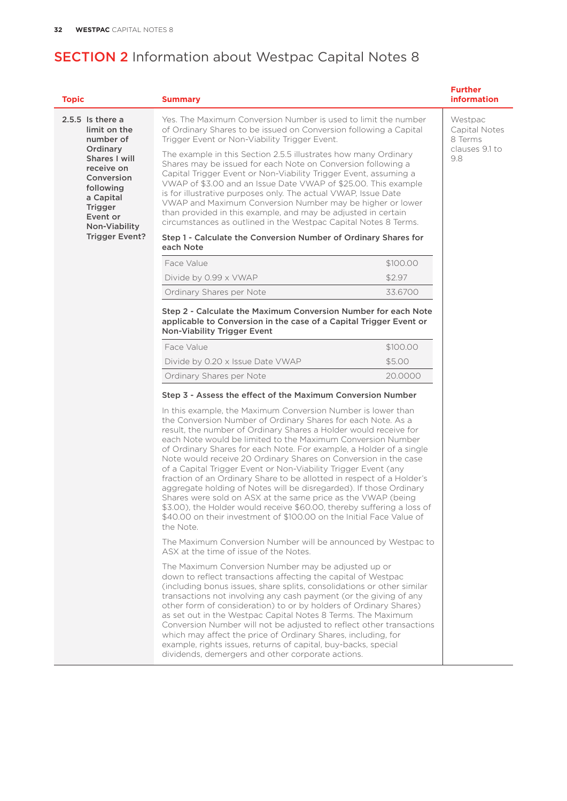| <b>Topic</b>                                                                                                                   | <b>Summary</b>                                                                                                                                                                                                                                                                                                                                                                                                                                                                                                                                                                                                                                                                                                                                                                                                                                            |          | <b>Further</b><br><b>information</b> |
|--------------------------------------------------------------------------------------------------------------------------------|-----------------------------------------------------------------------------------------------------------------------------------------------------------------------------------------------------------------------------------------------------------------------------------------------------------------------------------------------------------------------------------------------------------------------------------------------------------------------------------------------------------------------------------------------------------------------------------------------------------------------------------------------------------------------------------------------------------------------------------------------------------------------------------------------------------------------------------------------------------|----------|--------------------------------------|
| $2.5.5$ Is there a<br>limit on the<br>number of                                                                                | Yes. The Maximum Conversion Number is used to limit the number<br>of Ordinary Shares to be issued on Conversion following a Capital<br>Trigger Event or Non-Viability Trigger Event.                                                                                                                                                                                                                                                                                                                                                                                                                                                                                                                                                                                                                                                                      |          | Westpac<br>Capital Notes<br>8 Terms  |
| Ordinary<br>Shares I will<br>receive on<br>Conversion<br>following<br>a Capital<br><b>Trigger</b><br>Event or<br>Non-Viability | The example in this Section 2.5.5 illustrates how many Ordinary<br>Shares may be issued for each Note on Conversion following a<br>Capital Trigger Event or Non-Viability Trigger Event, assuming a<br>VWAP of \$3.00 and an Issue Date VWAP of \$25.00. This example<br>is for illustrative purposes only. The actual VWAP, Issue Date<br>VWAP and Maximum Conversion Number may be higher or lower<br>than provided in this example, and may be adjusted in certain<br>circumstances as outlined in the Westpac Capital Notes 8 Terms.                                                                                                                                                                                                                                                                                                                  |          | clauses 9.1 to<br>9.8                |
| <b>Trigger Event?</b>                                                                                                          | Step 1 - Calculate the Conversion Number of Ordinary Shares for<br>each Note                                                                                                                                                                                                                                                                                                                                                                                                                                                                                                                                                                                                                                                                                                                                                                              |          |                                      |
|                                                                                                                                | Face Value                                                                                                                                                                                                                                                                                                                                                                                                                                                                                                                                                                                                                                                                                                                                                                                                                                                | \$100.00 |                                      |
|                                                                                                                                | Divide by 0.99 x VWAP                                                                                                                                                                                                                                                                                                                                                                                                                                                                                                                                                                                                                                                                                                                                                                                                                                     | \$2.97   |                                      |
|                                                                                                                                | Ordinary Shares per Note                                                                                                                                                                                                                                                                                                                                                                                                                                                                                                                                                                                                                                                                                                                                                                                                                                  | 33.6700  |                                      |
|                                                                                                                                | Step 2 - Calculate the Maximum Conversion Number for each Note<br>applicable to Conversion in the case of a Capital Trigger Event or<br>Non-Viability Trigger Event                                                                                                                                                                                                                                                                                                                                                                                                                                                                                                                                                                                                                                                                                       |          |                                      |
|                                                                                                                                | Face Value                                                                                                                                                                                                                                                                                                                                                                                                                                                                                                                                                                                                                                                                                                                                                                                                                                                | \$100.00 |                                      |
|                                                                                                                                | Divide by 0.20 x Issue Date VWAP                                                                                                                                                                                                                                                                                                                                                                                                                                                                                                                                                                                                                                                                                                                                                                                                                          | \$5.00   |                                      |
|                                                                                                                                | Ordinary Shares per Note                                                                                                                                                                                                                                                                                                                                                                                                                                                                                                                                                                                                                                                                                                                                                                                                                                  | 20.0000  |                                      |
|                                                                                                                                | Step 3 - Assess the effect of the Maximum Conversion Number                                                                                                                                                                                                                                                                                                                                                                                                                                                                                                                                                                                                                                                                                                                                                                                               |          |                                      |
|                                                                                                                                | In this example, the Maximum Conversion Number is lower than<br>the Conversion Number of Ordinary Shares for each Note. As a<br>result, the number of Ordinary Shares a Holder would receive for<br>each Note would be limited to the Maximum Conversion Number<br>of Ordinary Shares for each Note. For example, a Holder of a single<br>Note would receive 20 Ordinary Shares on Conversion in the case<br>of a Capital Trigger Event or Non-Viability Trigger Event (any<br>fraction of an Ordinary Share to be allotted in respect of a Holder's<br>aggregate holding of Notes will be disregarded). If those Ordinary<br>Shares were sold on ASX at the same price as the VWAP (being<br>\$3.00), the Holder would receive \$60.00, thereby suffering a loss of<br>\$40.00 on their investment of \$100.00 on the Initial Face Value of<br>the Note. |          |                                      |
|                                                                                                                                | The Maximum Conversion Number will be announced by Westpac to<br>ASX at the time of issue of the Notes.                                                                                                                                                                                                                                                                                                                                                                                                                                                                                                                                                                                                                                                                                                                                                   |          |                                      |
|                                                                                                                                | The Maximum Conversion Number may be adjusted up or<br>down to reflect transactions affecting the capital of Westpac<br>(including bonus issues, share splits, consolidations or other similar<br>transactions not involving any cash payment (or the giving of any<br>other form of consideration) to or by holders of Ordinary Shares)<br>as set out in the Westpac Capital Notes 8 Terms. The Maximum<br>Conversion Number will not be adjusted to reflect other transactions<br>which may affect the price of Ordinary Shares, including, for<br>example, rights issues, returns of capital, buy-backs, special<br>dividends, demergers and other corporate actions.                                                                                                                                                                                  |          |                                      |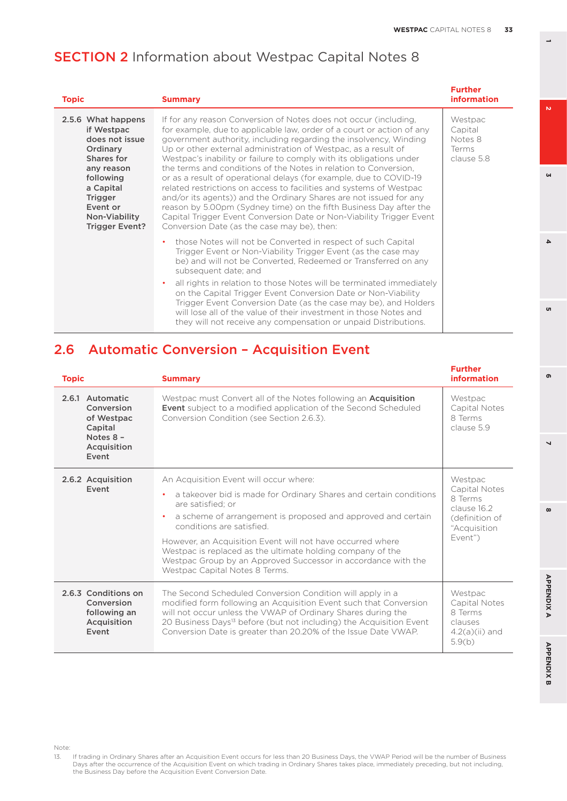$\overline{a}$ 

 $\mathbf{v}$ 

 $\omega$ 

 $\overline{4}$ 

<sub>o</sub>

**8 5 APPENDIX B 2 7 4 APPENDIX A 6**

 $\overline{\phantom{0}}$ 

 $\infty$ 

**APPENDIX A** 

**APPENDIX B** 

൭

## **SECTION 2** Information about Westpac Capital Notes 8

| <b>Topic</b>                                                                                                                                                                                 | <b>Summary</b>                                                                                                                                                                                                                                                                                                                                                                                                                                                                                                                                                                                                                                                                                                                                                                                                                              | <b>Further</b><br><b>information</b>                 |
|----------------------------------------------------------------------------------------------------------------------------------------------------------------------------------------------|---------------------------------------------------------------------------------------------------------------------------------------------------------------------------------------------------------------------------------------------------------------------------------------------------------------------------------------------------------------------------------------------------------------------------------------------------------------------------------------------------------------------------------------------------------------------------------------------------------------------------------------------------------------------------------------------------------------------------------------------------------------------------------------------------------------------------------------------|------------------------------------------------------|
| 2.5.6 What happens<br>if Westpac<br>does not issue<br>Ordinary<br>Shares for<br>any reason<br>following<br>a Capital<br><b>Trigger</b><br>Event or<br>Non-Viability<br><b>Trigger Event?</b> | If for any reason Conversion of Notes does not occur (including,<br>for example, due to applicable law, order of a court or action of any<br>government authority, including regarding the insolvency, Winding<br>Up or other external administration of Westpac, as a result of<br>Westpac's inability or failure to comply with its obligations under<br>the terms and conditions of the Notes in relation to Conversion.<br>or as a result of operational delays (for example, due to COVID-19<br>related restrictions on access to facilities and systems of Westpac<br>and/or its agents)) and the Ordinary Shares are not issued for any<br>reason by 5.00pm (Sydney time) on the fifth Business Day after the<br>Capital Trigger Event Conversion Date or Non-Viability Trigger Event<br>Conversion Date (as the case may be), then: | Westpac<br>Capital<br>Notes 8<br>Terms<br>clause 5.8 |
|                                                                                                                                                                                              | those Notes will not be Converted in respect of such Capital<br>٠<br>Trigger Event or Non-Viability Trigger Event (as the case may<br>be) and will not be Converted, Redeemed or Transferred on any<br>subsequent date; and<br>all rights in relation to those Notes will be terminated immediately<br>$\bullet$<br>on the Capital Trigger Event Conversion Date or Non-Viability<br>Trigger Event Conversion Date (as the case may be), and Holders<br>will lose all of the value of their investment in those Notes and<br>they will not receive any compensation or unpaid Distributions.                                                                                                                                                                                                                                                |                                                      |

## 2.6 Automatic Conversion – Acquisition Event

| <b>Topic</b>                                                                                | <b>Summary</b>                                                                                                                                                                                                                                                                                                                                                                                                                                                            | <b>Further</b><br><b>information</b>                                                            |
|---------------------------------------------------------------------------------------------|---------------------------------------------------------------------------------------------------------------------------------------------------------------------------------------------------------------------------------------------------------------------------------------------------------------------------------------------------------------------------------------------------------------------------------------------------------------------------|-------------------------------------------------------------------------------------------------|
| 2.6.1 Automatic<br>Conversion<br>of Westpac<br>Capital<br>Notes 8 -<br>Acquisition<br>Event | Westpac must Convert all of the Notes following an <b>Acquisition</b><br><b>Event</b> subject to a modified application of the Second Scheduled<br>Conversion Condition (see Section 2.6.3).                                                                                                                                                                                                                                                                              | Westpac<br>Capital Notes<br>8 Terms<br>clause 5.9                                               |
| 2.6.2 Acquisition<br>Event                                                                  | An Acquisition Event will occur where:<br>a takeover bid is made for Ordinary Shares and certain conditions<br>are satisfied: or<br>a scheme of arrangement is proposed and approved and certain<br>$\bullet$<br>conditions are satisfied.<br>However, an Acquisition Event will not have occurred where<br>Westpac is replaced as the ultimate holding company of the<br>Westpac Group by an Approved Successor in accordance with the<br>Westpac Capital Notes 8 Terms. | Westpac<br>Capital Notes<br>8 Terms<br>clause 16.2<br>(definition of<br>"Acquisition<br>Event") |
| 2.6.3 Conditions on<br>Conversion<br>following an<br>Acquisition<br>Event                   | The Second Scheduled Conversion Condition will apply in a<br>modified form following an Acquisition Event such that Conversion<br>will not occur unless the VWAP of Ordinary Shares during the<br>20 Business Days <sup>13</sup> before (but not including) the Acquisition Event<br>Conversion Date is greater than 20.20% of the Issue Date VWAP.                                                                                                                       | Westpac<br>Capital Notes<br>8 Terms<br>clauses<br>$4.2(a)(ii)$ and<br>5.9(b)                    |

13. If trading in Ordinary Shares after an Acquisition Event occurs for less than 20 Business Days, the VWAP Period will be the number of Business<br>Days after the occurrence of the Acquisition Event on which trading in Ordi the Business Day before the Acquisition Event Conversion Date.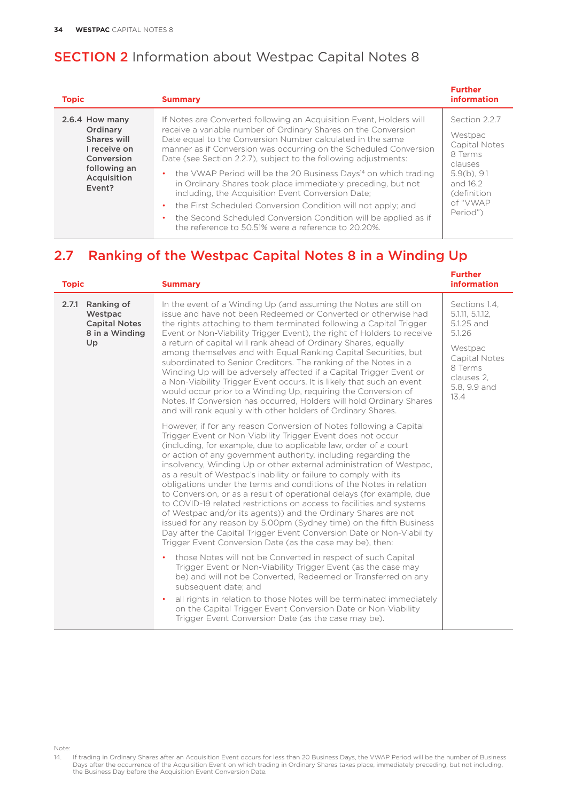| <b>Topic</b>                                                                                                     | <b>Summary</b>                                                                                                                                                                                                                                                                                                                                                                                                                                                                                                                                                                                                                                                                                                                              | <b>Further</b><br><b>information</b>                                                                                                 |
|------------------------------------------------------------------------------------------------------------------|---------------------------------------------------------------------------------------------------------------------------------------------------------------------------------------------------------------------------------------------------------------------------------------------------------------------------------------------------------------------------------------------------------------------------------------------------------------------------------------------------------------------------------------------------------------------------------------------------------------------------------------------------------------------------------------------------------------------------------------------|--------------------------------------------------------------------------------------------------------------------------------------|
| 2.6.4 How many<br>Ordinary<br>Shares will<br>I receive on<br>Conversion<br>following an<br>Acquisition<br>Event? | If Notes are Converted following an Acquisition Event, Holders will<br>receive a variable number of Ordinary Shares on the Conversion<br>Date equal to the Conversion Number calculated in the same<br>manner as if Conversion was occurring on the Scheduled Conversion<br>Date (see Section 2.2.7), subject to the following adjustments:<br>• the VWAP Period will be the 20 Business Days <sup>14</sup> on which trading<br>in Ordinary Shares took place immediately preceding, but not<br>including, the Acquisition Event Conversion Date;<br>the First Scheduled Conversion Condition will not apply; and<br>the Second Scheduled Conversion Condition will be applied as if<br>the reference to 50.51% were a reference to 20.20%. | Section 2.2.7<br>Westpac<br>Capital Notes<br>8 Terms<br>clauses<br>$5.9(b)$ , 9.1<br>and 16.2<br>(definition<br>of "VWAP<br>Period") |

## 2.7 Ranking of the Westpac Capital Notes 8 in a Winding Up

| <b>Topic</b>                                                                   | <b>Summary</b>                                                                                                                                                                                                                                                                                                                                                                                                                                                                                                                                                                                                                                                                                                                                                                                                                                                                                                           | <b>Further</b><br><b>information</b>                                                                                                  |
|--------------------------------------------------------------------------------|--------------------------------------------------------------------------------------------------------------------------------------------------------------------------------------------------------------------------------------------------------------------------------------------------------------------------------------------------------------------------------------------------------------------------------------------------------------------------------------------------------------------------------------------------------------------------------------------------------------------------------------------------------------------------------------------------------------------------------------------------------------------------------------------------------------------------------------------------------------------------------------------------------------------------|---------------------------------------------------------------------------------------------------------------------------------------|
| Ranking of<br>2.7.1<br>Westpac<br><b>Capital Notes</b><br>8 in a Winding<br>Up | In the event of a Winding Up (and assuming the Notes are still on<br>issue and have not been Redeemed or Converted or otherwise had<br>the rights attaching to them terminated following a Capital Trigger<br>Event or Non-Viability Trigger Event), the right of Holders to receive<br>a return of capital will rank ahead of Ordinary Shares, equally<br>among themselves and with Equal Ranking Capital Securities, but<br>subordinated to Senior Creditors. The ranking of the Notes in a<br>Winding Up will be adversely affected if a Capital Trigger Event or<br>a Non-Viability Trigger Event occurs. It is likely that such an event<br>would occur prior to a Winding Up, requiring the Conversion of<br>Notes. If Conversion has occurred, Holders will hold Ordinary Shares<br>and will rank equally with other holders of Ordinary Shares.                                                                  | Sections 1.4,<br>5.1.11, 5.1.12,<br>5.1.25 and<br>5.1.26<br>Westpac<br>Capital Notes<br>8 Terms<br>clauses 2.<br>5.8, 9.9 and<br>13.4 |
|                                                                                | However, if for any reason Conversion of Notes following a Capital<br>Trigger Event or Non-Viability Trigger Event does not occur<br>(including, for example, due to applicable law, order of a court<br>or action of any government authority, including regarding the<br>insolvency, Winding Up or other external administration of Westpac,<br>as a result of Westpac's inability or failure to comply with its<br>obligations under the terms and conditions of the Notes in relation<br>to Conversion, or as a result of operational delays (for example, due<br>to COVID-19 related restrictions on access to facilities and systems<br>of Westpac and/or its agents)) and the Ordinary Shares are not<br>issued for any reason by 5.00pm (Sydney time) on the fifth Business<br>Day after the Capital Trigger Event Conversion Date or Non-Viability<br>Trigger Event Conversion Date (as the case may be), then: |                                                                                                                                       |
|                                                                                | those Notes will not be Converted in respect of such Capital<br>Trigger Event or Non-Viability Trigger Event (as the case may<br>be) and will not be Converted, Redeemed or Transferred on any<br>subsequent date; and<br>all rights in relation to those Notes will be terminated immediately<br>on the Capital Trigger Event Conversion Date or Non-Viability<br>Trigger Event Conversion Date (as the case may be).                                                                                                                                                                                                                                                                                                                                                                                                                                                                                                   |                                                                                                                                       |

Note:

<sup>14.</sup> If trading in Ordinary Shares after an Acquisition Event occurs for less than 20 Business Days, the VWAP Period will be the number of Business<br>Days after the occurrence of the Acquisition Event on which trading in Ordi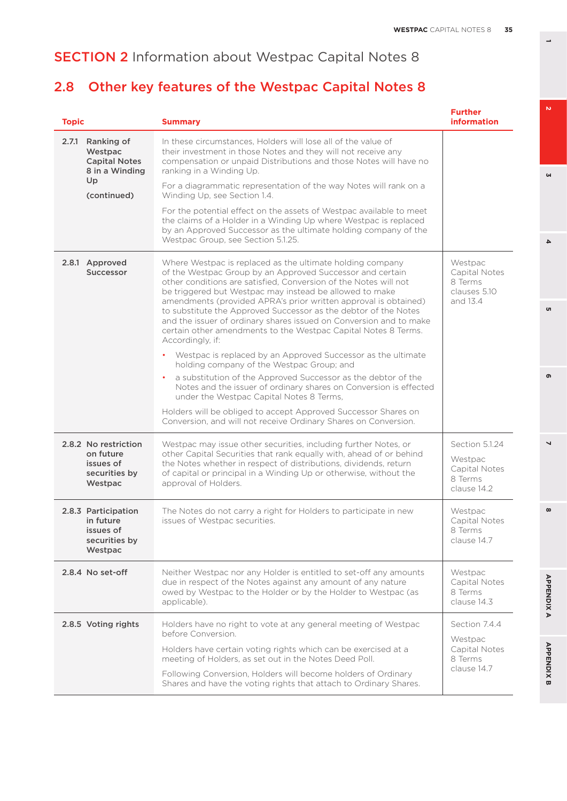# **SECTION 2** Information about Westpac Capital Notes 8

# 2.8 Other key features of the Westpac Capital Notes 8

| <b>Topic</b>                                                               | <b>Summary</b>                                                                                                                                                                                                                                                                                                                                                                                                                                                                                                                                                                                                                                                                                                                                                                                                                                                                                                           | <b>Further</b><br><b>information</b>                                 |
|----------------------------------------------------------------------------|--------------------------------------------------------------------------------------------------------------------------------------------------------------------------------------------------------------------------------------------------------------------------------------------------------------------------------------------------------------------------------------------------------------------------------------------------------------------------------------------------------------------------------------------------------------------------------------------------------------------------------------------------------------------------------------------------------------------------------------------------------------------------------------------------------------------------------------------------------------------------------------------------------------------------|----------------------------------------------------------------------|
| 2.7.1 Ranking of<br>Westpac<br><b>Capital Notes</b><br>8 in a Winding      | In these circumstances. Holders will lose all of the value of<br>their investment in those Notes and they will not receive any<br>compensation or unpaid Distributions and those Notes will have no<br>ranking in a Winding Up.                                                                                                                                                                                                                                                                                                                                                                                                                                                                                                                                                                                                                                                                                          |                                                                      |
| Up<br>(continued)                                                          | For a diagrammatic representation of the way Notes will rank on a<br>Winding Up, see Section 1.4.                                                                                                                                                                                                                                                                                                                                                                                                                                                                                                                                                                                                                                                                                                                                                                                                                        |                                                                      |
|                                                                            | For the potential effect on the assets of Westpac available to meet<br>the claims of a Holder in a Winding Up where Westpac is replaced<br>by an Approved Successor as the ultimate holding company of the<br>Westpac Group, see Section 5.1.25.                                                                                                                                                                                                                                                                                                                                                                                                                                                                                                                                                                                                                                                                         |                                                                      |
| 2.8.1 Approved<br>Successor                                                | Where Westpac is replaced as the ultimate holding company<br>of the Westpac Group by an Approved Successor and certain<br>other conditions are satisfied, Conversion of the Notes will not<br>be triggered but Westpac may instead be allowed to make<br>amendments (provided APRA's prior written approval is obtained)<br>to substitute the Approved Successor as the debtor of the Notes<br>and the issuer of ordinary shares issued on Conversion and to make<br>certain other amendments to the Westpac Capital Notes 8 Terms.<br>Accordingly, if:<br>Westpac is replaced by an Approved Successor as the ultimate<br>holding company of the Westpac Group; and<br>a substitution of the Approved Successor as the debtor of the<br>Notes and the issuer of ordinary shares on Conversion is effected<br>under the Westpac Capital Notes 8 Terms,<br>Holders will be obliged to accept Approved Successor Shares on | Westpac<br>Capital Notes<br>8 Terms<br>clauses 5.10<br>and 13.4      |
|                                                                            | Conversion, and will not receive Ordinary Shares on Conversion.                                                                                                                                                                                                                                                                                                                                                                                                                                                                                                                                                                                                                                                                                                                                                                                                                                                          |                                                                      |
| 2.8.2 No restriction<br>on future<br>issues of<br>securities by<br>Westpac | Westpac may issue other securities, including further Notes, or<br>other Capital Securities that rank equally with, ahead of or behind<br>the Notes whether in respect of distributions, dividends, return<br>of capital or principal in a Winding Up or otherwise, without the<br>approval of Holders.                                                                                                                                                                                                                                                                                                                                                                                                                                                                                                                                                                                                                  | Section 5.1.24<br>Westpac<br>Capital Notes<br>8 Terms<br>clause 14.2 |
| 2.8.3 Participation<br>in future<br>issues of<br>securities by<br>Westpac  | The Notes do not carry a right for Holders to participate in new<br>issues of Westpac securities.                                                                                                                                                                                                                                                                                                                                                                                                                                                                                                                                                                                                                                                                                                                                                                                                                        | Westpac<br>Capital Notes<br>8 Terms<br>clause 14.7                   |
| 2.8.4 No set-off                                                           | Neither Westpac nor any Holder is entitled to set-off any amounts<br>due in respect of the Notes against any amount of any nature<br>owed by Westpac to the Holder or by the Holder to Westpac (as<br>applicable).                                                                                                                                                                                                                                                                                                                                                                                                                                                                                                                                                                                                                                                                                                       | Westpac<br>Capital Notes<br>8 Terms<br>clause 14.3                   |
| 2.8.5 Voting rights                                                        | Holders have no right to vote at any general meeting of Westpac<br>before Conversion.<br>Holders have certain voting rights which can be exercised at a<br>meeting of Holders, as set out in the Notes Deed Poll.<br>Following Conversion, Holders will become holders of Ordinary<br>Shares and have the voting rights that attach to Ordinary Shares.                                                                                                                                                                                                                                                                                                                                                                                                                                                                                                                                                                  | Section 7.4.4<br>Westpac<br>Capital Notes<br>8 Terms<br>clause 14.7  |

**3**

 $\overline{\bf 4}$ 

<sub>o</sub>

**8 5 APPENDIX B 2 7 4 APPENDIX A 6**

 $\overline{\phantom{0}}$ 

 $\infty$ 

**APPENDIXA** 

**APPENDIX B** 

 $\bullet$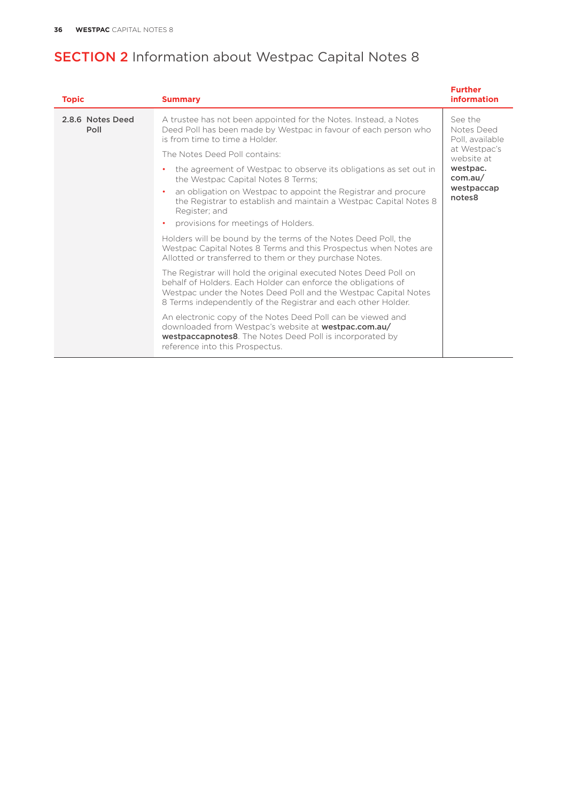# **SECTION 2** Information about Westpac Capital Notes 8

| <b>Topic</b>             | <b>Summary</b>                                                                                                                                                                                                                                                        | <b>Further</b><br><b>information</b>                     |  |
|--------------------------|-----------------------------------------------------------------------------------------------------------------------------------------------------------------------------------------------------------------------------------------------------------------------|----------------------------------------------------------|--|
| 2.8.6 Notes Deed<br>Poll | A trustee has not been appointed for the Notes. Instead, a Notes<br>Deed Poll has been made by Westpac in favour of each person who<br>is from time to time a Holder.                                                                                                 | See the<br>Notes Deed<br>Poll, available<br>at Westpac's |  |
|                          | The Notes Deed Poll contains:                                                                                                                                                                                                                                         | website at                                               |  |
|                          | the agreement of Westpac to observe its obligations as set out in<br>the Westpac Capital Notes 8 Terms;                                                                                                                                                               | westpac.<br>com.au/                                      |  |
|                          | an obligation on Westpac to appoint the Registrar and procure<br>the Registrar to establish and maintain a Westpac Capital Notes 8<br>Register: and                                                                                                                   | westpaccap<br>notes8                                     |  |
|                          | provisions for meetings of Holders.<br>$\bullet$                                                                                                                                                                                                                      |                                                          |  |
|                          | Holders will be bound by the terms of the Notes Deed Poll, the<br>Westpac Capital Notes 8 Terms and this Prospectus when Notes are<br>Allotted or transferred to them or they purchase Notes.                                                                         |                                                          |  |
|                          | The Registrar will hold the original executed Notes Deed Poll on<br>behalf of Holders. Each Holder can enforce the obligations of<br>Westpac under the Notes Deed Poll and the Westpac Capital Notes<br>8 Terms independently of the Registrar and each other Holder. |                                                          |  |
|                          | An electronic copy of the Notes Deed Poll can be viewed and<br>downloaded from Westpac's website at <b>westpac.com.au/</b><br><b>westpaccapnotes8</b> . The Notes Deed Poll is incorporated by<br>reference into this Prospectus.                                     |                                                          |  |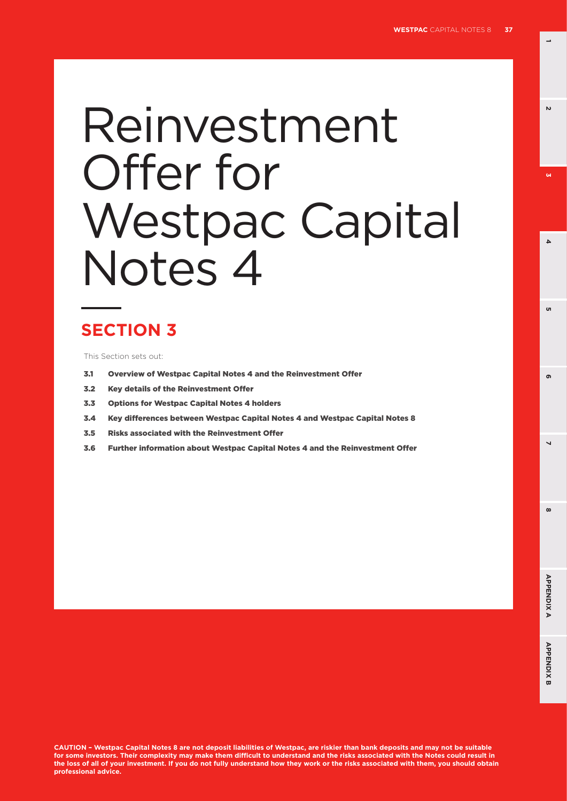**1**

 $\mathbf{v}$ 

 $\omega$ 

**6 3**

'n

 $\Delta$ 

**8 5**

# Reinvestment Offer for Westpac Capital Notes 4

# **SECTION 3**

This Section sets out:

- 3.1 Overview of Westpac Capital Notes 4 and the Reinvestment Offer
- 3.2 Key details of the Reinvestment Offer
- 3.3 Options for Westpac Capital Notes 4 holders
- 3.4 Key differences between Westpac Capital Notes 4 and Westpac Capital Notes 8
- 3.5 Risks associated with the Reinvestment Offer
- 3.6 Further information about Westpac Capital Notes 4 and the Reinvestment Offer

**CAUTION – Westpac Capital Notes 8 are not deposit liabilities of Westpac, are riskier than bank deposits and may not be suitable for some investors. Their complexity may make them difficult to understand and the risks associated with the Notes could result in the loss of all of your investment. If you do not fully understand how they work or the risks associated with them, you should obtain professional advice.**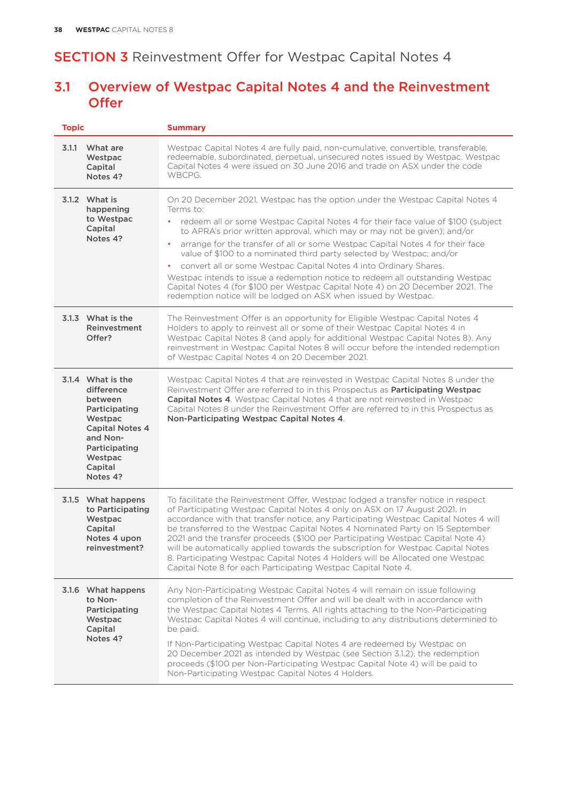# 3.1 Overview of Westpac Capital Notes 4 and the Reinvestment **Offer**

| <b>Topic</b>                                                                                                                                                    | <b>Summary</b>                                                                                                                                                                                                                                                                                                                                                                                                                                                                                                                                                                                                                                                                                                                                |
|-----------------------------------------------------------------------------------------------------------------------------------------------------------------|-----------------------------------------------------------------------------------------------------------------------------------------------------------------------------------------------------------------------------------------------------------------------------------------------------------------------------------------------------------------------------------------------------------------------------------------------------------------------------------------------------------------------------------------------------------------------------------------------------------------------------------------------------------------------------------------------------------------------------------------------|
| 3.1.1<br>What are<br>Westpac<br>Capital<br>Notes 4?                                                                                                             | Westpac Capital Notes 4 are fully paid, non-cumulative, convertible, transferable,<br>redeemable, subordinated, perpetual, unsecured notes issued by Westpac. Westpac<br>Capital Notes 4 were issued on 30 June 2016 and trade on ASX under the code<br>WBCPG.                                                                                                                                                                                                                                                                                                                                                                                                                                                                                |
| 3.1.2 What is<br>happening<br>to Westpac<br>Capital<br>Notes 4?                                                                                                 | On 20 December 2021, Westpac has the option under the Westpac Capital Notes 4<br>Terms to:<br>redeem all or some Westpac Capital Notes 4 for their face value of \$100 (subject<br>to APRA's prior written approval, which may or may not be given); and/or<br>arrange for the transfer of all or some Westpac Capital Notes 4 for their face<br>٠<br>value of \$100 to a nominated third party selected by Westpac; and/or<br>convert all or some Westpac Capital Notes 4 into Ordinary Shares.<br>٠<br>Westpac intends to issue a redemption notice to redeem all outstanding Westpac<br>Capital Notes 4 (for \$100 per Westpac Capital Note 4) on 20 December 2021. The<br>redemption notice will be lodged on ASX when issued by Westpac. |
| 3.1.3 What is the<br>Reinvestment<br>Offer?                                                                                                                     | The Reinvestment Offer is an opportunity for Eligible Westpac Capital Notes 4<br>Holders to apply to reinvest all or some of their Westpac Capital Notes 4 in<br>Westpac Capital Notes 8 (and apply for additional Westpac Capital Notes 8). Any<br>reinvestment in Westpac Capital Notes 8 will occur before the intended redemption<br>of Westpac Capital Notes 4 on 20 December 2021.                                                                                                                                                                                                                                                                                                                                                      |
| 3.1.4 What is the<br>difference<br>between<br>Participating<br>Westpac<br><b>Capital Notes 4</b><br>and Non-<br>Participating<br>Westpac<br>Capital<br>Notes 4? | Westpac Capital Notes 4 that are reinvested in Westpac Capital Notes 8 under the<br>Reinvestment Offer are referred to in this Prospectus as Participating Westpac<br><b>Capital Notes 4.</b> Westpac Capital Notes 4 that are not reinvested in Westpac<br>Capital Notes 8 under the Reinvestment Offer are referred to in this Prospectus as<br>Non-Participating Westpac Capital Notes 4.                                                                                                                                                                                                                                                                                                                                                  |
| 3.1.5 What happens<br>to Participating<br>Westpac<br>Capital<br>Notes 4 upon<br>reinvestment?                                                                   | To facilitate the Reinvestment Offer, Westpac lodged a transfer notice in respect<br>of Participating Westpac Capital Notes 4 only on ASX on 17 August 2021. In<br>accordance with that transfer notice, any Participating Westpac Capital Notes 4 will<br>be transferred to the Westpac Capital Notes 4 Nominated Party on 15 September<br>2021 and the transfer proceeds (\$100 per Participating Westpac Capital Note 4)<br>will be automatically applied towards the subscription for Westpac Capital Notes<br>8. Participating Westpac Capital Notes 4 Holders will be Allocated one Westpac<br>Capital Note 8 for each Participating Westpac Capital Note 4.                                                                            |
| 3.1.6 What happens<br>to Non-<br>Participating<br>Westpac<br>Capital<br>Notes 4?                                                                                | Any Non-Participating Westpac Capital Notes 4 will remain on issue following<br>completion of the Reinvestment Offer and will be dealt with in accordance with<br>the Westpac Capital Notes 4 Terms. All rights attaching to the Non-Participating<br>Westpac Capital Notes 4 will continue, including to any distributions determined to<br>be paid.<br>If Non-Participating Westpac Capital Notes 4 are redeemed by Westpac on<br>20 December 2021 as intended by Westpac (see Section 3.1.2), the redemption<br>proceeds (\$100 per Non-Participating Westpac Capital Note 4) will be paid to<br>Non-Participating Westpac Capital Notes 4 Holders.                                                                                        |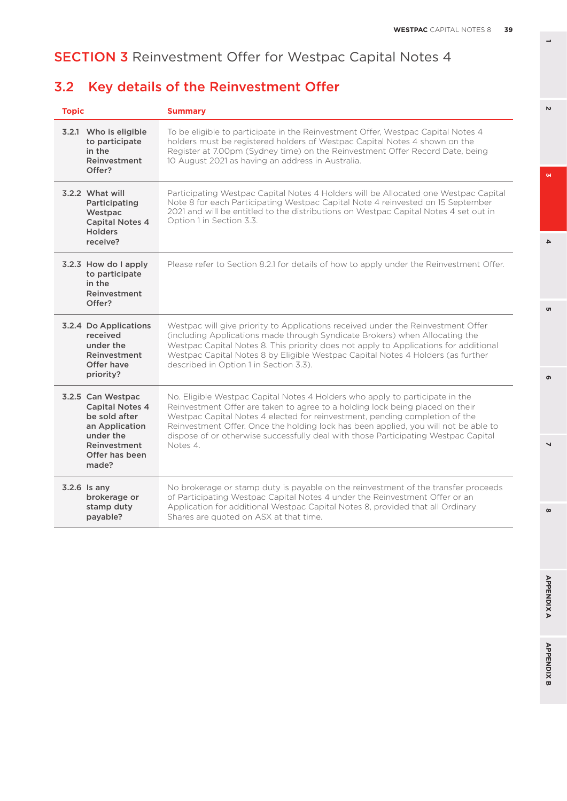# 3.2 Key details of the Reinvestment Offer

| <b>Topic</b>                                                                                                                           | <b>Summary</b>                                                                                                                                                                                                                                                                                                                                                                                                                        |
|----------------------------------------------------------------------------------------------------------------------------------------|---------------------------------------------------------------------------------------------------------------------------------------------------------------------------------------------------------------------------------------------------------------------------------------------------------------------------------------------------------------------------------------------------------------------------------------|
| 3.2.1 Who is eligible<br>to participate<br>in the<br>Reinvestment<br>Offer?                                                            | To be eligible to participate in the Reinvestment Offer, Westpac Capital Notes 4<br>holders must be registered holders of Westpac Capital Notes 4 shown on the<br>Register at 7.00pm (Sydney time) on the Reinvestment Offer Record Date, being<br>10 August 2021 as having an address in Australia.                                                                                                                                  |
| 3.2.2 What will<br>Participating<br>Westpac<br><b>Capital Notes 4</b><br><b>Holders</b><br>receive?                                    | Participating Westpac Capital Notes 4 Holders will be Allocated one Westpac Capital<br>Note 8 for each Participating Westpac Capital Note 4 reinvested on 15 September<br>2021 and will be entitled to the distributions on Westpac Capital Notes 4 set out in<br>Option 1 in Section 3.3.                                                                                                                                            |
| 3.2.3 How do I apply<br>to participate<br>in the<br>Reinvestment<br>Offer?                                                             | Please refer to Section 8.2.1 for details of how to apply under the Reinvestment Offer.                                                                                                                                                                                                                                                                                                                                               |
| 3.2.4 Do Applications<br>received<br>under the<br>Reinvestment<br>Offer have<br>priority?                                              | Westpac will give priority to Applications received under the Reinvestment Offer<br>(including Applications made through Syndicate Brokers) when Allocating the<br>Westpac Capital Notes 8. This priority does not apply to Applications for additional<br>Westpac Capital Notes 8 by Eligible Westpac Capital Notes 4 Holders (as further<br>described in Option 1 in Section 3.3).                                                  |
| 3.2.5 Can Westpac<br><b>Capital Notes 4</b><br>be sold after<br>an Application<br>under the<br>Reinvestment<br>Offer has been<br>made? | No. Eligible Westpac Capital Notes 4 Holders who apply to participate in the<br>Reinvestment Offer are taken to agree to a holding lock being placed on their<br>Westpac Capital Notes 4 elected for reinvestment, pending completion of the<br>Reinvestment Offer. Once the holding lock has been applied, you will not be able to<br>dispose of or otherwise successfully deal with those Participating Westpac Capital<br>Notes 4. |
| 3.2.6 Is any<br>brokerage or<br>stamp duty<br>payable?                                                                                 | No brokerage or stamp duty is payable on the reinvestment of the transfer proceeds<br>of Participating Westpac Capital Notes 4 under the Reinvestment Offer or an<br>Application for additional Westpac Capital Notes 8, provided that all Ordinary<br>Shares are quoted on ASX at that time.                                                                                                                                         |

 $\overline{v}$ 

 $\mathbf{Q}$ 

**6 3**

<sub>o</sub>

 $\overline{\mathbf{4}}$ 

**8 5**

 $\overline{a}$ 

 $\infty$ 

ഐ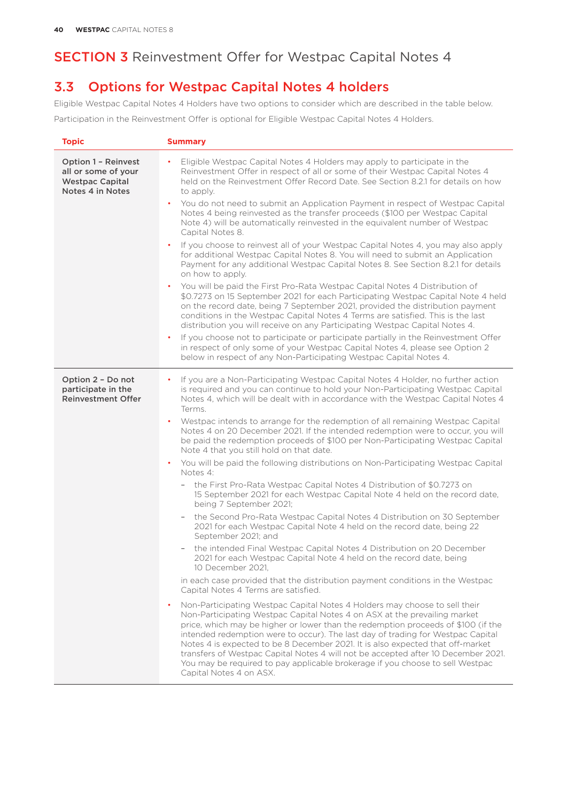# 3.3 Options for Westpac Capital Notes 4 holders

Eligible Westpac Capital Notes 4 Holders have two options to consider which are described in the table below. Participation in the Reinvestment Offer is optional for Eligible Westpac Capital Notes 4 Holders.

| <b>Topic</b>                                                                                    | <b>Summary</b>                                                                                                                                                                                                                                                                                                                                                                                                                                                                                                                                                                                                     |
|-------------------------------------------------------------------------------------------------|--------------------------------------------------------------------------------------------------------------------------------------------------------------------------------------------------------------------------------------------------------------------------------------------------------------------------------------------------------------------------------------------------------------------------------------------------------------------------------------------------------------------------------------------------------------------------------------------------------------------|
| <b>Option 1 - Reinvest</b><br>all or some of your<br><b>Westpac Capital</b><br>Notes 4 in Notes | Eligible Westpac Capital Notes 4 Holders may apply to participate in the<br>$\bullet$<br>Reinvestment Offer in respect of all or some of their Westpac Capital Notes 4<br>held on the Reinvestment Offer Record Date. See Section 8.2.1 for details on how<br>to apply.                                                                                                                                                                                                                                                                                                                                            |
|                                                                                                 | You do not need to submit an Application Payment in respect of Westpac Capital<br>Notes 4 being reinvested as the transfer proceeds (\$100 per Westpac Capital<br>Note 4) will be automatically reinvested in the equivalent number of Westpac<br>Capital Notes 8.                                                                                                                                                                                                                                                                                                                                                 |
|                                                                                                 | If you choose to reinvest all of your Westpac Capital Notes 4, you may also apply<br>$\bullet$<br>for additional Westpac Capital Notes 8. You will need to submit an Application<br>Payment for any additional Westpac Capital Notes 8. See Section 8.2.1 for details<br>on how to apply.                                                                                                                                                                                                                                                                                                                          |
|                                                                                                 | You will be paid the First Pro-Rata Westpac Capital Notes 4 Distribution of<br>\$0.7273 on 15 September 2021 for each Participating Westpac Capital Note 4 held<br>on the record date, being 7 September 2021, provided the distribution payment<br>conditions in the Westpac Capital Notes 4 Terms are satisfied. This is the last<br>distribution you will receive on any Participating Westpac Capital Notes 4.                                                                                                                                                                                                 |
|                                                                                                 | If you choose not to participate or participate partially in the Reinvestment Offer<br>in respect of only some of your Westpac Capital Notes 4, please see Option 2<br>below in respect of any Non-Participating Westpac Capital Notes 4.                                                                                                                                                                                                                                                                                                                                                                          |
| Option 2 - Do not<br>participate in the<br><b>Reinvestment Offer</b>                            | If you are a Non-Participating Westpac Capital Notes 4 Holder, no further action<br>$\bullet$<br>is required and you can continue to hold your Non-Participating Westpac Capital<br>Notes 4, which will be dealt with in accordance with the Westpac Capital Notes 4<br>Terms.                                                                                                                                                                                                                                                                                                                                     |
|                                                                                                 | Westpac intends to arrange for the redemption of all remaining Westpac Capital<br>Notes 4 on 20 December 2021. If the intended redemption were to occur, you will<br>be paid the redemption proceeds of \$100 per Non-Participating Westpac Capital<br>Note 4 that you still hold on that date.                                                                                                                                                                                                                                                                                                                    |
|                                                                                                 | You will be paid the following distributions on Non-Participating Westpac Capital<br>Notes 4:                                                                                                                                                                                                                                                                                                                                                                                                                                                                                                                      |
|                                                                                                 | the First Pro-Rata Westpac Capital Notes 4 Distribution of \$0.7273 on<br>15 September 2021 for each Westpac Capital Note 4 held on the record date,<br>being 7 September 2021;                                                                                                                                                                                                                                                                                                                                                                                                                                    |
|                                                                                                 | the Second Pro-Rata Westpac Capital Notes 4 Distribution on 30 September<br>2021 for each Westpac Capital Note 4 held on the record date, being 22<br>September 2021; and                                                                                                                                                                                                                                                                                                                                                                                                                                          |
|                                                                                                 | the intended Final Westpac Capital Notes 4 Distribution on 20 December<br>2021 for each Westpac Capital Note 4 held on the record date, being<br>10 December 2021,                                                                                                                                                                                                                                                                                                                                                                                                                                                 |
|                                                                                                 | in each case provided that the distribution payment conditions in the Westpac<br>Capital Notes 4 Terms are satisfied.                                                                                                                                                                                                                                                                                                                                                                                                                                                                                              |
|                                                                                                 | Non-Participating Westpac Capital Notes 4 Holders may choose to sell their<br>Non-Participating Westpac Capital Notes 4 on ASX at the prevailing market<br>price, which may be higher or lower than the redemption proceeds of \$100 (if the<br>intended redemption were to occur). The last day of trading for Westpac Capital<br>Notes 4 is expected to be 8 December 2021. It is also expected that off-market<br>transfers of Westpac Capital Notes 4 will not be accepted after 10 December 2021.<br>You may be required to pay applicable brokerage if you choose to sell Westpac<br>Capital Notes 4 on ASX. |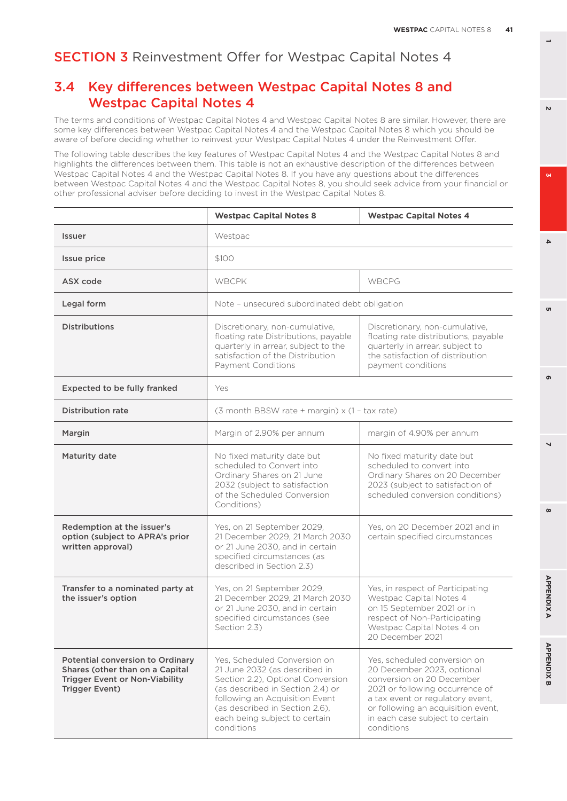# 3.4 Key differences between Westpac Capital Notes 8 and Westpac Capital Notes 4

The terms and conditions of Westpac Capital Notes 4 and Westpac Capital Notes 8 are similar. However, there are some key differences between Westpac Capital Notes 4 and the Westpac Capital Notes 8 which you should be aware of before deciding whether to reinvest your Westpac Capital Notes 4 under the Reinvestment Offer.

The following table describes the key features of Westpac Capital Notes 4 and the Westpac Capital Notes 8 and highlights the differences between them. This table is not an exhaustive description of the differences between Westpac Capital Notes 4 and the Westpac Capital Notes 8. If you have any questions about the differences between Westpac Capital Notes 4 and the Westpac Capital Notes 8, you should seek advice from your financial or other professional adviser before deciding to invest in the Westpac Capital Notes 8.

|                                                                                                                                       | <b>Westpac Capital Notes 8</b>                                                                                                                                                                                                                            | <b>Westpac Capital Notes 4</b>                                                                                                                                                                                                                        |  |
|---------------------------------------------------------------------------------------------------------------------------------------|-----------------------------------------------------------------------------------------------------------------------------------------------------------------------------------------------------------------------------------------------------------|-------------------------------------------------------------------------------------------------------------------------------------------------------------------------------------------------------------------------------------------------------|--|
| <b>Issuer</b>                                                                                                                         | Westpac                                                                                                                                                                                                                                                   |                                                                                                                                                                                                                                                       |  |
| Issue price                                                                                                                           | \$100                                                                                                                                                                                                                                                     |                                                                                                                                                                                                                                                       |  |
| ASX code                                                                                                                              | <b>WBCPK</b>                                                                                                                                                                                                                                              | WBCPG                                                                                                                                                                                                                                                 |  |
| Legal form                                                                                                                            | Note - unsecured subordinated debt obligation                                                                                                                                                                                                             |                                                                                                                                                                                                                                                       |  |
| <b>Distributions</b>                                                                                                                  | Discretionary, non-cumulative,<br>floating rate Distributions, payable<br>quarterly in arrear, subject to the<br>satisfaction of the Distribution<br>Payment Conditions                                                                                   | Discretionary, non-cumulative,<br>floating rate distributions, payable<br>quarterly in arrear, subject to<br>the satisfaction of distribution<br>payment conditions                                                                                   |  |
| <b>Expected to be fully franked</b>                                                                                                   | Yes                                                                                                                                                                                                                                                       |                                                                                                                                                                                                                                                       |  |
| <b>Distribution rate</b>                                                                                                              | (3 month BBSW rate + margin) x (1 - tax rate)                                                                                                                                                                                                             |                                                                                                                                                                                                                                                       |  |
| Margin                                                                                                                                | Margin of 2.90% per annum<br>margin of 4.90% per annum                                                                                                                                                                                                    |                                                                                                                                                                                                                                                       |  |
| <b>Maturity date</b>                                                                                                                  | No fixed maturity date but<br>scheduled to Convert into<br>Ordinary Shares on 21 June<br>2032 (subject to satisfaction<br>of the Scheduled Conversion<br>Conditions)                                                                                      | No fixed maturity date but<br>scheduled to convert into<br>Ordinary Shares on 20 December<br>2023 (subject to satisfaction of<br>scheduled conversion conditions)                                                                                     |  |
| Redemption at the issuer's<br>option (subject to APRA's prior<br>written approval)                                                    | Yes, on 21 September 2029,<br>21 December 2029, 21 March 2030<br>or 21 June 2030, and in certain<br>specified circumstances (as<br>described in Section 2.3)                                                                                              | Yes, on 20 December 2021 and in<br>certain specified circumstances                                                                                                                                                                                    |  |
| Transfer to a nominated party at<br>the issuer's option                                                                               | Yes, on 21 September 2029,<br>21 December 2029, 21 March 2030<br>or 21 June 2030, and in certain<br>specified circumstances (see<br>Section 2.3)                                                                                                          | Yes, in respect of Participating<br>Westpac Capital Notes 4<br>on 15 September 2021 or in<br>respect of Non-Participating<br>Westpac Capital Notes 4 on<br>20 December 2021                                                                           |  |
| Potential conversion to Ordinary<br>Shares (other than on a Capital<br><b>Trigger Event or Non-Viability</b><br><b>Trigger Event)</b> | Yes. Scheduled Conversion on<br>21 June 2032 (as described in<br>Section 2.2), Optional Conversion<br>(as described in Section 2.4) or<br>following an Acquisition Event<br>(as described in Section 2.6),<br>each being subject to certain<br>conditions | Yes, scheduled conversion on<br>20 December 2023, optional<br>conversion on 20 December<br>2021 or following occurrence of<br>a tax event or regulatory event,<br>or following an acquisition event,<br>in each case subject to certain<br>conditions |  |

 $\omega$ 

 $\mathbf{v}$ 

**6 3** 'n

 $\Delta$ 

൭

 $\overline{\phantom{0}}$ 

**8 5**

 $\omega$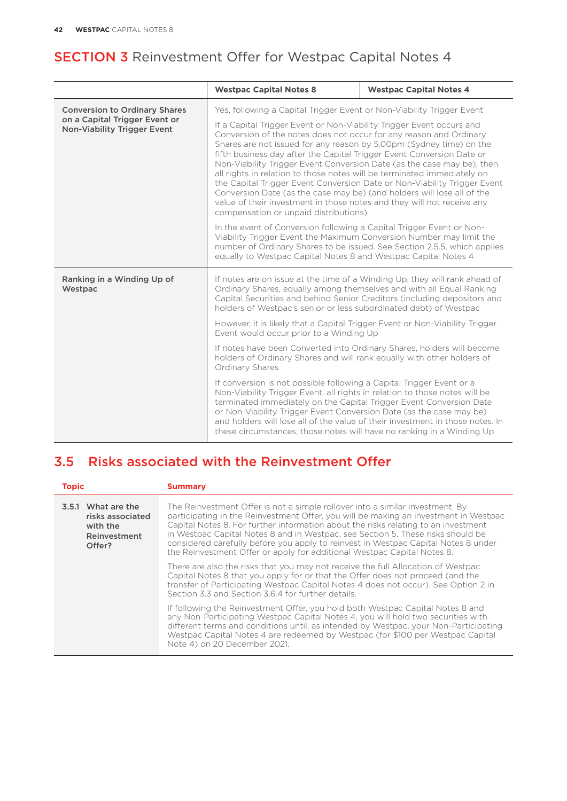|                                                                                                             | <b>Westpac Capital Notes 8</b>                                                                                                                                                                                                                                                                                                                                                                                                                                                                                                                                                                                                                                                                                           | <b>Westpac Capital Notes 4</b> |  |
|-------------------------------------------------------------------------------------------------------------|--------------------------------------------------------------------------------------------------------------------------------------------------------------------------------------------------------------------------------------------------------------------------------------------------------------------------------------------------------------------------------------------------------------------------------------------------------------------------------------------------------------------------------------------------------------------------------------------------------------------------------------------------------------------------------------------------------------------------|--------------------------------|--|
| <b>Conversion to Ordinary Shares</b><br>on a Capital Trigger Event or<br><b>Non-Viability Trigger Event</b> | Yes, following a Capital Trigger Event or Non-Viability Trigger Event                                                                                                                                                                                                                                                                                                                                                                                                                                                                                                                                                                                                                                                    |                                |  |
|                                                                                                             | If a Capital Trigger Event or Non-Viability Trigger Event occurs and<br>Conversion of the notes does not occur for any reason and Ordinary<br>Shares are not issued for any reason by 5.00pm (Sydney time) on the<br>fifth business day after the Capital Trigger Event Conversion Date or<br>Non-Viability Trigger Event Conversion Date (as the case may be), then<br>all rights in relation to those notes will be terminated immediately on<br>the Capital Trigger Event Conversion Date or Non-Viability Trigger Event<br>Conversion Date (as the case may be) (and holders will lose all of the<br>value of their investment in those notes and they will not receive any<br>compensation or unpaid distributions) |                                |  |
|                                                                                                             | In the event of Conversion following a Capital Trigger Event or Non-<br>Viability Trigger Event the Maximum Conversion Number may limit the<br>number of Ordinary Shares to be issued. See Section 2.5.5, which applies<br>equally to Westpac Capital Notes 8 and Westpac Capital Notes 4                                                                                                                                                                                                                                                                                                                                                                                                                                |                                |  |
| Ranking in a Winding Up of<br>Westpac                                                                       | If notes are on issue at the time of a Winding Up, they will rank ahead of<br>Ordinary Shares, equally among themselves and with all Equal Ranking<br>Capital Securities and behind Senior Creditors (including depositors and<br>holders of Westpac's senior or less subordinated debt) of Westpac                                                                                                                                                                                                                                                                                                                                                                                                                      |                                |  |
|                                                                                                             | However, it is likely that a Capital Trigger Event or Non-Viability Trigger<br>Event would occur prior to a Winding Up                                                                                                                                                                                                                                                                                                                                                                                                                                                                                                                                                                                                   |                                |  |
|                                                                                                             | If notes have been Converted into Ordinary Shares, holders will become<br>holders of Ordinary Shares and will rank equally with other holders of<br>Ordinary Shares                                                                                                                                                                                                                                                                                                                                                                                                                                                                                                                                                      |                                |  |
|                                                                                                             | If conversion is not possible following a Capital Trigger Event or a<br>Non-Viability Trigger Event, all rights in relation to those notes will be<br>terminated immediately on the Capital Trigger Event Conversion Date<br>or Non-Viability Trigger Event Conversion Date (as the case may be)<br>and holders will lose all of the value of their investment in those notes. In<br>these circumstances, those notes will have no ranking in a Winding Up                                                                                                                                                                                                                                                               |                                |  |

# 3.5 Risks associated with the Reinvestment Offer

| <b>Topic</b>                                                                 | <b>Summary</b>                                                                                                                                                                                                                                                                                                                                                                                                                                                                                                  |
|------------------------------------------------------------------------------|-----------------------------------------------------------------------------------------------------------------------------------------------------------------------------------------------------------------------------------------------------------------------------------------------------------------------------------------------------------------------------------------------------------------------------------------------------------------------------------------------------------------|
| 3.5.1 What are the<br>risks associated<br>with the<br>Reinvestment<br>Offer? | The Reinvestment Offer is not a simple rollover into a similar investment. By<br>participating in the Reinvestment Offer, you will be making an investment in Westpac<br>Capital Notes 8. For further information about the risks relating to an investment<br>in Westpac Capital Notes 8 and in Westpac, see Section 5. These risks should be<br>considered carefully before you apply to reinvest in Westpac Capital Notes 8 under<br>the Reinvestment Offer or apply for additional Westpac Capital Notes 8. |
|                                                                              | There are also the risks that you may not receive the full Allocation of Westpac<br>Capital Notes 8 that you apply for or that the Offer does not proceed (and the<br>transfer of Participating Westpac Capital Notes 4 does not occur). See Option 2 in<br>Section 3.3 and Section 3.6.4 for further details                                                                                                                                                                                                   |
|                                                                              | If following the Reinvestment Offer, you hold both Westpac Capital Notes 8 and<br>any Non-Participating Westpac Capital Notes 4, you will hold two securities with<br>different terms and conditions until, as intended by Westpac, your Non-Participating<br>Westpac Capital Notes 4 are redeemed by Westpac (for \$100 per Westpac Capital<br>Note 4) on 20 December 2021.                                                                                                                                    |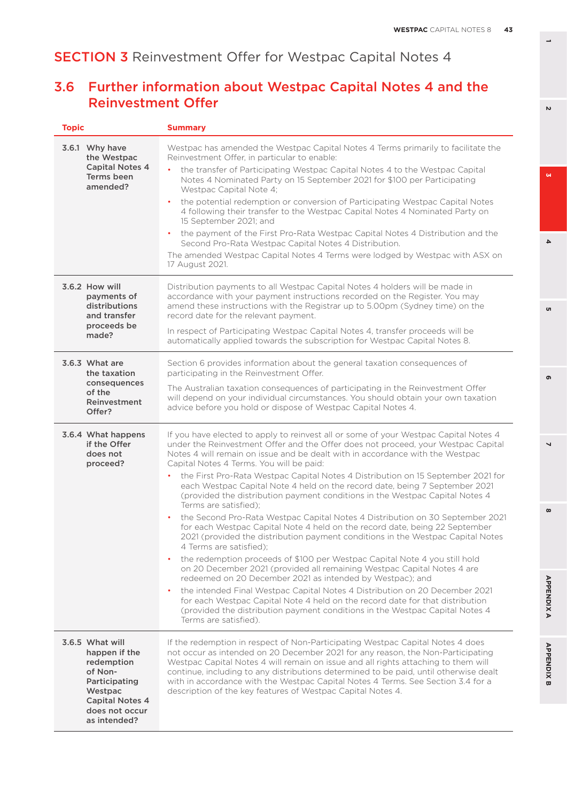# 3.6 Further information about Westpac Capital Notes 4 and the Reinvestment Offer

| <b>Topic</b>                                                                                                                                      | <b>Summary</b>                                                                                                                                                                                                                                                                                                                                                                                                                                                                                      |
|---------------------------------------------------------------------------------------------------------------------------------------------------|-----------------------------------------------------------------------------------------------------------------------------------------------------------------------------------------------------------------------------------------------------------------------------------------------------------------------------------------------------------------------------------------------------------------------------------------------------------------------------------------------------|
| 3.6.1 Why have<br>the Westpac                                                                                                                     | Westpac has amended the Westpac Capital Notes 4 Terms primarily to facilitate the<br>Reinvestment Offer, in particular to enable:                                                                                                                                                                                                                                                                                                                                                                   |
| <b>Capital Notes 4</b><br><b>Terms been</b><br>amended?                                                                                           | the transfer of Participating Westpac Capital Notes 4 to the Westpac Capital<br>Notes 4 Nominated Party on 15 September 2021 for \$100 per Participating<br>Westpac Capital Note 4:                                                                                                                                                                                                                                                                                                                 |
|                                                                                                                                                   | the potential redemption or conversion of Participating Westpac Capital Notes<br>$\bullet$<br>4 following their transfer to the Westpac Capital Notes 4 Nominated Party on<br>15 September 2021; and                                                                                                                                                                                                                                                                                                |
|                                                                                                                                                   | the payment of the First Pro-Rata Westpac Capital Notes 4 Distribution and the<br>$\bullet$<br>Second Pro-Rata Westpac Capital Notes 4 Distribution.                                                                                                                                                                                                                                                                                                                                                |
|                                                                                                                                                   | The amended Westpac Capital Notes 4 Terms were lodged by Westpac with ASX on<br>17 August 2021.                                                                                                                                                                                                                                                                                                                                                                                                     |
| 3.6.2 How will<br>payments of<br>distributions<br>and transfer<br>proceeds be                                                                     | Distribution payments to all Westpac Capital Notes 4 holders will be made in<br>accordance with your payment instructions recorded on the Register. You may<br>amend these instructions with the Registrar up to 5.00pm (Sydney time) on the<br>record date for the relevant payment.                                                                                                                                                                                                               |
| made?                                                                                                                                             | In respect of Participating Westpac Capital Notes 4, transfer proceeds will be<br>automatically applied towards the subscription for Westpac Capital Notes 8.                                                                                                                                                                                                                                                                                                                                       |
| 3.6.3 What are<br>the taxation                                                                                                                    | Section 6 provides information about the general taxation consequences of<br>participating in the Reinvestment Offer.                                                                                                                                                                                                                                                                                                                                                                               |
| consequences<br>of the<br>Reinvestment<br>Offer?                                                                                                  | The Australian taxation consequences of participating in the Reinvestment Offer<br>will depend on your individual circumstances. You should obtain your own taxation<br>advice before you hold or dispose of Westpac Capital Notes 4.                                                                                                                                                                                                                                                               |
| 3.6.4 What happens<br>if the Offer<br>does not<br>proceed?                                                                                        | If you have elected to apply to reinvest all or some of your Westpac Capital Notes 4<br>under the Reinvestment Offer and the Offer does not proceed, your Westpac Capital<br>Notes 4 will remain on issue and be dealt with in accordance with the Westpac<br>Capital Notes 4 Terms. You will be paid:                                                                                                                                                                                              |
|                                                                                                                                                   | the First Pro-Rata Westpac Capital Notes 4 Distribution on 15 September 2021 for<br>each Westpac Capital Note 4 held on the record date, being 7 September 2021<br>(provided the distribution payment conditions in the Westpac Capital Notes 4<br>Terms are satisfied);                                                                                                                                                                                                                            |
|                                                                                                                                                   | the Second Pro-Rata Westpac Capital Notes 4 Distribution on 30 September 2021<br>for each Westpac Capital Note 4 held on the record date, being 22 September<br>2021 (provided the distribution payment conditions in the Westpac Capital Notes<br>4 Terms are satisfied);                                                                                                                                                                                                                          |
|                                                                                                                                                   | the redemption proceeds of \$100 per Westpac Capital Note 4 you still hold<br>$\bullet$<br>on 20 December 2021 (provided all remaining Westpac Capital Notes 4 are<br>redeemed on 20 December 2021 as intended by Westpac); and                                                                                                                                                                                                                                                                     |
|                                                                                                                                                   | the intended Final Westpac Capital Notes 4 Distribution on 20 December 2021<br>$\bullet$<br>for each Westpac Capital Note 4 held on the record date for that distribution<br>(provided the distribution payment conditions in the Westpac Capital Notes 4<br>Terms are satisfied).                                                                                                                                                                                                                  |
| 3.6.5 What will<br>happen if the<br>redemption<br>of Non-<br>Participating<br>Westpac<br><b>Capital Notes 4</b><br>does not occur<br>as intended? | If the redemption in respect of Non-Participating Westpac Capital Notes 4 does<br>not occur as intended on 20 December 2021 for any reason, the Non-Participating<br>Westpac Capital Notes 4 will remain on issue and all rights attaching to them will<br>continue, including to any distributions determined to be paid, until otherwise dealt<br>with in accordance with the Westpac Capital Notes 4 Terms. See Section 3.4 for a<br>description of the key features of Westpac Capital Notes 4. |

 $\overline{v}$ 

 $\mathbf{Q}$ 

 $\overline{\mathbf{4}}$ 

o,

**6 3** ഐ

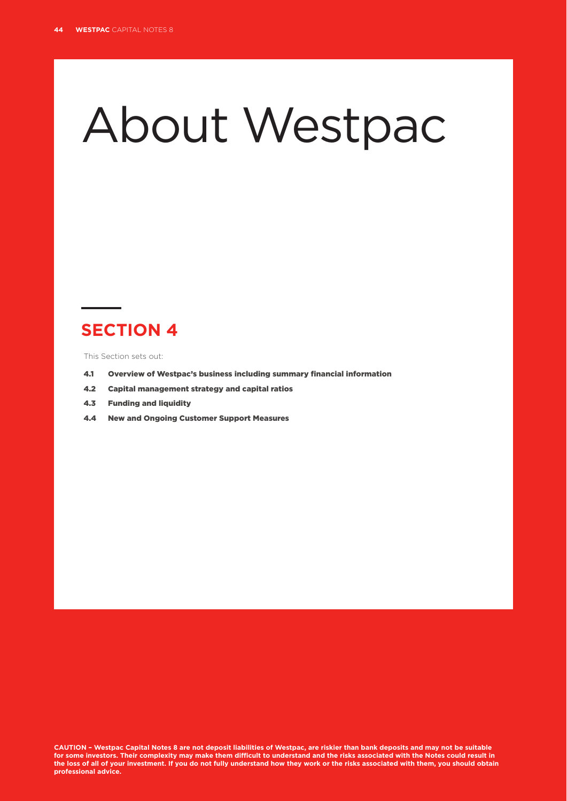# About Westpac

# **SECTION 4**

This Section sets out:

- 4.1 Overview of Westpac's business including summary financial information
- 4.2 Capital management strategy and capital ratios
- 4.3 Funding and liquidity
- 4.4 New and Ongoing Customer Support Measures

**CAUTION – Westpac Capital Notes 8 are not deposit liabilities of Westpac, are riskier than bank deposits and may not be suitable for some investors. Their complexity may make them difficult to understand and the risks associated with the Notes could result in the loss of all of your investment. If you do not fully understand how they work or the risks associated with them, you should obtain professional advice.**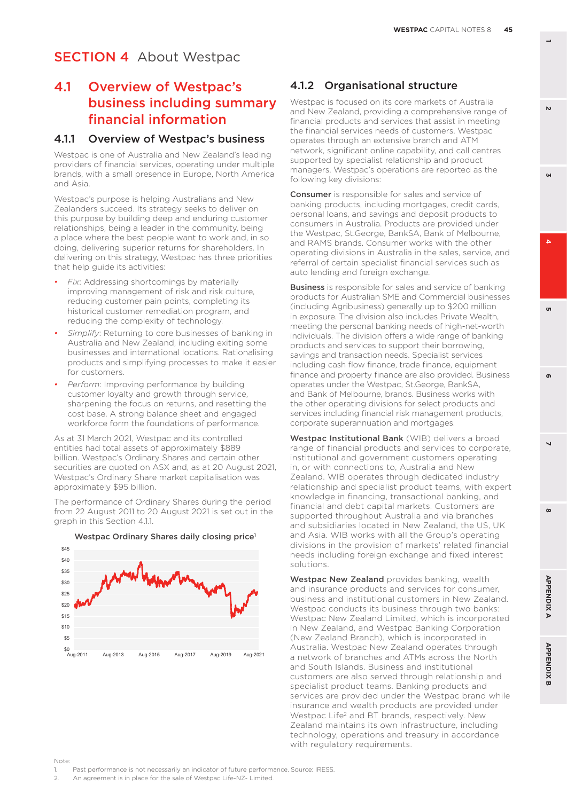# 4.1 Overview of Westpac's business including summary financial information

#### 4.1.1 Overview of Westpac's business

Westpac is one of Australia and New Zealand's leading providers of financial services, operating under multiple brands, with a small presence in Europe, North America and Asia.

Westpac's purpose is helping Australians and New Zealanders succeed. Its strategy seeks to deliver on this purpose by building deep and enduring customer relationships, being a leader in the community, being a place where the best people want to work and, in so doing, delivering superior returns for shareholders. In delivering on this strategy, Westpac has three priorities that help guide its activities:

- *Fix*: Addressing shortcomings by materially improving management of risk and risk culture, reducing customer pain points, completing its historical customer remediation program, and reducing the complexity of technology.
- *• Simplify*: Returning to core businesses of banking in Australia and New Zealand, including exiting some businesses and international locations. Rationalising products and simplifying processes to make it easier for customers.
- *• Perform*: Improving performance by building customer loyalty and growth through service, sharpening the focus on returns, and resetting the cost base. A strong balance sheet and engaged workforce form the foundations of performance.

As at 31 March 2021, Westpac and its controlled entities had total assets of approximately \$889 billion. Westpac's Ordinary Shares and certain other securities are quoted on ASX and, as at 20 August 2021, Westpac's Ordinary Share market capitalisation was approximately \$95 billion.

The performance of Ordinary Shares during the period from 22 August 2011 to 20 August 2021 is set out in the graph in this Section 4.1.1.



#### Westpac Ordinary Shares daily closing price<sup>1</sup>

### 4.1.2 Organisational structure

Westpac is focused on its core markets of Australia and New Zealand, providing a comprehensive range of financial products and services that assist in meeting the financial services needs of customers. Westpac operates through an extensive branch and ATM network, significant online capability, and call centres supported by specialist relationship and product managers. Westpac's operations are reported as the following key divisions:

**Consumer** is responsible for sales and service of banking products, including mortgages, credit cards, personal loans, and savings and deposit products to consumers in Australia. Products are provided under the Westpac, St.George, BankSA, Bank of Melbourne, and RAMS brands. Consumer works with the other operating divisions in Australia in the sales, service, and referral of certain specialist financial services such as auto lending and foreign exchange.

**Business** is responsible for sales and service of banking products for Australian SME and Commercial businesses (including Agribusiness) generally up to \$200 million in exposure. The division also includes Private Wealth, meeting the personal banking needs of high-net-worth individuals. The division offers a wide range of banking products and services to support their borrowing, savings and transaction needs. Specialist services including cash flow finance, trade finance, equipment finance and property finance are also provided. Business operates under the Westpac, St.George, BankSA, and Bank of Melbourne, brands. Business works with the other operating divisions for select products and services including financial risk management products, corporate superannuation and mortgages.

Westpac Institutional Bank (WIB) delivers a broad range of financial products and services to corporate, institutional and government customers operating in, or with connections to, Australia and New Zealand. WIB operates through dedicated industry relationship and specialist product teams, with expert knowledge in financing, transactional banking, and financial and debt capital markets. Customers are supported throughout Australia and via branches and subsidiaries located in New Zealand, the US, UK and Asia. WIB works with all the Group's operating divisions in the provision of markets' related financial needs including foreign exchange and fixed interest solutions.

Westpac New Zealand provides banking, wealth and insurance products and services for consumer, business and institutional customers in New Zealand. Westpac conducts its business through two banks: Westpac New Zealand Limited, which is incorporated in New Zealand, and Westpac Banking Corporation (New Zealand Branch), which is incorporated in Australia. Westpac New Zealand operates through a network of branches and ATMs across the North and South Islands. Business and institutional customers are also served through relationship and specialist product teams. Banking products and services are provided under the Westpac brand while insurance and wealth products are provided under Westpac Life<sup>2</sup> and BT brands, respectively. New Zealand maintains its own infrastructure, including technology, operations and treasury in accordance with regulatory requirements.

Note:

- 1. Past performance is not necessarily an indicator of future performance. Source: IRESS.
- 2. An agreement is in place for the sale of Westpac Life-NZ- Limited.

**1**

**3**

 $\mathbf{v}$ 

 $\boldsymbol{\omega}$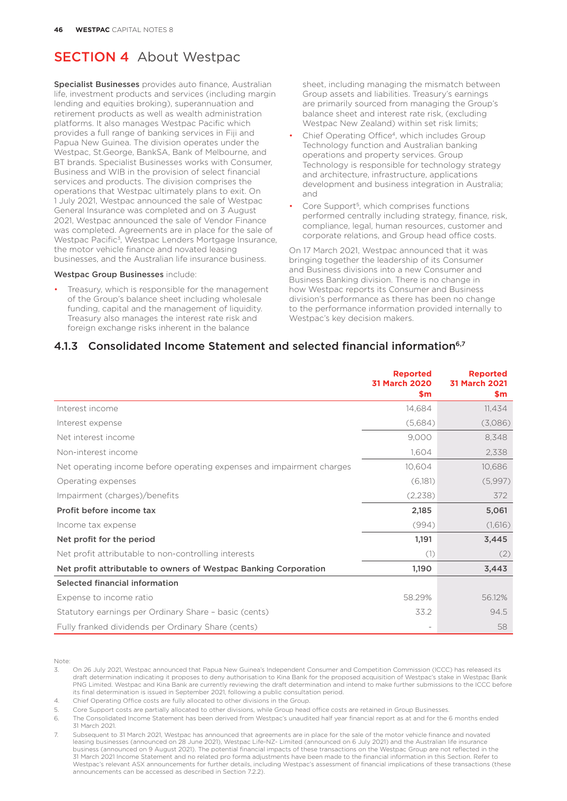Specialist Businesses provides auto finance, Australian life, investment products and services (including margin lending and equities broking), superannuation and retirement products as well as wealth administration platforms. It also manages Westpac Pacific which provides a full range of banking services in Fiji and Papua New Guinea. The division operates under the Westpac, St.George, BankSA, Bank of Melbourne, and BT brands. Specialist Businesses works with Consumer, Business and WIB in the provision of select financial services and products. The division comprises the operations that Westpac ultimately plans to exit. On 1 July 2021, Westpac announced the sale of Westpac General Insurance was completed and on 3 August 2021, Westpac announced the sale of Vendor Finance was completed. Agreements are in place for the sale of Westpac Pacific3, Westpac Lenders Mortgage Insurance, the motor vehicle finance and novated leasing businesses, and the Australian life insurance business.

#### Westpac Group Businesses include:

Treasury, which is responsible for the management of the Group's balance sheet including wholesale funding, capital and the management of liquidity. Treasury also manages the interest rate risk and foreign exchange risks inherent in the balance

sheet, including managing the mismatch between Group assets and liabilities. Treasury's earnings are primarily sourced from managing the Group's balance sheet and interest rate risk, (excluding Westpac New Zealand) within set risk limits;

- Chief Operating Office<sup>4</sup>, which includes Group Technology function and Australian banking operations and property services. Group Technology is responsible for technology strategy and architecture, infrastructure, applications development and business integration in Australia; and
- Core Support<sup>5</sup> which comprises functions performed centrally including strategy, finance, risk, compliance, legal, human resources, customer and corporate relations, and Group head office costs.

On 17 March 2021, Westpac announced that it was bringing together the leadership of its Consumer and Business divisions into a new Consumer and Business Banking division. There is no change in how Westpac reports its Consumer and Business division's performance as there has been no change to the performance information provided internally to Westpac's key decision makers.

#### 4.1.3 Consolidated Income Statement and selected financial information<sup>6,7</sup>

|                                                                       | <b>Reported</b><br>31 March 2020<br>\$m | <b>Reported</b><br><b>31 March 2021</b><br>\$m |
|-----------------------------------------------------------------------|-----------------------------------------|------------------------------------------------|
| Interest income                                                       | 14,684                                  | 11,434                                         |
| Interest expense                                                      | (5,684)                                 | (3,086)                                        |
| Net interest income                                                   | 9,000                                   | 8,348                                          |
| Non-interest income                                                   | 1,604                                   | 2,338                                          |
| Net operating income before operating expenses and impairment charges | 10,604                                  | 10,686                                         |
| Operating expenses                                                    | (6,181)                                 | (5,997)                                        |
| Impairment (charges)/benefits                                         | (2,238)                                 | 372                                            |
| Profit before income tax                                              | 2,185                                   | 5,061                                          |
| Income tax expense                                                    | (994)                                   | (1,616)                                        |
| Net profit for the period                                             | 1,191                                   | 3,445                                          |
| Net profit attributable to non-controlling interests                  | (1)                                     | (2)                                            |
| Net profit attributable to owners of Westpac Banking Corporation      | 1,190                                   | 3,443                                          |
| Selected financial information                                        |                                         |                                                |
| Expense to income ratio                                               | 58.29%                                  | 56.12%                                         |
| Statutory earnings per Ordinary Share - basic (cents)                 | 33.2                                    | 94.5                                           |
| Fully franked dividends per Ordinary Share (cents)                    |                                         | 58                                             |

Note:

3. On 26 July 2021, Westpac announced that Papua New Guinea's Independent Consumer and Competition Commission (ICCC) has released its draft determination indicating it proposes to deny authorisation to Kina Bank for the proposed acquisition of Westpac's stake in Westpac Bank PNG Limited. Westpac and Kina Bank are currently reviewing the draft determination and intend to make further submissions to the ICCC before its final determination is issued in September 2021, following a public consultation period.

4. Chief Operating Office costs are fully allocated to other divisions in the Group.

5. Core Support costs are partially allocated to other divisions, while Group head office costs are retained in Group Businesses.

6. The Consolidated Income Statement has been derived from Westpac's unaudited half year financial report as at and for the 6 months ended 31 March 2021.

Subsequent to 31 March 2021, Westpac has announced that agreements are in place for the sale of the motor vehicle finance and novated leasing businesses (announced on 28 June 2021), Westpac Life-NZ- Limited (announced on 6 July 2021) and the Australian life insurance business (announced on 9 August 2021). The potential financial impacts of these transactions on the Westpac Group are not reflected in the 31 March 2021 Income Statement and no related pro forma adjustments have been made to the financial information in this Section. Refer to Westpac's relevant ASX announcements for further details, including Westpac's assessment of financial implications of these transactions (these announcements can be accessed as described in Section 7.2.2).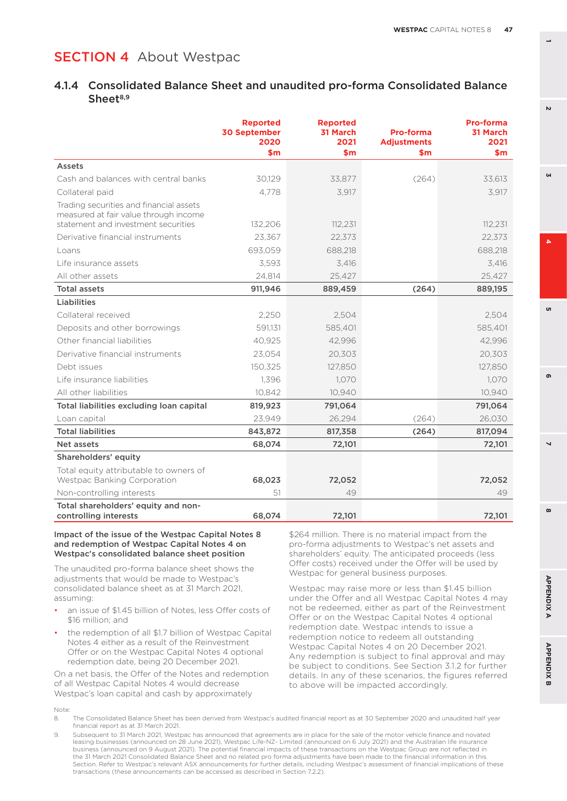#### 4.1.4 Consolidated Balance Sheet and unaudited pro-forma Consolidated Balance  $Sheet<sup>8,9</sup>$

|                                                                                                                         | <b>Reported</b><br><b>30 September</b><br>2020<br>$\mathsf{sm}$ | <b>Reported</b><br><b>31 March</b><br>2021<br>\$m | Pro-forma<br><b>Adjustments</b><br>\$m | <b>Pro-forma</b><br>31 March<br>2021<br>\$m\$ |
|-------------------------------------------------------------------------------------------------------------------------|-----------------------------------------------------------------|---------------------------------------------------|----------------------------------------|-----------------------------------------------|
| Assets                                                                                                                  |                                                                 |                                                   |                                        |                                               |
| Cash and balances with central banks                                                                                    | 30.129                                                          | 33,877                                            | (264)                                  | 33,613                                        |
| Collateral paid                                                                                                         | 4.778                                                           | 3,917                                             |                                        | 3,917                                         |
| Trading securities and financial assets<br>measured at fair value through income<br>statement and investment securities | 132,206                                                         | 112,231                                           |                                        | 112,231                                       |
| Derivative financial instruments                                                                                        | 23,367                                                          | 22,373                                            |                                        | 22,373                                        |
| Loans                                                                                                                   | 693.059                                                         | 688,218                                           |                                        | 688,218                                       |
| Life insurance assets                                                                                                   | 3,593                                                           | 3,416                                             |                                        | 3,416                                         |
| All other assets                                                                                                        | 24,814                                                          | 25,427                                            |                                        | 25,427                                        |
| <b>Total assets</b>                                                                                                     | 911,946                                                         | 889,459                                           | (264)                                  | 889,195                                       |
| Liabilities                                                                                                             |                                                                 |                                                   |                                        |                                               |
| Collateral received                                                                                                     | 2.250                                                           | 2,504                                             |                                        | 2,504                                         |
| Deposits and other borrowings                                                                                           | 591,131                                                         | 585,401                                           |                                        | 585,401                                       |
| Other financial liabilities                                                                                             | 40.925                                                          | 42.996                                            |                                        | 42.996                                        |
| Derivative financial instruments                                                                                        | 23,054                                                          | 20,303                                            |                                        | 20,303                                        |
| Debt issues                                                                                                             | 150,325                                                         | 127,850                                           |                                        | 127,850                                       |
| Life insurance liabilities                                                                                              | 1,396                                                           | 1,070                                             |                                        | 1,070                                         |
| All other liabilities                                                                                                   | 10,842                                                          | 10,940                                            |                                        | 10,940                                        |
| Total liabilities excluding loan capital                                                                                | 819,923                                                         | 791,064                                           |                                        | 791,064                                       |
| Loan capital                                                                                                            | 23,949                                                          | 26,294                                            | (264)                                  | 26,030                                        |
| <b>Total liabilities</b>                                                                                                | 843,872                                                         | 817,358                                           | (264)                                  | 817,094                                       |
| Net assets                                                                                                              | 68,074                                                          | 72,101                                            |                                        | 72,101                                        |
| Shareholders' equity                                                                                                    |                                                                 |                                                   |                                        |                                               |
| Total equity attributable to owners of<br>Westpac Banking Corporation                                                   | 68,023                                                          | 72,052                                            |                                        | 72,052                                        |
| Non-controlling interests                                                                                               | 51                                                              | 49                                                |                                        | 49                                            |
| Total shareholders' equity and non-<br>controlling interests                                                            | 68,074                                                          | 72,101                                            |                                        | 72,101                                        |

#### Impact of the issue of the Westpac Capital Notes 8 and redemption of Westpac Capital Notes 4 on Westpac's consolidated balance sheet position

The unaudited pro-forma balance sheet shows the adjustments that would be made to Westpac's consolidated balance sheet as at 31 March 2021, assuming:

- an issue of \$1.45 billion of Notes, less Offer costs of \$16 million; and
- the redemption of all \$1.7 billion of Westpac Capital Notes 4 either as a result of the Reinvestment Offer or on the Westpac Capital Notes 4 optional redemption date, being 20 December 2021.

On a net basis, the Offer of the Notes and redemption of all Westpac Capital Notes 4 would decrease Westpac's loan capital and cash by approximately

\$264 million. There is no material impact from the pro-forma adjustments to Westpac's net assets and shareholders' equity. The anticipated proceeds (less Offer costs) received under the Offer will be used by Westpac for general business purposes.

Westpac may raise more or less than \$1.45 billion under the Offer and all Westpac Capital Notes 4 may not be redeemed, either as part of the Reinvestment Offer or on the Westpac Capital Notes 4 optional redemption date. Westpac intends to issue a redemption notice to redeem all outstanding Westpac Capital Notes 4 on 20 December 2021. Any redemption is subject to final approval and may be subject to conditions. See Section 3.1.2 for further details. In any of these scenarios, the figures referred to above will be impacted accordingly.

Note:

- 8. The Consolidated Balance Sheet has been derived from Westpac's audited financial report as at 30 September 2020 and unaudited half year financial report as at 31 March 2021.
- 9. Subsequent to 31 March 2021, Westpac has announced that agreements are in place for the sale of the motor vehicle finance and novated leasing businesses (announced on 28 June 2021), Westpac Life-NZ- Limited (announced on 6 July 2021) and the Australian life insurance business (announced on 9 August 2021). The potential financial impacts of these transactions on the Westpac Group are not reflected in the 31 March 2021 Consolidated Balance Sheet and no related pro forma adjustments have been made to the financial information in this Section. Refer to Westpac's relevant ASX announcements for further details, including Westpac's assessment of financial implications of these transactions (these announcements can be accessed as described in Section 7.2.2).

**1**

**3**

 $\mathbf{v}$ 

u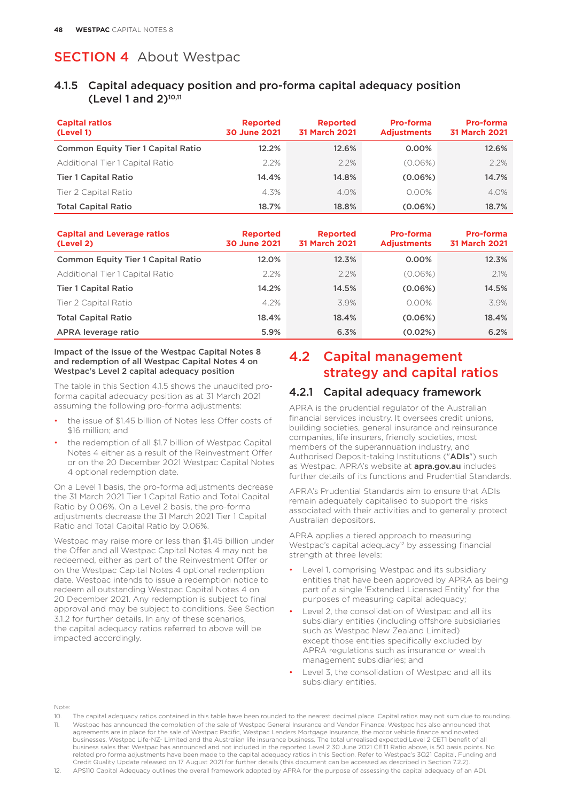#### 4.1.5 Capital adequacy position and pro-forma capital adequacy position (Level 1 and  $2$ )<sup>10,11</sup>

| <b>Capital ratios</b><br>(Level 1)        | <b>Reported</b><br><b>30 June 2021</b> | <b>Reported</b><br><b>31 March 2021</b> | Pro-forma<br><b>Adjustments</b> | <b>Pro-forma</b><br><b>31 March 2021</b> |
|-------------------------------------------|----------------------------------------|-----------------------------------------|---------------------------------|------------------------------------------|
| <b>Common Equity Tier 1 Capital Ratio</b> | 12.2%                                  | 12.6%                                   | $0.00\%$                        | 12.6%                                    |
| Additional Tier 1 Capital Ratio           | 2.2%                                   | $2.2\%$                                 | (0.06%)                         | $2.2\%$                                  |
| <b>Tier 1 Capital Ratio</b>               | 14.4%                                  | 14.8%                                   | (0.06%)                         | 14.7%                                    |
| Tier 2 Capital Ratio                      | 4.3%                                   | 4.0%                                    | $0.00\%$                        | $4.0\%$                                  |
| <b>Total Capital Ratio</b>                | 18.7%                                  | 18.8%                                   | (0.06%)                         | 18.7%                                    |

| <b>Capital and Leverage ratios</b><br>(Level 2) | <b>Reported</b><br>30 June 2021 | <b>Reported</b><br><b>31 March 2021</b> | <b>Pro-forma</b><br><b>Adjustments</b> | <b>Pro-forma</b><br><b>31 March 2021</b> |
|-------------------------------------------------|---------------------------------|-----------------------------------------|----------------------------------------|------------------------------------------|
| <b>Common Equity Tier 1 Capital Ratio</b>       | 12.0%                           | 12.3%                                   | $0.00\%$                               | 12.3%                                    |
| Additional Tier 1 Capital Ratio                 | 2.2%                            | 2.2%                                    | (0.06%)                                | 2.1%                                     |
| <b>Tier 1 Capital Ratio</b>                     | 14.2%                           | 14.5%                                   | (0.06%)                                | 14.5%                                    |
| Tier 2 Capital Ratio                            | 4.2%                            | 3.9%                                    | $0.00\%$                               | 3.9%                                     |
| <b>Total Capital Ratio</b>                      | 18.4%                           | 18.4%                                   | (0.06%)                                | 18.4%                                    |
| APRA leverage ratio                             | 5.9%                            | 6.3%                                    | $(0.02\%)$                             | 6.2%                                     |

#### Impact of the issue of the Westpac Capital Notes 8 and redemption of all Westpac Capital Notes 4 on Westpac's Level 2 capital adequacy position

The table in this Section 4.1.5 shows the unaudited proforma capital adequacy position as at 31 March 2021 assuming the following pro-forma adjustments:

- the issue of \$1.45 billion of Notes less Offer costs of \$16 million; and
- the redemption of all \$1.7 billion of Westpac Capital Notes 4 either as a result of the Reinvestment Offer or on the 20 December 2021 Westpac Capital Notes 4 optional redemption date.

On a Level 1 basis, the pro-forma adjustments decrease the 31 March 2021 Tier 1 Capital Ratio and Total Capital Ratio by 0.06%. On a Level 2 basis, the pro-forma adjustments decrease the 31 March 2021 Tier 1 Capital Ratio and Total Capital Ratio by 0.06%.

Westpac may raise more or less than \$1.45 billion under the Offer and all Westpac Capital Notes 4 may not be redeemed, either as part of the Reinvestment Offer or on the Westpac Capital Notes 4 optional redemption date. Westpac intends to issue a redemption notice to redeem all outstanding Westpac Capital Notes 4 on 20 December 2021. Any redemption is subject to final approval and may be subject to conditions. See Section 3.1.2 for further details. In any of these scenarios, the capital adequacy ratios referred to above will be impacted accordingly.

# 4.2 Capital management strategy and capital ratios

#### 4.2.1 Capital adequacy framework

APRA is the prudential regulator of the Australian financial services industry. It oversees credit unions, building societies, general insurance and reinsurance companies, life insurers, friendly societies, most members of the superannuation industry, and Authorised Deposit-taking Institutions ("ADIs") such as Westpac. APRA's website at **apra.gov.au** includes further details of its functions and Prudential Standards.

APRA's Prudential Standards aim to ensure that ADIs remain adequately capitalised to support the risks associated with their activities and to generally protect Australian depositors.

APRA applies a tiered approach to measuring Westpac's capital adequacy<sup>12</sup> by assessing financial strength at three levels:

- Level 1, comprising Westpac and its subsidiary entities that have been approved by APRA as being part of a single 'Extended Licensed Entity' for the purposes of measuring capital adequacy;
- Level 2, the consolidation of Westpac and all its subsidiary entities (including offshore subsidiaries such as Westpac New Zealand Limited) except those entities specifically excluded by APRA regulations such as insurance or wealth management subsidiaries; and
- Level 3, the consolidation of Westpac and all its subsidiary entities.

Note:

12. APS110 Capital Adequacy outlines the overall framework adopted by APRA for the purpose of assessing the capital adequacy of an ADI.

<sup>10.</sup> The capital adequacy ratios contained in this table have been rounded to the nearest decimal place. Capital ratios may not sum due to rounding. 11. Westpac has announced the completion of the sale of Westpac General Insurance and Vendor Finance. Westpac has also announced that agreements are in place for the sale of Westpac Pacific, Westpac Lenders Mortgage Insurance, the motor vehicle finance and novated businesses, Westpac Life-NZ- Limited and the Australian life insurance business. The total unrealised expected Level 2 CET1 benefit of all business sales that Westpac has announced and not included in the reported Level 2 30 June 2021 CET1 Ratio above, is 50 basis points. No related pro forma adjustments have been made to the capital adequacy ratios in this Section. Refer to Westpac's 3Q21 Capital, Funding and Credit Quality Update released on 17 August 2021 for further details (this document can be accessed as described in Section 7.2.2).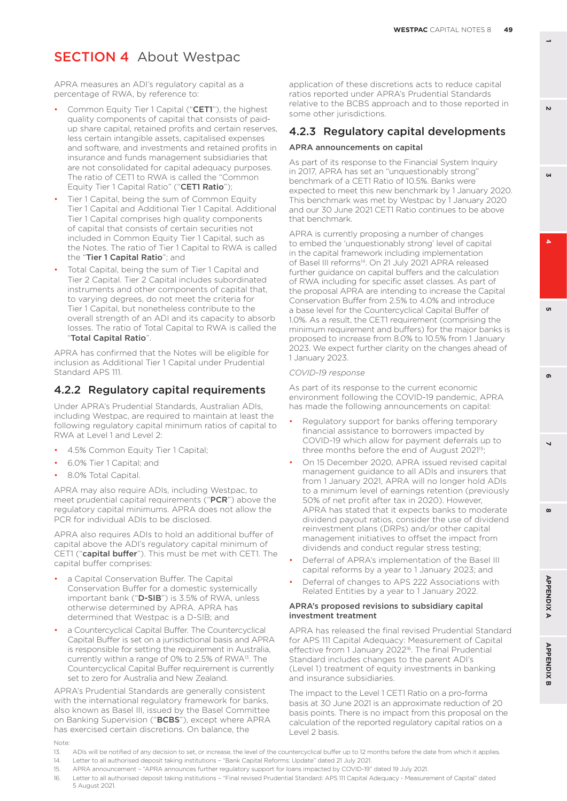APRA measures an ADI's regulatory capital as a percentage of RWA, by reference to:

- Common Equity Tier 1 Capital ("CET1"), the highest quality components of capital that consists of paidup share capital, retained profits and certain reserves, less certain intangible assets, capitalised expenses and software, and investments and retained profits in insurance and funds management subsidiaries that are not consolidated for capital adequacy purposes. The ratio of CET1 to RWA is called the "Common Equity Tier 1 Capital Ratio" ("CET1 Ratio");
- Tier 1 Capital, being the sum of Common Equity Tier 1 Capital and Additional Tier 1 Capital. Additional Tier 1 Capital comprises high quality components of capital that consists of certain securities not included in Common Equity Tier 1 Capital, such as the Notes. The ratio of Tier 1 Capital to RWA is called the "Tier 1 Capital Ratio"; and
- Total Capital, being the sum of Tier 1 Capital and Tier 2 Capital. Tier 2 Capital includes subordinated instruments and other components of capital that, to varying degrees, do not meet the criteria for Tier 1 Capital, but nonetheless contribute to the overall strength of an ADI and its capacity to absorb losses. The ratio of Total Capital to RWA is called the "Total Capital Ratio".

APRA has confirmed that the Notes will be eligible for inclusion as Additional Tier 1 Capital under Prudential Standard APS 111.

#### 4.2.2 Regulatory capital requirements

Under APRA's Prudential Standards, Australian ADIs, including Westpac, are required to maintain at least the following regulatory capital minimum ratios of capital to RWA at Level 1 and Level 2:

- 4.5% Common Equity Tier 1 Capital;
- 6.0% Tier 1 Capital; and
- 8.0% Total Capital.

APRA may also require ADIs, including Westpac, to meet prudential capital requirements ("PCR") above the regulatory capital minimums. APRA does not allow the PCR for individual ADIs to be disclosed.

APRA also requires ADIs to hold an additional buffer of capital above the ADI's regulatory capital minimum of CET1 ("capital buffer"). This must be met with CET1. The capital buffer comprises:

- a Capital Conservation Buffer. The Capital Conservation Buffer for a domestic systemically important bank ("D-SIB") is 3.5% of RWA, unless otherwise determined by APRA. APRA has determined that Westpac is a D-SIB; and
- a Countercyclical Capital Buffer. The Countercyclical Capital Buffer is set on a jurisdictional basis and APRA is responsible for setting the requirement in Australia, currently within a range of 0% to 2.5% of RWA13. The Countercyclical Capital Buffer requirement is currently set to zero for Australia and New Zealand.

APRA's Prudential Standards are generally consistent with the international regulatory framework for banks, also known as Basel III, issued by the Basel Committee on Banking Supervision ("BCBS"), except where APRA has exercised certain discretions. On balance, the

application of these discretions acts to reduce capital ratios reported under APRA's Prudential Standards relative to the BCBS approach and to those reported in some other jurisdictions.

#### 4.2.3 Regulatory capital developments APRA announcements on capital

As part of its response to the Financial System Inquiry in 2017, APRA has set an "unquestionably strong" benchmark of a CET1 Ratio of 10.5%. Banks were expected to meet this new benchmark by 1 January 2020. This benchmark was met by Westpac by 1 January 2020 and our 30 June 2021 CET1 Ratio continues to be above that benchmark.

APRA is currently proposing a number of changes to embed the 'unquestionably strong' level of capital in the capital framework including implementation of Basel III reforms<sup>14</sup>. On 21 July 2021 APRA released further guidance on capital buffers and the calculation of RWA including for specific asset classes. As part of the proposal APRA are intending to increase the Capital Conservation Buffer from 2.5% to 4.0% and introduce a base level for the Countercyclical Capital Buffer of 1.0%. As a result, the CET1 requirement (comprising the minimum requirement and buffers) for the major banks is proposed to increase from 8.0% to 10.5% from 1 January 2023. We expect further clarity on the changes ahead of 1 January 2023.

#### *COVID-19 response*

As part of its response to the current economic environment following the COVID-19 pandemic, APRA has made the following announcements on capital:

- Regulatory support for banks offering temporary financial assistance to borrowers impacted by COVID-19 which allow for payment deferrals up to three months before the end of August 2021<sup>15</sup>;
- On 15 December 2020, APRA issued revised capital management guidance to all ADIs and insurers that from 1 January 2021, APRA will no longer hold ADIs to a minimum level of earnings retention (previously 50% of net profit after tax in 2020). However, APRA has stated that it expects banks to moderate dividend payout ratios, consider the use of dividend reinvestment plans (DRPs) and/or other capital management initiatives to offset the impact from dividends and conduct regular stress testing;
- Deferral of APRA's implementation of the Basel III capital reforms by a year to 1 January 2023; and
- Deferral of changes to APS 222 Associations with Related Entities by a year to 1 January 2022.

#### APRA's proposed revisions to subsidiary capital investment treatment

APRA has released the final revised Prudential Standard for APS 111 Capital Adequacy: Measurement of Capital effective from 1 January 2022<sup>16</sup>. The final Prudential Standard includes changes to the parent ADI's (Level 1) treatment of equity investments in banking and insurance subsidiaries.

The impact to the Level 1 CET1 Ratio on a pro-forma basis at 30 June 2021 is an approximate reduction of 20 basis points. There is no impact from this proposal on the calculation of the reported regulatory capital ratios on a Level 2 basis.

Note:

- 13. ADIs will be notified of any decision to set, or increase, the level of the countercyclical buffer up to 12 months before the date from which it applies.
- 14. Letter to all authorised deposit taking institutions "Bank Capital Reforms: Update" dated 21 July 2021. 15. APRA announcement – "APRA announces further regulatory support for loans impacted by COVID-19" dated 19 July 2021.
- 16. Letter to all authorised deposit taking institutions "Final revised Prudential Standard: APS 111 Capital Adequacy Measurement of Capital" dated 5 August 2021.

**3**

 $\mathbf{K}$ 

'n

 $\mathbf{v}$ 

**8 5 APPENDIX B 2 7 4 APPENDIX A 6**

 $\overline{\phantom{0}}$ 

 $\boldsymbol{\omega}$ 

**APPENDIXA** 

**APPENDIX B** 

ക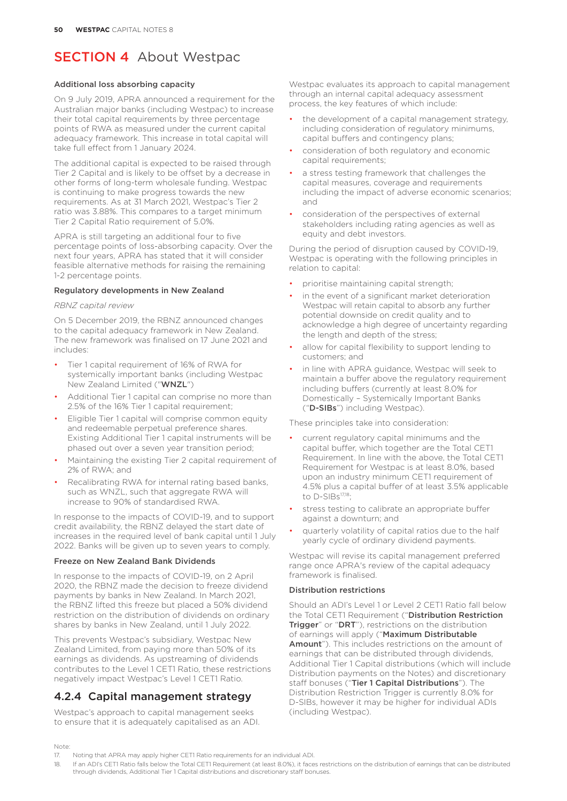#### Additional loss absorbing capacity

On 9 July 2019, APRA announced a requirement for the Australian major banks (including Westpac) to increase their total capital requirements by three percentage points of RWA as measured under the current capital adequacy framework. This increase in total capital will take full effect from 1 January 2024.

The additional capital is expected to be raised through Tier 2 Capital and is likely to be offset by a decrease in other forms of long-term wholesale funding. Westpac is continuing to make progress towards the new requirements. As at 31 March 2021, Westpac's Tier 2 ratio was 3.88%. This compares to a target minimum Tier 2 Capital Ratio requirement of 5.0%.

APRA is still targeting an additional four to five percentage points of loss-absorbing capacity. Over the next four years, APRA has stated that it will consider feasible alternative methods for raising the remaining 1-2 percentage points.

#### Regulatory developments in New Zealand

#### *RBNZ capital review*

On 5 December 2019, the RBNZ announced changes to the capital adequacy framework in New Zealand. The new framework was finalised on 17 June 2021 and includes:

- Tier 1 capital requirement of 16% of RWA for systemically important banks (including Westpac New Zealand Limited ("WNZL")
- Additional Tier 1 capital can comprise no more than 2.5% of the 16% Tier 1 capital requirement;
- Eligible Tier 1 capital will comprise common equity and redeemable perpetual preference shares. Existing Additional Tier 1 capital instruments will be phased out over a seven year transition period;
- Maintaining the existing Tier 2 capital requirement of 2% of RWA; and
- Recalibrating RWA for internal rating based banks, such as WNZL, such that aggregate RWA will increase to 90% of standardised RWA.

In response to the impacts of COVID-19, and to support credit availability, the RBNZ delayed the start date of increases in the required level of bank capital until 1 July 2022. Banks will be given up to seven years to comply.

#### Freeze on New Zealand Bank Dividends

In response to the impacts of COVID-19, on 2 April 2020, the RBNZ made the decision to freeze dividend payments by banks in New Zealand. In March 2021, the RBNZ lifted this freeze but placed a 50% dividend restriction on the distribution of dividends on ordinary shares by banks in New Zealand, until 1 July 2022.

This prevents Westpac's subsidiary, Westpac New Zealand Limited, from paying more than 50% of its earnings as dividends. As upstreaming of dividends contributes to the Level 1 CET1 Ratio, these restrictions negatively impact Westpac's Level 1 CET1 Ratio.

#### 4.2.4 Capital management strategy

Westpac's approach to capital management seeks to ensure that it is adequately capitalised as an ADI. Westpac evaluates its approach to capital management through an internal capital adequacy assessment process, the key features of which include:

- the development of a capital management strategy, including consideration of regulatory minimums, capital buffers and contingency plans;
- consideration of both regulatory and economic capital requirements;
- a stress testing framework that challenges the capital measures, coverage and requirements including the impact of adverse economic scenarios; and
- consideration of the perspectives of external stakeholders including rating agencies as well as equity and debt investors.

During the period of disruption caused by COVID-19, Westpac is operating with the following principles in relation to capital:

- prioritise maintaining capital strength;
- in the event of a significant market deterioration Westpac will retain capital to absorb any further potential downside on credit quality and to acknowledge a high degree of uncertainty regarding the length and depth of the stress;
- allow for capital flexibility to support lending to customers; and
- in line with APRA guidance, Westpac will seek to maintain a buffer above the regulatory requirement including buffers (currently at least 8.0% for Domestically – Systemically Important Banks ("D-SIBs") including Westpac).

These principles take into consideration:

- current regulatory capital minimums and the capital buffer, which together are the Total CET1 Requirement. In line with the above, the Total CET1 Requirement for Westpac is at least 8.0%, based upon an industry minimum CET1 requirement of 4.5% plus a capital buffer of at least 3.5% applicable to  $D$ -SIBs $^{17,18}$
- stress testing to calibrate an appropriate buffer against a downturn; and
- quarterly volatility of capital ratios due to the half yearly cycle of ordinary dividend payments.

Westpac will revise its capital management preferred range once APRA's review of the capital adequacy framework is finalised.

#### Distribution restrictions

Should an ADI's Level 1 or Level 2 CET1 Ratio fall below the Total CET1 Requirement ("Distribution Restriction Trigger" or "DRT"), restrictions on the distribution of earnings will apply ("Maximum Distributable Amount"). This includes restrictions on the amount of earnings that can be distributed through dividends, Additional Tier 1 Capital distributions (which will include Distribution payments on the Notes) and discretionary staff bonuses ("Tier 1 Capital Distributions"). The Distribution Restriction Trigger is currently 8.0% for D-SIBs, however it may be higher for individual ADIs (including Westpac).

Note:

<sup>17.</sup> Noting that APRA may apply higher CET1 Ratio requirements for an individual ADI.

<sup>18.</sup> If an ADI's CET1 Ratio falls below the Total CET1 Requirement (at least 8.0%), it faces restrictions on the distribution of earnings that can be distributed through dividends, Additional Tier 1 Capital distributions and discretionary staff bonuses.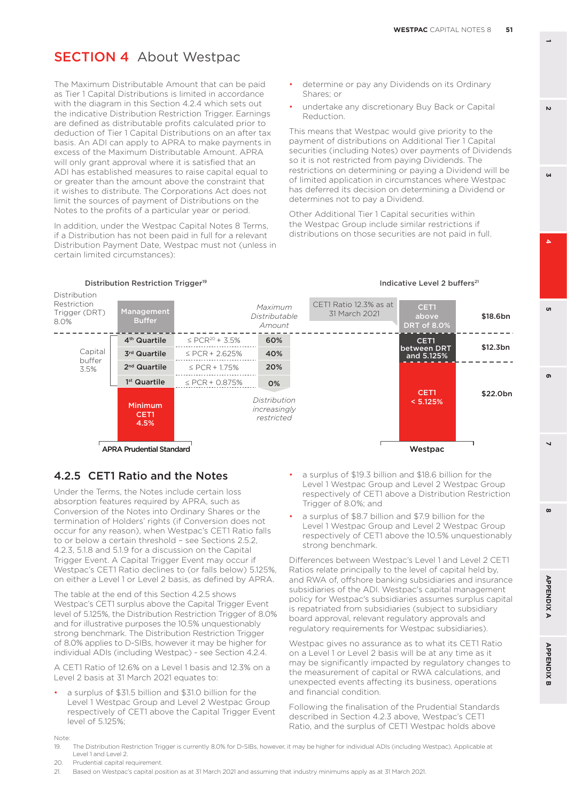The Maximum Distributable Amount that can be paid as Tier 1 Capital Distributions is limited in accordance with the diagram in this Section 4.2.4 which sets out the indicative Distribution Restriction Trigger. Earnings are defined as distributable profits calculated prior to deduction of Tier 1 Capital Distributions on an after tax basis. An ADI can apply to APRA to make payments in excess of the Maximum Distributable Amount. APRA will only grant approval where it is satisfied that an ADI has established measures to raise capital equal to or greater than the amount above the constraint that it wishes to distribute. The Corporations Act does not limit the sources of payment of Distributions on the Notes to the profits of a particular year or period.

In addition, under the Westpac Capital Notes 8 Terms, if a Distribution has not been paid in full for a relevant Distribution Payment Date, Westpac must not (unless in certain limited circumstances):

- determine or pay any Dividends on its Ordinary Shares; or
- undertake any discretionary Buy Back or Capital Reduction.

This means that Westpac would give priority to the payment of distributions on Additional Tier 1 Capital securities (including Notes) over payments of Dividends so it is not restricted from paying Dividends. The restrictions on determining or paying a Dividend will be of limited application in circumstances where Westpac has deferred its decision on determining a Dividend or determines not to pay a Dividend.

Other Additional Tier 1 Capital securities within the Westpac Group include similar restrictions if distributions on those securities are not paid in full.

Indicative Level 2 buffers<sup>21</sup>



#### Distribution Restriction Trigger<sup>19</sup>

4.2.5 CET1 Ratio and the Notes

Under the Terms, the Notes include certain loss absorption features required by APRA, such as Conversion of the Notes into Ordinary Shares or the termination of Holders' rights (if Conversion does not occur for any reason), when Westpac's CET1 Ratio falls to or below a certain threshold – see Sections 2.5.2, 4.2.3, 5.1.8 and 5.1.9 for a discussion on the Capital Trigger Event. A Capital Trigger Event may occur if Westpac's CET1 Ratio declines to (or falls below) 5.125%, on either a Level 1 or Level 2 basis, as defined by APRA.

The table at the end of this Section 4.2.5 shows Westpac's CET1 surplus above the Capital Trigger Event level of 5.125%, the Distribution Restriction Trigger of 8.0% and for illustrative purposes the 10.5% unquestionably strong benchmark. The Distribution Restriction Trigger of 8.0% applies to D-SIBs, however it may be higher for individual ADIs (including Westpac) - see Section 4.2.4.

A CET1 Ratio of 12.6% on a Level 1 basis and 12.3% on a Level 2 basis at 31 March 2021 equates to:

a surplus of \$31.5 billion and \$31.0 billion for the Level 1 Westpac Group and Level 2 Westpac Group respectively of CET1 above the Capital Trigger Event level of 5.125%;

- a surplus of \$19.3 billion and \$18.6 billion for the Level 1 Westpac Group and Level 2 Westpac Group respectively of CET1 above a Distribution Restriction Trigger of 8.0%; and
- a surplus of \$8.7 billion and \$7.9 billion for the Level 1 Westpac Group and Level 2 Westpac Group respectively of CET1 above the 10.5% unquestionably strong benchmark.

Differences between Westpac's Level 1 and Level 2 CET1 Ratios relate principally to the level of capital held by, and RWA of, offshore banking subsidiaries and insurance subsidiaries of the ADI. Westpac's capital management policy for Westpac's subsidiaries assumes surplus capital is repatriated from subsidiaries (subject to subsidiary board approval, relevant regulatory approvals and regulatory requirements for Westpac subsidiaries).

Westpac gives no assurance as to what its CET1 Ratio on a Level 1 or Level 2 basis will be at any time as it may be significantly impacted by regulatory changes to the measurement of capital or RWA calculations, and unexpected events affecting its business, operations and financial condition.

Following the finalisation of the Prudential Standards described in Section 4.2.3 above, Westpac's CET1 Ratio, and the surplus of CET1 Westpac holds above

Note:

- 19. The Distribution Restriction Trigger is currently 8.0% for D-SIBs, however, it may be higher for individual ADIs (including Westpac). Applicable at Level 1 and Level 2.
- 20. Prudential capital requirement
- 21. Based on Westpac's capital position as at 31 March 2021 and assuming that industry minimums apply as at 31 March 2021.

 $\mathbf{v}$ 

**1**

**3**



 $\mathbf{r}$ 

 $\boldsymbol{\omega}$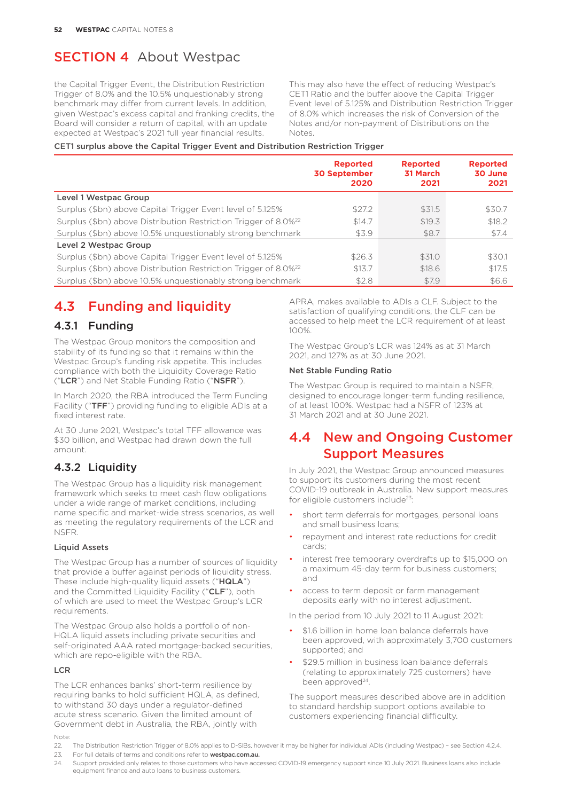the Capital Trigger Event, the Distribution Restriction Trigger of 8.0% and the 10.5% unquestionably strong benchmark may differ from current levels. In addition, given Westpac's excess capital and franking credits, the Board will consider a return of capital, with an update expected at Westpac's 2021 full year financial results.

This may also have the effect of reducing Westpac's CET1 Ratio and the buffer above the Capital Trigger Event level of 5.125% and Distribution Restriction Trigger of 8.0% which increases the risk of Conversion of the Notes and/or non-payment of Distributions on the Notes.

#### CET1 surplus above the Capital Trigger Event and Distribution Restriction Trigger

|                                                                             | <b>Reported</b><br><b>30 September</b><br>2020 | <b>Reported</b><br>31 March<br>2021 | <b>Reported</b><br>30 June<br>2021 |
|-----------------------------------------------------------------------------|------------------------------------------------|-------------------------------------|------------------------------------|
| Level 1 Westpac Group                                                       |                                                |                                     |                                    |
| Surplus (\$bn) above Capital Trigger Event level of 5.125%                  | \$27.2                                         | \$31.5                              | \$30.7                             |
| Surplus (\$bn) above Distribution Restriction Trigger of 8.0% <sup>22</sup> | \$14.7                                         | \$19.3                              | \$18.2                             |
| Surplus (\$bn) above 10.5% unquestionably strong benchmark                  | \$3.9                                          | \$8.7                               | \$7.4                              |
| Level 2 Westpac Group                                                       |                                                |                                     |                                    |
| Surplus (\$bn) above Capital Trigger Event level of 5.125%                  | \$26.3                                         | \$31.0                              | \$30.1                             |
| Surplus (\$bn) above Distribution Restriction Trigger of 8.0% <sup>22</sup> | \$13.7                                         | \$18.6                              | \$17.5                             |
| Surplus (\$bn) above 10.5% unquestionably strong benchmark                  | \$2.8                                          | \$7.9                               | \$6.6                              |

# 4.3 Funding and liquidity

#### 4.3.1 Funding

The Westpac Group monitors the composition and stability of its funding so that it remains within the Westpac Group's funding risk appetite. This includes compliance with both the Liquidity Coverage Ratio ("LCR") and Net Stable Funding Ratio ("NSFR").

In March 2020, the RBA introduced the Term Funding Facility ("TFF") providing funding to eligible ADIs at a fixed interest rate.

At 30 June 2021, Westpac's total TFF allowance was \$30 billion, and Westpac had drawn down the full amount.

## 4.3.2 Liquidity

The Westpac Group has a liquidity risk management framework which seeks to meet cash flow obligations under a wide range of market conditions, including name specific and market-wide stress scenarios, as well as meeting the regulatory requirements of the LCR and NSFR.

#### Liquid Assets

The Westpac Group has a number of sources of liquidity that provide a buffer against periods of liquidity stress. These include high-quality liquid assets ("HQLA") and the Committed Liquidity Facility ("CLF"), both of which are used to meet the Westpac Group's LCR requirements.

The Westpac Group also holds a portfolio of non-HQLA liquid assets including private securities and self-originated AAA rated mortgage-backed securities, which are repo-eligible with the RBA.

#### **LCR**

Note: The LCR enhances banks' short-term resilience by requiring banks to hold sufficient HQLA, as defined, to withstand 30 days under a regulator-defined acute stress scenario. Given the limited amount of Government debt in Australia, the RBA, jointly with

APRA, makes available to ADIs a CLF. Subject to the satisfaction of qualifying conditions, the CLF can be accessed to help meet the LCR requirement of at least 100%.

The Westpac Group's LCR was 124% as at 31 March 2021, and 127% as at 30 June 2021.

#### Net Stable Funding Ratio

The Westpac Group is required to maintain a NSFR, designed to encourage longer-term funding resilience, of at least 100%. Westpac had a NSFR of 123% at 31 March 2021 and at 30 June 2021.

## 4.4 New and Ongoing Customer Support Measures

In July 2021, the Westpac Group announced measures to support its customers during the most recent COVID-19 outbreak in Australia. New support measures for eligible customers include<sup>23</sup>:

- short term deferrals for mortgages, personal loans and small business loans;
- repayment and interest rate reductions for credit cards;
- interest free temporary overdrafts up to \$15,000 on a maximum 45-day term for business customers; and
- access to term deposit or farm management deposits early with no interest adjustment.

In the period from 10 July 2021 to 11 August 2021:

- \$1.6 billion in home loan balance deferrals have been approved, with approximately 3,700 customers supported; and
- \$29.5 million in business loan balance deferrals (relating to approximately 725 customers) have been approved<sup>24</sup>.

The support measures described above are in addition to standard hardship support options available to customers experiencing financial difficulty.

- 22. The Distribution Restriction Trigger of 8.0% applies to D-SIBs, however it may be higher for individual ADIs (including Westpac) see Section 4.2.4.
- 23. For full details of terms and conditions refer to **westpac.com.au.**

<sup>24.</sup> Support provided only relates to those customers who have accessed COVID-19 emergency support since 10 July 2021. Business loans also include equipment finance and auto loans to business customers.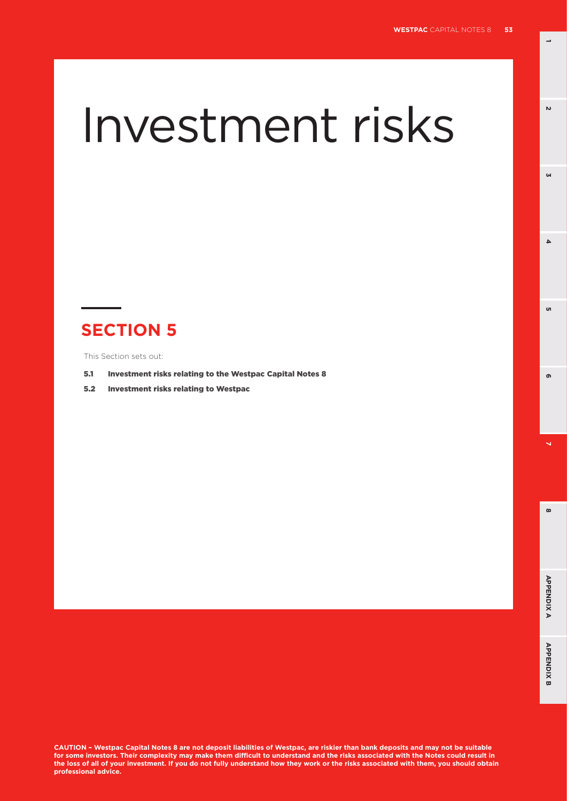$\overline{a}$ 

**3**

 $\Delta$ 

<sub>ហ</sub>

 $\mathbf{v}$ 

# Investment risks

# **SECTION 5**

This Section sets out:

- 5.1 Investment risks relating to the Westpac Capital Notes 8
- 5.2 Investment risks relating to Westpac

 $\infty$ 

**8 5**

ക

**CAUTION – Westpac Capital Notes 8 are not deposit liabilities of Westpac, are riskier than bank deposits and may not be suitable for some investors. Their complexity may make them difficult to understand and the risks associated with the Notes could result in the loss of all of your investment. If you do not fully understand how they work or the risks associated with them, you should obtain professional advice.**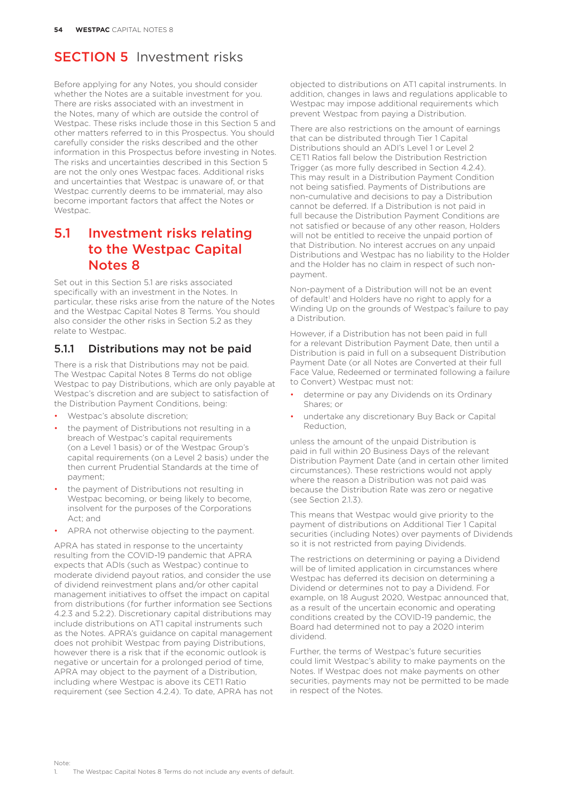Before applying for any Notes, you should consider whether the Notes are a suitable investment for you. There are risks associated with an investment in the Notes, many of which are outside the control of Westpac. These risks include those in this Section 5 and other matters referred to in this Prospectus. You should carefully consider the risks described and the other information in this Prospectus before investing in Notes. The risks and uncertainties described in this Section 5 are not the only ones Westpac faces. Additional risks and uncertainties that Westpac is unaware of, or that Westpac currently deems to be immaterial, may also become important factors that affect the Notes or Westpac.

# 5.1 Investment risks relating to the Westpac Capital Notes 8

Set out in this Section 5.1 are risks associated specifically with an investment in the Notes. In particular, these risks arise from the nature of the Notes and the Westpac Capital Notes 8 Terms. You should also consider the other risks in Section 5.2 as they relate to Westpac.

## 5.1.1 Distributions may not be paid

There is a risk that Distributions may not be paid. The Westpac Capital Notes 8 Terms do not oblige Westpac to pay Distributions, which are only payable at Westpac's discretion and are subject to satisfaction of the Distribution Payment Conditions, being:

- Westpac's absolute discretion;
- the payment of Distributions not resulting in a breach of Westpac's capital requirements (on a Level 1 basis) or of the Westpac Group's capital requirements (on a Level 2 basis) under the then current Prudential Standards at the time of payment;
- the payment of Distributions not resulting in Westpac becoming, or being likely to become, insolvent for the purposes of the Corporations Act; and
- APRA not otherwise objecting to the payment.

APRA has stated in response to the uncertainty resulting from the COVID-19 pandemic that APRA expects that ADIs (such as Westpac) continue to moderate dividend payout ratios, and consider the use of dividend reinvestment plans and/or other capital management initiatives to offset the impact on capital from distributions (for further information see Sections 4.2.3 and 5.2.2). Discretionary capital distributions may include distributions on AT1 capital instruments such as the Notes. APRA's guidance on capital management does not prohibit Westpac from paying Distributions, however there is a risk that if the economic outlook is negative or uncertain for a prolonged period of time, APRA may object to the payment of a Distribution, including where Westpac is above its CET1 Ratio requirement (see Section 4.2.4). To date, APRA has not

objected to distributions on AT1 capital instruments. In addition, changes in laws and regulations applicable to Westpac may impose additional requirements which prevent Westpac from paying a Distribution.

There are also restrictions on the amount of earnings that can be distributed through Tier 1 Capital Distributions should an ADI's Level 1 or Level 2 CET1 Ratios fall below the Distribution Restriction Trigger (as more fully described in Section 4.2.4). This may result in a Distribution Payment Condition not being satisfied. Payments of Distributions are non-cumulative and decisions to pay a Distribution cannot be deferred. If a Distribution is not paid in full because the Distribution Payment Conditions are not satisfied or because of any other reason, Holders will not be entitled to receive the unpaid portion of that Distribution. No interest accrues on any unpaid Distributions and Westpac has no liability to the Holder and the Holder has no claim in respect of such nonpayment.

Non-payment of a Distribution will not be an event of default<sup>1</sup> and Holders have no right to apply for a Winding Up on the grounds of Westpac's failure to pay a Distribution.

However, if a Distribution has not been paid in full for a relevant Distribution Payment Date, then until a Distribution is paid in full on a subsequent Distribution Payment Date (or all Notes are Converted at their full Face Value, Redeemed or terminated following a failure to Convert) Westpac must not:

- determine or pay any Dividends on its Ordinary Shares; or
- undertake any discretionary Buy Back or Capital Reduction,

unless the amount of the unpaid Distribution is paid in full within 20 Business Days of the relevant Distribution Payment Date (and in certain other limited circumstances). These restrictions would not apply where the reason a Distribution was not paid was because the Distribution Rate was zero or negative (see Section 2.1.3).

This means that Westpac would give priority to the payment of distributions on Additional Tier 1 Capital securities (including Notes) over payments of Dividends so it is not restricted from paying Dividends.

The restrictions on determining or paying a Dividend will be of limited application in circumstances where Westpac has deferred its decision on determining a Dividend or determines not to pay a Dividend. For example, on 18 August 2020, Westpac announced that, as a result of the uncertain economic and operating conditions created by the COVID-19 pandemic, the Board had determined not to pay a 2020 interim dividend.

Further, the terms of Westpac's future securities could limit Westpac's ability to make payments on the Notes. If Westpac does not make payments on other securities, payments may not be permitted to be made in respect of the Notes.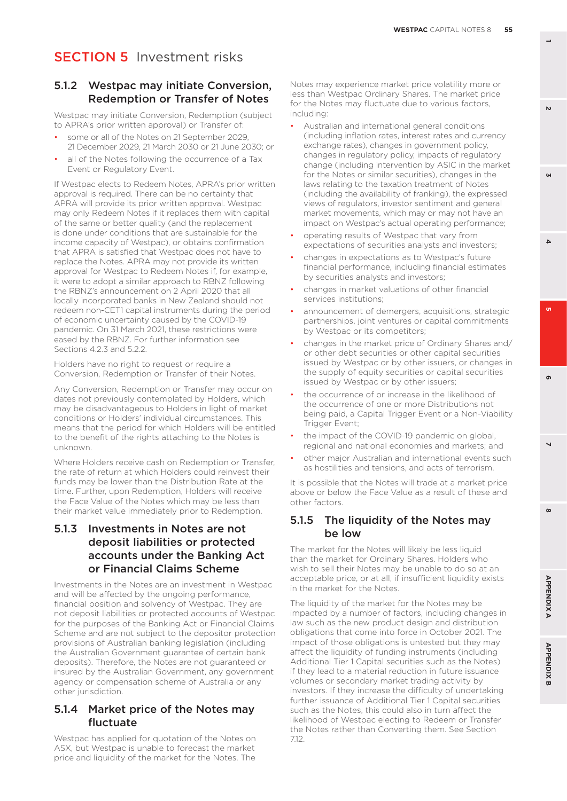#### 5.1.2 Westpac may initiate Conversion, Redemption or Transfer of Notes

Westpac may initiate Conversion, Redemption (subject to APRA's prior written approval) or Transfer of:

- some or all of the Notes on 21 September 2029, 21 December 2029, 21 March 2030 or 21 June 2030; or
- all of the Notes following the occurrence of a Tax Event or Regulatory Event.

If Westpac elects to Redeem Notes, APRA's prior written approval is required. There can be no certainty that APRA will provide its prior written approval. Westpac may only Redeem Notes if it replaces them with capital of the same or better quality (and the replacement is done under conditions that are sustainable for the income capacity of Westpac), or obtains confirmation that APRA is satisfied that Westpac does not have to replace the Notes. APRA may not provide its written approval for Westpac to Redeem Notes if, for example, it were to adopt a similar approach to RBNZ following the RBNZ's announcement on 2 April 2020 that all locally incorporated banks in New Zealand should not redeem non-CET1 capital instruments during the period of economic uncertainty caused by the COVID-19 pandemic. On 31 March 2021, these restrictions were eased by the RBNZ. For further information see Sections 4.2.3 and 5.2.2.

Holders have no right to request or require a Conversion, Redemption or Transfer of their Notes.

Any Conversion, Redemption or Transfer may occur on dates not previously contemplated by Holders, which may be disadvantageous to Holders in light of market conditions or Holders' individual circumstances. This means that the period for which Holders will be entitled to the benefit of the rights attaching to the Notes is unknown.

Where Holders receive cash on Redemption or Transfer, the rate of return at which Holders could reinvest their funds may be lower than the Distribution Rate at the time. Further, upon Redemption, Holders will receive the Face Value of the Notes which may be less than their market value immediately prior to Redemption.

#### 5.1.3 Investments in Notes are not deposit liabilities or protected accounts under the Banking Act or Financial Claims Scheme

Investments in the Notes are an investment in Westpac and will be affected by the ongoing performance, financial position and solvency of Westpac. They are not deposit liabilities or protected accounts of Westpac for the purposes of the Banking Act or Financial Claims Scheme and are not subject to the depositor protection provisions of Australian banking legislation (including the Australian Government guarantee of certain bank deposits). Therefore, the Notes are not guaranteed or insured by the Australian Government, any government agency or compensation scheme of Australia or any other jurisdiction.

#### 5.1.4 Market price of the Notes may fluctuate

Westpac has applied for quotation of the Notes on ASX, but Westpac is unable to forecast the market price and liquidity of the market for the Notes. The

Notes may experience market price volatility more or less than Westpac Ordinary Shares. The market price for the Notes may fluctuate due to various factors, including:

- Australian and international general conditions (including inflation rates, interest rates and currency exchange rates), changes in government policy, changes in regulatory policy, impacts of regulatory change (including intervention by ASIC in the market for the Notes or similar securities), changes in the laws relating to the taxation treatment of Notes (including the availability of franking), the expressed views of regulators, investor sentiment and general market movements, which may or may not have an impact on Westpac's actual operating performance;
- operating results of Westpac that vary from expectations of securities analysts and investors;
- changes in expectations as to Westpac's future financial performance, including financial estimates by securities analysts and investors;
- changes in market valuations of other financial services institutions;
- announcement of demergers, acquisitions, strategic partnerships, joint ventures or capital commitments by Westpac or its competitors;
- changes in the market price of Ordinary Shares and/ or other debt securities or other capital securities issued by Westpac or by other issuers, or changes in the supply of equity securities or capital securities issued by Westpac or by other issuers;
- the occurrence of or increase in the likelihood of the occurrence of one or more Distributions not being paid, a Capital Trigger Event or a Non-Viability Trigger Event;
- the impact of the COVID-19 pandemic on global. regional and national economies and markets; and
- other major Australian and international events such as hostilities and tensions, and acts of terrorism.

It is possible that the Notes will trade at a market price above or below the Face Value as a result of these and other factors.

#### 5.1.5 The liquidity of the Notes may be low

The market for the Notes will likely be less liquid than the market for Ordinary Shares. Holders who wish to sell their Notes may be unable to do so at an acceptable price, or at all, if insufficient liquidity exists in the market for the Notes.

The liquidity of the market for the Notes may be impacted by a number of factors, including changes in law such as the new product design and distribution obligations that come into force in October 2021. The impact of those obligations is untested but they may affect the liquidity of funding instruments (including Additional Tier 1 Capital securities such as the Notes) if they lead to a material reduction in future issuance volumes or secondary market trading activity by investors. If they increase the difficulty of undertaking further issuance of Additional Tier 1 Capital securities such as the Notes, this could also in turn affect the likelihood of Westpac electing to Redeem or Transfer the Notes rather than Converting them. See Section 7.12.

 $\mathbf{v}$ 

**GN** 

**6 3**

ີທ

 $\Delta$ 

**8 5**

 $\overline{\phantom{0}}$ 

ക

 $\boldsymbol{\omega}$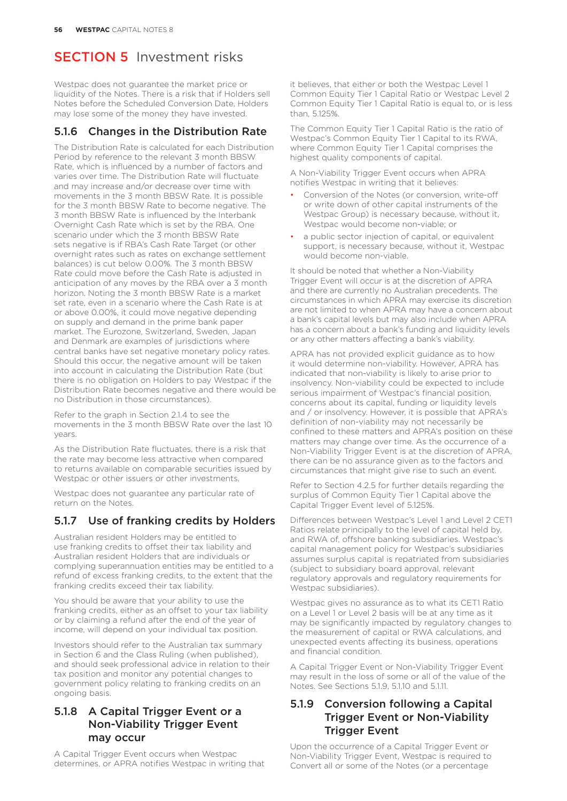Westpac does not guarantee the market price or liquidity of the Notes. There is a risk that if Holders sell Notes before the Scheduled Conversion Date, Holders may lose some of the money they have invested.

## 5.1.6 Changes in the Distribution Rate

The Distribution Rate is calculated for each Distribution Period by reference to the relevant 3 month BBSW Rate, which is influenced by a number of factors and varies over time. The Distribution Rate will fluctuate and may increase and/or decrease over time with movements in the 3 month BBSW Rate. It is possible for the 3 month BBSW Rate to become negative. The 3 month BBSW Rate is influenced by the Interbank Overnight Cash Rate which is set by the RBA. One scenario under which the 3 month BBSW Rate sets negative is if RBA's Cash Rate Target (or other overnight rates such as rates on exchange settlement balances) is cut below 0.00%. The 3 month BBSW Rate could move before the Cash Rate is adjusted in anticipation of any moves by the RBA over a 3 month horizon. Noting the 3 month BBSW Rate is a market set rate, even in a scenario where the Cash Rate is at or above 0.00%, it could move negative depending on supply and demand in the prime bank paper market. The Eurozone, Switzerland, Sweden, Japan and Denmark are examples of jurisdictions where central banks have set negative monetary policy rates. Should this occur, the negative amount will be taken into account in calculating the Distribution Rate (but there is no obligation on Holders to pay Westpac if the Distribution Rate becomes negative and there would be no Distribution in those circumstances).

Refer to the graph in Section 2.1.4 to see the movements in the 3 month BBSW Rate over the last 10 years.

As the Distribution Rate fluctuates, there is a risk that the rate may become less attractive when compared to returns available on comparable securities issued by Westpac or other issuers or other investments.

Westpac does not guarantee any particular rate of return on the Notes.

## 5.1.7 Use of franking credits by Holders

Australian resident Holders may be entitled to use franking credits to offset their tax liability and Australian resident Holders that are individuals or complying superannuation entities may be entitled to a refund of excess franking credits, to the extent that the franking credits exceed their tax liability.

You should be aware that your ability to use the franking credits, either as an offset to your tax liability or by claiming a refund after the end of the year of income, will depend on your individual tax position.

Investors should refer to the Australian tax summary in Section 6 and the Class Ruling (when published), and should seek professional advice in relation to their tax position and monitor any potential changes to government policy relating to franking credits on an ongoing basis.

## 5.1.8 A Capital Trigger Event or a Non-Viability Trigger Event may occur

A Capital Trigger Event occurs when Westpac determines, or APRA notifies Westpac in writing that

it believes, that either or both the Westpac Level 1 Common Equity Tier 1 Capital Ratio or Westpac Level 2 Common Equity Tier 1 Capital Ratio is equal to, or is less than, 5.125%.

The Common Equity Tier 1 Capital Ratio is the ratio of Westpac's Common Equity Tier 1 Capital to its RWA, where Common Equity Tier 1 Capital comprises the highest quality components of capital.

A Non-Viability Trigger Event occurs when APRA notifies Westpac in writing that it believes:

- Conversion of the Notes (or conversion, write-off or write down of other capital instruments of the Westpac Group) is necessary because, without it, Westpac would become non-viable; or
- a public sector injection of capital, or equivalent support, is necessary because, without it, Westpac would become non-viable.

It should be noted that whether a Non-Viability Trigger Event will occur is at the discretion of APRA and there are currently no Australian precedents. The circumstances in which APRA may exercise its discretion are not limited to when APRA may have a concern about a bank's capital levels but may also include when APRA has a concern about a bank's funding and liquidity levels or any other matters affecting a bank's viability.

APRA has not provided explicit guidance as to how it would determine non-viability. However, APRA has indicated that non-viability is likely to arise prior to insolvency. Non-viability could be expected to include serious impairment of Westpac's financial position, concerns about its capital, funding or liquidity levels and / or insolvency. However, it is possible that APRA's definition of non-viability may not necessarily be confined to these matters and APRA's position on these matters may change over time. As the occurrence of a Non-Viability Trigger Event is at the discretion of APRA, there can be no assurance given as to the factors and circumstances that might give rise to such an event.

Refer to Section 4.2.5 for further details regarding the surplus of Common Equity Tier 1 Capital above the Capital Trigger Event level of 5.125%.

Differences between Westpac's Level 1 and Level 2 CET1 Ratios relate principally to the level of capital held by, and RWA of, offshore banking subsidiaries. Westpac's capital management policy for Westpac's subsidiaries assumes surplus capital is repatriated from subsidiaries (subject to subsidiary board approval, relevant regulatory approvals and regulatory requirements for Westpac subsidiaries).

Westpac gives no assurance as to what its CET1 Ratio on a Level 1 or Level 2 basis will be at any time as it may be significantly impacted by regulatory changes to the measurement of capital or RWA calculations, and unexpected events affecting its business, operations and financial condition.

A Capital Trigger Event or Non-Viability Trigger Event may result in the loss of some or all of the value of the Notes. See Sections 5.1.9, 5.1.10 and 5.1.11.

## 5.1.9 Conversion following a Capital Trigger Event or Non-Viability Trigger Event

Upon the occurrence of a Capital Trigger Event or Non-Viability Trigger Event, Westpac is required to Convert all or some of the Notes (or a percentage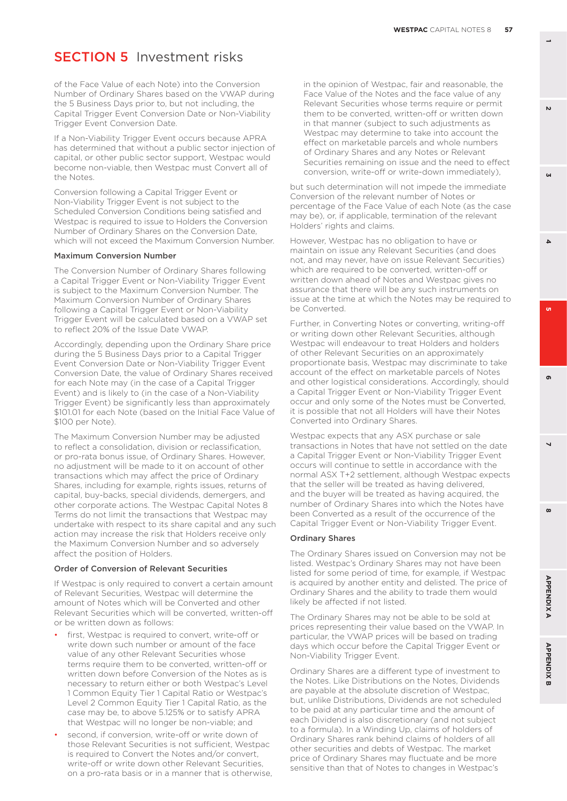of the Face Value of each Note) into the Conversion Number of Ordinary Shares based on the VWAP during the 5 Business Days prior to, but not including, the Capital Trigger Event Conversion Date or Non-Viability Trigger Event Conversion Date.

If a Non-Viability Trigger Event occurs because APRA has determined that without a public sector injection of capital, or other public sector support, Westpac would become non-viable, then Westpac must Convert all of the Notes.

Conversion following a Capital Trigger Event or Non-Viability Trigger Event is not subject to the Scheduled Conversion Conditions being satisfied and Westpac is required to issue to Holders the Conversion Number of Ordinary Shares on the Conversion Date, which will not exceed the Maximum Conversion Number.

#### Maximum Conversion Number

The Conversion Number of Ordinary Shares following a Capital Trigger Event or Non-Viability Trigger Event is subject to the Maximum Conversion Number. The Maximum Conversion Number of Ordinary Shares following a Capital Trigger Event or Non-Viability Trigger Event will be calculated based on a VWAP set to reflect 20% of the Issue Date VWAP.

Accordingly, depending upon the Ordinary Share price during the 5 Business Days prior to a Capital Trigger Event Conversion Date or Non-Viability Trigger Event Conversion Date, the value of Ordinary Shares received for each Note may (in the case of a Capital Trigger Event) and is likely to (in the case of a Non-Viability Trigger Event) be significantly less than approximately \$101.01 for each Note (based on the Initial Face Value of \$100 per Note).

The Maximum Conversion Number may be adjusted to reflect a consolidation, division or reclassification or pro-rata bonus issue, of Ordinary Shares. However, no adjustment will be made to it on account of other transactions which may affect the price of Ordinary Shares, including for example, rights issues, returns of capital, buy-backs, special dividends, demergers, and other corporate actions. The Westpac Capital Notes 8 Terms do not limit the transactions that Westpac may undertake with respect to its share capital and any such action may increase the risk that Holders receive only the Maximum Conversion Number and so adversely affect the position of Holders.

#### Order of Conversion of Relevant Securities

If Westpac is only required to convert a certain amount of Relevant Securities, Westpac will determine the amount of Notes which will be Converted and other Relevant Securities which will be converted, written-off or be written down as follows:

- first. Westpac is required to convert, write-off or write down such number or amount of the face value of any other Relevant Securities whose terms require them to be converted, written-off or written down before Conversion of the Notes as is necessary to return either or both Westpac's Level 1 Common Equity Tier 1 Capital Ratio or Westpac's Level 2 Common Equity Tier 1 Capital Ratio, as the case may be, to above 5.125% or to satisfy APRA that Westpac will no longer be non-viable; and
- second, if conversion, write-off or write down of those Relevant Securities is not sufficient, Westpac is required to Convert the Notes and/or convert, write-off or write down other Relevant Securities, on a pro-rata basis or in a manner that is otherwise,

in the opinion of Westpac, fair and reasonable, the Face Value of the Notes and the face value of any Relevant Securities whose terms require or permit them to be converted, written-off or written down in that manner (subject to such adjustments as Westpac may determine to take into account the effect on marketable parcels and whole numbers of Ordinary Shares and any Notes or Relevant Securities remaining on issue and the need to effect conversion, write-off or write-down immediately),

but such determination will not impede the immediate Conversion of the relevant number of Notes or percentage of the Face Value of each Note (as the case may be), or, if applicable, termination of the relevant Holders' rights and claims.

However, Westpac has no obligation to have or maintain on issue any Relevant Securities (and does not, and may never, have on issue Relevant Securities) which are required to be converted, written-off or written down ahead of Notes and Westpac gives no assurance that there will be any such instruments on issue at the time at which the Notes may be required to be Converted.

Further, in Converting Notes or converting, writing-off or writing down other Relevant Securities, although Westpac will endeavour to treat Holders and holders of other Relevant Securities on an approximately proportionate basis, Westpac may discriminate to take account of the effect on marketable parcels of Notes and other logistical considerations. Accordingly, should a Capital Trigger Event or Non-Viability Trigger Event occur and only some of the Notes must be Converted, it is possible that not all Holders will have their Notes Converted into Ordinary Shares.

Westpac expects that any ASX purchase or sale transactions in Notes that have not settled on the date a Capital Trigger Event or Non-Viability Trigger Event occurs will continue to settle in accordance with the normal ASX T+2 settlement, although Westpac expects that the seller will be treated as having delivered, and the buyer will be treated as having acquired, the number of Ordinary Shares into which the Notes have been Converted as a result of the occurrence of the Capital Trigger Event or Non-Viability Trigger Event.

#### Ordinary Shares

The Ordinary Shares issued on Conversion may not be listed. Westpac's Ordinary Shares may not have been listed for some period of time, for example, if Westpac is acquired by another entity and delisted. The price of Ordinary Shares and the ability to trade them would likely be affected if not listed.

The Ordinary Shares may not be able to be sold at prices representing their value based on the VWAP. In particular, the VWAP prices will be based on trading days which occur before the Capital Trigger Event or Non-Viability Trigger Event.

Ordinary Shares are a different type of investment to the Notes. Like Distributions on the Notes, Dividends are payable at the absolute discretion of Westpac, but, unlike Distributions, Dividends are not scheduled to be paid at any particular time and the amount of each Dividend is also discretionary (and not subject to a formula). In a Winding Up, claims of holders of Ordinary Shares rank behind claims of holders of all other securities and debts of Westpac. The market price of Ordinary Shares may fluctuate and be more sensitive than that of Notes to changes in Westpac's

 $\mathbf{v}$ 

**6 3**

**GN** 

 $\Delta$ 

o.



 $\boldsymbol{\omega}$ 

**APPENDIX B**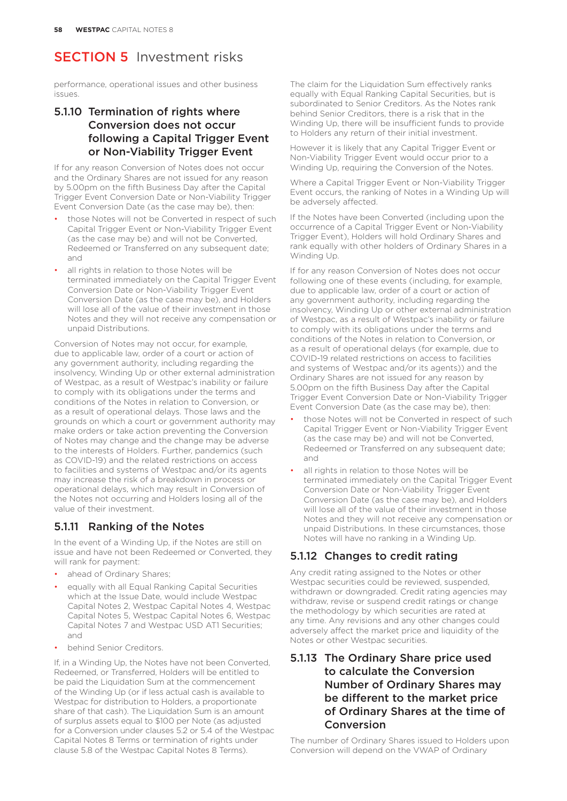performance, operational issues and other business issues.

## 5.1.10 Termination of rights where Conversion does not occur following a Capital Trigger Event or Non-Viability Trigger Event

If for any reason Conversion of Notes does not occur and the Ordinary Shares are not issued for any reason by 5.00pm on the fifth Business Day after the Capital Trigger Event Conversion Date or Non-Viability Trigger Event Conversion Date (as the case may be), then:

- those Notes will not be Converted in respect of such Capital Trigger Event or Non-Viability Trigger Event (as the case may be) and will not be Converted, Redeemed or Transferred on any subsequent date; and
- all rights in relation to those Notes will be terminated immediately on the Capital Trigger Event Conversion Date or Non-Viability Trigger Event Conversion Date (as the case may be), and Holders will lose all of the value of their investment in those Notes and they will not receive any compensation or unpaid Distributions.

Conversion of Notes may not occur, for example, due to applicable law, order of a court or action of any government authority, including regarding the insolvency, Winding Up or other external administration of Westpac, as a result of Westpac's inability or failure to comply with its obligations under the terms and conditions of the Notes in relation to Conversion, or as a result of operational delays. Those laws and the grounds on which a court or government authority may make orders or take action preventing the Conversion of Notes may change and the change may be adverse to the interests of Holders. Further, pandemics (such as COVID-19) and the related restrictions on access to facilities and systems of Westpac and/or its agents may increase the risk of a breakdown in process or operational delays, which may result in Conversion of the Notes not occurring and Holders losing all of the value of their investment.

## 5.1.11 Ranking of the Notes

In the event of a Winding Up, if the Notes are still on issue and have not been Redeemed or Converted, they will rank for payment:

- ahead of Ordinary Shares:
- equally with all Equal Ranking Capital Securities which at the Issue Date, would include Westpac Capital Notes 2, Westpac Capital Notes 4, Westpac Capital Notes 5, Westpac Capital Notes 6, Westpac Capital Notes 7 and Westpac USD AT1 Securities; and
- behind Senior Creditors.

If, in a Winding Up, the Notes have not been Converted, Redeemed, or Transferred, Holders will be entitled to be paid the Liquidation Sum at the commencement of the Winding Up (or if less actual cash is available to Westpac for distribution to Holders, a proportionate share of that cash). The Liquidation Sum is an amount of surplus assets equal to \$100 per Note (as adjusted for a Conversion under clauses 5.2 or 5.4 of the Westpac Capital Notes 8 Terms or termination of rights under clause 5.8 of the Westpac Capital Notes 8 Terms).

The claim for the Liquidation Sum effectively ranks equally with Equal Ranking Capital Securities, but is subordinated to Senior Creditors. As the Notes rank behind Senior Creditors, there is a risk that in the Winding Up, there will be insufficient funds to provide to Holders any return of their initial investment.

However it is likely that any Capital Trigger Event or Non-Viability Trigger Event would occur prior to a Winding Up, requiring the Conversion of the Notes.

Where a Capital Trigger Event or Non-Viability Trigger Event occurs, the ranking of Notes in a Winding Up will be adversely affected.

If the Notes have been Converted (including upon the occurrence of a Capital Trigger Event or Non-Viability Trigger Event), Holders will hold Ordinary Shares and rank equally with other holders of Ordinary Shares in a Winding Up.

If for any reason Conversion of Notes does not occur following one of these events (including, for example, due to applicable law, order of a court or action of any government authority, including regarding the insolvency, Winding Up or other external administration of Westpac, as a result of Westpac's inability or failure to comply with its obligations under the terms and conditions of the Notes in relation to Conversion, or as a result of operational delays (for example, due to COVID-19 related restrictions on access to facilities and systems of Westpac and/or its agents)) and the Ordinary Shares are not issued for any reason by 5.00pm on the fifth Business Day after the Capital Trigger Event Conversion Date or Non-Viability Trigger Event Conversion Date (as the case may be), then:

- those Notes will not be Converted in respect of such Capital Trigger Event or Non-Viability Trigger Event (as the case may be) and will not be Converted, Redeemed or Transferred on any subsequent date; and
- all rights in relation to those Notes will be terminated immediately on the Capital Trigger Event Conversion Date or Non-Viability Trigger Event Conversion Date (as the case may be), and Holders will lose all of the value of their investment in those Notes and they will not receive any compensation or unpaid Distributions. In these circumstances, those Notes will have no ranking in a Winding Up.

## 5.1.12 Changes to credit rating

Any credit rating assigned to the Notes or other Westpac securities could be reviewed, suspended, withdrawn or downgraded. Credit rating agencies may withdraw, revise or suspend credit ratings or change the methodology by which securities are rated at any time. Any revisions and any other changes could adversely affect the market price and liquidity of the Notes or other Westpac securities.

## 5.1.13 The Ordinary Share price used to calculate the Conversion Number of Ordinary Shares may be different to the market price of Ordinary Shares at the time of Conversion

The number of Ordinary Shares issued to Holders upon Conversion will depend on the VWAP of Ordinary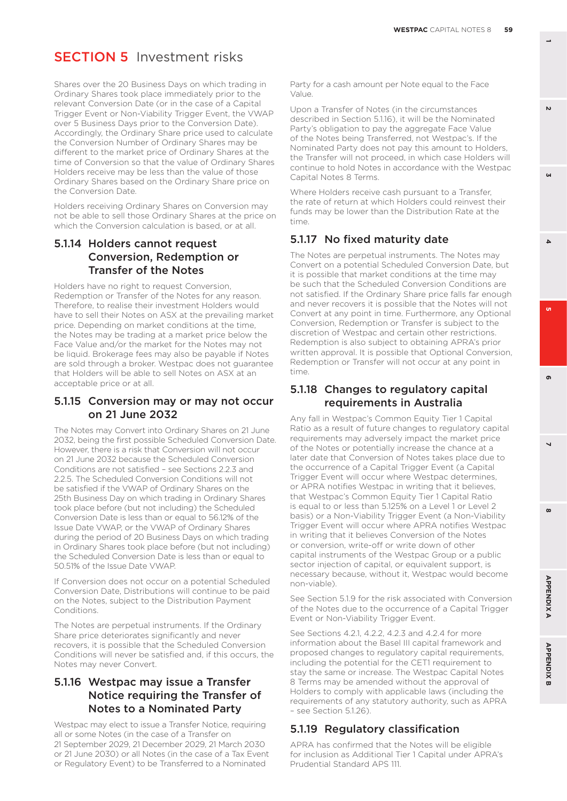**GN** 

**6 3**  $\Delta$ 

o.

# **SECTION 5** Investment risks

Shares over the 20 Business Days on which trading in Ordinary Shares took place immediately prior to the relevant Conversion Date (or in the case of a Capital Trigger Event or Non-Viability Trigger Event, the VWAP over 5 Business Days prior to the Conversion Date). Accordingly, the Ordinary Share price used to calculate the Conversion Number of Ordinary Shares may be different to the market price of Ordinary Shares at the time of Conversion so that the value of Ordinary Shares Holders receive may be less than the value of those Ordinary Shares based on the Ordinary Share price on the Conversion Date.

Holders receiving Ordinary Shares on Conversion may not be able to sell those Ordinary Shares at the price on which the Conversion calculation is based, or at all.

#### 5.1.14 Holders cannot request Conversion, Redemption or Transfer of the Notes

Holders have no right to request Conversion, Redemption or Transfer of the Notes for any reason. Therefore, to realise their investment Holders would have to sell their Notes on ASX at the prevailing market price. Depending on market conditions at the time, the Notes may be trading at a market price below the Face Value and/or the market for the Notes may not be liquid. Brokerage fees may also be payable if Notes are sold through a broker. Westpac does not guarantee that Holders will be able to sell Notes on ASX at an acceptable price or at all.

#### 5.1.15 Conversion may or may not occur on 21 June 2032

The Notes may Convert into Ordinary Shares on 21 June 2032, being the first possible Scheduled Conversion Date. However, there is a risk that Conversion will not occur on 21 June 2032 because the Scheduled Conversion Conditions are not satisfied – see Sections 2.2.3 and 2.2.5. The Scheduled Conversion Conditions will not be satisfied if the VWAP of Ordinary Shares on the 25th Business Day on which trading in Ordinary Shares took place before (but not including) the Scheduled Conversion Date is less than or equal to 56.12% of the Issue Date VWAP, or the VWAP of Ordinary Shares during the period of 20 Business Days on which trading in Ordinary Shares took place before (but not including) the Scheduled Conversion Date is less than or equal to 50.51% of the Issue Date VWAP.

If Conversion does not occur on a potential Scheduled Conversion Date, Distributions will continue to be paid on the Notes, subject to the Distribution Payment Conditions.

The Notes are perpetual instruments. If the Ordinary Share price deteriorates significantly and never recovers, it is possible that the Scheduled Conversion Conditions will never be satisfied and, if this occurs, the Notes may never Convert.

#### 5.1.16 Westpac may issue a Transfer Notice requiring the Transfer of Notes to a Nominated Party

Westpac may elect to issue a Transfer Notice, requiring all or some Notes (in the case of a Transfer on 21 September 2029, 21 December 2029, 21 March 2030 or 21 June 2030) or all Notes (in the case of a Tax Event or Regulatory Event) to be Transferred to a Nominated

Party for a cash amount per Note equal to the Face Value.

Upon a Transfer of Notes (in the circumstances described in Section 5.1.16), it will be the Nominated Party's obligation to pay the aggregate Face Value of the Notes being Transferred, not Westpac's. If the Nominated Party does not pay this amount to Holders, the Transfer will not proceed, in which case Holders will continue to hold Notes in accordance with the Westpac Capital Notes 8 Terms.

Where Holders receive cash pursuant to a Transfer, the rate of return at which Holders could reinvest their funds may be lower than the Distribution Rate at the time.

## 5.1.17 No fixed maturity date

The Notes are perpetual instruments. The Notes may Convert on a potential Scheduled Conversion Date, but it is possible that market conditions at the time may be such that the Scheduled Conversion Conditions are not satisfied. If the Ordinary Share price falls far enough and never recovers it is possible that the Notes will not Convert at any point in time. Furthermore, any Optional Conversion, Redemption or Transfer is subject to the discretion of Westpac and certain other restrictions. Redemption is also subject to obtaining APRA's prior written approval. It is possible that Optional Conversion, Redemption or Transfer will not occur at any point in time.

## 5.1.18 Changes to regulatory capital requirements in Australia

Any fall in Westpac's Common Equity Tier 1 Capital Ratio as a result of future changes to regulatory capital requirements may adversely impact the market price of the Notes or potentially increase the chance at a later date that Conversion of Notes takes place due to the occurrence of a Capital Trigger Event (a Capital Trigger Event will occur where Westpac determines, or APRA notifies Westpac in writing that it believes, that Westpac's Common Equity Tier 1 Capital Ratio is equal to or less than 5.125% on a Level 1 or Level 2 basis) or a Non-Viability Trigger Event (a Non-Viability Trigger Event will occur where APRA notifies Westpac in writing that it believes Conversion of the Notes or conversion, write-off or write down of other capital instruments of the Westpac Group or a public sector injection of capital, or equivalent support, is necessary because, without it, Westpac would become non-viable).

See Section 5.1.9 for the risk associated with Conversion of the Notes due to the occurrence of a Capital Trigger Event or Non-Viability Trigger Event.

See Sections 4.2.1, 4.2.2, 4.2.3 and 4.2.4 for more information about the Basel III capital framework and proposed changes to regulatory capital requirements, including the potential for the CET1 requirement to stay the same or increase. The Westpac Capital Notes 8 Terms may be amended without the approval of Holders to comply with applicable laws (including the requirements of any statutory authority, such as APRA – see Section 5.1.26).

## 5.1.19 Regulatory classification

APRA has confirmed that the Notes will be eligible for inclusion as Additional Tier 1 Capital under APRA's Prudential Standard APS 111.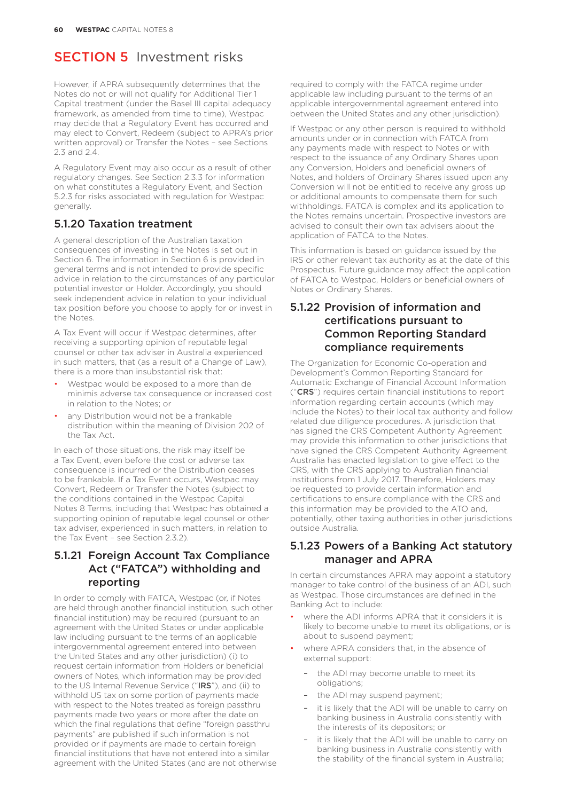However, if APRA subsequently determines that the Notes do not or will not qualify for Additional Tier 1 Capital treatment (under the Basel III capital adequacy framework, as amended from time to time), Westpac may decide that a Regulatory Event has occurred and may elect to Convert, Redeem (subject to APRA's prior written approval) or Transfer the Notes – see Sections 2.3 and 2.4.

A Regulatory Event may also occur as a result of other regulatory changes. See Section 2.3.3 for information on what constitutes a Regulatory Event, and Section 5.2.3 for risks associated with regulation for Westpac generally.

#### 5.1.20 Taxation treatment

A general description of the Australian taxation consequences of investing in the Notes is set out in Section 6. The information in Section 6 is provided in general terms and is not intended to provide specific advice in relation to the circumstances of any particular potential investor or Holder. Accordingly, you should seek independent advice in relation to your individual tax position before you choose to apply for or invest in the Notes.

A Tax Event will occur if Westpac determines, after receiving a supporting opinion of reputable legal counsel or other tax adviser in Australia experienced in such matters, that (as a result of a Change of Law), there is a more than insubstantial risk that:

- Westpac would be exposed to a more than de minimis adverse tax consequence or increased cost in relation to the Notes; or
- any Distribution would not be a frankable distribution within the meaning of Division 202 of the Tax Act.

In each of those situations, the risk may itself be a Tax Event, even before the cost or adverse tax consequence is incurred or the Distribution ceases to be frankable. If a Tax Event occurs, Westpac may Convert, Redeem or Transfer the Notes (subject to the conditions contained in the Westpac Capital Notes 8 Terms, including that Westpac has obtained a supporting opinion of reputable legal counsel or other tax adviser, experienced in such matters, in relation to the Tax Event – see Section 2.3.2).

## 5.1.21 Foreign Account Tax Compliance Act ("FATCA") withholding and reporting

In order to comply with FATCA, Westpac (or, if Notes are held through another financial institution, such other financial institution) may be required (pursuant to an agreement with the United States or under applicable law including pursuant to the terms of an applicable intergovernmental agreement entered into between the United States and any other jurisdiction) (i) to request certain information from Holders or beneficial owners of Notes, which information may be provided to the US Internal Revenue Service ("IRS"), and (ii) to withhold US tax on some portion of payments made with respect to the Notes treated as foreign passthru payments made two years or more after the date on which the final regulations that define "foreign passthru payments" are published if such information is not provided or if payments are made to certain foreign financial institutions that have not entered into a similar agreement with the United States (and are not otherwise

required to comply with the FATCA regime under applicable law including pursuant to the terms of an applicable intergovernmental agreement entered into between the United States and any other jurisdiction).

If Westpac or any other person is required to withhold amounts under or in connection with FATCA from any payments made with respect to Notes or with respect to the issuance of any Ordinary Shares upon any Conversion, Holders and beneficial owners of Notes, and holders of Ordinary Shares issued upon any Conversion will not be entitled to receive any gross up or additional amounts to compensate them for such withholdings. FATCA is complex and its application to the Notes remains uncertain. Prospective investors are advised to consult their own tax advisers about the application of FATCA to the Notes.

This information is based on guidance issued by the IRS or other relevant tax authority as at the date of this Prospectus. Future guidance may affect the application of FATCA to Westpac, Holders or beneficial owners of Notes or Ordinary Shares.

### 5.1.22 Provision of information and certifications pursuant to Common Reporting Standard compliance requirements

The Organization for Economic Co-operation and Development's Common Reporting Standard for Automatic Exchange of Financial Account Information ("CRS") requires certain financial institutions to report information regarding certain accounts (which may include the Notes) to their local tax authority and follow related due diligence procedures. A jurisdiction that has signed the CRS Competent Authority Agreement may provide this information to other jurisdictions that have signed the CRS Competent Authority Agreement. Australia has enacted legislation to give effect to the CRS, with the CRS applying to Australian financial institutions from 1 July 2017. Therefore, Holders may be requested to provide certain information and certifications to ensure compliance with the CRS and this information may be provided to the ATO and, potentially, other taxing authorities in other jurisdictions outside Australia.

#### 5.1.23 Powers of a Banking Act statutory manager and APRA

In certain circumstances APRA may appoint a statutory manager to take control of the business of an ADI, such as Westpac. Those circumstances are defined in the Banking Act to include:

- where the ADI informs APRA that it considers it is likely to become unable to meet its obligations, or is about to suspend payment;
- where APRA considers that, in the absence of external support:
	- the ADI may become unable to meet its obligations;
	- the ADI may suspend payment;
	- it is likely that the ADI will be unable to carry on banking business in Australia consistently with the interests of its depositors; or
	- it is likely that the ADI will be unable to carry on banking business in Australia consistently with the stability of the financial system in Australia;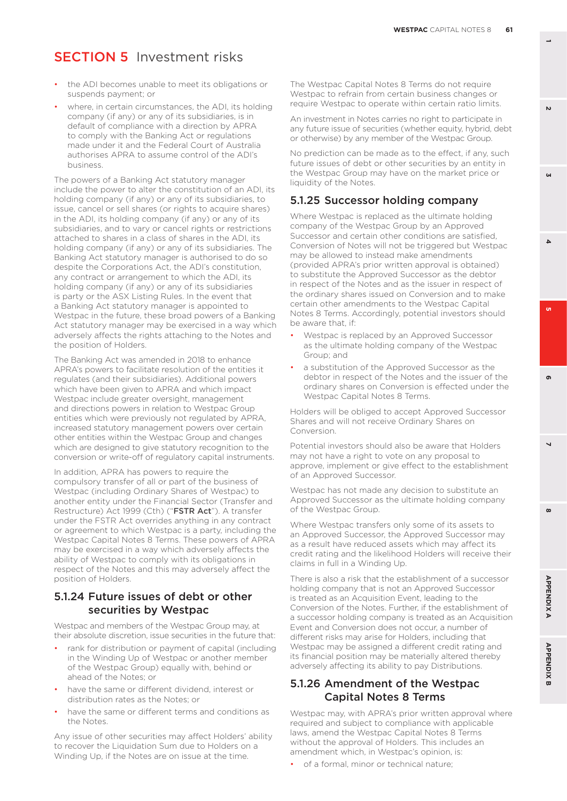- the ADI becomes unable to meet its obligations or suspends payment; or
- where, in certain circumstances, the ADI, its holding company (if any) or any of its subsidiaries, is in default of compliance with a direction by APRA to comply with the Banking Act or regulations made under it and the Federal Court of Australia authorises APRA to assume control of the ADI's business.

The powers of a Banking Act statutory manager include the power to alter the constitution of an ADI, its holding company (if any) or any of its subsidiaries, to issue, cancel or sell shares (or rights to acquire shares) in the ADI, its holding company (if any) or any of its subsidiaries, and to vary or cancel rights or restrictions attached to shares in a class of shares in the ADI, its holding company (if any) or any of its subsidiaries. The Banking Act statutory manager is authorised to do so despite the Corporations Act, the ADI's constitution, any contract or arrangement to which the ADI, its holding company (if any) or any of its subsidiaries is party or the ASX Listing Rules. In the event that a Banking Act statutory manager is appointed to Westpac in the future, these broad powers of a Banking Act statutory manager may be exercised in a way which adversely affects the rights attaching to the Notes and the position of Holders.

The Banking Act was amended in 2018 to enhance APRA's powers to facilitate resolution of the entities it regulates (and their subsidiaries). Additional powers which have been given to APRA and which impact Westpac include greater oversight, management and directions powers in relation to Westpac Group entities which were previously not regulated by APRA, increased statutory management powers over certain other entities within the Westpac Group and changes which are designed to give statutory recognition to the conversion or write-off of regulatory capital instruments.

In addition, APRA has powers to require the compulsory transfer of all or part of the business of Westpac (including Ordinary Shares of Westpac) to another entity under the Financial Sector (Transfer and Restructure) Act 1999 (Cth) ("FSTR Act"). A transfer under the FSTR Act overrides anything in any contract or agreement to which Westpac is a party, including the Westpac Capital Notes 8 Terms. These powers of APRA may be exercised in a way which adversely affects the ability of Westpac to comply with its obligations in respect of the Notes and this may adversely affect the position of Holders.

#### 5.1.24 Future issues of debt or other securities by Westpac

Westpac and members of the Westpac Group may, at their absolute discretion, issue securities in the future that:

- rank for distribution or payment of capital (including in the Winding Up of Westpac or another member of the Westpac Group) equally with, behind or ahead of the Notes; or
- have the same or different dividend, interest or distribution rates as the Notes; or
- have the same or different terms and conditions as the Notes.

Any issue of other securities may affect Holders' ability to recover the Liquidation Sum due to Holders on a Winding Up, if the Notes are on issue at the time.

The Westpac Capital Notes 8 Terms do not require Westpac to refrain from certain business changes or require Westpac to operate within certain ratio limits.

An investment in Notes carries no right to participate in any future issue of securities (whether equity, hybrid, debt or otherwise) by any member of the Westpac Group.

No prediction can be made as to the effect, if any, such future issues of debt or other securities by an entity in the Westpac Group may have on the market price or liquidity of the Notes.

#### 5.1.25 Successor holding company

Where Westpac is replaced as the ultimate holding company of the Westpac Group by an Approved Successor and certain other conditions are satisfied, Conversion of Notes will not be triggered but Westpac may be allowed to instead make amendments (provided APRA's prior written approval is obtained) to substitute the Approved Successor as the debtor in respect of the Notes and as the issuer in respect of the ordinary shares issued on Conversion and to make certain other amendments to the Westpac Capital Notes 8 Terms. Accordingly, potential investors should be aware that, if:

- Westpac is replaced by an Approved Successor as the ultimate holding company of the Westpac Group; and
- a substitution of the Approved Successor as the debtor in respect of the Notes and the issuer of the ordinary shares on Conversion is effected under the Westpac Capital Notes 8 Terms.

Holders will be obliged to accept Approved Successor Shares and will not receive Ordinary Shares on Conversion.

Potential investors should also be aware that Holders may not have a right to vote on any proposal to approve, implement or give effect to the establishment of an Approved Successor.

Westpac has not made any decision to substitute an Approved Successor as the ultimate holding company of the Westpac Group.

Where Westpac transfers only some of its assets to an Approved Successor, the Approved Successor may as a result have reduced assets which may affect its credit rating and the likelihood Holders will receive their claims in full in a Winding Up.

There is also a risk that the establishment of a successor holding company that is not an Approved Successor is treated as an Acquisition Event, leading to the Conversion of the Notes. Further, if the establishment of a successor holding company is treated as an Acquisition Event and Conversion does not occur, a number of different risks may arise for Holders, including that Westpac may be assigned a different credit rating and its financial position may be materially altered thereby adversely affecting its ability to pay Distributions.

#### 5.1.26 Amendment of the Westpac Capital Notes 8 Terms

Westpac may, with APRA's prior written approval where required and subject to compliance with applicable laws, amend the Westpac Capital Notes 8 Terms without the approval of Holders. This includes an amendment which, in Westpac's opinion, is:

• of a formal, minor or technical nature;

 $\mathbf{v}$ 

**GN** 

**6 3**

o.

 $\Delta$ 

**8 5**

 $\overline{\phantom{0}}$ 

 $\boldsymbol{\omega}$ 

൶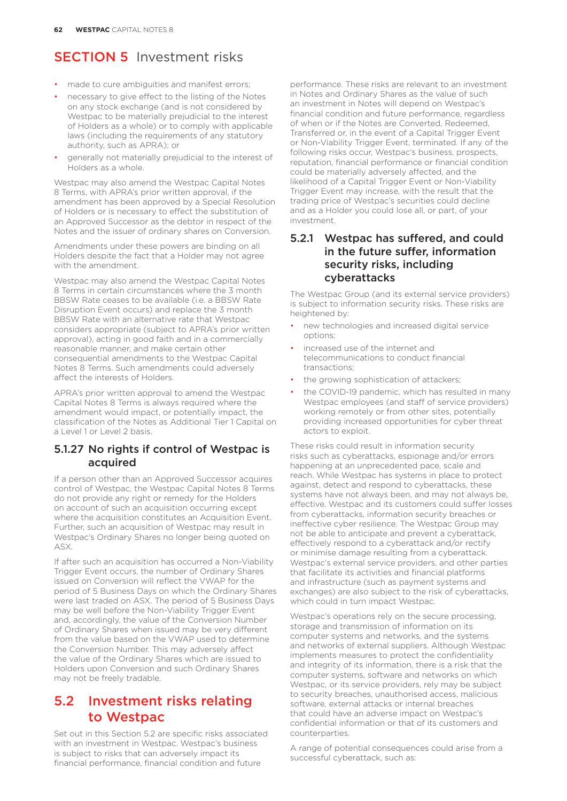- made to cure ambiguities and manifest errors;
- necessary to give effect to the listing of the Notes on any stock exchange (and is not considered by Westpac to be materially prejudicial to the interest of Holders as a whole) or to comply with applicable laws (including the requirements of any statutory authority, such as APRA); or
- generally not materially prejudicial to the interest of Holders as a whole.

Westpac may also amend the Westpac Capital Notes 8 Terms, with APRA's prior written approval, if the amendment has been approved by a Special Resolution of Holders or is necessary to effect the substitution of an Approved Successor as the debtor in respect of the Notes and the issuer of ordinary shares on Conversion.

Amendments under these powers are binding on all Holders despite the fact that a Holder may not agree with the amendment.

Westpac may also amend the Westpac Capital Notes 8 Terms in certain circumstances where the 3 month BBSW Rate ceases to be available (i.e. a BBSW Rate Disruption Event occurs) and replace the 3 month BBSW Rate with an alternative rate that Westpac considers appropriate (subject to APRA's prior written approval), acting in good faith and in a commercially reasonable manner, and make certain other consequential amendments to the Westpac Capital Notes 8 Terms. Such amendments could adversely affect the interests of Holders.

APRA's prior written approval to amend the Westpac Capital Notes 8 Terms is always required where the amendment would impact, or potentially impact, the classification of the Notes as Additional Tier 1 Capital on a Level 1 or Level 2 basis.

#### 5.1.27 No rights if control of Westpac is acquired

If a person other than an Approved Successor acquires control of Westpac, the Westpac Capital Notes 8 Terms do not provide any right or remedy for the Holders on account of such an acquisition occurring except where the acquisition constitutes an Acquisition Event. Further, such an acquisition of Westpac may result in Westpac's Ordinary Shares no longer being quoted on ASX.

If after such an acquisition has occurred a Non-Viability Trigger Event occurs, the number of Ordinary Shares issued on Conversion will reflect the VWAP for the period of 5 Business Days on which the Ordinary Shares were last traded on ASX. The period of 5 Business Days may be well before the Non-Viability Trigger Event and, accordingly, the value of the Conversion Number of Ordinary Shares when issued may be very different from the value based on the VWAP used to determine the Conversion Number. This may adversely affect the value of the Ordinary Shares which are issued to Holders upon Conversion and such Ordinary Shares may not be freely tradable.

## 5.2 Investment risks relating to Westpac

Set out in this Section 5.2 are specific risks associated with an investment in Westpac. Westpac's business is subject to risks that can adversely impact its financial performance, financial condition and future

performance. These risks are relevant to an investment in Notes and Ordinary Shares as the value of such an investment in Notes will depend on Westpac's financial condition and future performance, regardless of when or if the Notes are Converted, Redeemed, Transferred or, in the event of a Capital Trigger Event or Non-Viability Trigger Event, terminated. If any of the following risks occur, Westpac's business, prospects, reputation, financial performance or financial condition could be materially adversely affected, and the likelihood of a Capital Trigger Event or Non-Viability Trigger Event may increase, with the result that the trading price of Westpac's securities could decline and as a Holder you could lose all, or part, of your investment.

#### 5.2.1 Westpac has suffered, and could in the future suffer, information security risks, including cyberattacks

The Westpac Group (and its external service providers) is subject to information security risks. These risks are heightened by:

- new technologies and increased digital service options;
- increased use of the internet and telecommunications to conduct financial transactions;
- the growing sophistication of attackers;
- the COVID-19 pandemic, which has resulted in many Westpac employees (and staff of service providers) working remotely or from other sites, potentially providing increased opportunities for cyber threat actors to exploit.

These risks could result in information security risks such as cyberattacks, espionage and/or errors happening at an unprecedented pace, scale and reach. While Westpac has systems in place to protect against, detect and respond to cyberattacks, these systems have not always been, and may not always be, effective. Westpac and its customers could suffer losses from cyberattacks, information security breaches or ineffective cyber resilience. The Westpac Group may not be able to anticipate and prevent a cyberattack, effectively respond to a cyberattack and/or rectify or minimise damage resulting from a cyberattack. Westpac's external service providers, and other parties that facilitate its activities and financial platforms and infrastructure (such as payment systems and exchanges) are also subject to the risk of cyberattacks, which could in turn impact Westpac.

Westpac's operations rely on the secure processing, storage and transmission of information on its computer systems and networks, and the systems and networks of external suppliers. Although Westpac implements measures to protect the confidentiality and integrity of its information, there is a risk that the computer systems, software and networks on which Westpac, or its service providers, rely may be subject to security breaches, unauthorised access, malicious software, external attacks or internal breaches that could have an adverse impact on Westpac's confidential information or that of its customers and counterparties.

A range of potential consequences could arise from a successful cyberattack, such as: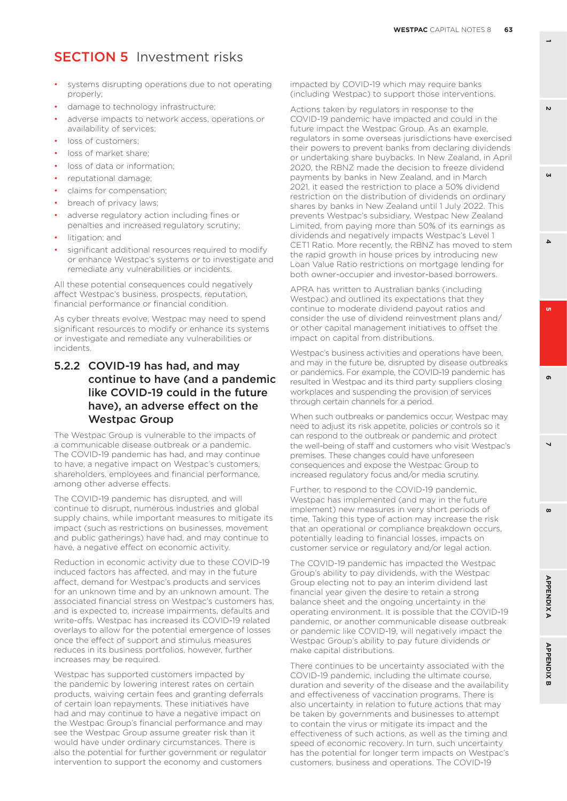- systems disrupting operations due to not operating properly;
- damage to technology infrastructure;
- adverse impacts to network access, operations or availability of services;
- loss of customers;
- loss of market share;
- loss of data or information:
- reputational damage;
- claims for compensation;
- breach of privacy laws;
- adverse regulatory action including fines or penalties and increased regulatory scrutiny;
- litigation; and
- significant additional resources required to modify or enhance Westpac's systems or to investigate and remediate any vulnerabilities or incidents.

All these potential consequences could negatively affect Westpac's business, prospects, reputation, financial performance or financial condition.

As cyber threats evolve, Westpac may need to spend significant resources to modify or enhance its systems or investigate and remediate any vulnerabilities or incidents.

### 5.2.2 COVID-19 has had, and may continue to have (and a pandemic like COVID-19 could in the future have), an adverse effect on the Westpac Group

The Westpac Group is vulnerable to the impacts of a communicable disease outbreak or a pandemic. The COVID-19 pandemic has had, and may continue to have, a negative impact on Westpac's customers, shareholders, employees and financial performance, among other adverse effects.

The COVID-19 pandemic has disrupted, and will continue to disrupt, numerous industries and global supply chains, while important measures to mitigate its impact (such as restrictions on businesses, movement and public gatherings) have had, and may continue to have, a negative effect on economic activity.

Reduction in economic activity due to these COVID-19 induced factors has affected, and may in the future affect, demand for Westpac's products and services for an unknown time and by an unknown amount. The associated financial stress on Westpac's customers has, and is expected to, increase impairments, defaults and write-offs. Westpac has increased its COVID-19 related overlays to allow for the potential emergence of losses once the effect of support and stimulus measures reduces in its business portfolios, however, further increases may be required.

Westpac has supported customers impacted by the pandemic by lowering interest rates on certain products, waiving certain fees and granting deferrals of certain loan repayments. These initiatives have had and may continue to have a negative impact on the Westpac Group's financial performance and may see the Westpac Group assume greater risk than it would have under ordinary circumstances. There is also the potential for further government or regulator intervention to support the economy and customers

impacted by COVID-19 which may require banks (including Westpac) to support those interventions.

Actions taken by regulators in response to the COVID-19 pandemic have impacted and could in the future impact the Westpac Group. As an example, regulators in some overseas jurisdictions have exercised their powers to prevent banks from declaring dividends or undertaking share buybacks. In New Zealand, in April 2020, the RBNZ made the decision to freeze dividend payments by banks in New Zealand, and in March 2021, it eased the restriction to place a 50% dividend restriction on the distribution of dividends on ordinary shares by banks in New Zealand until 1 July 2022. This prevents Westpac's subsidiary, Westpac New Zealand Limited, from paying more than 50% of its earnings as dividends and negatively impacts Westpac's Level 1 CET1 Ratio. More recently, the RBNZ has moved to stem the rapid growth in house prices by introducing new Loan Value Ratio restrictions on mortgage lending for both owner-occupier and investor-based borrowers.

APRA has written to Australian banks (including Westpac) and outlined its expectations that they continue to moderate dividend payout ratios and consider the use of dividend reinvestment plans and/ or other capital management initiatives to offset the impact on capital from distributions.

Westpac's business activities and operations have been. and may in the future be, disrupted by disease outbreaks or pandemics. For example, the COVID-19 pandemic has resulted in Westpac and its third party suppliers closing workplaces and suspending the provision of services through certain channels for a period.

When such outbreaks or pandemics occur, Westpac may need to adjust its risk appetite, policies or controls so it can respond to the outbreak or pandemic and protect the well-being of staff and customers who visit Westpac's premises. These changes could have unforeseen consequences and expose the Westpac Group to increased regulatory focus and/or media scrutiny.

Further, to respond to the COVID-19 pandemic, Westpac has implemented (and may in the future implement) new measures in very short periods of time. Taking this type of action may increase the risk that an operational or compliance breakdown occurs, potentially leading to financial losses, impacts on customer service or regulatory and/or legal action.

The COVID-19 pandemic has impacted the Westpac Group's ability to pay dividends, with the Westpac Group electing not to pay an interim dividend last financial year given the desire to retain a strong balance sheet and the ongoing uncertainty in the operating environment. It is possible that the COVID-19 pandemic, or another communicable disease outbreak or pandemic like COVID-19, will negatively impact the Westpac Group's ability to pay future dividends or make capital distributions.

There continues to be uncertainty associated with the COVID-19 pandemic, including the ultimate course, duration and severity of the disease and the availability and effectiveness of vaccination programs. There is also uncertainty in relation to future actions that may be taken by governments and businesses to attempt to contain the virus or mitigate its impact and the effectiveness of such actions, as well as the timing and speed of economic recovery. In turn, such uncertainty has the potential for longer term impacts on Westpac's customers, business and operations. The COVID-19

**1**

 $\mathbf{v}$ 

**GN** 

**6 3**

o.

 $\Delta$ 

**8 5**

 $\overline{\phantom{0}}$ 

 $\boldsymbol{\omega}$ 

ക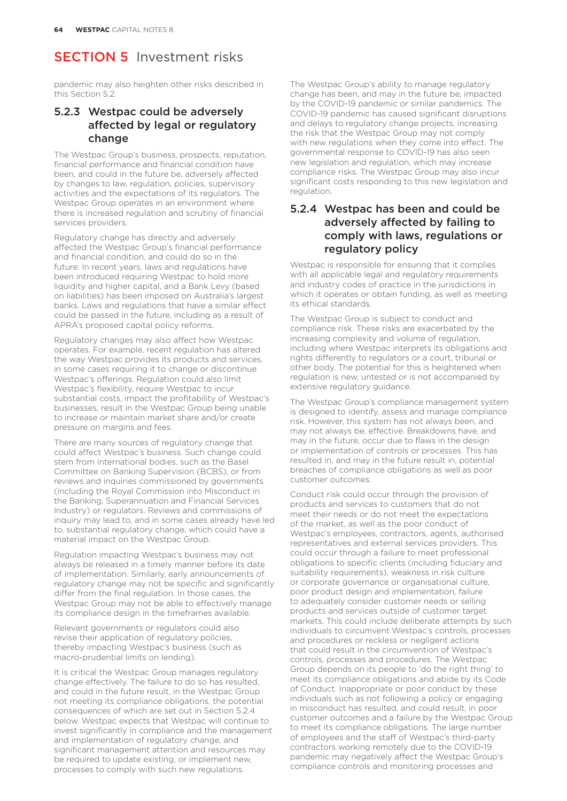pandemic may also heighten other risks described in this Section 5.2.

## 5.2.3 Westpac could be adversely affected by legal or regulatory change

The Westpac Group's business, prospects, reputation, financial performance and financial condition have been, and could in the future be, adversely affected by changes to law, regulation, policies, supervisory activities and the expectations of its regulators. The Westpac Group operates in an environment where there is increased regulation and scrutiny of financial services providers.

Regulatory change has directly and adversely affected the Westpac Group's financial performance and financial condition, and could do so in the future. In recent years, laws and regulations have been introduced requiring Westpac to hold more liquidity and higher capital, and a Bank Levy (based on liabilities) has been imposed on Australia's largest banks. Laws and regulations that have a similar effect could be passed in the future, including as a result of APRA's proposed capital policy reforms.

Regulatory changes may also affect how Westpac operates. For example, recent regulation has altered the way Westpac provides its products and services, in some cases requiring it to change or discontinue Westpac's offerings. Regulation could also limit Westpac's flexibility, require Westpac to incur substantial costs, impact the profitability of Westpac's businesses, result in the Westpac Group being unable to increase or maintain market share and/or create pressure on margins and fees.

There are many sources of regulatory change that could affect Westpac's business. Such change could stem from international bodies, such as the Basel Committee on Banking Supervision (BCBS), or from reviews and inquiries commissioned by governments (including the Royal Commission into Misconduct in the Banking, Superannuation and Financial Services Industry) or regulators. Reviews and commissions of inquiry may lead to, and in some cases already have led to, substantial regulatory change, which could have a material impact on the Westpac Group.

Regulation impacting Westpac's business may not always be released in a timely manner before its date of implementation. Similarly, early announcements of regulatory change may not be specific and significantly differ from the final regulation. In those cases, the Westpac Group may not be able to effectively manage its compliance design in the timeframes available.

Relevant governments or regulators could also revise their application of regulatory policies, thereby impacting Westpac's business (such as macro-prudential limits on lending).

It is critical the Westpac Group manages regulatory change effectively. The failure to do so has resulted, and could in the future result, in the Westpac Group not meeting its compliance obligations, the potential consequences of which are set out in Section 5.2.4 below. Westpac expects that Westpac will continue to invest significantly in compliance and the management and implementation of regulatory change, and significant management attention and resources may be required to update existing, or implement new, processes to comply with such new regulations.

The Westpac Group's ability to manage regulatory change has been, and may in the future be, impacted by the COVID-19 pandemic or similar pandemics. The COVID-19 pandemic has caused significant disruptions and delays to regulatory change projects, increasing the risk that the Westpac Group may not comply with new regulations when they come into effect. The governmental response to COVID-19 has also seen new legislation and regulation, which may increase compliance risks. The Westpac Group may also incur significant costs responding to this new legislation and regulation.

#### 5.2.4 Westpac has been and could be adversely affected by failing to comply with laws, regulations or regulatory policy

Westpac is responsible for ensuring that it complies with all applicable legal and regulatory requirements and industry codes of practice in the jurisdictions in which it operates or obtain funding, as well as meeting its ethical standards.

The Westpac Group is subject to conduct and compliance risk. These risks are exacerbated by the increasing complexity and volume of regulation, including where Westpac interprets its obligations and rights differently to regulators or a court, tribunal or other body. The potential for this is heightened when regulation is new, untested or is not accompanied by extensive regulatory guidance.

The Westpac Group's compliance management system is designed to identify, assess and manage compliance risk. However, this system has not always been, and may not always be, effective. Breakdowns have, and may in the future, occur due to flaws in the design or implementation of controls or processes. This has resulted in, and may in the future result in, potential breaches of compliance obligations as well as poor customer outcomes.

Conduct risk could occur through the provision of products and services to customers that do not meet their needs or do not meet the expectations of the market, as well as the poor conduct of Westpac's employees, contractors, agents, authorised representatives and external services providers. This could occur through a failure to meet professional obligations to specific clients (including fiduciary and suitability requirements), weakness in risk culture or corporate governance or organisational culture, poor product design and implementation, failure to adequately consider customer needs or selling products and services outside of customer target markets. This could include deliberate attempts by such individuals to circumvent Westpac's controls, processes and procedures or reckless or negligent actions that could result in the circumvention of Westpac's controls, processes and procedures. The Westpac Group depends on its people to 'do the right thing' to meet its compliance obligations and abide by its Code of Conduct. Inappropriate or poor conduct by these individuals such as not following a policy or engaging in misconduct has resulted, and could result, in poor customer outcomes and a failure by the Westpac Group to meet its compliance obligations. The large number of employees and the staff of Westpac's third-party contractors working remotely due to the COVID-19 pandemic may negatively affect the Westpac Group's compliance controls and monitoring processes and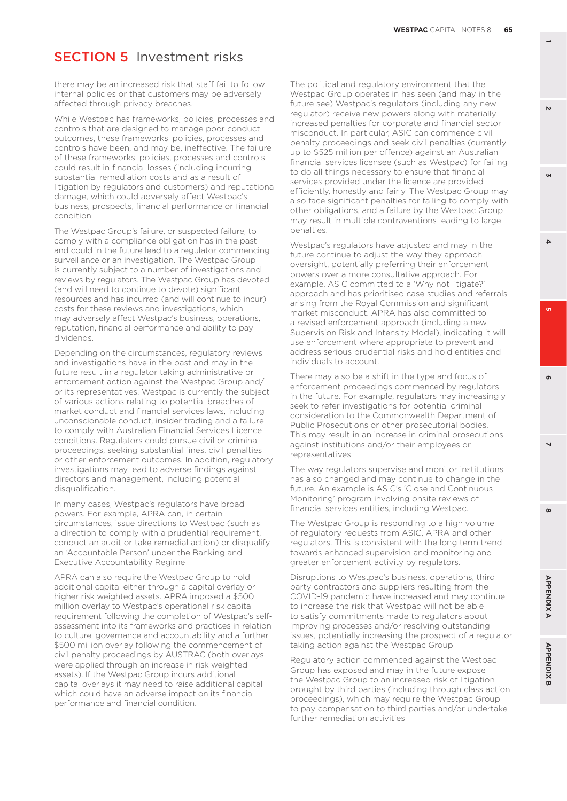there may be an increased risk that staff fail to follow internal policies or that customers may be adversely affected through privacy breaches.

While Westpac has frameworks, policies, processes and controls that are designed to manage poor conduct outcomes, these frameworks, policies, processes and controls have been, and may be, ineffective. The failure of these frameworks, policies, processes and controls could result in financial losses (including incurring substantial remediation costs and as a result of litigation by regulators and customers) and reputational damage, which could adversely affect Westpac's business, prospects, financial performance or financial condition.

The Westpac Group's failure, or suspected failure, to comply with a compliance obligation has in the past and could in the future lead to a regulator commencing surveillance or an investigation. The Westpac Group is currently subject to a number of investigations and reviews by regulators. The Westpac Group has devoted (and will need to continue to devote) significant resources and has incurred (and will continue to incur) costs for these reviews and investigations, which may adversely affect Westpac's business, operations, reputation, financial performance and ability to pay dividends.

Depending on the circumstances, regulatory reviews and investigations have in the past and may in the future result in a regulator taking administrative or enforcement action against the Westpac Group and/ or its representatives. Westpac is currently the subject of various actions relating to potential breaches of market conduct and financial services laws, including unconscionable conduct, insider trading and a failure to comply with Australian Financial Services Licence conditions. Regulators could pursue civil or criminal proceedings, seeking substantial fines, civil penalties or other enforcement outcomes. In addition, regulatory investigations may lead to adverse findings against directors and management, including potential disqualification.

In many cases, Westpac's regulators have broad powers. For example, APRA can, in certain circumstances, issue directions to Westpac (such as a direction to comply with a prudential requirement, conduct an audit or take remedial action) or disqualify an 'Accountable Person' under the Banking and Executive Accountability Regime

APRA can also require the Westpac Group to hold additional capital either through a capital overlay or higher risk weighted assets. APRA imposed a \$500 million overlay to Westpac's operational risk capital requirement following the completion of Westpac's selfassessment into its frameworks and practices in relation to culture, governance and accountability and a further \$500 million overlay following the commencement of civil penalty proceedings by AUSTRAC (both overlays were applied through an increase in risk weighted assets). If the Westpac Group incurs additional capital overlays it may need to raise additional capital which could have an adverse impact on its financial performance and financial condition.

The political and regulatory environment that the Westpac Group operates in has seen (and may in the future see) Westpac's regulators (including any new regulator) receive new powers along with materially increased penalties for corporate and financial sector misconduct. In particular, ASIC can commence civil penalty proceedings and seek civil penalties (currently up to \$525 million per offence) against an Australian financial services licensee (such as Westpac) for failing to do all things necessary to ensure that financial services provided under the licence are provided efficiently, honestly and fairly. The Westpac Group may also face significant penalties for failing to comply with other obligations, and a failure by the Westpac Group may result in multiple contraventions leading to large penalties.

Westpac's regulators have adjusted and may in the future continue to adjust the way they approach oversight, potentially preferring their enforcement powers over a more consultative approach. For example, ASIC committed to a 'Why not litigate?' approach and has prioritised case studies and referrals arising from the Royal Commission and significant market misconduct. APRA has also committed to a revised enforcement approach (including a new Supervision Risk and Intensity Model), indicating it will use enforcement where appropriate to prevent and address serious prudential risks and hold entities and individuals to account.

There may also be a shift in the type and focus of enforcement proceedings commenced by regulators in the future. For example, regulators may increasingly seek to refer investigations for potential criminal consideration to the Commonwealth Department of Public Prosecutions or other prosecutorial bodies. This may result in an increase in criminal prosecutions against institutions and/or their employees or representatives.

The way regulators supervise and monitor institutions has also changed and may continue to change in the future. An example is ASIC's 'Close and Continuous Monitoring' program involving onsite reviews of financial services entities, including Westpac.

The Westpac Group is responding to a high volume of regulatory requests from ASIC, APRA and other regulators. This is consistent with the long term trend towards enhanced supervision and monitoring and greater enforcement activity by regulators.

Disruptions to Westpac's business, operations, third party contractors and suppliers resulting from the COVID-19 pandemic have increased and may continue to increase the risk that Westpac will not be able to satisfy commitments made to regulators about improving processes and/or resolving outstanding issues, potentially increasing the prospect of a regulator taking action against the Westpac Group.

Regulatory action commenced against the Westpac Group has exposed and may in the future expose the Westpac Group to an increased risk of litigation brought by third parties (including through class action proceedings), which may require the Westpac Group to pay compensation to third parties and/or undertake further remediation activities.

 $\mathbf{v}$ 

**GN** 

**6 3**

ີທ

ക

 $\overline{\phantom{0}}$ 

 $\Delta$ 

**APPENDIX B**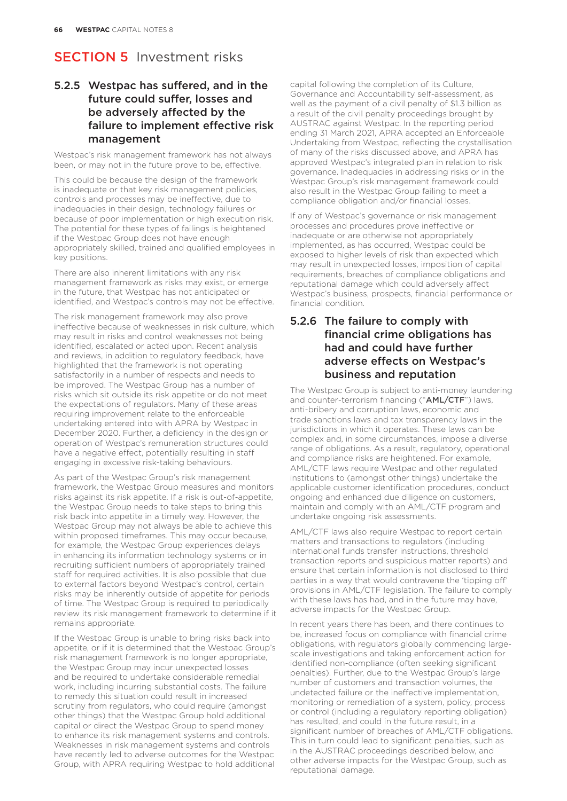## 5.2.5 Westpac has suffered, and in the future could suffer, losses and be adversely affected by the failure to implement effective risk management

Westpac's risk management framework has not always been, or may not in the future prove to be, effective.

This could be because the design of the framework is inadequate or that key risk management policies, controls and processes may be ineffective, due to inadequacies in their design, technology failures or because of poor implementation or high execution risk. The potential for these types of failings is heightened if the Westpac Group does not have enough appropriately skilled, trained and qualified employees in key positions.

There are also inherent limitations with any risk management framework as risks may exist, or emerge in the future, that Westpac has not anticipated or identified, and Westpac's controls may not be effective.

The risk management framework may also prove ineffective because of weaknesses in risk culture, which may result in risks and control weaknesses not being identified, escalated or acted upon. Recent analysis and reviews, in addition to regulatory feedback, have highlighted that the framework is not operating satisfactorily in a number of respects and needs to be improved. The Westpac Group has a number of risks which sit outside its risk appetite or do not meet the expectations of regulators. Many of these areas requiring improvement relate to the enforceable undertaking entered into with APRA by Westpac in December 2020. Further, a deficiency in the design or operation of Westpac's remuneration structures could have a negative effect, potentially resulting in staff engaging in excessive risk-taking behaviours.

As part of the Westpac Group's risk management framework, the Westpac Group measures and monitors risks against its risk appetite. If a risk is out-of-appetite, the Westpac Group needs to take steps to bring this risk back into appetite in a timely way. However, the Westpac Group may not always be able to achieve this within proposed timeframes. This may occur because, for example, the Westpac Group experiences delays in enhancing its information technology systems or in recruiting sufficient numbers of appropriately trained staff for required activities. It is also possible that due to external factors beyond Westpac's control, certain risks may be inherently outside of appetite for periods of time. The Westpac Group is required to periodically review its risk management framework to determine if it remains appropriate.

If the Westpac Group is unable to bring risks back into appetite, or if it is determined that the Westpac Group's risk management framework is no longer appropriate, the Westpac Group may incur unexpected losses and be required to undertake considerable remedial work, including incurring substantial costs. The failure to remedy this situation could result in increased scrutiny from regulators, who could require (amongst other things) that the Westpac Group hold additional capital or direct the Westpac Group to spend money to enhance its risk management systems and controls. Weaknesses in risk management systems and controls have recently led to adverse outcomes for the Westpac Group, with APRA requiring Westpac to hold additional

capital following the completion of its Culture, Governance and Accountability self-assessment, as well as the payment of a civil penalty of \$1.3 billion as a result of the civil penalty proceedings brought by AUSTRAC against Westpac. In the reporting period ending 31 March 2021, APRA accepted an Enforceable Undertaking from Westpac, reflecting the crystallisation of many of the risks discussed above, and APRA has approved Westpac's integrated plan in relation to risk governance. Inadequacies in addressing risks or in the Westpac Group's risk management framework could also result in the Westpac Group failing to meet a compliance obligation and/or financial losses.

If any of Westpac's governance or risk management processes and procedures prove ineffective or inadequate or are otherwise not appropriately implemented, as has occurred, Westpac could be exposed to higher levels of risk than expected which may result in unexpected losses, imposition of capital requirements, breaches of compliance obligations and reputational damage which could adversely affect Westpac's business, prospects, financial performance or financial condition.

#### 5.2.6 The failure to comply with financial crime obligations has had and could have further adverse effects on Westpac's business and reputation

The Westpac Group is subject to anti-money laundering and counter-terrorism financing ("AML/CTF") laws, anti-bribery and corruption laws, economic and trade sanctions laws and tax transparency laws in the jurisdictions in which it operates. These laws can be complex and, in some circumstances, impose a diverse range of obligations. As a result, regulatory, operational and compliance risks are heightened. For example, AML/CTF laws require Westpac and other regulated institutions to (amongst other things) undertake the applicable customer identification procedures, conduct ongoing and enhanced due diligence on customers, maintain and comply with an AML/CTF program and undertake ongoing risk assessments.

AML/CTF laws also require Westpac to report certain matters and transactions to regulators (including international funds transfer instructions, threshold transaction reports and suspicious matter reports) and ensure that certain information is not disclosed to third parties in a way that would contravene the 'tipping off' provisions in AML/CTF legislation. The failure to comply with these laws has had, and in the future may have, adverse impacts for the Westpac Group.

In recent years there has been, and there continues to be, increased focus on compliance with financial crime obligations, with regulators globally commencing largescale investigations and taking enforcement action for identified non-compliance (often seeking significant penalties). Further, due to the Westpac Group's large number of customers and transaction volumes, the undetected failure or the ineffective implementation, monitoring or remediation of a system, policy, process or control (including a regulatory reporting obligation) has resulted, and could in the future result, in a significant number of breaches of AML/CTF obligations. This in turn could lead to significant penalties, such as in the AUSTRAC proceedings described below, and other adverse impacts for the Westpac Group, such as reputational damage.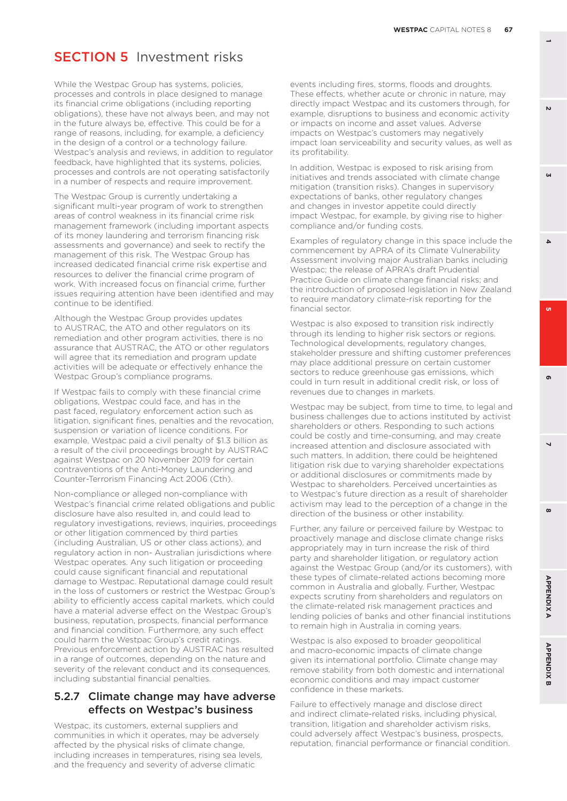While the Westpac Group has systems, policies, processes and controls in place designed to manage its financial crime obligations (including reporting obligations), these have not always been, and may not in the future always be, effective. This could be for a range of reasons, including, for example, a deficiency in the design of a control or a technology failure. Westpac's analysis and reviews, in addition to regulator feedback, have highlighted that its systems, policies, processes and controls are not operating satisfactorily in a number of respects and require improvement.

The Westpac Group is currently undertaking a significant multi-year program of work to strengthen areas of control weakness in its financial crime risk management framework (including important aspects of its money laundering and terrorism financing risk assessments and governance) and seek to rectify the management of this risk. The Westpac Group has increased dedicated financial crime risk expertise and resources to deliver the financial crime program of work. With increased focus on financial crime, further issues requiring attention have been identified and may continue to be identified.

Although the Westpac Group provides updates to AUSTRAC, the ATO and other regulators on its remediation and other program activities, there is no assurance that AUSTRAC, the ATO or other regulators will agree that its remediation and program update activities will be adequate or effectively enhance the Westpac Group's compliance programs.

If Westpac fails to comply with these financial crime obligations, Westpac could face, and has in the past faced, regulatory enforcement action such as litigation, significant fines, penalties and the revocation, suspension or variation of licence conditions. For example, Westpac paid a civil penalty of \$1.3 billion as a result of the civil proceedings brought by AUSTRAC against Westpac on 20 November 2019 for certain contraventions of the Anti-Money Laundering and Counter-Terrorism Financing Act 2006 (Cth).

Non-compliance or alleged non-compliance with Westpac's financial crime related obligations and public disclosure have also resulted in, and could lead to regulatory investigations, reviews, inquiries, proceedings or other litigation commenced by third parties (including Australian, US or other class actions), and regulatory action in non- Australian jurisdictions where Westpac operates. Any such litigation or proceeding could cause significant financial and reputational damage to Westpac. Reputational damage could result in the loss of customers or restrict the Westpac Group's ability to efficiently access capital markets, which could have a material adverse effect on the Westpac Group's business, reputation, prospects, financial performance and financial condition. Furthermore, any such effect could harm the Westpac Group's credit ratings. Previous enforcement action by AUSTRAC has resulted in a range of outcomes, depending on the nature and severity of the relevant conduct and its consequences, including substantial financial penalties.

#### 5.2.7 Climate change may have adverse effects on Westpac's business

Westpac, its customers, external suppliers and communities in which it operates, may be adversely affected by the physical risks of climate change, including increases in temperatures, rising sea levels, and the frequency and severity of adverse climatic

events including fires, storms, floods and droughts. These effects, whether acute or chronic in nature, may directly impact Westpac and its customers through, for example, disruptions to business and economic activity or impacts on income and asset values. Adverse impacts on Westpac's customers may negatively impact loan serviceability and security values, as well as its profitability.

In addition, Westpac is exposed to risk arising from initiatives and trends associated with climate change mitigation (transition risks). Changes in supervisory expectations of banks, other regulatory changes and changes in investor appetite could directly impact Westpac, for example, by giving rise to higher compliance and/or funding costs.

Examples of regulatory change in this space include the commencement by APRA of its Climate Vulnerability Assessment involving major Australian banks including Westpac; the release of APRA's draft Prudential Practice Guide on climate change financial risks; and the introduction of proposed legislation in New Zealand to require mandatory climate-risk reporting for the financial sector.

Westpac is also exposed to transition risk indirectly through its lending to higher risk sectors or regions. Technological developments, regulatory changes, stakeholder pressure and shifting customer preferences may place additional pressure on certain customer sectors to reduce greenhouse gas emissions, which could in turn result in additional credit risk, or loss of revenues due to changes in markets.

Westpac may be subject, from time to time, to legal and business challenges due to actions instituted by activist shareholders or others. Responding to such actions could be costly and time-consuming, and may create increased attention and disclosure associated with such matters. In addition, there could be heightened litigation risk due to varying shareholder expectations or additional disclosures or commitments made by Westpac to shareholders. Perceived uncertainties as to Westpac's future direction as a result of shareholder activism may lead to the perception of a change in the direction of the business or other instability.

Further, any failure or perceived failure by Westpac to proactively manage and disclose climate change risks appropriately may in turn increase the risk of third party and shareholder litigation, or regulatory action against the Westpac Group (and/or its customers), with these types of climate-related actions becoming more common in Australia and globally. Further, Westpac expects scrutiny from shareholders and regulators on the climate-related risk management practices and lending policies of banks and other financial institutions to remain high in Australia in coming years.

Westpac is also exposed to broader geopolitical and macro-economic impacts of climate change given its international portfolio. Climate change may remove stability from both domestic and international economic conditions and may impact customer confidence in these markets.

Failure to effectively manage and disclose direct and indirect climate-related risks, including physical, transition, litigation and shareholder activism risks, could adversely affect Westpac's business, prospects, reputation, financial performance or financial condition.  $\mathbf{v}$ 

**GN** 

**8 5**  $\boldsymbol{\omega}$ 

**6 3**

ີທ

ക

 $\overline{\phantom{0}}$ 

 $\Delta$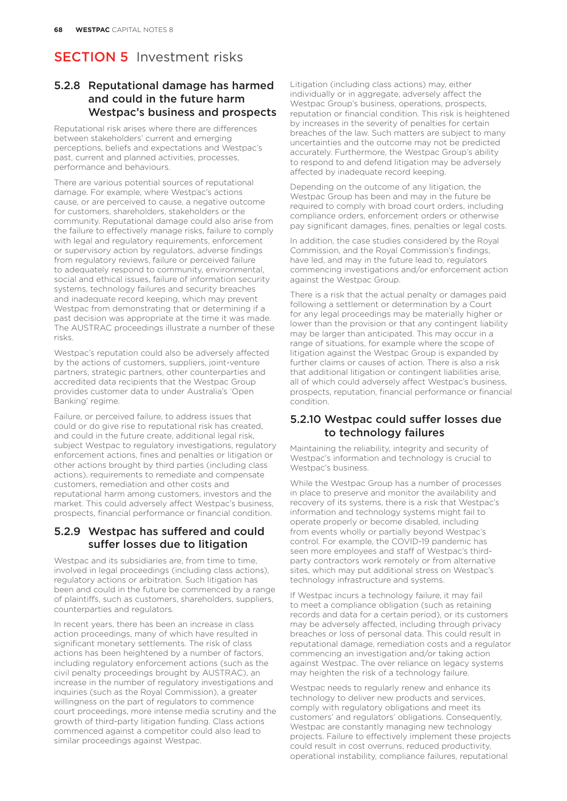### 5.2.8 Reputational damage has harmed and could in the future harm Westpac's business and prospects

Reputational risk arises where there are differences between stakeholders' current and emerging perceptions, beliefs and expectations and Westpac's past, current and planned activities, processes, performance and behaviours.

There are various potential sources of reputational damage. For example, where Westpac's actions cause, or are perceived to cause, a negative outcome for customers, shareholders, stakeholders or the community. Reputational damage could also arise from the failure to effectively manage risks, failure to comply with legal and regulatory requirements, enforcement or supervisory action by regulators, adverse findings from regulatory reviews, failure or perceived failure to adequately respond to community, environmental, social and ethical issues, failure of information security systems, technology failures and security breaches and inadequate record keeping, which may prevent Westpac from demonstrating that or determining if a past decision was appropriate at the time it was made. The AUSTRAC proceedings illustrate a number of these risks.

Westpac's reputation could also be adversely affected by the actions of customers, suppliers, joint-venture partners, strategic partners, other counterparties and accredited data recipients that the Westpac Group provides customer data to under Australia's 'Open Banking' regime.

Failure, or perceived failure, to address issues that could or do give rise to reputational risk has created, and could in the future create, additional legal risk, subject Westpac to regulatory investigations, regulatory enforcement actions, fines and penalties or litigation or other actions brought by third parties (including class actions), requirements to remediate and compensate customers, remediation and other costs and reputational harm among customers, investors and the market. This could adversely affect Westpac's business, prospects, financial performance or financial condition.

#### 5.2.9 Westpac has suffered and could suffer losses due to litigation

Westpac and its subsidiaries are, from time to time, involved in legal proceedings (including class actions), regulatory actions or arbitration. Such litigation has been and could in the future be commenced by a range of plaintiffs, such as customers, shareholders, suppliers, counterparties and regulators.

In recent years, there has been an increase in class action proceedings, many of which have resulted in significant monetary settlements. The risk of class actions has been heightened by a number of factors, including regulatory enforcement actions (such as the civil penalty proceedings brought by AUSTRAC), an increase in the number of regulatory investigations and inquiries (such as the Royal Commission), a greater willingness on the part of regulators to commence court proceedings, more intense media scrutiny and the growth of third-party litigation funding. Class actions commenced against a competitor could also lead to similar proceedings against Westpac.

Litigation (including class actions) may, either individually or in aggregate, adversely affect the Westpac Group's business, operations, prospects, reputation or financial condition. This risk is heightened by increases in the severity of penalties for certain breaches of the law. Such matters are subject to many uncertainties and the outcome may not be predicted accurately. Furthermore, the Westpac Group's ability to respond to and defend litigation may be adversely affected by inadequate record keeping.

Depending on the outcome of any litigation, the Westpac Group has been and may in the future be required to comply with broad court orders, including compliance orders, enforcement orders or otherwise pay significant damages, fines, penalties or legal costs.

In addition, the case studies considered by the Royal Commission, and the Royal Commission's findings, have led, and may in the future lead to, regulators commencing investigations and/or enforcement action against the Westpac Group.

There is a risk that the actual penalty or damages paid following a settlement or determination by a Court for any legal proceedings may be materially higher or lower than the provision or that any contingent liability may be larger than anticipated. This may occur in a range of situations, for example where the scope of litigation against the Westpac Group is expanded by further claims or causes of action. There is also a risk that additional litigation or contingent liabilities arise, all of which could adversely affect Westpac's business, prospects, reputation, financial performance or financial condition.

#### 5.2.10 Westpac could suffer losses due to technology failures

Maintaining the reliability, integrity and security of Westpac's information and technology is crucial to Westpac's business.

While the Westpac Group has a number of processes in place to preserve and monitor the availability and recovery of its systems, there is a risk that Westpac's information and technology systems might fail to operate properly or become disabled, including from events wholly or partially beyond Westpac's control. For example, the COVID-19 pandemic has seen more employees and staff of Westpac's thirdparty contractors work remotely or from alternative sites, which may put additional stress on Westpac's technology infrastructure and systems.

If Westpac incurs a technology failure, it may fail to meet a compliance obligation (such as retaining records and data for a certain period), or its customers may be adversely affected, including through privacy breaches or loss of personal data. This could result in reputational damage, remediation costs and a regulator commencing an investigation and/or taking action against Westpac. The over reliance on legacy systems may heighten the risk of a technology failure.

Westpac needs to regularly renew and enhance its technology to deliver new products and services, comply with regulatory obligations and meet its customers' and regulators' obligations. Consequently, Westpac are constantly managing new technology projects. Failure to effectively implement these projects could result in cost overruns, reduced productivity, operational instability, compliance failures, reputational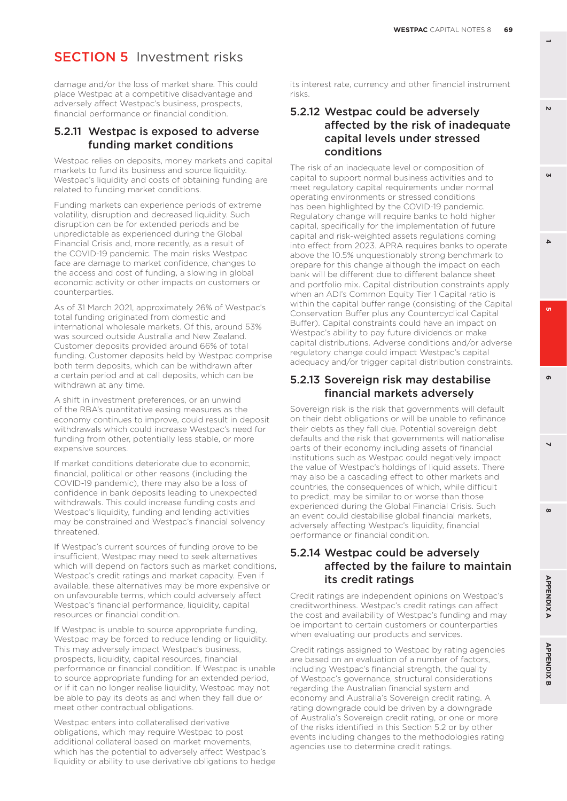**GN** 

 $\mathbf{v}$ 

 $\Delta$ 

**6 3** o.

 $\overline{ }$ 

**8 5**  $\boldsymbol{\omega}$ 

# **SECTION 5** Investment risks

damage and/or the loss of market share. This could place Westpac at a competitive disadvantage and adversely affect Westpac's business, prospects, financial performance or financial condition.

#### 5.2.11 Westpac is exposed to adverse funding market conditions

Westpac relies on deposits, money markets and capital markets to fund its business and source liquidity. Westpac's liquidity and costs of obtaining funding are related to funding market conditions.

Funding markets can experience periods of extreme volatility, disruption and decreased liquidity. Such disruption can be for extended periods and be unpredictable as experienced during the Global Financial Crisis and, more recently, as a result of the COVID-19 pandemic. The main risks Westpac face are damage to market confidence, changes to the access and cost of funding, a slowing in global economic activity or other impacts on customers or counterparties.

As of 31 March 2021, approximately 26% of Westpac's total funding originated from domestic and international wholesale markets. Of this, around 53% was sourced outside Australia and New Zealand. Customer deposits provided around 66% of total funding. Customer deposits held by Westpac comprise both term deposits, which can be withdrawn after a certain period and at call deposits, which can be withdrawn at any time.

A shift in investment preferences, or an unwind of the RBA's quantitative easing measures as the economy continues to improve, could result in deposit withdrawals which could increase Westpac's need for funding from other, potentially less stable, or more expensive sources.

If market conditions deteriorate due to economic, financial, political or other reasons (including the COVID-19 pandemic), there may also be a loss of confidence in bank deposits leading to unexpected withdrawals. This could increase funding costs and Westpac's liquidity, funding and lending activities may be constrained and Westpac's financial solvency threatened.

If Westpac's current sources of funding prove to be insufficient, Westpac may need to seek alternatives which will depend on factors such as market conditions, Westpac's credit ratings and market capacity. Even if available, these alternatives may be more expensive or on unfavourable terms, which could adversely affect Westpac's financial performance, liquidity, capital resources or financial condition.

If Westpac is unable to source appropriate funding, Westpac may be forced to reduce lending or liquidity. This may adversely impact Westpac's business, prospects, liquidity, capital resources, financial performance or financial condition. If Westpac is unable to source appropriate funding for an extended period, or if it can no longer realise liquidity, Westpac may not be able to pay its debts as and when they fall due or meet other contractual obligations.

Westpac enters into collateralised derivative obligations, which may require Westpac to post additional collateral based on market movements, which has the potential to adversely affect Westpac's liquidity or ability to use derivative obligations to hedge

its interest rate, currency and other financial instrument risks.

## 5.2.12 Westpac could be adversely affected by the risk of inadequate capital levels under stressed conditions

The risk of an inadequate level or composition of capital to support normal business activities and to meet regulatory capital requirements under normal operating environments or stressed conditions has been highlighted by the COVID-19 pandemic. Regulatory change will require banks to hold higher capital, specifically for the implementation of future capital and risk-weighted assets regulations coming into effect from 2023. APRA requires banks to operate above the 10.5% unquestionably strong benchmark to prepare for this change although the impact on each bank will be different due to different balance sheet and portfolio mix. Capital distribution constraints apply when an ADI's Common Equity Tier 1 Capital ratio is within the capital buffer range (consisting of the Capital Conservation Buffer plus any Countercyclical Capital Buffer). Capital constraints could have an impact on Westpac's ability to pay future dividends or make capital distributions. Adverse conditions and/or adverse regulatory change could impact Westpac's capital adequacy and/or trigger capital distribution constraints.

#### 5.2.13 Sovereign risk may destabilise financial markets adversely

Sovereign risk is the risk that governments will default on their debt obligations or will be unable to refinance their debts as they fall due. Potential sovereign debt defaults and the risk that governments will nationalise parts of their economy including assets of financial institutions such as Westpac could negatively impact the value of Westpac's holdings of liquid assets. There may also be a cascading effect to other markets and countries, the consequences of which, while difficult to predict, may be similar to or worse than those experienced during the Global Financial Crisis. Such an event could destabilise global financial markets, adversely affecting Westpac's liquidity, financial performance or financial condition.

### 5.2.14 Westpac could be adversely affected by the failure to maintain its credit ratings

Credit ratings are independent opinions on Westpac's creditworthiness. Westpac's credit ratings can affect the cost and availability of Westpac's funding and may be important to certain customers or counterparties when evaluating our products and services.

Credit ratings assigned to Westpac by rating agencies are based on an evaluation of a number of factors, including Westpac's financial strength, the quality of Westpac's governance, structural considerations regarding the Australian financial system and economy and Australia's Sovereign credit rating. A rating downgrade could be driven by a downgrade of Australia's Sovereign credit rating, or one or more of the risks identified in this Section 5.2 or by other events including changes to the methodologies rating agencies use to determine credit ratings.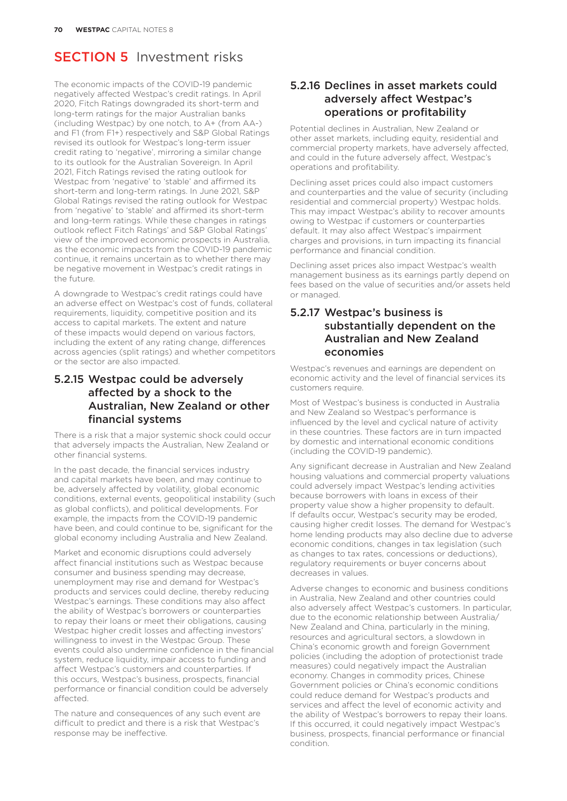The economic impacts of the COVID-19 pandemic negatively affected Westpac's credit ratings. In April 2020, Fitch Ratings downgraded its short-term and long-term ratings for the major Australian banks (including Westpac) by one notch, to A+ (from AA-) and F1 (from F1+) respectively and S&P Global Ratings revised its outlook for Westpac's long-term issuer credit rating to 'negative', mirroring a similar change to its outlook for the Australian Sovereign. In April 2021, Fitch Ratings revised the rating outlook for Westpac from 'negative' to 'stable' and affirmed its short-term and long-term ratings. In June 2021, S&P Global Ratings revised the rating outlook for Westpac from 'negative' to 'stable' and affirmed its short-term and long-term ratings. While these changes in ratings outlook reflect Fitch Ratings' and S&P Global Ratings' view of the improved economic prospects in Australia, as the economic impacts from the COVID-19 pandemic continue, it remains uncertain as to whether there may be negative movement in Westpac's credit ratings in the future.

A downgrade to Westpac's credit ratings could have an adverse effect on Westpac's cost of funds, collateral requirements, liquidity, competitive position and its access to capital markets. The extent and nature of these impacts would depend on various factors, including the extent of any rating change, differences across agencies (split ratings) and whether competitors or the sector are also impacted.

## 5.2.15 Westpac could be adversely affected by a shock to the Australian, New Zealand or other financial systems

There is a risk that a major systemic shock could occur that adversely impacts the Australian, New Zealand or other financial systems.

In the past decade, the financial services industry and capital markets have been, and may continue to be, adversely affected by volatility, global economic conditions, external events, geopolitical instability (such as global conflicts), and political developments. For example, the impacts from the COVID-19 pandemic have been, and could continue to be, significant for the global economy including Australia and New Zealand.

Market and economic disruptions could adversely affect financial institutions such as Westpac because consumer and business spending may decrease, unemployment may rise and demand for Westpac's products and services could decline, thereby reducing Westpac's earnings. These conditions may also affect the ability of Westpac's borrowers or counterparties to repay their loans or meet their obligations, causing Westpac higher credit losses and affecting investors' willingness to invest in the Westpac Group. These events could also undermine confidence in the financial system, reduce liquidity, impair access to funding and affect Westpac's customers and counterparties. If this occurs, Westpac's business, prospects, financial performance or financial condition could be adversely affected.

The nature and consequences of any such event are difficult to predict and there is a risk that Westpac's response may be ineffective.

## 5.2.16 Declines in asset markets could adversely affect Westpac's operations or profitability

Potential declines in Australian, New Zealand or other asset markets, including equity, residential and commercial property markets, have adversely affected, and could in the future adversely affect, Westpac's operations and profitability.

Declining asset prices could also impact customers and counterparties and the value of security (including residential and commercial property) Westpac holds. This may impact Westpac's ability to recover amounts owing to Westpac if customers or counterparties default. It may also affect Westpac's impairment charges and provisions, in turn impacting its financial performance and financial condition.

Declining asset prices also impact Westpac's wealth management business as its earnings partly depend on fees based on the value of securities and/or assets held or managed.

#### 5.2.17 Westpac's business is substantially dependent on the Australian and New Zealand economies

Westpac's revenues and earnings are dependent on economic activity and the level of financial services its customers require.

Most of Westpac's business is conducted in Australia and New Zealand so Westpac's performance is influenced by the level and cyclical nature of activity in these countries. These factors are in turn impacted by domestic and international economic conditions (including the COVID-19 pandemic).

Any significant decrease in Australian and New Zealand housing valuations and commercial property valuations could adversely impact Westpac's lending activities because borrowers with loans in excess of their property value show a higher propensity to default. If defaults occur, Westpac's security may be eroded, causing higher credit losses. The demand for Westpac's home lending products may also decline due to adverse economic conditions, changes in tax legislation (such as changes to tax rates, concessions or deductions), regulatory requirements or buyer concerns about decreases in values.

Adverse changes to economic and business conditions in Australia, New Zealand and other countries could also adversely affect Westpac's customers. In particular, due to the economic relationship between Australia/ New Zealand and China, particularly in the mining, resources and agricultural sectors, a slowdown in China's economic growth and foreign Government policies (including the adoption of protectionist trade measures) could negatively impact the Australian economy. Changes in commodity prices, Chinese Government policies or China's economic conditions could reduce demand for Westpac's products and services and affect the level of economic activity and the ability of Westpac's borrowers to repay their loans. If this occurred, it could negatively impact Westpac's business, prospects, financial performance or financial condition.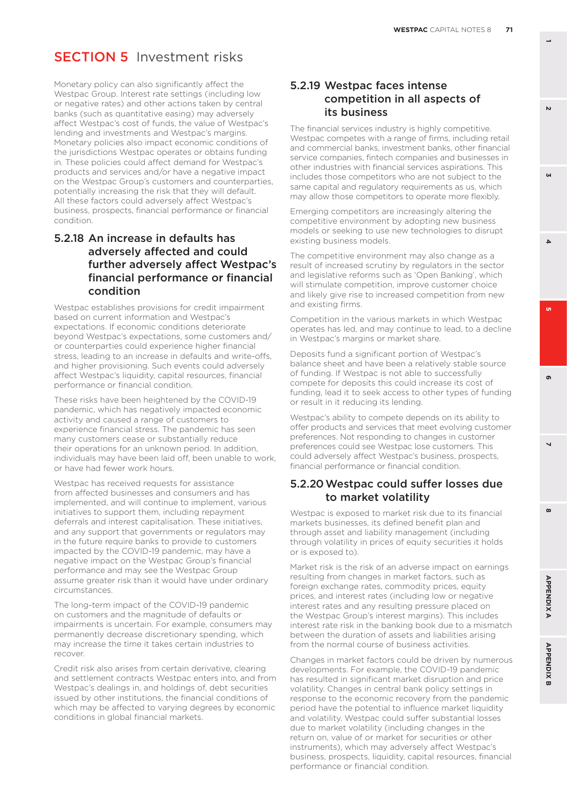Monetary policy can also significantly affect the Westpac Group. Interest rate settings (including low or negative rates) and other actions taken by central banks (such as quantitative easing) may adversely affect Westpac's cost of funds, the value of Westpac's lending and investments and Westpac's margins. Monetary policies also impact economic conditions of the jurisdictions Westpac operates or obtains funding in. These policies could affect demand for Westpac's products and services and/or have a negative impact on the Westpac Group's customers and counterparties, potentially increasing the risk that they will default. All these factors could adversely affect Westpac's business, prospects, financial performance or financial condition.

#### 5.2.18 An increase in defaults has adversely affected and could further adversely affect Westpac's financial performance or financial condition

Westpac establishes provisions for credit impairment based on current information and Westpac's expectations. If economic conditions deteriorate beyond Westpac's expectations, some customers and/ or counterparties could experience higher financial stress, leading to an increase in defaults and write-offs, and higher provisioning. Such events could adversely affect Westpac's liquidity, capital resources, financial performance or financial condition.

These risks have been heightened by the COVID-19 pandemic, which has negatively impacted economic activity and caused a range of customers to experience financial stress. The pandemic has seen many customers cease or substantially reduce their operations for an unknown period. In addition, individuals may have been laid off, been unable to work, or have had fewer work hours.

Westpac has received requests for assistance from affected businesses and consumers and has implemented, and will continue to implement, various initiatives to support them, including repayment deferrals and interest capitalisation. These initiatives, and any support that governments or regulators may in the future require banks to provide to customers impacted by the COVID-19 pandemic, may have a negative impact on the Westpac Group's financial performance and may see the Westpac Group assume greater risk than it would have under ordinary circumstances.

The long-term impact of the COVID-19 pandemic on customers and the magnitude of defaults or impairments is uncertain. For example, consumers may permanently decrease discretionary spending, which may increase the time it takes certain industries to recover.

Credit risk also arises from certain derivative, clearing and settlement contracts Westpac enters into, and from Westpac's dealings in, and holdings of, debt securities issued by other institutions, the financial conditions of which may be affected to varying degrees by economic conditions in global financial markets.

#### 5.2.19 Westpac faces intense competition in all aspects of its business

The financial services industry is highly competitive. Westpac competes with a range of firms, including retail and commercial banks, investment banks, other financial service companies, fintech companies and businesses in other industries with financial services aspirations. This includes those competitors who are not subject to the same capital and regulatory requirements as us, which may allow those competitors to operate more flexibly.

Emerging competitors are increasingly altering the competitive environment by adopting new business models or seeking to use new technologies to disrupt existing business models.

The competitive environment may also change as a result of increased scrutiny by regulators in the sector and legislative reforms such as 'Open Banking', which will stimulate competition, improve customer choice and likely give rise to increased competition from new and existing firms.

Competition in the various markets in which Westpac operates has led, and may continue to lead, to a decline in Westpac's margins or market share.

Deposits fund a significant portion of Westpac's balance sheet and have been a relatively stable source of funding. If Westpac is not able to successfully compete for deposits this could increase its cost of funding, lead it to seek access to other types of funding or result in it reducing its lending.

Westpac's ability to compete depends on its ability to offer products and services that meet evolving customer preferences. Not responding to changes in customer preferences could see Westpac lose customers. This could adversely affect Westpac's business, prospects, financial performance or financial condition.

#### 5.2.20 Westpac could suffer losses due to market volatility

Westpac is exposed to market risk due to its financial markets businesses, its defined benefit plan and through asset and liability management (including through volatility in prices of equity securities it holds or is exposed to).

Market risk is the risk of an adverse impact on earnings resulting from changes in market factors, such as foreign exchange rates, commodity prices, equity prices, and interest rates (including low or negative interest rates and any resulting pressure placed on the Westpac Group's interest margins). This includes interest rate risk in the banking book due to a mismatch between the duration of assets and liabilities arising from the normal course of business activities.

Changes in market factors could be driven by numerous developments. For example, the COVID-19 pandemic has resulted in significant market disruption and price volatility. Changes in central bank policy settings in response to the economic recovery from the pandemic period have the potential to influence market liquidity and volatility. Westpac could suffer substantial losses due to market volatility (including changes in the return on, value of or market for securities or other instruments), which may adversely affect Westpac's business, prospects, liquidity, capital resources, financial performance or financial condition.

**1**

Ш **6 3**

 $\Delta$ 

o.

**8 5**

 $\overline{ }$ 

 $\boldsymbol{\omega}$ 

**APPENDIXA** 

**APPENDIX B** 

ക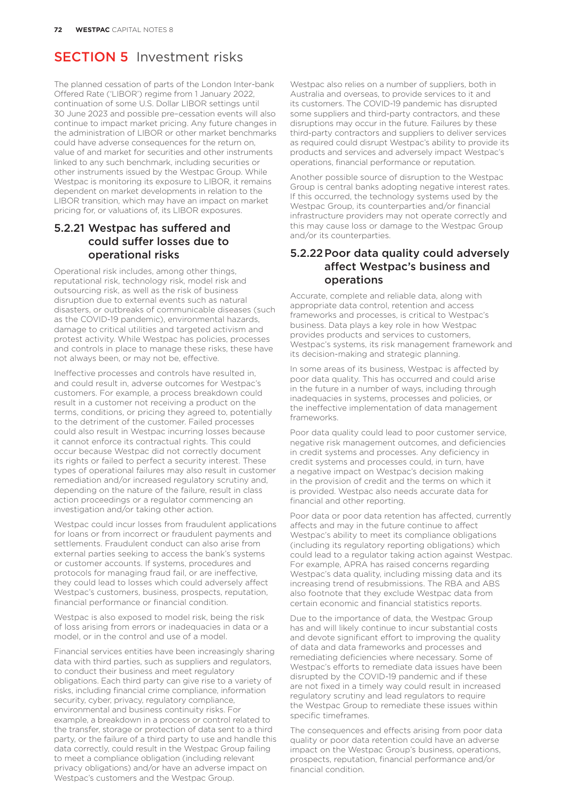The planned cessation of parts of the London Inter-bank Offered Rate ('LIBOR') regime from 1 January 2022, continuation of some U.S. Dollar LIBOR settings until 30 June 2023 and possible pre–cessation events will also continue to impact market pricing. Any future changes in the administration of LIBOR or other market benchmarks could have adverse consequences for the return on, value of and market for securities and other instruments linked to any such benchmark, including securities or other instruments issued by the Westpac Group. While Westpac is monitoring its exposure to LIBOR, it remains dependent on market developments in relation to the LIBOR transition, which may have an impact on market pricing for, or valuations of, its LIBOR exposures.

#### 5.2.21 Westpac has suffered and could suffer losses due to operational risks

Operational risk includes, among other things, reputational risk, technology risk, model risk and outsourcing risk, as well as the risk of business disruption due to external events such as natural disasters, or outbreaks of communicable diseases (such as the COVID-19 pandemic), environmental hazards, damage to critical utilities and targeted activism and protest activity. While Westpac has policies, processes and controls in place to manage these risks, these have not always been, or may not be, effective.

Ineffective processes and controls have resulted in, and could result in, adverse outcomes for Westpac's customers. For example, a process breakdown could result in a customer not receiving a product on the terms, conditions, or pricing they agreed to, potentially to the detriment of the customer. Failed processes could also result in Westpac incurring losses because it cannot enforce its contractual rights. This could occur because Westpac did not correctly document its rights or failed to perfect a security interest. These types of operational failures may also result in customer remediation and/or increased regulatory scrutiny and, depending on the nature of the failure, result in class action proceedings or a regulator commencing an investigation and/or taking other action.

Westpac could incur losses from fraudulent applications for loans or from incorrect or fraudulent payments and settlements. Fraudulent conduct can also arise from external parties seeking to access the bank's systems or customer accounts. If systems, procedures and protocols for managing fraud fail, or are ineffective, they could lead to losses which could adversely affect Westpac's customers, business, prospects, reputation, financial performance or financial condition.

Westpac is also exposed to model risk, being the risk of loss arising from errors or inadequacies in data or a model, or in the control and use of a model.

Financial services entities have been increasingly sharing data with third parties, such as suppliers and regulators, to conduct their business and meet regulatory obligations. Each third party can give rise to a variety of risks, including financial crime compliance, information security, cyber, privacy, regulatory compliance, environmental and business continuity risks. For example, a breakdown in a process or control related to the transfer, storage or protection of data sent to a third party, or the failure of a third party to use and handle this data correctly, could result in the Westpac Group failing to meet a compliance obligation (including relevant privacy obligations) and/or have an adverse impact on Westpac's customers and the Westpac Group.

Westpac also relies on a number of suppliers, both in Australia and overseas, to provide services to it and its customers. The COVID-19 pandemic has disrupted some suppliers and third-party contractors, and these disruptions may occur in the future. Failures by these third-party contractors and suppliers to deliver services as required could disrupt Westpac's ability to provide its products and services and adversely impact Westpac's operations, financial performance or reputation.

Another possible source of disruption to the Westpac Group is central banks adopting negative interest rates. If this occurred, the technology systems used by the Westpac Group, its counterparties and/or financial infrastructure providers may not operate correctly and this may cause loss or damage to the Westpac Group and/or its counterparties.

#### 5.2.22 Poor data quality could adversely affect Westpac's business and operations

Accurate, complete and reliable data, along with appropriate data control, retention and access frameworks and processes, is critical to Westpac's business. Data plays a key role in how Westpac provides products and services to customers, Westpac's systems, its risk management framework and its decision-making and strategic planning.

In some areas of its business, Westpac is affected by poor data quality. This has occurred and could arise in the future in a number of ways, including through inadequacies in systems, processes and policies, or the ineffective implementation of data management frameworks.

Poor data quality could lead to poor customer service, negative risk management outcomes, and deficiencies in credit systems and processes. Any deficiency in credit systems and processes could, in turn, have a negative impact on Westpac's decision making in the provision of credit and the terms on which it is provided. Westpac also needs accurate data for financial and other reporting.

Poor data or poor data retention has affected, currently affects and may in the future continue to affect Westpac's ability to meet its compliance obligations (including its regulatory reporting obligations) which could lead to a regulator taking action against Westpac. For example, APRA has raised concerns regarding Westpac's data quality, including missing data and its increasing trend of resubmissions. The RBA and ABS also footnote that they exclude Westpac data from certain economic and financial statistics reports.

Due to the importance of data, the Westpac Group has and will likely continue to incur substantial costs and devote significant effort to improving the quality of data and data frameworks and processes and remediating deficiencies where necessary. Some of Westpac's efforts to remediate data issues have been disrupted by the COVID-19 pandemic and if these are not fixed in a timely way could result in increased regulatory scrutiny and lead regulators to require the Westpac Group to remediate these issues within specific timeframes.

The consequences and effects arising from poor data quality or poor data retention could have an adverse impact on the Westpac Group's business, operations, prospects, reputation, financial performance and/or financial condition.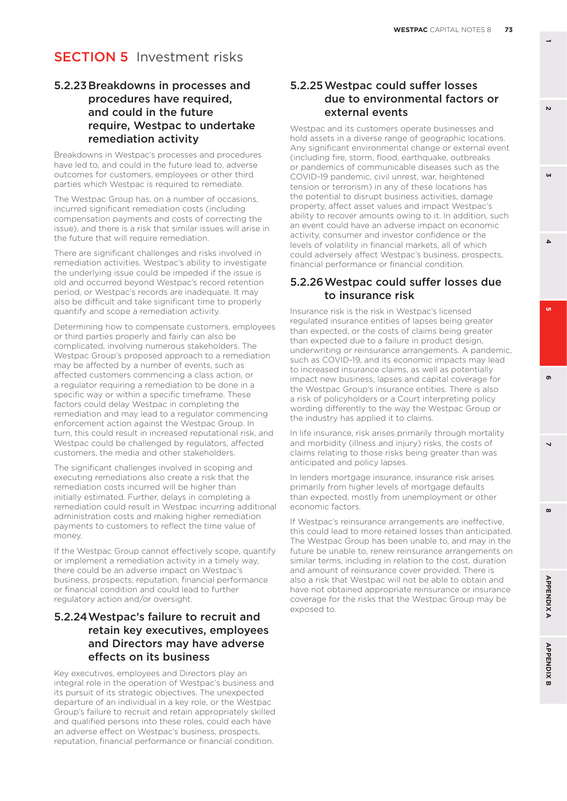#### 5.2.23 Breakdowns in processes and procedures have required, and could in the future require, Westpac to undertake remediation activity

Breakdowns in Westpac's processes and procedures have led to, and could in the future lead to, adverse outcomes for customers, employees or other third parties which Westpac is required to remediate.

The Westpac Group has, on a number of occasions, incurred significant remediation costs (including compensation payments and costs of correcting the issue), and there is a risk that similar issues will arise in the future that will require remediation.

There are significant challenges and risks involved in remediation activities. Westpac's ability to investigate the underlying issue could be impeded if the issue is old and occurred beyond Westpac's record retention period, or Westpac's records are inadequate. It may also be difficult and take significant time to properly quantify and scope a remediation activity.

Determining how to compensate customers, employees or third parties properly and fairly can also be complicated, involving numerous stakeholders. The Westpac Group's proposed approach to a remediation may be affected by a number of events, such as affected customers commencing a class action, or a regulator requiring a remediation to be done in a specific way or within a specific timeframe. These factors could delay Westpac in completing the remediation and may lead to a regulator commencing enforcement action against the Westpac Group. In turn, this could result in increased reputational risk, and Westpac could be challenged by regulators, affected customers, the media and other stakeholders.

The significant challenges involved in scoping and executing remediations also create a risk that the remediation costs incurred will be higher than initially estimated. Further, delays in completing a remediation could result in Westpac incurring additional administration costs and making higher remediation payments to customers to reflect the time value of money.

If the Westpac Group cannot effectively scope, quantify or implement a remediation activity in a timely way, there could be an adverse impact on Westpac's business, prospects, reputation, financial performance or financial condition and could lead to further regulatory action and/or oversight.

#### 5.2.24 Westpac's failure to recruit and retain key executives, employees and Directors may have adverse effects on its business

Key executives, employees and Directors play an integral role in the operation of Westpac's business and its pursuit of its strategic objectives. The unexpected departure of an individual in a key role, or the Westpac Group's failure to recruit and retain appropriately skilled and qualified persons into these roles, could each have an adverse effect on Westpac's business, prospects, reputation, financial performance or financial condition.

#### 5.2.25 Westpac could suffer losses due to environmental factors or external events

Westpac and its customers operate businesses and hold assets in a diverse range of geographic locations. Any significant environmental change or external event (including fire, storm, flood, earthquake, outbreaks or pandemics of communicable diseases such as the COVID-19 pandemic, civil unrest, war, heightened tension or terrorism) in any of these locations has the potential to disrupt business activities, damage property, affect asset values and impact Westpac's ability to recover amounts owing to it. In addition, such an event could have an adverse impact on economic activity, consumer and investor confidence or the levels of volatility in financial markets, all of which could adversely affect Westpac's business, prospects, financial performance or financial condition.

#### 5.2.26 Westpac could suffer losses due to insurance risk

Insurance risk is the risk in Westpac's licensed regulated insurance entities of lapses being greater than expected, or the costs of claims being greater than expected due to a failure in product design, underwriting or reinsurance arrangements. A pandemic, such as COVID-19, and its economic impacts may lead to increased insurance claims, as well as potentially impact new business, lapses and capital coverage for the Westpac Group's insurance entities. There is also a risk of policyholders or a Court interpreting policy wording differently to the way the Westpac Group or the industry has applied it to claims.

In life insurance, risk arises primarily through mortality and morbidity (illness and injury) risks, the costs of claims relating to those risks being greater than was anticipated and policy lapses.

In lenders mortgage insurance, insurance risk arises primarily from higher levels of mortgage defaults than expected, mostly from unemployment or other economic factors.

If Westpac's reinsurance arrangements are ineffective, this could lead to more retained losses than anticipated. The Westpac Group has been unable to, and may in the future be unable to, renew reinsurance arrangements on similar terms, including in relation to the cost, duration and amount of reinsurance cover provided. There is also a risk that Westpac will not be able to obtain and have not obtained appropriate reinsurance or insurance coverage for the risks that the Westpac Group may be exposed to.

 $\mathbf{v}$ 

**6 3**

o.

 $\Delta$ 

**8 5**

 $\overline{ }$ 

 $\boldsymbol{\omega}$ 

ക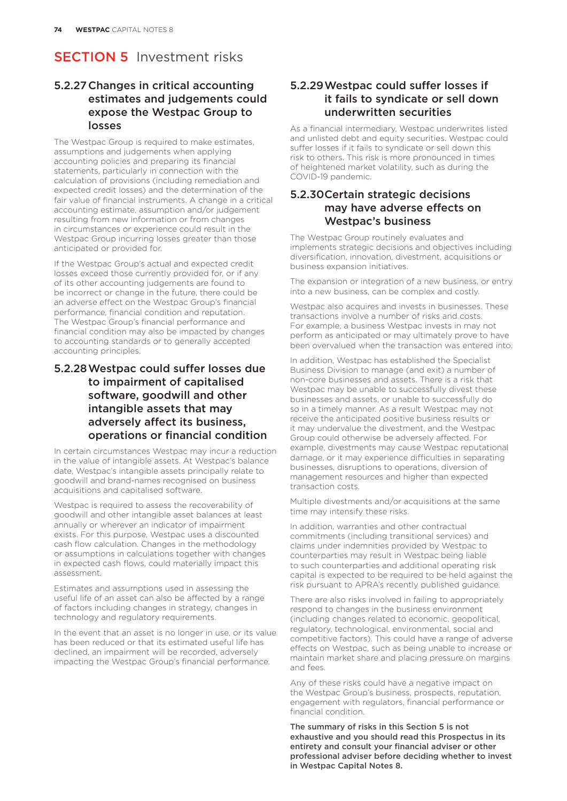### 5.2.27 Changes in critical accounting estimates and judgements could expose the Westpac Group to losses

The Westpac Group is required to make estimates, assumptions and judgements when applying accounting policies and preparing its financial statements, particularly in connection with the calculation of provisions (including remediation and expected credit losses) and the determination of the fair value of financial instruments. A change in a critical accounting estimate, assumption and/or judgement resulting from new information or from changes in circumstances or experience could result in the Westpac Group incurring losses greater than those anticipated or provided for.

If the Westpac Group's actual and expected credit losses exceed those currently provided for, or if any of its other accounting judgements are found to be incorrect or change in the future, there could be an adverse effect on the Westpac Group's financial performance, financial condition and reputation. The Westpac Group's financial performance and financial condition may also be impacted by changes to accounting standards or to generally accepted accounting principles.

#### 5.2.28 Westpac could suffer losses due to impairment of capitalised software, goodwill and other intangible assets that may adversely affect its business, operations or financial condition

In certain circumstances Westpac may incur a reduction in the value of intangible assets. At Westpac's balance date, Westpac's intangible assets principally relate to goodwill and brand-names recognised on business acquisitions and capitalised software.

Westpac is required to assess the recoverability of goodwill and other intangible asset balances at least annually or wherever an indicator of impairment exists. For this purpose, Westpac uses a discounted cash flow calculation. Changes in the methodology or assumptions in calculations together with changes in expected cash flows, could materially impact this assessment.

Estimates and assumptions used in assessing the useful life of an asset can also be affected by a range of factors including changes in strategy, changes in technology and regulatory requirements.

In the event that an asset is no longer in use, or its value has been reduced or that its estimated useful life has declined, an impairment will be recorded, adversely impacting the Westpac Group's financial performance.

#### 5.2.29 Westpac could suffer losses if it fails to syndicate or sell down underwritten securities

As a financial intermediary, Westpac underwrites listed and unlisted debt and equity securities. Westpac could suffer losses if it fails to syndicate or sell down this risk to others. This risk is more pronounced in times of heightened market volatility, such as during the COVID-19 pandemic.

#### 5.2.30 Certain strategic decisions may have adverse effects on Westpac's business

The Westpac Group routinely evaluates and implements strategic decisions and objectives including diversification, innovation, divestment, acquisitions or business expansion initiatives.

The expansion or integration of a new business, or entry into a new business, can be complex and costly.

Westpac also acquires and invests in businesses. These transactions involve a number of risks and costs. For example, a business Westpac invests in may not perform as anticipated or may ultimately prove to have been overvalued when the transaction was entered into.

In addition, Westpac has established the Specialist Business Division to manage (and exit) a number of non-core businesses and assets. There is a risk that Westpac may be unable to successfully divest these businesses and assets, or unable to successfully do so in a timely manner. As a result Westpac may not receive the anticipated positive business results or it may undervalue the divestment, and the Westpac Group could otherwise be adversely affected. For example, divestments may cause Westpac reputational damage, or it may experience difficulties in separating businesses, disruptions to operations, diversion of management resources and higher than expected transaction costs.

Multiple divestments and/or acquisitions at the same time may intensify these risks.

In addition, warranties and other contractual commitments (including transitional services) and claims under indemnities provided by Westpac to counterparties may result in Westpac being liable to such counterparties and additional operating risk capital is expected to be required to be held against the risk pursuant to APRA's recently published guidance.

There are also risks involved in failing to appropriately respond to changes in the business environment (including changes related to economic, geopolitical, regulatory, technological, environmental, social and competitive factors). This could have a range of adverse effects on Westpac, such as being unable to increase or maintain market share and placing pressure on margins and fees.

Any of these risks could have a negative impact on the Westpac Group's business, prospects, reputation, engagement with regulators, financial performance or financial condition.

The summary of risks in this Section 5 is not exhaustive and you should read this Prospectus in its entirety and consult your financial adviser or other professional adviser before deciding whether to invest in Westpac Capital Notes 8.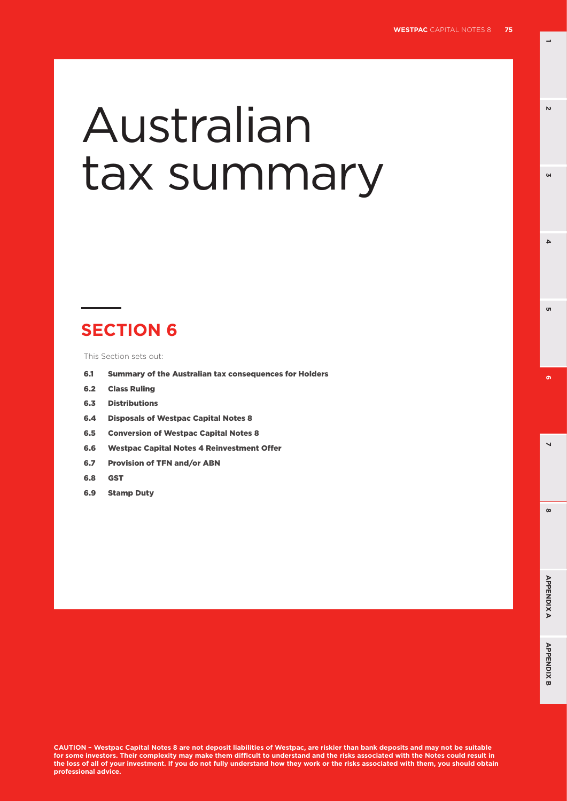**1**

 $\mathbf{v}$ 

**GN** 

**6 3**

u

 $\Delta$ 

**8 5**

 $\overline{ }$ 

 $\infty$ 

 $\sigma$ 

# Australian tax summary

# **SECTION 6**

This Section sets out:

- 6.1 Summary of the Australian tax consequences for Holders
- 6.2 Class Ruling
- 6.3 Distributions
- 6.4 Disposals of Westpac Capital Notes 8
- 6.5 Conversion of Westpac Capital Notes 8
- 6.6 Westpac Capital Notes 4 Reinvestment Offer
- 6.7 Provision of TFN and/or ABN
- 6.8 GST
- 6.9 Stamp Duty

**CAUTION – Westpac Capital Notes 8 are not deposit liabilities of Westpac, are riskier than bank deposits and may not be suitable for some investors. Their complexity may make them difficult to understand and the risks associated with the Notes could result in the loss of all of your investment. If you do not fully understand how they work or the risks associated with them, you should obtain professional advice.**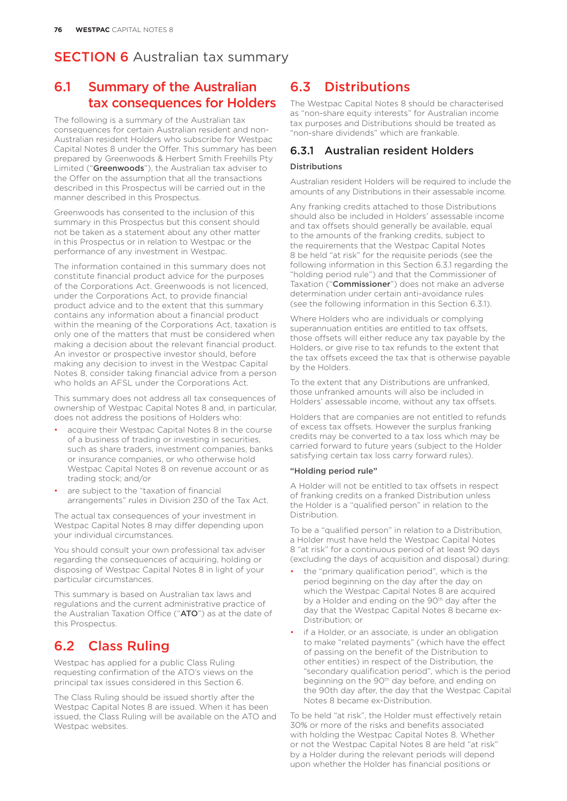## 6.1 Summary of the Australian tax consequences for Holders

The following is a summary of the Australian tax consequences for certain Australian resident and non-Australian resident Holders who subscribe for Westpac Capital Notes 8 under the Offer. This summary has been prepared by Greenwoods & Herbert Smith Freehills Pty Limited ("Greenwoods"), the Australian tax adviser to the Offer on the assumption that all the transactions described in this Prospectus will be carried out in the manner described in this Prospectus.

Greenwoods has consented to the inclusion of this summary in this Prospectus but this consent should not be taken as a statement about any other matter in this Prospectus or in relation to Westpac or the performance of any investment in Westpac.

The information contained in this summary does not constitute financial product advice for the purposes of the Corporations Act. Greenwoods is not licenced, under the Corporations Act, to provide financial product advice and to the extent that this summary contains any information about a financial product within the meaning of the Corporations Act, taxation is only one of the matters that must be considered when making a decision about the relevant financial product. An investor or prospective investor should, before making any decision to invest in the Westpac Capital Notes 8, consider taking financial advice from a person who holds an AFSL under the Corporations Act.

This summary does not address all tax consequences of ownership of Westpac Capital Notes 8 and, in particular, does not address the positions of Holders who:

- acquire their Westpac Capital Notes 8 in the course of a business of trading or investing in securities, such as share traders, investment companies, banks or insurance companies, or who otherwise hold Westpac Capital Notes 8 on revenue account or as trading stock; and/or
- are subject to the "taxation of financial arrangements" rules in Division 230 of the Tax Act.

The actual tax consequences of your investment in Westpac Capital Notes 8 may differ depending upon your individual circumstances.

You should consult your own professional tax adviser regarding the consequences of acquiring, holding or disposing of Westpac Capital Notes 8 in light of your particular circumstances.

This summary is based on Australian tax laws and regulations and the current administrative practice of the Australian Taxation Office ("ATO") as at the date of this Prospectus.

## 6.2 Class Ruling

Westpac has applied for a public Class Ruling requesting confirmation of the ATO's views on the principal tax issues considered in this Section 6.

The Class Ruling should be issued shortly after the Westpac Capital Notes 8 are issued. When it has been issued, the Class Ruling will be available on the ATO and Westpac websites.

## 6.3 Distributions

The Westpac Capital Notes 8 should be characterised as "non-share equity interests" for Australian income tax purposes and Distributions should be treated as "non-share dividends" which are frankable.

#### 6.3.1 Australian resident Holders

#### Distributions

Australian resident Holders will be required to include the amounts of any Distributions in their assessable income.

Any franking credits attached to those Distributions should also be included in Holders' assessable income and tax offsets should generally be available, equal to the amounts of the franking credits, subject to the requirements that the Westpac Capital Notes 8 be held "at risk" for the requisite periods (see the following information in this Section 6.3.1 regarding the "holding period rule") and that the Commissioner of Taxation ("Commissioner") does not make an adverse determination under certain anti-avoidance rules (see the following information in this Section 6.3.1).

Where Holders who are individuals or complying superannuation entities are entitled to tax offsets, those offsets will either reduce any tax payable by the Holders, or give rise to tax refunds to the extent that the tax offsets exceed the tax that is otherwise payable by the Holders.

To the extent that any Distributions are unfranked, those unfranked amounts will also be included in Holders' assessable income, without any tax offsets.

Holders that are companies are not entitled to refunds of excess tax offsets. However the surplus franking credits may be converted to a tax loss which may be carried forward to future years (subject to the Holder satisfying certain tax loss carry forward rules).

#### "Holding period rule"

A Holder will not be entitled to tax offsets in respect of franking credits on a franked Distribution unless the Holder is a "qualified person" in relation to the Distribution.

To be a "qualified person" in relation to a Distribution, a Holder must have held the Westpac Capital Notes 8 "at risk" for a continuous period of at least 90 days (excluding the days of acquisition and disposal) during:

- the "primary qualification period", which is the period beginning on the day after the day on which the Westpac Capital Notes 8 are acquired by a Holder and ending on the 90<sup>th</sup> day after the day that the Westpac Capital Notes 8 became ex-Distribution; or
- if a Holder, or an associate, is under an obligation to make "related payments" (which have the effect of passing on the benefit of the Distribution to other entities) in respect of the Distribution, the "secondary qualification period", which is the period beginning on the 90<sup>th</sup> day before, and ending on the 90th day after, the day that the Westpac Capital Notes 8 became ex-Distribution.

To be held "at risk", the Holder must effectively retain 30% or more of the risks and benefits associated with holding the Westpac Capital Notes 8. Whether or not the Westpac Capital Notes 8 are held "at risk" by a Holder during the relevant periods will depend upon whether the Holder has financial positions or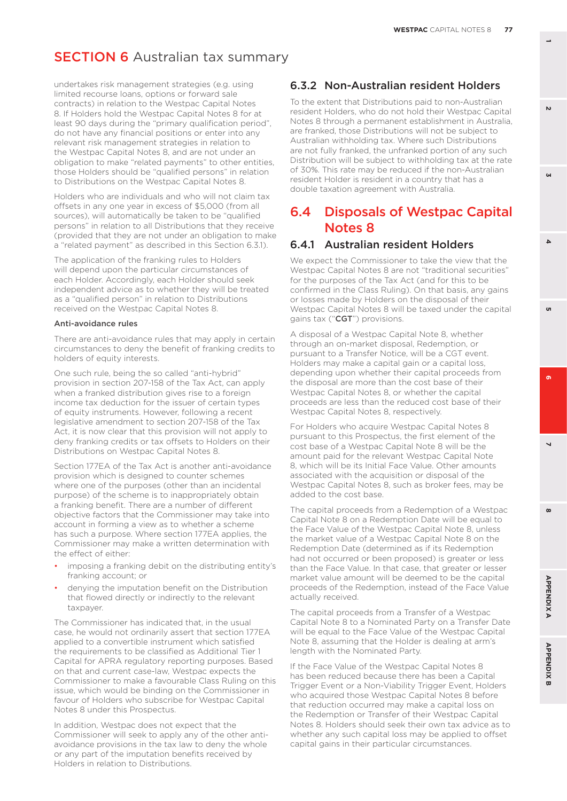undertakes risk management strategies (e.g. using limited recourse loans, options or forward sale contracts) in relation to the Westpac Capital Notes 8. If Holders hold the Westpac Capital Notes 8 for at least 90 days during the "primary qualification period", do not have any financial positions or enter into any relevant risk management strategies in relation to the Westpac Capital Notes 8, and are not under an obligation to make "related payments" to other entities, those Holders should be "qualified persons" in relation to Distributions on the Westpac Capital Notes 8.

Holders who are individuals and who will not claim tax offsets in any one year in excess of \$5,000 (from all sources), will automatically be taken to be "qualified persons" in relation to all Distributions that they receive (provided that they are not under an obligation to make a "related payment" as described in this Section 6.3.1).

The application of the franking rules to Holders will depend upon the particular circumstances of each Holder. Accordingly, each Holder should seek independent advice as to whether they will be treated as a "qualified person" in relation to Distributions received on the Westpac Capital Notes 8.

#### Anti-avoidance rules

There are anti-avoidance rules that may apply in certain circumstances to deny the benefit of franking credits to holders of equity interests.

One such rule, being the so called "anti-hybrid" provision in section 207-158 of the Tax Act, can apply when a franked distribution gives rise to a foreign income tax deduction for the issuer of certain types of equity instruments. However, following a recent legislative amendment to section 207-158 of the Tax Act, it is now clear that this provision will not apply to deny franking credits or tax offsets to Holders on their Distributions on Westpac Capital Notes 8.

Section 177EA of the Tax Act is another anti-avoidance provision which is designed to counter schemes where one of the purposes (other than an incidental purpose) of the scheme is to inappropriately obtain a franking benefit. There are a number of different objective factors that the Commissioner may take into account in forming a view as to whether a scheme has such a purpose. Where section 177EA applies, the Commissioner may make a written determination with the effect of either:

- imposing a franking debit on the distributing entity's franking account; or
- denying the imputation benefit on the Distribution that flowed directly or indirectly to the relevant taxpayer.

The Commissioner has indicated that, in the usual case, he would not ordinarily assert that section 177EA applied to a convertible instrument which satisfied the requirements to be classified as Additional Tier 1 Capital for APRA regulatory reporting purposes. Based on that and current case-law, Westpac expects the Commissioner to make a favourable Class Ruling on this issue, which would be binding on the Commissioner in favour of Holders who subscribe for Westpac Capital Notes 8 under this Prospectus.

In addition, Westpac does not expect that the Commissioner will seek to apply any of the other antiavoidance provisions in the tax law to deny the whole or any part of the imputation benefits received by Holders in relation to Distributions.

#### 6.3.2 Non-Australian resident Holders

To the extent that Distributions paid to non-Australian resident Holders, who do not hold their Westpac Capital Notes 8 through a permanent establishment in Australia, are franked, those Distributions will not be subject to Australian withholding tax. Where such Distributions are not fully franked, the unfranked portion of any such Distribution will be subject to withholding tax at the rate of 30%. This rate may be reduced if the non-Australian resident Holder is resident in a country that has a double taxation agreement with Australia.

## 6.4 Disposals of Westpac Capital Notes 8

#### 6.4.1 Australian resident Holders

We expect the Commissioner to take the view that the Westpac Capital Notes 8 are not "traditional securities" for the purposes of the Tax Act (and for this to be confirmed in the Class Ruling). On that basis, any gains or losses made by Holders on the disposal of their Westpac Capital Notes 8 will be taxed under the capital gains tax ("CGT") provisions.

A disposal of a Westpac Capital Note 8, whether through an on-market disposal, Redemption, or pursuant to a Transfer Notice, will be a CGT event. Holders may make a capital gain or a capital loss, depending upon whether their capital proceeds from the disposal are more than the cost base of their Westpac Capital Notes 8, or whether the capital proceeds are less than the reduced cost base of their Westpac Capital Notes 8, respectively.

For Holders who acquire Westpac Capital Notes 8 pursuant to this Prospectus, the first element of the cost base of a Westpac Capital Note 8 will be the amount paid for the relevant Westpac Capital Note 8, which will be its Initial Face Value. Other amounts associated with the acquisition or disposal of the Westpac Capital Notes 8, such as broker fees, may be added to the cost base.

The capital proceeds from a Redemption of a Westpac Capital Note 8 on a Redemption Date will be equal to the Face Value of the Westpac Capital Note 8, unless the market value of a Westpac Capital Note 8 on the Redemption Date (determined as if its Redemption had not occurred or been proposed) is greater or less than the Face Value. In that case, that greater or lesser market value amount will be deemed to be the capital proceeds of the Redemption, instead of the Face Value actually received.

The capital proceeds from a Transfer of a Westpac Capital Note 8 to a Nominated Party on a Transfer Date will be equal to the Face Value of the Westpac Capital Note 8, assuming that the Holder is dealing at arm's length with the Nominated Party.

If the Face Value of the Westpac Capital Notes 8 has been reduced because there has been a Capital Trigger Event or a Non-Viability Trigger Event, Holders who acquired those Westpac Capital Notes 8 before that reduction occurred may make a capital loss on the Redemption or Transfer of their Westpac Capital Notes 8. Holders should seek their own tax advice as to whether any such capital loss may be applied to offset capital gains in their particular circumstances.

 $\mathbf{v}$ 

**6 3**  $\Delta$ 

**GN** 

'n **8 5**

 $\mathbf{a}$ 

 $\overline{a}$ 

 $\boldsymbol{\omega}$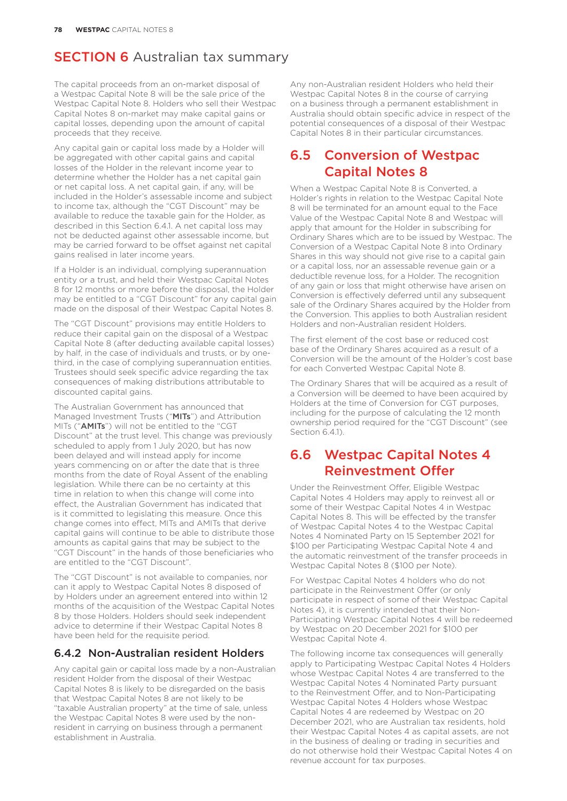The capital proceeds from an on-market disposal of a Westpac Capital Note 8 will be the sale price of the Westpac Capital Note 8. Holders who sell their Westpac Capital Notes 8 on-market may make capital gains or capital losses, depending upon the amount of capital proceeds that they receive.

Any capital gain or capital loss made by a Holder will be aggregated with other capital gains and capital losses of the Holder in the relevant income year to determine whether the Holder has a net capital gain or net capital loss. A net capital gain, if any, will be included in the Holder's assessable income and subject to income tax, although the "CGT Discount" may be available to reduce the taxable gain for the Holder, as described in this Section 6.4.1. A net capital loss may not be deducted against other assessable income, but may be carried forward to be offset against net capital gains realised in later income years.

If a Holder is an individual, complying superannuation entity or a trust, and held their Westpac Capital Notes 8 for 12 months or more before the disposal, the Holder may be entitled to a "CGT Discount" for any capital gain made on the disposal of their Westpac Capital Notes 8.

The "CGT Discount" provisions may entitle Holders to reduce their capital gain on the disposal of a Westpac Capital Note 8 (after deducting available capital losses) by half, in the case of individuals and trusts, or by onethird, in the case of complying superannuation entities. Trustees should seek specific advice regarding the tax consequences of making distributions attributable to discounted capital gains.

The Australian Government has announced that Managed Investment Trusts ("MITs") and Attribution MITs ("AMITs") will not be entitled to the "CGT Discount" at the trust level. This change was previously scheduled to apply from 1 July 2020, but has now been delayed and will instead apply for income years commencing on or after the date that is three months from the date of Royal Assent of the enabling legislation. While there can be no certainty at this time in relation to when this change will come into effect, the Australian Government has indicated that is it committed to legislating this measure. Once this change comes into effect, MITs and AMITs that derive capital gains will continue to be able to distribute those amounts as capital gains that may be subject to the "CGT Discount" in the hands of those beneficiaries who are entitled to the "CGT Discount".

The "CGT Discount" is not available to companies, nor can it apply to Westpac Capital Notes 8 disposed of by Holders under an agreement entered into within 12 months of the acquisition of the Westpac Capital Notes 8 by those Holders. Holders should seek independent advice to determine if their Westpac Capital Notes 8 have been held for the requisite period.

#### 6.4.2 Non-Australian resident Holders

Any capital gain or capital loss made by a non-Australian resident Holder from the disposal of their Westpac Capital Notes 8 is likely to be disregarded on the basis that Westpac Capital Notes 8 are not likely to be "taxable Australian property" at the time of sale, unless the Westpac Capital Notes 8 were used by the nonresident in carrying on business through a permanent establishment in Australia.

Any non-Australian resident Holders who held their Westpac Capital Notes 8 in the course of carrying on a business through a permanent establishment in Australia should obtain specific advice in respect of the potential consequences of a disposal of their Westpac Capital Notes 8 in their particular circumstances.

## 6.5 Conversion of Westpac Capital Notes 8

When a Westpac Capital Note 8 is Converted, a Holder's rights in relation to the Westpac Capital Note 8 will be terminated for an amount equal to the Face Value of the Westpac Capital Note 8 and Westpac will apply that amount for the Holder in subscribing for Ordinary Shares which are to be issued by Westpac. The Conversion of a Westpac Capital Note 8 into Ordinary Shares in this way should not give rise to a capital gain or a capital loss, nor an assessable revenue gain or a deductible revenue loss, for a Holder. The recognition of any gain or loss that might otherwise have arisen on Conversion is effectively deferred until any subsequent sale of the Ordinary Shares acquired by the Holder from the Conversion. This applies to both Australian resident Holders and non-Australian resident Holders.

The first element of the cost base or reduced cost base of the Ordinary Shares acquired as a result of a Conversion will be the amount of the Holder's cost base for each Converted Westpac Capital Note 8.

The Ordinary Shares that will be acquired as a result of a Conversion will be deemed to have been acquired by Holders at the time of Conversion for CGT purposes, including for the purpose of calculating the 12 month ownership period required for the "CGT Discount" (see Section 6.4.1).

## 6.6 Westpac Capital Notes 4 Reinvestment Offer

Under the Reinvestment Offer, Eligible Westpac Capital Notes 4 Holders may apply to reinvest all or some of their Westpac Capital Notes 4 in Westpac Capital Notes 8. This will be effected by the transfer of Westpac Capital Notes 4 to the Westpac Capital Notes 4 Nominated Party on 15 September 2021 for \$100 per Participating Westpac Capital Note 4 and the automatic reinvestment of the transfer proceeds in Westpac Capital Notes 8 (\$100 per Note).

For Westpac Capital Notes 4 holders who do not participate in the Reinvestment Offer (or only participate in respect of some of their Westpac Capital Notes 4), it is currently intended that their Non-Participating Westpac Capital Notes 4 will be redeemed by Westpac on 20 December 2021 for \$100 per Westpac Capital Note 4.

The following income tax consequences will generally apply to Participating Westpac Capital Notes 4 Holders whose Westpac Capital Notes 4 are transferred to the Westpac Capital Notes 4 Nominated Party pursuant to the Reinvestment Offer, and to Non-Participating Westpac Capital Notes 4 Holders whose Westpac Capital Notes 4 are redeemed by Westpac on 20 December 2021, who are Australian tax residents, hold their Westpac Capital Notes 4 as capital assets, are not in the business of dealing or trading in securities and do not otherwise hold their Westpac Capital Notes 4 on revenue account for tax purposes.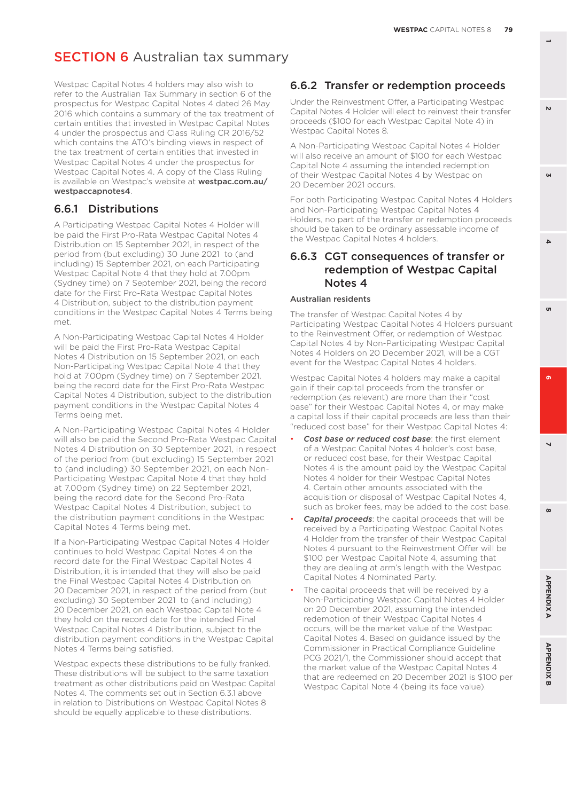Westpac Capital Notes 4 holders may also wish to refer to the Australian Tax Summary in section 6 of the prospectus for Westpac Capital Notes 4 dated 26 May 2016 which contains a summary of the tax treatment of certain entities that invested in Westpac Capital Notes 4 under the prospectus and Class Ruling CR 2016/52 which contains the ATO's binding views in respect of the tax treatment of certain entities that invested in Westpac Capital Notes 4 under the prospectus for Westpac Capital Notes 4. A copy of the Class Ruling is available on Westpac's website at [westpac.com.au/](http://westpac.com.au/westpaccapnotes4) [westpaccapnotes4](http://westpac.com.au/westpaccapnotes4).

#### 6.6.1 Distributions

A Participating Westpac Capital Notes 4 Holder will be paid the First Pro-Rata Westpac Capital Notes 4 Distribution on 15 September 2021, in respect of the period from (but excluding) 30 June 2021 to (and including) 15 September 2021, on each Participating Westpac Capital Note 4 that they hold at 7.00pm (Sydney time) on 7 September 2021, being the record date for the First Pro-Rata Westpac Capital Notes 4 Distribution, subject to the distribution payment conditions in the Westpac Capital Notes 4 Terms being met.

A Non-Participating Westpac Capital Notes 4 Holder will be paid the First Pro-Rata Westpac Capital Notes 4 Distribution on 15 September 2021, on each Non-Participating Westpac Capital Note 4 that they hold at 7.00pm (Sydney time) on 7 September 2021, being the record date for the First Pro-Rata Westpac Capital Notes 4 Distribution, subject to the distribution payment conditions in the Westpac Capital Notes 4 Terms being met.

A Non-Participating Westpac Capital Notes 4 Holder will also be paid the Second Pro-Rata Westpac Capital Notes 4 Distribution on 30 September 2021, in respect of the period from (but excluding) 15 September 2021 to (and including) 30 September 2021, on each Non-Participating Westpac Capital Note 4 that they hold at 7.00pm (Sydney time) on 22 September 2021, being the record date for the Second Pro-Rata Westpac Capital Notes 4 Distribution, subject to the distribution payment conditions in the Westpac Capital Notes 4 Terms being met.

If a Non-Participating Westpac Capital Notes 4 Holder continues to hold Westpac Capital Notes 4 on the record date for the Final Westpac Capital Notes 4 Distribution, it is intended that they will also be paid the Final Westpac Capital Notes 4 Distribution on 20 December 2021, in respect of the period from (but excluding) 30 September 2021 to (and including) 20 December 2021, on each Westpac Capital Note 4 they hold on the record date for the intended Final Westpac Capital Notes 4 Distribution, subject to the distribution payment conditions in the Westpac Capital Notes 4 Terms being satisfied.

Westpac expects these distributions to be fully franked. These distributions will be subject to the same taxation treatment as other distributions paid on Westpac Capital Notes 4. The comments set out in Section 6.3.1 above in relation to Distributions on Westpac Capital Notes 8 should be equally applicable to these distributions.

#### 6.6.2 Transfer or redemption proceeds

Under the Reinvestment Offer, a Participating Westpac Capital Notes 4 Holder will elect to reinvest their transfer proceeds (\$100 for each Westpac Capital Note 4) in Westpac Capital Notes 8.

A Non-Participating Westpac Capital Notes 4 Holder will also receive an amount of \$100 for each Westpac Capital Note 4 assuming the intended redemption of their Westpac Capital Notes 4 by Westpac on 20 December 2021 occurs.

For both Participating Westpac Capital Notes 4 Holders and Non-Participating Westpac Capital Notes 4 Holders, no part of the transfer or redemption proceeds should be taken to be ordinary assessable income of the Westpac Capital Notes 4 holders.

#### 6.6.3 CGT consequences of transfer or redemption of Westpac Capital Notes 4

#### Australian residents

The transfer of Westpac Capital Notes 4 by Participating Westpac Capital Notes 4 Holders pursuant to the Reinvestment Offer, or redemption of Westpac Capital Notes 4 by Non-Participating Westpac Capital Notes 4 Holders on 20 December 2021, will be a CGT event for the Westpac Capital Notes 4 holders.

Westpac Capital Notes 4 holders may make a capital gain if their capital proceeds from the transfer or redemption (as relevant) are more than their "cost base" for their Westpac Capital Notes 4, or may make a capital loss if their capital proceeds are less than their "reduced cost base" for their Westpac Capital Notes 4:

- *Cost base or reduced cost base*: the first element of a Westpac Capital Notes 4 holder's cost base, or reduced cost base, for their Westpac Capital Notes 4 is the amount paid by the Westpac Capital Notes 4 holder for their Westpac Capital Notes 4. Certain other amounts associated with the acquisition or disposal of Westpac Capital Notes 4, such as broker fees, may be added to the cost base.
- *Capital proceeds*: the capital proceeds that will be received by a Participating Westpac Capital Notes 4 Holder from the transfer of their Westpac Capital Notes 4 pursuant to the Reinvestment Offer will be \$100 per Westpac Capital Note 4, assuming that they are dealing at arm's length with the Westpac Capital Notes 4 Nominated Party.
- The capital proceeds that will be received by a Non-Participating Westpac Capital Notes 4 Holder on 20 December 2021, assuming the intended redemption of their Westpac Capital Notes 4 occurs, will be the market value of the Westpac Capital Notes 4. Based on guidance issued by the Commissioner in Practical Compliance Guideline PCG 2021/1, the Commissioner should accept that the market value of the Westpac Capital Notes 4 that are redeemed on 20 December 2021 is \$100 per Westpac Capital Note 4 (being its face value).

 $\mathbf{v}$ 

**CAL** 

**6 3**

'n

 $\Delta$ 

**8 5**

 $\overline{a}$ 

 $\mathbf{a}$ 

 $\boldsymbol{\omega}$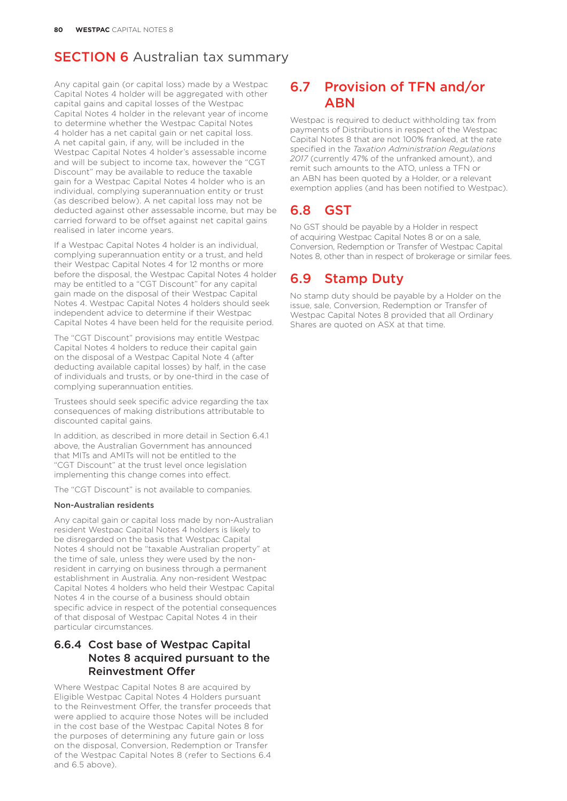Any capital gain (or capital loss) made by a Westpac Capital Notes 4 holder will be aggregated with other capital gains and capital losses of the Westpac Capital Notes 4 holder in the relevant year of income to determine whether the Westpac Capital Notes 4 holder has a net capital gain or net capital loss. A net capital gain, if any, will be included in the Westpac Capital Notes 4 holder's assessable income and will be subject to income tax, however the "CGT Discount" may be available to reduce the taxable gain for a Westpac Capital Notes 4 holder who is an individual, complying superannuation entity or trust (as described below). A net capital loss may not be deducted against other assessable income, but may be carried forward to be offset against net capital gains realised in later income years.

If a Westpac Capital Notes 4 holder is an individual, complying superannuation entity or a trust, and held their Westpac Capital Notes 4 for 12 months or more before the disposal, the Westpac Capital Notes 4 holder may be entitled to a "CGT Discount" for any capital gain made on the disposal of their Westpac Capital Notes 4. Westpac Capital Notes 4 holders should seek independent advice to determine if their Westpac Capital Notes 4 have been held for the requisite period.

The "CGT Discount" provisions may entitle Westpac Capital Notes 4 holders to reduce their capital gain on the disposal of a Westpac Capital Note 4 (after deducting available capital losses) by half, in the case of individuals and trusts, or by one-third in the case of complying superannuation entities.

Trustees should seek specific advice regarding the tax consequences of making distributions attributable to discounted capital gains.

In addition, as described in more detail in Section 6.4.1 above, the Australian Government has announced that MITs and AMITs will not be entitled to the "CGT Discount" at the trust level once legislation implementing this change comes into effect.

The "CGT Discount" is not available to companies.

#### Non-Australian residents

Any capital gain or capital loss made by non-Australian resident Westpac Capital Notes 4 holders is likely to be disregarded on the basis that Westpac Capital Notes 4 should not be "taxable Australian property" at the time of sale, unless they were used by the nonresident in carrying on business through a permanent establishment in Australia. Any non-resident Westpac Capital Notes 4 holders who held their Westpac Capital Notes 4 in the course of a business should obtain specific advice in respect of the potential consequences of that disposal of Westpac Capital Notes 4 in their particular circumstances.

#### 6.6.4 Cost base of Westpac Capital Notes 8 acquired pursuant to the Reinvestment Offer

Where Westpac Capital Notes 8 are acquired by Eligible Westpac Capital Notes 4 Holders pursuant to the Reinvestment Offer, the transfer proceeds that were applied to acquire those Notes will be included in the cost base of the Westpac Capital Notes 8 for the purposes of determining any future gain or loss on the disposal, Conversion, Redemption or Transfer of the Westpac Capital Notes 8 (refer to Sections 6.4 and 6.5 above).

## 6.7 Provision of TFN and/or **ABN**

Westpac is required to deduct withholding tax from payments of Distributions in respect of the Westpac Capital Notes 8 that are not 100% franked, at the rate specified in the *Taxation Administration Regulations 2017* (currently 47% of the unfranked amount), and remit such amounts to the ATO, unless a TFN or an ABN has been quoted by a Holder, or a relevant exemption applies (and has been notified to Westpac).

## 6.8 GST

No GST should be payable by a Holder in respect of acquiring Westpac Capital Notes 8 or on a sale, Conversion, Redemption or Transfer of Westpac Capital Notes 8, other than in respect of brokerage or similar fees.

## 6.9 Stamp Duty

No stamp duty should be payable by a Holder on the issue, sale, Conversion, Redemption or Transfer of Westpac Capital Notes 8 provided that all Ordinary Shares are quoted on ASX at that time.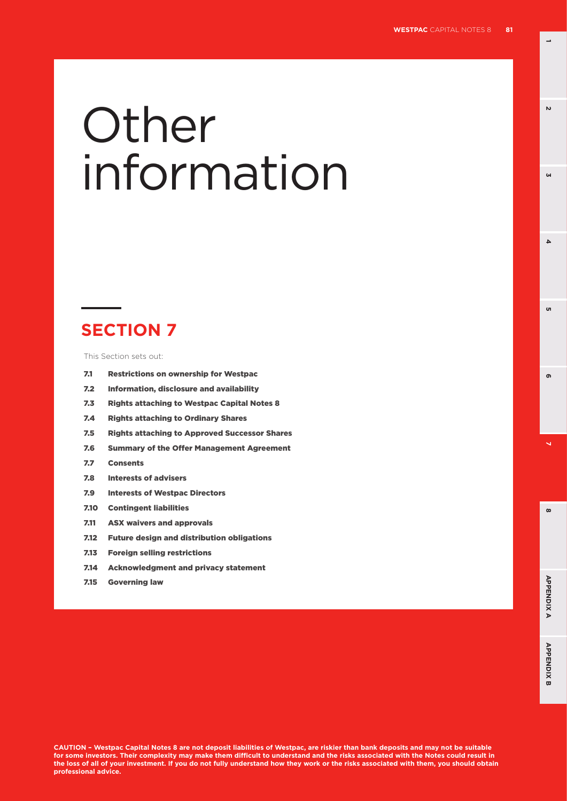**1**

**3**

 $\Delta$ 

u

 $\mathbf{v}$ 

# **Other** information

# **SECTION 7**

This Section sets out:

- 7.1 Restrictions on ownership for Westpac
- 7.2 Information, disclosure and availability
- 7.3 Rights attaching to Westpac Capital Notes 8
- 7.4 Rights attaching to Ordinary Shares
- 7.5 Rights attaching to Approved Successor Shares
- 7.6 Summary of the Offer Management Agreement
- 7.7 Consents
- 7.8 Interests of advisers
- 7.9 Interests of Westpac Directors
- 7.10 Contingent liabilities
- 7.11 ASX waivers and approvals
- 7.12 Future design and distribution obligations
- 7.13 Foreign selling restrictions
- 7.14 Acknowledgment and privacy statement
- 7.15 Governing law

**CAUTION – Westpac Capital Notes 8 are not deposit liabilities of Westpac, are riskier than bank deposits and may not be suitable for some investors. Their complexity may make them difficult to understand and the risks associated with the Notes could result in the loss of all of your investment. If you do not fully understand how they work or the risks associated with them, you should obtain professional advice.**

**8 5**

 $\overline{\mathbf{v}}$ 

 $\infty$ 

ക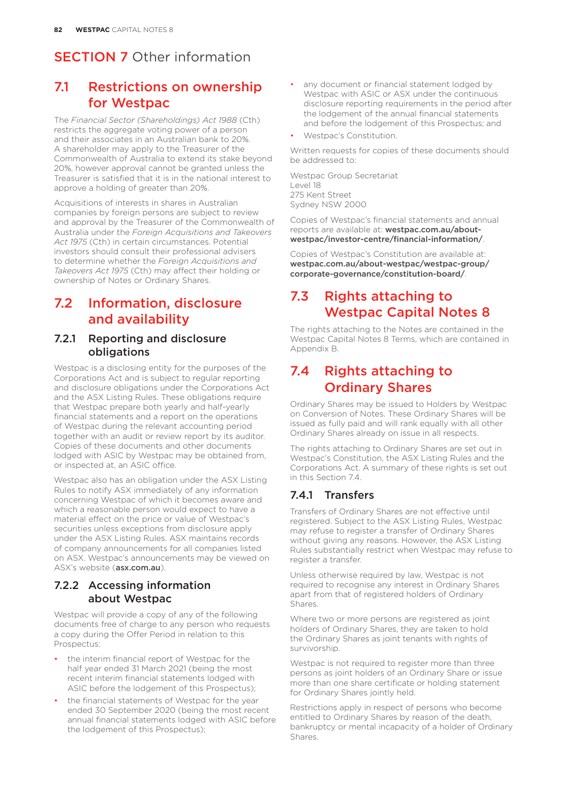## 7.1 Restrictions on ownership for Westpac

The *Financial Sector (Shareholdings) Act 1988* (Cth) restricts the aggregate voting power of a person and their associates in an Australian bank to 20%. A shareholder may apply to the Treasurer of the Commonwealth of Australia to extend its stake beyond 20%, however approval cannot be granted unless the Treasurer is satisfied that it is in the national interest to approve a holding of greater than 20%.

Acquisitions of interests in shares in Australian companies by foreign persons are subject to review and approval by the Treasurer of the Commonwealth of Australia under the *Foreign Acquisitions and Takeovers Act 1975* (Cth) in certain circumstances. Potential investors should consult their professional advisers to determine whether the *Foreign Acquisitions and Takeovers Act 1975* (Cth) may affect their holding or ownership of Notes or Ordinary Shares.

## 7.2 Information, disclosure and availability

#### 7.2.1 Reporting and disclosure obligations

Westpac is a disclosing entity for the purposes of the Corporations Act and is subject to regular reporting and disclosure obligations under the Corporations Act and the ASX Listing Rules. These obligations require that Westpac prepare both yearly and half-yearly financial statements and a report on the operations of Westpac during the relevant accounting period together with an audit or review report by its auditor. Copies of these documents and other documents lodged with ASIC by Westpac may be obtained from, or inspected at, an ASIC office.

Westpac also has an obligation under the ASX Listing Rules to notify ASX immediately of any information concerning Westpac of which it becomes aware and which a reasonable person would expect to have a material effect on the price or value of Westpac's securities unless exceptions from disclosure apply under the ASX Listing Rules. ASX maintains records of company announcements for all companies listed on ASX. Westpac's announcements may be viewed on ASX's website ([asx.com.au](http://asx.com.au)).

#### 7.2.2 Accessing information about Westpac

Westpac will provide a copy of any of the following documents free of charge to any person who requests a copy during the Offer Period in relation to this Prospectus:

- the interim financial report of Westpac for the half year ended 31 March 2021 (being the most recent interim financial statements lodged with ASIC before the lodgement of this Prospectus);
- the financial statements of Westpac for the year ended 30 September 2020 (being the most recent annual financial statements lodged with ASIC before the lodgement of this Prospectus);
- any document or financial statement lodged by Westpac with ASIC or ASX under the continuous disclosure reporting requirements in the period after the lodgement of the annual financial statements and before the lodgement of this Prospectus; and
- Westpac's Constitution.

Written requests for copies of these documents should be addressed to:

Westpac Group Secretariat Level 18 275 Kent Street Sydney NSW 2000

Copies of Westpac's financial statements and annual reports are available at: [westpac.com.au/about](http://westpac.com.au/about-westpac/investor-centre/financial-information/)[westpac/investor-centre/financial-information/](http://westpac.com.au/about-westpac/investor-centre/financial-information/).

Copies of Westpac's Constitution are available at: [westpac.com.au/about-westpac/westpac-group/](http://westpac.com.au/about-westpac/westpac-group/corporate-governance/constitution-board/) [corporate-governance/constitution-board/](http://westpac.com.au/about-westpac/westpac-group/corporate-governance/constitution-board/).

## 7.3 Rights attaching to Westpac Capital Notes 8

The rights attaching to the Notes are contained in the Westpac Capital Notes 8 Terms, which are contained in Appendix B.

## 7.4 Rights attaching to Ordinary Shares

Ordinary Shares may be issued to Holders by Westpac on Conversion of Notes. These Ordinary Shares will be issued as fully paid and will rank equally with all other Ordinary Shares already on issue in all respects.

The rights attaching to Ordinary Shares are set out in Westpac's Constitution, the ASX Listing Rules and the Corporations Act. A summary of these rights is set out in this Section 7.4.

## 7.4.1 Transfers

Transfers of Ordinary Shares are not effective until registered. Subject to the ASX Listing Rules, Westpac may refuse to register a transfer of Ordinary Shares without giving any reasons. However, the ASX Listing Rules substantially restrict when Westpac may refuse to register a transfer.

Unless otherwise required by law, Westpac is not required to recognise any interest in Ordinary Shares apart from that of registered holders of Ordinary Shares.

Where two or more persons are registered as joint holders of Ordinary Shares, they are taken to hold the Ordinary Shares as joint tenants with rights of survivorship.

Westpac is not required to register more than three persons as joint holders of an Ordinary Share or issue more than one share certificate or holding statement for Ordinary Shares jointly held.

Restrictions apply in respect of persons who become entitled to Ordinary Shares by reason of the death, bankruptcy or mental incapacity of a holder of Ordinary Shares.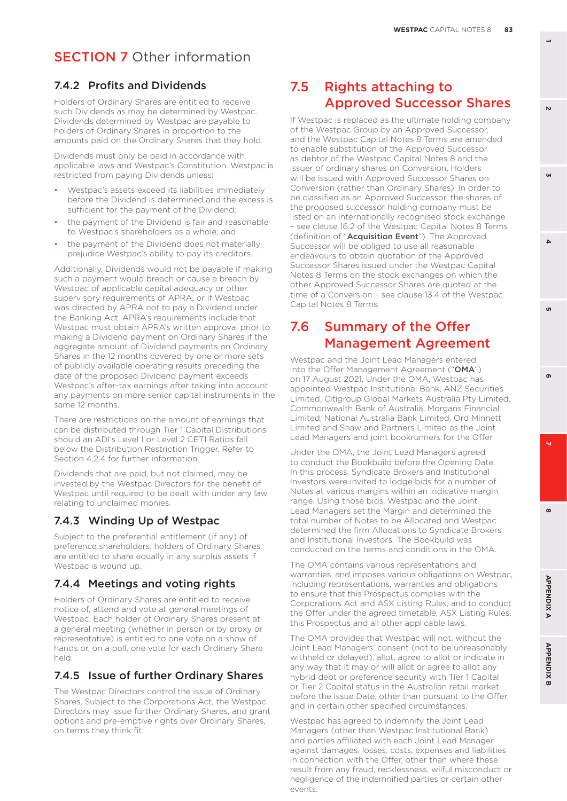#### 7.4.2 Profits and Dividends

Holders of Ordinary Shares are entitled to receive such Dividends as may be determined by Westpac. Dividends determined by Westpac are payable to holders of Ordinary Shares in proportion to the amounts paid on the Ordinary Shares that they hold.

Dividends must only be paid in accordance with applicable laws and Westpac's Constitution. Westpac is restricted from paying Dividends unless:

- Westpac's assets exceed its liabilities immediately before the Dividend is determined and the excess is sufficient for the payment of the Dividend;
- the payment of the Dividend is fair and reasonable to Westpac's shareholders as a whole; and
- the payment of the Dividend does not materially prejudice Westpac's ability to pay its creditors.

Additionally, Dividends would not be payable if making such a payment would breach or cause a breach by Westpac of applicable capital adequacy or other supervisory requirements of APRA, or if Westpac was directed by APRA not to pay a Dividend under the Banking Act. APRA's requirements include that Westpac must obtain APRA's written approval prior to making a Dividend payment on Ordinary Shares if the aggregate amount of Dividend payments on Ordinary Shares in the 12 months covered by one or more sets of publicly available operating results preceding the date of the proposed Dividend payment exceeds Westpac's after-tax earnings after taking into account any payments on more senior capital instruments in the same 12 months.

There are restrictions on the amount of earnings that can be distributed through Tier 1 Capital Distributions should an ADI's Level 1 or Level 2 CET1 Ratios fall below the Distribution Restriction Trigger. Refer to Section 4.2.4 for further information.

Dividends that are paid, but not claimed, may be invested by the Westpac Directors for the benefit of Westpac until required to be dealt with under any law relating to unclaimed monies.

#### 7.4.3 Winding Up of Westpac

Subject to the preferential entitlement (if any) of preference shareholders, holders of Ordinary Shares are entitled to share equally in any surplus assets if Westpac is wound up.

#### 7.4.4 Meetings and voting rights

Holders of Ordinary Shares are entitled to receive notice of, attend and vote at general meetings of Westpac. Each holder of Ordinary Shares present at a general meeting (whether in person or by proxy or representative) is entitled to one vote on a show of hands or, on a poll, one vote for each Ordinary Share held.

#### 7.4.5 Issue of further Ordinary Shares

The Westpac Directors control the issue of Ordinary Shares. Subject to the Corporations Act, the Westpac Directors may issue further Ordinary Shares, and grant options and pre-emptive rights over Ordinary Shares, on terms they think fit.

## 7.5 Rights attaching to Approved Successor Shares

If Westpac is replaced as the ultimate holding company of the Westpac Group by an Approved Successor, and the Westpac Capital Notes 8 Terms are amended to enable substitution of the Approved Successor as debtor of the Westpac Capital Notes 8 and the issuer of ordinary shares on Conversion, Holders will be issued with Approved Successor Shares on Conversion (rather than Ordinary Shares). In order to be classified as an Approved Successor, the shares of the proposed successor holding company must be listed on an internationally recognised stock exchange – see clause 16.2 of the Westpac Capital Notes 8 Terms (definition of "Acquisition Event"). The Approved Successor will be obliged to use all reasonable endeavours to obtain quotation of the Approved Successor Shares issued under the Westpac Capital Notes 8 Terms on the stock exchanges on which the other Approved Successor Shares are quoted at the time of a Conversion – see clause 13.4 of the Westpac Capital Notes 8 Terms.

## 7.6 Summary of the Offer Management Agreement

Westpac and the Joint Lead Managers entered into the Offer Management Agreement ("OMA") on 17 August 2021. Under the OMA, Westpac has appointed Westpac Institutional Bank, ANZ Securities Limited, Citigroup Global Markets Australia Pty Limited, Commonwealth Bank of Australia, Morgans Financial Limited, National Australia Bank Limited, Ord Minnett Limited and Shaw and Partners Limited as the Joint Lead Managers and joint bookrunners for the Offer.

Under the OMA, the Joint Lead Managers agreed to conduct the Bookbuild before the Opening Date. In this process, Syndicate Brokers and Institutional Investors were invited to lodge bids for a number of Notes at various margins within an indicative margin range. Using those bids, Westpac and the Joint Lead Managers set the Margin and determined the total number of Notes to be Allocated and Westpac determined the firm Allocations to Syndicate Brokers and Institutional Investors. The Bookbuild was conducted on the terms and conditions in the OMA.

The OMA contains various representations and warranties, and imposes various obligations on Westpac, including representations, warranties and obligations to ensure that this Prospectus complies with the Corporations Act and ASX Listing Rules, and to conduct the Offer under the agreed timetable, ASX Listing Rules, this Prospectus and all other applicable laws.

The OMA provides that Westpac will not, without the Joint Lead Managers' consent (not to be unreasonably withheld or delayed), allot, agree to allot or indicate in any way that it may or will allot or agree to allot any hybrid debt or preference security with Tier 1 Capital or Tier 2 Capital status in the Australian retail market before the Issue Date, other than pursuant to the Offer and in certain other specified circumstances.

Westpac has agreed to indemnify the Joint Lead Managers (other than Westpac Institutional Bank) and parties affiliated with each Joint Lead Manager against damages, losses, costs, expenses and liabilities in connection with the Offer, other than where these result from any fraud, recklessness, wilful misconduct or negligence of the indemnified parties or certain other events.

**3**

 $\Delta$ 

'n

 $\mathbf{v}$ 

 $\ddot{\phantom{0}}$ 

 $\boldsymbol{\omega}$ 

ക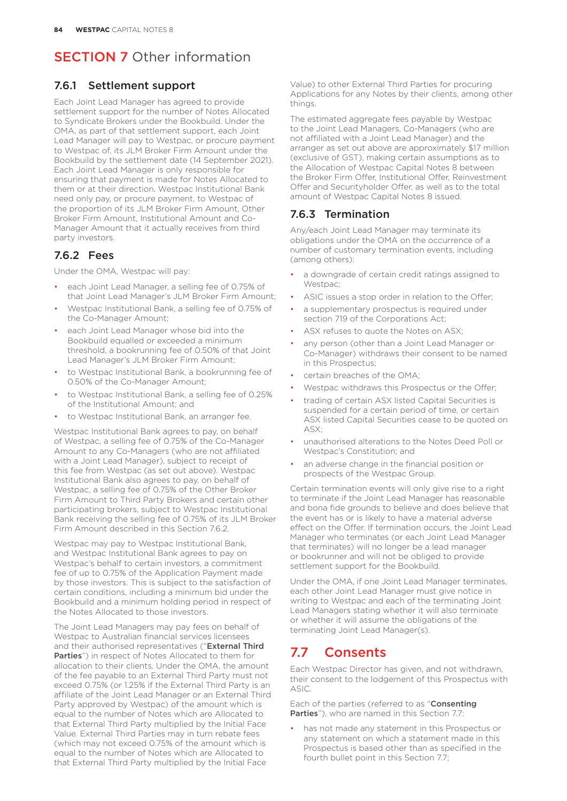### 7.6.1 Settlement support

Each Joint Lead Manager has agreed to provide settlement support for the number of Notes Allocated to Syndicate Brokers under the Bookbuild. Under the OMA, as part of that settlement support, each Joint Lead Manager will pay to Westpac, or procure payment to Westpac of, its JLM Broker Firm Amount under the Bookbuild by the settlement date (14 September 2021). Each Joint Lead Manager is only responsible for ensuring that payment is made for Notes Allocated to them or at their direction. Westpac Institutional Bank need only pay, or procure payment, to Westpac of the proportion of its JLM Broker Firm Amount, Other Broker Firm Amount, Institutional Amount and Co-Manager Amount that it actually receives from third party investors.

## 7.6.2 Fees

Under the OMA, Westpac will pay:

- each Joint Lead Manager, a selling fee of 0.75% of that Joint Lead Manager's JLM Broker Firm Amount;
- Westpac Institutional Bank, a selling fee of 0.75% of the Co-Manager Amount;
- each Joint Lead Manager whose bid into the Bookbuild equalled or exceeded a minimum threshold, a bookrunning fee of 0.50% of that Joint Lead Manager's JLM Broker Firm Amount;
- to Westpac Institutional Bank, a bookrunning fee of 0.50% of the Co-Manager Amount;
- to Westpac Institutional Bank, a selling fee of 0.25% of the Institutional Amount; and
- to Westpac Institutional Bank, an arranger fee.

Westpac Institutional Bank agrees to pay, on behalf of Westpac, a selling fee of 0.75% of the Co-Manager Amount to any Co-Managers (who are not affiliated with a Joint Lead Manager), subject to receipt of this fee from Westpac (as set out above). Westpac Institutional Bank also agrees to pay, on behalf of Westpac, a selling fee of 0.75% of the Other Broker Firm Amount to Third Party Brokers and certain other participating brokers, subject to Westpac Institutional Bank receiving the selling fee of 0.75% of its JLM Broker Firm Amount described in this Section 76.2.

Westpac may pay to Westpac Institutional Bank, and Westpac Institutional Bank agrees to pay on Westpac's behalf to certain investors, a commitment fee of up to 0.75% of the Application Payment made by those investors. This is subject to the satisfaction of certain conditions, including a minimum bid under the Bookbuild and a minimum holding period in respect of the Notes Allocated to those investors.

The Joint Lead Managers may pay fees on behalf of Westpac to Australian financial services licensees and their authorised representatives ("External Third Parties") in respect of Notes Allocated to them for allocation to their clients. Under the OMA, the amount of the fee payable to an External Third Party must not exceed 0.75% (or 1.25% if the External Third Party is an affiliate of the Joint Lead Manager or an External Third Party approved by Westpac) of the amount which is equal to the number of Notes which are Allocated to that External Third Party multiplied by the Initial Face Value. External Third Parties may in turn rebate fees (which may not exceed 0.75% of the amount which is equal to the number of Notes which are Allocated to that External Third Party multiplied by the Initial Face

Value) to other External Third Parties for procuring Applications for any Notes by their clients, among other things.

The estimated aggregate fees payable by Westpac to the Joint Lead Managers, Co-Managers (who are not affiliated with a Joint Lead Manager) and the arranger as set out above are approximately \$17 million (exclusive of GST), making certain assumptions as to the Allocation of Westpac Capital Notes 8 between the Broker Firm Offer, Institutional Offer, Reinvestment Offer and Securityholder Offer, as well as to the total amount of Westpac Capital Notes 8 issued.

### 7.6.3 Termination

Any/each Joint Lead Manager may terminate its obligations under the OMA on the occurrence of a number of customary termination events, including (among others):

- a downgrade of certain credit ratings assigned to Westpac;
- ASIC issues a stop order in relation to the Offer;
- a supplementary prospectus is required under section 719 of the Corporations Act;
- ASX refuses to quote the Notes on ASX<sup>;</sup>
- any person (other than a Joint Lead Manager or Co-Manager) withdraws their consent to be named in this Prospectus;
- certain breaches of the OMA:
- Westpac withdraws this Prospectus or the Offer;
- trading of certain ASX listed Capital Securities is suspended for a certain period of time, or certain ASX listed Capital Securities cease to be quoted on ASX;
- unauthorised alterations to the Notes Deed Poll or Westpac's Constitution; and
- an adverse change in the financial position or prospects of the Westpac Group.

Certain termination events will only give rise to a right to terminate if the Joint Lead Manager has reasonable and bona fide grounds to believe and does believe that the event has or is likely to have a material adverse effect on the Offer. If termination occurs, the Joint Lead Manager who terminates (or each Joint Lead Manager that terminates) will no longer be a lead manager or bookrunner and will not be obliged to provide settlement support for the Bookbuild.

Under the OMA, if one Joint Lead Manager terminates, each other Joint Lead Manager must give notice in writing to Westpac and each of the terminating Joint Lead Managers stating whether it will also terminate or whether it will assume the obligations of the terminating Joint Lead Manager(s).

## 7.7 Consents

Each Westpac Director has given, and not withdrawn, their consent to the lodgement of this Prospectus with ASIC.

Each of the parties (referred to as "Consenting **Parties**"), who are named in this Section 7.7:

has not made any statement in this Prospectus or any statement on which a statement made in this Prospectus is based other than as specified in the fourth bullet point in this Section 7.7;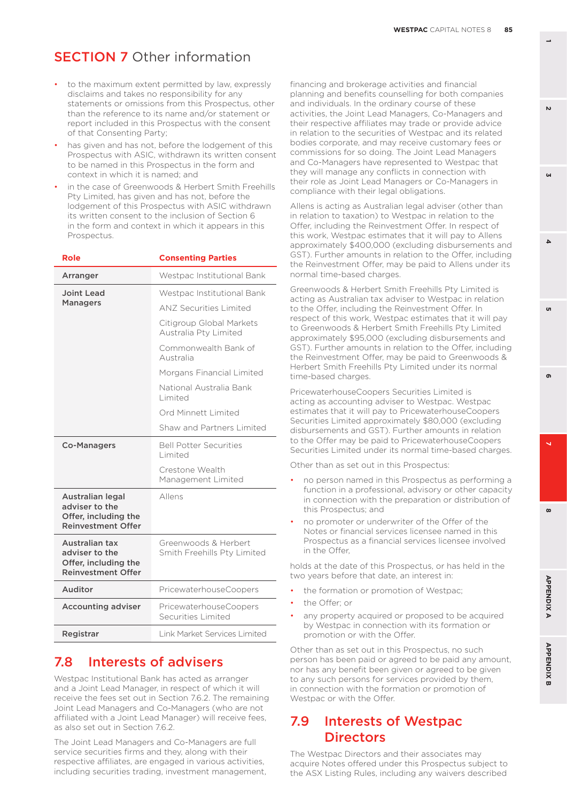- to the maximum extent permitted by law, expressly disclaims and takes no responsibility for any statements or omissions from this Prospectus, other than the reference to its name and/or statement or report included in this Prospectus with the consent of that Consenting Party;
- has given and has not, before the lodgement of this Prospectus with ASIC, withdrawn its written consent to be named in this Prospectus in the form and context in which it is named; and
- in the case of Greenwoods & Herbert Smith Freehills Pty Limited, has given and has not, before the lodgement of this Prospectus with ASIC withdrawn its written consent to the inclusion of Section 6 in the form and context in which it appears in this Prospectus.

| <b>Role</b>                                                                             | <b>Consenting Parties</b>                           |
|-----------------------------------------------------------------------------------------|-----------------------------------------------------|
| Arranger                                                                                | Westpac Institutional Bank                          |
| Joint Lead                                                                              | Westpac Institutional Bank                          |
| <b>Managers</b>                                                                         | <b>ANZ Securities Limited</b>                       |
|                                                                                         | Citigroup Global Markets<br>Australia Pty Limited   |
|                                                                                         | Commonwealth Bank of<br>Australia                   |
|                                                                                         | Morgans Financial Limited                           |
|                                                                                         | National Australia Bank<br>Limited                  |
|                                                                                         | Ord Minnett Limited                                 |
|                                                                                         | Shaw and Partners Limited                           |
| <b>Co-Managers</b>                                                                      | <b>Bell Potter Securities</b><br><b>Limited</b>     |
|                                                                                         | Crestone Wealth<br>Management Limited               |
| Australian legal<br>adviser to the<br>Offer, including the<br><b>Reinvestment Offer</b> | Allens                                              |
| Australian tax<br>adviser to the<br>Offer, including the<br><b>Reinvestment Offer</b>   | Greenwoods & Herbert<br>Smith Freehills Pty Limited |
| Auditor                                                                                 | PricewaterhouseCoopers                              |
| <b>Accounting adviser</b>                                                               | PricewaterhouseCoopers<br>Securities Limited        |
| Registrar                                                                               | <b>Link Market Services Limited</b>                 |

## 7.8 Interests of advisers

Westpac Institutional Bank has acted as arranger and a Joint Lead Manager, in respect of which it will receive the fees set out in Section 7.6.2. The remaining Joint Lead Managers and Co-Managers (who are not affiliated with a Joint Lead Manager) will receive fees, as also set out in Section 7.6.2.

The Joint Lead Managers and Co-Managers are full service securities firms and they, along with their respective affiliates, are engaged in various activities, including securities trading, investment management,

financing and brokerage activities and financial planning and benefits counselling for both companies and individuals. In the ordinary course of these activities, the Joint Lead Managers, Co-Managers and their respective affiliates may trade or provide advice in relation to the securities of Westpac and its related bodies corporate, and may receive customary fees or commissions for so doing. The Joint Lead Managers and Co-Managers have represented to Westpac that they will manage any conflicts in connection with their role as Joint Lead Managers or Co-Managers in compliance with their legal obligations.

Allens is acting as Australian legal adviser (other than in relation to taxation) to Westpac in relation to the Offer, including the Reinvestment Offer. In respect of this work, Westpac estimates that it will pay to Allens approximately \$400,000 (excluding disbursements and GST). Further amounts in relation to the Offer, including the Reinvestment Offer, may be paid to Allens under its normal time-based charges.

Greenwoods & Herbert Smith Freehills Pty Limited is acting as Australian tax adviser to Westpac in relation to the Offer, including the Reinvestment Offer. In respect of this work, Westpac estimates that it will pay to Greenwoods & Herbert Smith Freehills Pty Limited approximately \$95,000 (excluding disbursements and GST). Further amounts in relation to the Offer, including the Reinvestment Offer, may be paid to Greenwoods & Herbert Smith Freehills Pty Limited under its normal time-based charges.

PricewaterhouseCoopers Securities Limited is acting as accounting adviser to Westpac. Westpac estimates that it will pay to PricewaterhouseCoopers Securities Limited approximately \$80,000 (excluding disbursements and GST). Further amounts in relation to the Offer may be paid to PricewaterhouseCoopers Securities Limited under its normal time-based charges.

Other than as set out in this Prospectus:

- no person named in this Prospectus as performing a function in a professional, advisory or other capacity in connection with the preparation or distribution of this Prospectus; and
- no promoter or underwriter of the Offer of the Notes or financial services licensee named in this Prospectus as a financial services licensee involved in the Offer,

holds at the date of this Prospectus, or has held in the two years before that date, an interest in:

- the formation or promotion of Westpac:
- the Offer; or
- any property acquired or proposed to be acquired by Westpac in connection with its formation or promotion or with the Offer.

Other than as set out in this Prospectus, no such person has been paid or agreed to be paid any amount, nor has any benefit been given or agreed to be given to any such persons for services provided by them, in connection with the formation or promotion of Westpac or with the Offer.

## 7.9 Interests of Westpac **Directors**

The Westpac Directors and their associates may acquire Notes offered under this Prospectus subject to the ASX Listing Rules, including any waivers described

 $\mathbf{v}$ 

**3**

 $\boldsymbol{\omega}$ 

**APPENDIX B**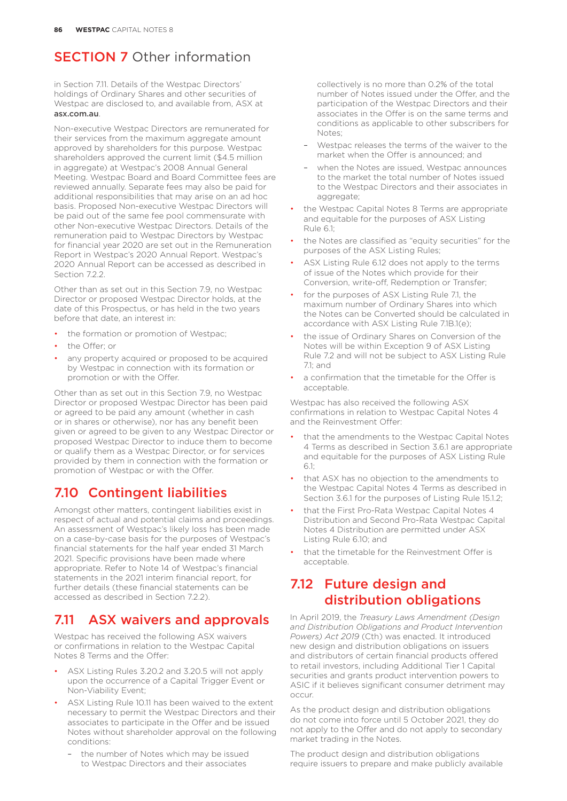in Section 7.11. Details of the Westpac Directors' holdings of Ordinary Shares and other securities of Westpac are disclosed to, and available from, ASX at [asx.com.au](http://asx.com.au).

Non-executive Westpac Directors are remunerated for their services from the maximum aggregate amount approved by shareholders for this purpose. Westpac shareholders approved the current limit (\$4.5 million in aggregate) at Westpac's 2008 Annual General Meeting. Westpac Board and Board Committee fees are reviewed annually. Separate fees may also be paid for additional responsibilities that may arise on an ad hoc basis. Proposed Non-executive Westpac Directors will be paid out of the same fee pool commensurate with other Non-executive Westpac Directors. Details of the remuneration paid to Westpac Directors by Westpac for financial year 2020 are set out in the Remuneration Report in Westpac's 2020 Annual Report. Westpac's 2020 Annual Report can be accessed as described in Section 7.2.2.

Other than as set out in this Section 7.9, no Westpac Director or proposed Westpac Director holds, at the date of this Prospectus, or has held in the two years before that date, an interest in:

- the formation or promotion of Westpac;
- the Offer; or
- any property acquired or proposed to be acquired by Westpac in connection with its formation or promotion or with the Offer.

Other than as set out in this Section 7.9, no Westpac Director or proposed Westpac Director has been paid or agreed to be paid any amount (whether in cash or in shares or otherwise), nor has any benefit been given or agreed to be given to any Westpac Director or proposed Westpac Director to induce them to become or qualify them as a Westpac Director, or for services provided by them in connection with the formation or promotion of Westpac or with the Offer.

## 7.10 Contingent liabilities

Amongst other matters, contingent liabilities exist in respect of actual and potential claims and proceedings. An assessment of Westpac's likely loss has been made on a case-by-case basis for the purposes of Westpac's financial statements for the half year ended 31 March 2021. Specific provisions have been made where appropriate. Refer to Note 14 of Westpac's financial statements in the 2021 interim financial report, for further details (these financial statements can be accessed as described in Section 7.2.2).

## 7.11 ASX waivers and approvals

Westpac has received the following ASX waivers or confirmations in relation to the Westpac Capital Notes 8 Terms and the Offer:

- ASX Listing Rules 3.20.2 and 3.20.5 will not apply upon the occurrence of a Capital Trigger Event or Non-Viability Event;
- ASX Listing Rule 10.11 has been waived to the extent necessary to permit the Westpac Directors and their associates to participate in the Offer and be issued Notes without shareholder approval on the following conditions:
	- the number of Notes which may be issued to Westpac Directors and their associates

collectively is no more than 0.2% of the total number of Notes issued under the Offer, and the participation of the Westpac Directors and their associates in the Offer is on the same terms and conditions as applicable to other subscribers for Notes;

- Westpac releases the terms of the waiver to the market when the Offer is announced; and
- when the Notes are issued, Westpac announces to the market the total number of Notes issued to the Westpac Directors and their associates in aggregate;
- the Westpac Capital Notes 8 Terms are appropriate and equitable for the purposes of ASX Listing Rule 6.1;
- the Notes are classified as "equity securities" for the purposes of the ASX Listing Rules;
- ASX Listing Rule 6.12 does not apply to the terms of issue of the Notes which provide for their Conversion, write-off, Redemption or Transfer;
- for the purposes of ASX Listing Rule 7.1, the maximum number of Ordinary Shares into which the Notes can be Converted should be calculated in accordance with ASX Listing Rule 7.1B.1(e);
- the issue of Ordinary Shares on Conversion of the Notes will be within Exception 9 of ASX Listing Rule 7.2 and will not be subject to ASX Listing Rule  $71$ ; and
- a confirmation that the timetable for the Offer is acceptable.

Westpac has also received the following ASX confirmations in relation to Westpac Capital Notes 4 and the Reinvestment Offer:

- that the amendments to the Westpac Capital Notes 4 Terms as described in Section 3.6.1 are appropriate and equitable for the purposes of ASX Listing Rule  $61$
- that ASX has no objection to the amendments to the Westpac Capital Notes 4 Terms as described in Section 3.6.1 for the purposes of Listing Rule 15.1.2;
- that the First Pro-Rata Westpac Capital Notes 4 Distribution and Second Pro-Rata Westpac Capital Notes 4 Distribution are permitted under ASX Listing Rule 6.10; and
- that the timetable for the Reinvestment Offer is acceptable.

## 7.12 Future design and distribution obligations

In April 2019, the *Treasury Laws Amendment (Design and Distribution Obligations and Product Intervention Powers) Act 2019* (Cth) was enacted. It introduced new design and distribution obligations on issuers and distributors of certain financial products offered to retail investors, including Additional Tier 1 Capital securities and grants product intervention powers to ASIC if it believes significant consumer detriment may occur.

As the product design and distribution obligations do not come into force until 5 October 2021, they do not apply to the Offer and do not apply to secondary market trading in the Notes.

The product design and distribution obligations require issuers to prepare and make publicly available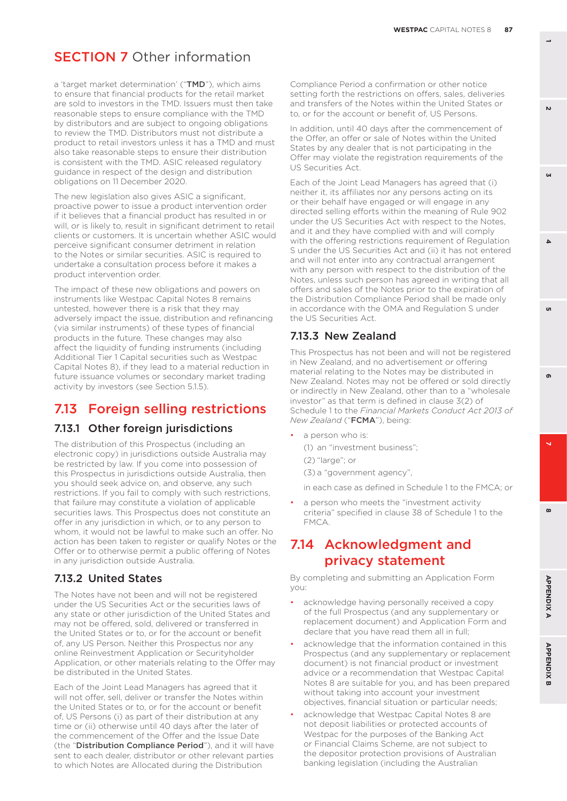a 'target market determination' ("TMD"), which aims to ensure that financial products for the retail market are sold to investors in the TMD. Issuers must then take reasonable steps to ensure compliance with the TMD by distributors and are subject to ongoing obligations to review the TMD. Distributors must not distribute a product to retail investors unless it has a TMD and must also take reasonable steps to ensure their distribution is consistent with the TMD. ASIC released regulatory guidance in respect of the design and distribution obligations on 11 December 2020.

The new legislation also gives ASIC a significant, proactive power to issue a product intervention order if it believes that a financial product has resulted in or will, or is likely to, result in significant detriment to retail clients or customers. It is uncertain whether ASIC would perceive significant consumer detriment in relation to the Notes or similar securities. ASIC is required to undertake a consultation process before it makes a product intervention order.

The impact of these new obligations and powers on instruments like Westpac Capital Notes 8 remains untested, however there is a risk that they may adversely impact the issue, distribution and refinancing (via similar instruments) of these types of financial products in the future. These changes may also affect the liquidity of funding instruments (including Additional Tier 1 Capital securities such as Westpac Capital Notes 8), if they lead to a material reduction in future issuance volumes or secondary market trading activity by investors (see Section 5.1.5).

## 7.13 Foreign selling restrictions

#### 7.13.1 Other foreign jurisdictions

The distribution of this Prospectus (including an electronic copy) in jurisdictions outside Australia may be restricted by law. If you come into possession of this Prospectus in jurisdictions outside Australia, then you should seek advice on, and observe, any such restrictions. If you fail to comply with such restrictions, that failure may constitute a violation of applicable securities laws. This Prospectus does not constitute an offer in any jurisdiction in which, or to any person to whom, it would not be lawful to make such an offer. No action has been taken to register or qualify Notes or the Offer or to otherwise permit a public offering of Notes in any jurisdiction outside Australia.

#### 7.13.2 United States

The Notes have not been and will not be registered under the US Securities Act or the securities laws of any state or other jurisdiction of the United States and may not be offered, sold, delivered or transferred in the United States or to, or for the account or benefit of, any US Person. Neither this Prospectus nor any online Reinvestment Application or Securityholder Application, or other materials relating to the Offer may be distributed in the United States.

Each of the Joint Lead Managers has agreed that it will not offer, sell, deliver or transfer the Notes within the United States or to, or for the account or benefit of, US Persons (i) as part of their distribution at any time or (ii) otherwise until 40 days after the later of the commencement of the Offer and the Issue Date (the "Distribution Compliance Period"), and it will have sent to each dealer, distributor or other relevant parties to which Notes are Allocated during the Distribution

Compliance Period a confirmation or other notice setting forth the restrictions on offers, sales, deliveries and transfers of the Notes within the United States or to, or for the account or benefit of, US Persons.

In addition, until 40 days after the commencement of the Offer, an offer or sale of Notes within the United States by any dealer that is not participating in the Offer may violate the registration requirements of the US Securities Act.

Each of the Joint Lead Managers has agreed that (i) neither it, its affiliates nor any persons acting on its or their behalf have engaged or will engage in any directed selling efforts within the meaning of Rule 902 under the US Securities Act with respect to the Notes, and it and they have complied with and will comply with the offering restrictions requirement of Regulation S under the US Securities Act and (ii) it has not entered and will not enter into any contractual arrangement with any person with respect to the distribution of the Notes, unless such person has agreed in writing that all offers and sales of the Notes prior to the expiration of the Distribution Compliance Period shall be made only in accordance with the OMA and Regulation S under the US Securities Act.

#### 7.13.3 New Zealand

This Prospectus has not been and will not be registered in New Zealand, and no advertisement or offering material relating to the Notes may be distributed in New Zealand. Notes may not be offered or sold directly or indirectly in New Zealand, other than to a "wholesale investor" as that term is defined in clause 3(2) of Schedule 1 to the *Financial Markets Conduct Act 2013 of New Zealand* ("FCMA"), being:

a person who is:

(1) an "investment business"; (2) "large"; or (3) a "government agency",

in each case as defined in Schedule 1 to the FMCA; or

a person who meets the "investment activity criteria" specified in clause 38 of Schedule 1 to the FMCA.

## 7.14 Acknowledgment and privacy statement

By completing and submitting an Application Form you:

- acknowledge having personally received a copy of the full Prospectus (and any supplementary or replacement document) and Application Form and declare that you have read them all in full;
- acknowledge that the information contained in this Prospectus (and any supplementary or replacement document) is not financial product or investment advice or a recommendation that Westpac Capital Notes 8 are suitable for you, and has been prepared without taking into account your investment objectives, financial situation or particular needs;
- acknowledge that Westpac Capital Notes 8 are not deposit liabilities or protected accounts of Westpac for the purposes of the Banking Act or Financial Claims Scheme, are not subject to the depositor protection provisions of Australian banking legislation (including the Australian

**1**

**3**

 $\Delta$ 

 $\mathbf{v}$ 

**8 5**

 $\ddot{\phantom{0}}$ 

 $\boldsymbol{\omega}$ 

ക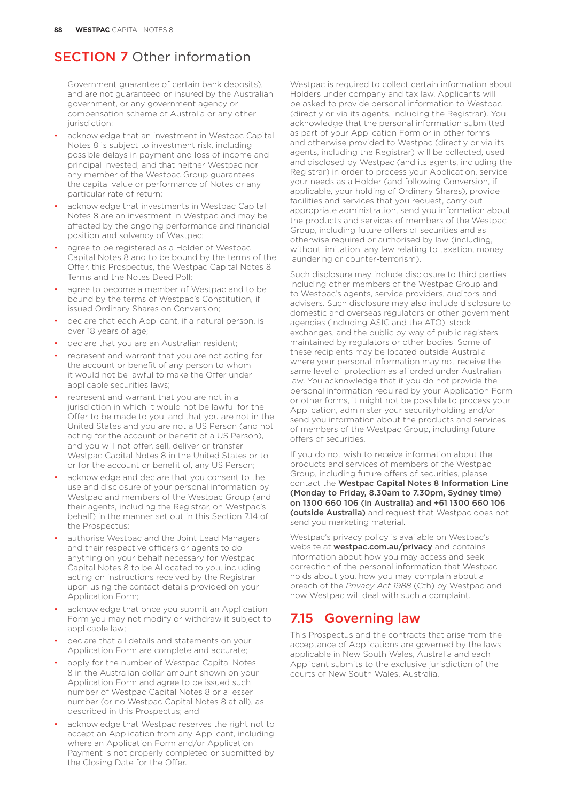Government guarantee of certain bank deposits), and are not guaranteed or insured by the Australian government, or any government agency or compensation scheme of Australia or any other jurisdiction:

- acknowledge that an investment in Westpac Capital Notes 8 is subject to investment risk, including possible delays in payment and loss of income and principal invested, and that neither Westpac nor any member of the Westpac Group guarantees the capital value or performance of Notes or any particular rate of return;
- acknowledge that investments in Westpac Capital Notes 8 are an investment in Westpac and may be affected by the ongoing performance and financial position and solvency of Westpac;
- agree to be registered as a Holder of Westpac Capital Notes 8 and to be bound by the terms of the Offer, this Prospectus, the Westpac Capital Notes 8 Terms and the Notes Deed Poll;
- agree to become a member of Westpac and to be bound by the terms of Westpac's Constitution, if issued Ordinary Shares on Conversion;
- declare that each Applicant, if a natural person, is over 18 years of age;
- declare that you are an Australian resident;
- represent and warrant that you are not acting for the account or benefit of any person to whom it would not be lawful to make the Offer under applicable securities laws;
- represent and warrant that you are not in a jurisdiction in which it would not be lawful for the Offer to be made to you, and that you are not in the United States and you are not a US Person (and not acting for the account or benefit of a US Person). and you will not offer, sell, deliver or transfer Westpac Capital Notes 8 in the United States or to, or for the account or benefit of, any US Person;
- acknowledge and declare that you consent to the use and disclosure of your personal information by Westpac and members of the Westpac Group (and their agents, including the Registrar, on Westpac's behalf) in the manner set out in this Section 7.14 of the Prospectus;
- authorise Westpac and the Joint Lead Managers and their respective officers or agents to do anything on your behalf necessary for Westpac Capital Notes 8 to be Allocated to you, including acting on instructions received by the Registrar upon using the contact details provided on your Application Form;
- acknowledge that once you submit an Application Form you may not modify or withdraw it subject to applicable law;
- declare that all details and statements on your Application Form are complete and accurate;
- apply for the number of Westpac Capital Notes 8 in the Australian dollar amount shown on your Application Form and agree to be issued such number of Westpac Capital Notes 8 or a lesser number (or no Westpac Capital Notes 8 at all), as described in this Prospectus; and
- acknowledge that Westpac reserves the right not to accept an Application from any Applicant, including where an Application Form and/or Application Payment is not properly completed or submitted by the Closing Date for the Offer.

Westpac is required to collect certain information about Holders under company and tax law. Applicants will be asked to provide personal information to Westpac (directly or via its agents, including the Registrar). You acknowledge that the personal information submitted as part of your Application Form or in other forms and otherwise provided to Westpac (directly or via its agents, including the Registrar) will be collected, used and disclosed by Westpac (and its agents, including the Registrar) in order to process your Application, service your needs as a Holder (and following Conversion, if applicable, your holding of Ordinary Shares), provide facilities and services that you request, carry out appropriate administration, send you information about the products and services of members of the Westpac Group, including future offers of securities and as otherwise required or authorised by law (including, without limitation, any law relating to taxation, money laundering or counter-terrorism).

Such disclosure may include disclosure to third parties including other members of the Westpac Group and to Westpac's agents, service providers, auditors and advisers. Such disclosure may also include disclosure to domestic and overseas regulators or other government agencies (including ASIC and the ATO), stock exchanges, and the public by way of public registers maintained by regulators or other bodies. Some of these recipients may be located outside Australia where your personal information may not receive the same level of protection as afforded under Australian law. You acknowledge that if you do not provide the personal information required by your Application Form or other forms, it might not be possible to process your Application, administer your securityholding and/or send you information about the products and services of members of the Westpac Group, including future offers of securities.

If you do not wish to receive information about the products and services of members of the Westpac Group, including future offers of securities, please contact the Westpac Capital Notes 8 Information Line (Monday to Friday, 8.30am to 7.30pm, Sydney time) on 1300 660 106 (in Australia) and +61 1300 660 106 (outside Australia) and request that Westpac does not send you marketing material.

Westpac's privacy policy is available on Westpac's website at **[westpac.com.au/privacy](http://westpac.com.au/privacy)** and contains information about how you may access and seek correction of the personal information that Westpac holds about you, how you may complain about a breach of the *Privacy Act 1988* (Cth) by Westpac and how Westpac will deal with such a complaint.

## 7.15 Governing law

This Prospectus and the contracts that arise from the acceptance of Applications are governed by the laws applicable in New South Wales, Australia and each Applicant submits to the exclusive jurisdiction of the courts of New South Wales, Australia.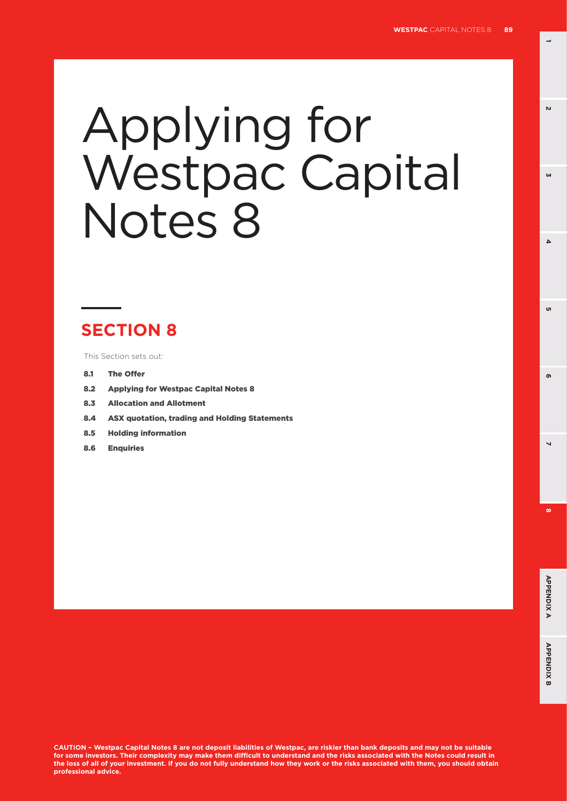**1**

 $\mathbf{v}$ 

**3**

 $\Delta$ 

'n

# Applying for Westpac Capital Notes 8

# **SECTION 8**

This Section sets out:

- 8.1 The Offer
- 8.2 Applying for Westpac Capital Notes 8
- 8.3 Allocation and Allotment
- 8.4 ASX quotation, trading and Holding Statements
- 8.5 Holding information
- 8.6 Enquiries

**CAUTION – Westpac Capital Notes 8 are not deposit liabilities of Westpac, are riskier than bank deposits and may not be suitable for some investors. Their complexity may make them difficult to understand and the risks associated with the Notes could result in the loss of all of your investment. If you do not fully understand how they work or the risks associated with them, you should obtain professional advice.**

**8 5**

 $\overline{\phantom{0}}$ 

ക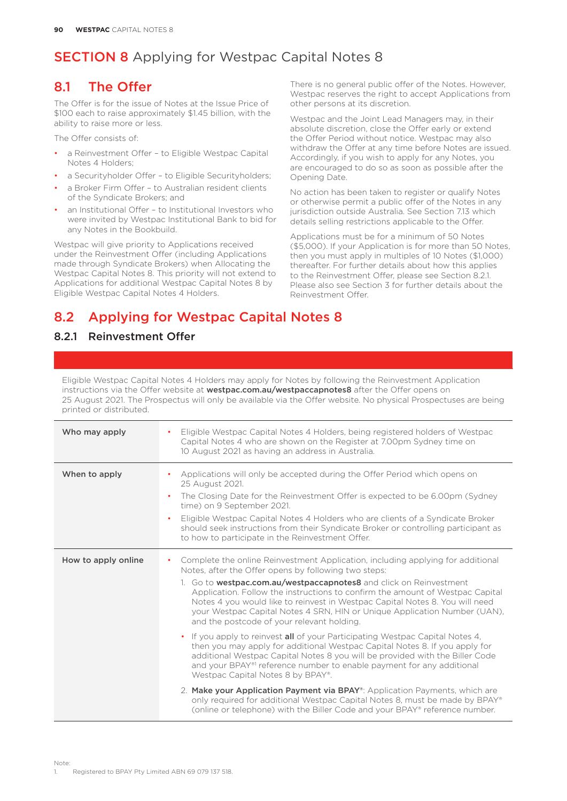## 8.1 The Offer

The Offer is for the issue of Notes at the Issue Price of \$100 each to raise approximately \$1.45 billion, with the ability to raise more or less.

The Offer consists of:

- a Reinvestment Offer to Eligible Westpac Capital Notes 4 Holders;
- a Securityholder Offer to Eligible Securityholders;
- a Broker Firm Offer to Australian resident clients of the Syndicate Brokers; and
- an Institutional Offer to Institutional Investors who were invited by Westpac Institutional Bank to bid for any Notes in the Bookbuild.

Westpac will give priority to Applications received under the Reinvestment Offer (including Applications made through Syndicate Brokers) when Allocating the Westpac Capital Notes 8. This priority will not extend to Applications for additional Westpac Capital Notes 8 by Eligible Westpac Capital Notes 4 Holders.

There is no general public offer of the Notes. However, Westpac reserves the right to accept Applications from other persons at its discretion.

Westpac and the Joint Lead Managers may, in their absolute discretion, close the Offer early or extend the Offer Period without notice. Westpac may also withdraw the Offer at any time before Notes are issued. Accordingly, if you wish to apply for any Notes, you are encouraged to do so as soon as possible after the Opening Date.

No action has been taken to register or qualify Notes or otherwise permit a public offer of the Notes in any jurisdiction outside Australia. See Section 7.13 which details selling restrictions applicable to the Offer.

Applications must be for a minimum of 50 Notes (\$5,000). If your Application is for more than 50 Notes, then you must apply in multiples of 10 Notes (\$1,000) thereafter. For further details about how this applies to the Reinvestment Offer, please see Section 8.2.1. Please also see Section 3 for further details about the Reinvestment Offer.

## 8.2 Applying for Westpac Capital Notes 8

### 8.2.1 Reinvestment Offer

Eligible Westpac Capital Notes 4 Holders may apply for Notes by following the Reinvestment Application instructions via the Offer website at **[westpac.com.au/westpaccapnotes8](http://westpac.com.au/westpaccapnotes8)** after the Offer opens on 25 August 2021. The Prospectus will only be available via the Offer website. No physical Prospectuses are being printed or distributed.

| Who may apply       | Eligible Westpac Capital Notes 4 Holders, being registered holders of Westpac<br>٠<br>Capital Notes 4 who are shown on the Register at 7.00pm Sydney time on<br>10 August 2021 as having an address in Australia.                                                                                                                                                                                                                                                                                                                                                                                                                                                                                                                                                                                                                                                                                                                                                                                                                                                                                                                                         |
|---------------------|-----------------------------------------------------------------------------------------------------------------------------------------------------------------------------------------------------------------------------------------------------------------------------------------------------------------------------------------------------------------------------------------------------------------------------------------------------------------------------------------------------------------------------------------------------------------------------------------------------------------------------------------------------------------------------------------------------------------------------------------------------------------------------------------------------------------------------------------------------------------------------------------------------------------------------------------------------------------------------------------------------------------------------------------------------------------------------------------------------------------------------------------------------------|
| When to apply       | Applications will only be accepted during the Offer Period which opens on<br>25 August 2021.<br>The Closing Date for the Reinvestment Offer is expected to be 6.00pm (Sydney)<br>$\bullet$<br>time) on 9 September 2021.<br>Eligible Westpac Capital Notes 4 Holders who are clients of a Syndicate Broker<br>should seek instructions from their Syndicate Broker or controlling participant as<br>to how to participate in the Reinvestment Offer.                                                                                                                                                                                                                                                                                                                                                                                                                                                                                                                                                                                                                                                                                                      |
| How to apply online | Complete the online Reinvestment Application, including applying for additional<br>٠<br>Notes, after the Offer opens by following two steps:<br>1. Go to <b>westpac.com.au/westpaccapnotes8</b> and click on Reinvestment<br>Application. Follow the instructions to confirm the amount of Westpac Capital<br>Notes 4 you would like to reinvest in Westpac Capital Notes 8. You will need<br>your Westpac Capital Notes 4 SRN, HIN or Unique Application Number (UAN),<br>and the postcode of your relevant holding.<br>• If you apply to reinvest all of your Participating Westpac Capital Notes 4,<br>then you may apply for additional Westpac Capital Notes 8. If you apply for<br>additional Westpac Capital Notes 8 you will be provided with the Biller Code<br>and your BPAY <sup>®1</sup> reference number to enable payment for any additional<br>Westpac Capital Notes 8 by BPAY®.<br>2. Make your Application Payment via BPAY <sup>®</sup> : Application Payments, which are<br>only required for additional Westpac Capital Notes 8, must be made by BPAY®<br>(online or telephone) with the Biller Code and your BPAY® reference number. |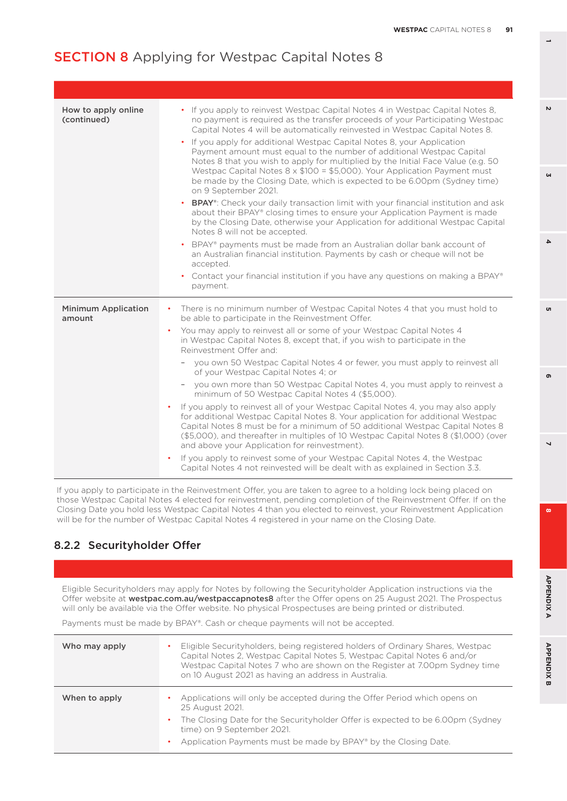| How to apply online<br>(continued)   | If you apply to reinvest Westpac Capital Notes 4 in Westpac Capital Notes 8,<br>$\bullet$<br>no payment is required as the transfer proceeds of your Participating Westpac<br>Capital Notes 4 will be automatically reinvested in Westpac Capital Notes 8.<br>If you apply for additional Westpac Capital Notes 8, your Application<br>Payment amount must equal to the number of additional Westpac Capital<br>Notes 8 that you wish to apply for multiplied by the Initial Face Value (e.g. 50)<br>Westpac Capital Notes 8 x \$100 = \$5,000). Your Application Payment must<br>be made by the Closing Date, which is expected to be 6.00pm (Sydney time)<br>on 9 September 2021.<br>BPAY <sup>®</sup> : Check your daily transaction limit with your financial institution and ask<br>$\bullet$<br>about their BPAY® closing times to ensure your Application Payment is made<br>by the Closing Date, otherwise your Application for additional Westpac Capital<br>Notes 8 will not be accepted.<br>BPAY® payments must be made from an Australian dollar bank account of<br>an Australian financial institution. Payments by cash or cheque will not be<br>accepted.<br>• Contact your financial institution if you have any questions on making a BPAY®<br>payment. |
|--------------------------------------|--------------------------------------------------------------------------------------------------------------------------------------------------------------------------------------------------------------------------------------------------------------------------------------------------------------------------------------------------------------------------------------------------------------------------------------------------------------------------------------------------------------------------------------------------------------------------------------------------------------------------------------------------------------------------------------------------------------------------------------------------------------------------------------------------------------------------------------------------------------------------------------------------------------------------------------------------------------------------------------------------------------------------------------------------------------------------------------------------------------------------------------------------------------------------------------------------------------------------------------------------------------------------|
| <b>Minimum Application</b><br>amount | There is no minimum number of Westpac Capital Notes 4 that you must hold to<br>٠<br>be able to participate in the Reinvestment Offer.<br>You may apply to reinvest all or some of your Westpac Capital Notes 4<br>٠<br>in Westpac Capital Notes 8, except that, if you wish to participate in the<br>Reinvestment Offer and:<br>you own 50 Westpac Capital Notes 4 or fewer, you must apply to reinvest all<br>of your Westpac Capital Notes 4; or<br>you own more than 50 Westpac Capital Notes 4, you must apply to reinvest a<br>minimum of 50 Westpac Capital Notes 4 (\$5,000).<br>If you apply to reinvest all of your Westpac Capital Notes 4, you may also apply<br>٠<br>for additional Westpac Capital Notes 8. Your application for additional Westpac<br>Capital Notes 8 must be for a minimum of 50 additional Westpac Capital Notes 8<br>(\$5,000), and thereafter in multiples of 10 Westpac Capital Notes 8 (\$1,000) (over<br>and above your Application for reinvestment).<br>If you apply to reinvest some of your Westpac Capital Notes 4, the Westpac<br>Capital Notes 4 not reinvested will be dealt with as explained in Section 3.3.                                                                                                              |

If you apply to participate in the Reinvestment Offer, you are taken to agree to a holding lock being placed on those Westpac Capital Notes 4 elected for reinvestment, pending completion of the Reinvestment Offer. If on the Closing Date you hold less Westpac Capital Notes 4 than you elected to reinvest, your Reinvestment Application will be for the number of Westpac Capital Notes 4 registered in your name on the Closing Date.

#### 8.2.2 Securityholder Offer

Eligible Securityholders may apply for Notes by following the Securityholder Application instructions via the Offer website at [westpac.com.au/westpaccapnotes8](http://westpac.com.au/westpaccapnotes8) after the Offer opens on 25 August 2021. The Prospectus will only be available via the Offer website. No physical Prospectuses are being printed or distributed.

Payments must be made by BPAY®. Cash or cheque payments will not be accepted.

| Who may apply | Eligible Securityholders, being registered holders of Ordinary Shares, Westpac<br>٠<br>Capital Notes 2, Westpac Capital Notes 5, Westpac Capital Notes 6 and/or<br>Westpac Capital Notes 7 who are shown on the Register at 7.00pm Sydney time<br>on 10 August 2021 as having an address in Australia. |
|---------------|--------------------------------------------------------------------------------------------------------------------------------------------------------------------------------------------------------------------------------------------------------------------------------------------------------|
| When to apply | Applications will only be accepted during the Offer Period which opens on<br>25 August 2021.<br>The Closing Date for the Securityholder Offer is expected to be 6.00pm (Sydney<br>٠<br>time) on 9 September 2021.<br>Application Payments must be made by BPAY® by the Closing Date.                   |

**1**

**3**

 $\Delta$ 

 $\mathbf{v}$ 

**8 5**

 $\overline{\phantom{0}}$ 

 $\mathbf{r}$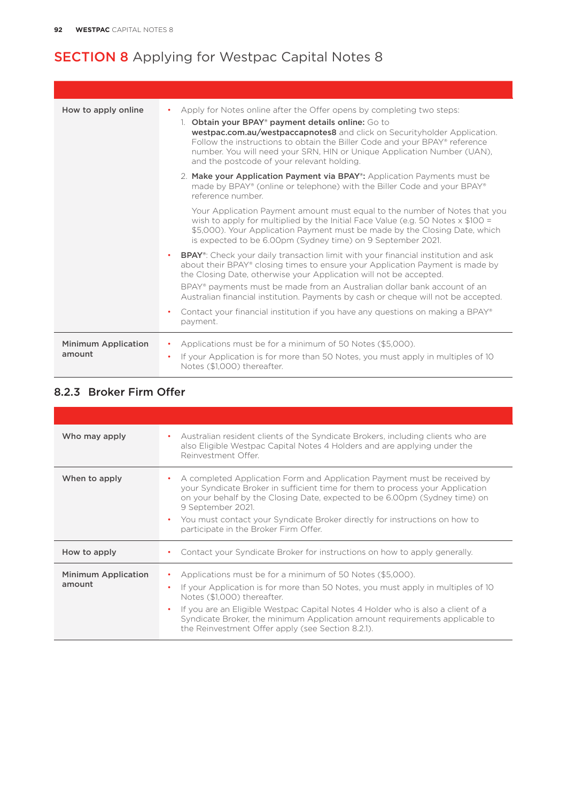| How to apply online                  | Apply for Notes online after the Offer opens by completing two steps:<br>$\bullet$<br>1. Obtain your BPAY <sup>®</sup> payment details online: Go to<br>westpac.com.au/westpaccapnotes8 and click on Securityholder Application.<br>Follow the instructions to obtain the Biller Code and your BPAY® reference<br>number. You will need your SRN, HIN or Unique Application Number (UAN),<br>and the postcode of your relevant holding. |
|--------------------------------------|-----------------------------------------------------------------------------------------------------------------------------------------------------------------------------------------------------------------------------------------------------------------------------------------------------------------------------------------------------------------------------------------------------------------------------------------|
|                                      | 2. Make your Application Payment via BPAY <sup>®</sup> : Application Payments must be<br>made by BPAY® (online or telephone) with the Biller Code and your BPAY®<br>reference number.                                                                                                                                                                                                                                                   |
|                                      | Your Application Payment amount must equal to the number of Notes that you<br>wish to apply for multiplied by the Initial Face Value (e.g. 50 Notes $\times$ \$100 =<br>\$5,000). Your Application Payment must be made by the Closing Date, which<br>is expected to be 6.00pm (Sydney time) on 9 September 2021.                                                                                                                       |
|                                      | <b>BPAY</b> <sup>®</sup> : Check your daily transaction limit with your financial institution and ask<br>about their BPAY® closing times to ensure your Application Payment is made by<br>the Closing Date, otherwise your Application will not be accepted.<br>BPAY® payments must be made from an Australian dollar bank account of an<br>Australian financial institution. Payments by cash or cheque will not be accepted.          |
|                                      | Contact your financial institution if you have any questions on making a BPAY®<br>payment.                                                                                                                                                                                                                                                                                                                                              |
| <b>Minimum Application</b><br>amount | Applications must be for a minimum of 50 Notes (\$5,000).<br>٠<br>If your Application is for more than 50 Notes, you must apply in multiples of 10<br>$\bullet$<br>Notes (\$1.000) thereafter.                                                                                                                                                                                                                                          |

## 8.2.3 Broker Firm Offer

| Who may apply                        | Australian resident clients of the Syndicate Brokers, including clients who are<br>also Eligible Westpac Capital Notes 4 Holders and are applying under the<br>Reinvestment Offer.                                                                                                                                                                                                                  |
|--------------------------------------|-----------------------------------------------------------------------------------------------------------------------------------------------------------------------------------------------------------------------------------------------------------------------------------------------------------------------------------------------------------------------------------------------------|
| When to apply                        | A completed Application Form and Application Payment must be received by<br>your Syndicate Broker in sufficient time for them to process your Application<br>on your behalf by the Closing Date, expected to be 6.00pm (Sydney time) on<br>9 September 2021.<br>You must contact your Syndicate Broker directly for instructions on how to<br>٠<br>participate in the Broker Firm Offer.            |
| How to apply                         | Contact your Syndicate Broker for instructions on how to apply generally.                                                                                                                                                                                                                                                                                                                           |
| <b>Minimum Application</b><br>amount | Applications must be for a minimum of 50 Notes (\$5,000).<br>If your Application is for more than 50 Notes, you must apply in multiples of 10<br>Notes (\$1,000) thereafter.<br>If you are an Eligible Westpac Capital Notes 4 Holder who is also a client of a<br>Syndicate Broker, the minimum Application amount requirements applicable to<br>the Reinvestment Offer apply (see Section 8.2.1). |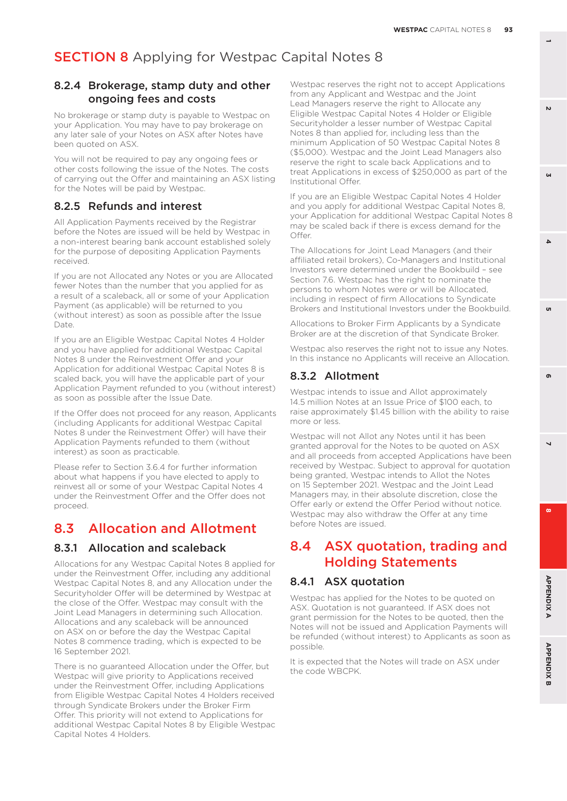#### 8.2.4 Brokerage, stamp duty and other ongoing fees and costs

No brokerage or stamp duty is payable to Westpac on your Application. You may have to pay brokerage on any later sale of your Notes on ASX after Notes have been quoted on ASX.

You will not be required to pay any ongoing fees or other costs following the issue of the Notes. The costs of carrying out the Offer and maintaining an ASX listing for the Notes will be paid by Westpac.

#### 8.2.5 Refunds and interest

All Application Payments received by the Registrar before the Notes are issued will be held by Westpac in a non-interest bearing bank account established solely for the purpose of depositing Application Payments received.

If you are not Allocated any Notes or you are Allocated fewer Notes than the number that you applied for as a result of a scaleback, all or some of your Application Payment (as applicable) will be returned to you (without interest) as soon as possible after the Issue Date.

If you are an Eligible Westpac Capital Notes 4 Holder and you have applied for additional Westpac Capital Notes 8 under the Reinvestment Offer and your Application for additional Westpac Capital Notes 8 is scaled back, you will have the applicable part of your Application Payment refunded to you (without interest) as soon as possible after the Issue Date.

If the Offer does not proceed for any reason, Applicants (including Applicants for additional Westpac Capital Notes 8 under the Reinvestment Offer) will have their Application Payments refunded to them (without interest) as soon as practicable.

Please refer to Section 3.6.4 for further information about what happens if you have elected to apply to reinvest all or some of your Westpac Capital Notes 4 under the Reinvestment Offer and the Offer does not proceed.

## 8.3 Allocation and Allotment

#### 8.3.1 Allocation and scaleback

Allocations for any Westpac Capital Notes 8 applied for under the Reinvestment Offer, including any additional Westpac Capital Notes 8, and any Allocation under the Securityholder Offer will be determined by Westpac at the close of the Offer. Westpac may consult with the Joint Lead Managers in determining such Allocation. Allocations and any scaleback will be announced on ASX on or before the day the Westpac Capital Notes 8 commence trading, which is expected to be 16 September 2021.

There is no guaranteed Allocation under the Offer, but Westpac will give priority to Applications received under the Reinvestment Offer, including Applications from Eligible Westpac Capital Notes 4 Holders received through Syndicate Brokers under the Broker Firm Offer. This priority will not extend to Applications for additional Westpac Capital Notes 8 by Eligible Westpac Capital Notes 4 Holders.

Westpac reserves the right not to accept Applications from any Applicant and Westpac and the Joint Lead Managers reserve the right to Allocate any Eligible Westpac Capital Notes 4 Holder or Eligible Securityholder a lesser number of Westpac Capital Notes 8 than applied for, including less than the minimum Application of 50 Westpac Capital Notes 8 (\$5,000). Westpac and the Joint Lead Managers also reserve the right to scale back Applications and to treat Applications in excess of \$250,000 as part of the Institutional Offer.

If you are an Eligible Westpac Capital Notes 4 Holder and you apply for additional Westpac Capital Notes 8, your Application for additional Westpac Capital Notes 8 may be scaled back if there is excess demand for the Offer.

The Allocations for Joint Lead Managers (and their affiliated retail brokers), Co-Managers and Institutional Investors were determined under the Bookbuild – see Section 7.6. Westpac has the right to nominate the persons to whom Notes were or will be Allocated, including in respect of firm Allocations to Syndicate Brokers and Institutional Investors under the Bookbuild.

Allocations to Broker Firm Applicants by a Syndicate Broker are at the discretion of that Syndicate Broker.

Westpac also reserves the right not to issue any Notes. In this instance no Applicants will receive an Allocation.

#### 8.3.2 Allotment

Westpac intends to issue and Allot approximately 14.5 million Notes at an Issue Price of \$100 each, to raise approximately \$1.45 billion with the ability to raise more or less.

Westpac will not Allot any Notes until it has been granted approval for the Notes to be quoted on ASX and all proceeds from accepted Applications have been received by Westpac. Subject to approval for quotation being granted, Westpac intends to Allot the Notes on 15 September 2021. Westpac and the Joint Lead Managers may, in their absolute discretion, close the Offer early or extend the Offer Period without notice. Westpac may also withdraw the Offer at any time before Notes are issued.

## 8.4 ASX quotation, trading and Holding Statements

#### 8.4.1 ASX quotation

Westpac has applied for the Notes to be quoted on ASX. Quotation is not guaranteed. If ASX does not grant permission for the Notes to be quoted, then the Notes will not be issued and Application Payments will be refunded (without interest) to Applicants as soon as possible.

It is expected that the Notes will trade on ASX under the code WBCPK.

 $\mathbf{v}$ 

**1**

**3**

 $\Delta$ 

 $\overline{\phantom{0}}$ 

ക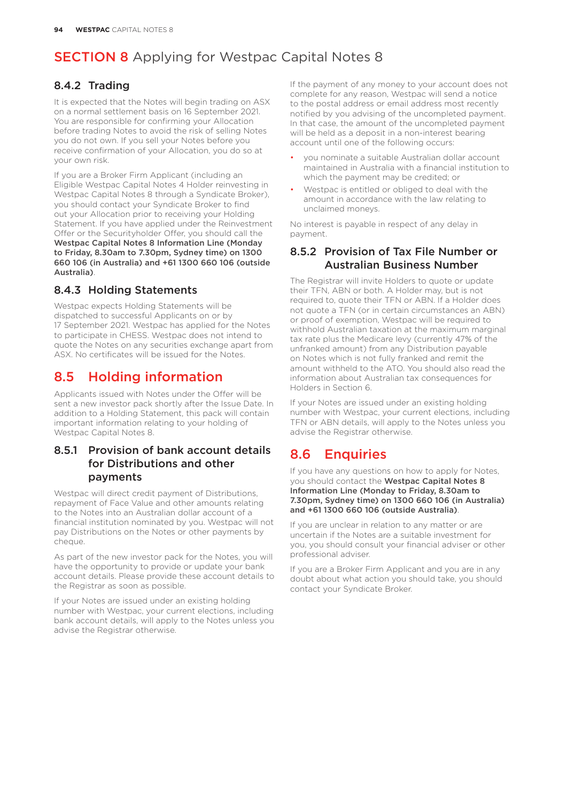#### 8.4.2 Trading

It is expected that the Notes will begin trading on ASX on a normal settlement basis on 16 September 2021. You are responsible for confirming your Allocation before trading Notes to avoid the risk of selling Notes you do not own. If you sell your Notes before you receive confirmation of your Allocation, you do so at your own risk.

If you are a Broker Firm Applicant (including an Eligible Westpac Capital Notes 4 Holder reinvesting in Westpac Capital Notes 8 through a Syndicate Broker), you should contact your Syndicate Broker to find out your Allocation prior to receiving your Holding Statement. If you have applied under the Reinvestment Offer or the Securityholder Offer, you should call the Westpac Capital Notes 8 Information Line (Monday to Friday, 8.30am to 7.30pm, Sydney time) on 1300 660 106 (in Australia) and +61 1300 660 106 (outside Australia).

## 8.4.3 Holding Statements

Westpac expects Holding Statements will be dispatched to successful Applicants on or by 17 September 2021. Westpac has applied for the Notes to participate in CHESS. Westpac does not intend to quote the Notes on any securities exchange apart from ASX. No certificates will be issued for the Notes.

## 8.5 Holding information

Applicants issued with Notes under the Offer will be sent a new investor pack shortly after the Issue Date. In addition to a Holding Statement, this pack will contain important information relating to your holding of Westpac Capital Notes 8.

#### 8.5.1 Provision of bank account details for Distributions and other payments

Westpac will direct credit payment of Distributions, repayment of Face Value and other amounts relating to the Notes into an Australian dollar account of a financial institution nominated by you. Westpac will not pay Distributions on the Notes or other payments by cheque.

As part of the new investor pack for the Notes, you will have the opportunity to provide or update your bank account details. Please provide these account details to the Registrar as soon as possible.

If your Notes are issued under an existing holding number with Westpac, your current elections, including bank account details, will apply to the Notes unless you advise the Registrar otherwise.

If the payment of any money to your account does not complete for any reason, Westpac will send a notice to the postal address or email address most recently notified by you advising of the uncompleted payment. In that case, the amount of the uncompleted payment will be held as a deposit in a non-interest bearing account until one of the following occurs:

- you nominate a suitable Australian dollar account maintained in Australia with a financial institution to which the payment may be credited; or
- Westpac is entitled or obliged to deal with the amount in accordance with the law relating to unclaimed moneys.

No interest is payable in respect of any delay in payment.

#### 8.5.2 Provision of Tax File Number or Australian Business Number

The Registrar will invite Holders to quote or update their TFN, ABN or both. A Holder may, but is not required to, quote their TFN or ABN. If a Holder does not quote a TFN (or in certain circumstances an ABN) or proof of exemption, Westpac will be required to withhold Australian taxation at the maximum marginal tax rate plus the Medicare levy (currently 47% of the unfranked amount) from any Distribution payable on Notes which is not fully franked and remit the amount withheld to the ATO. You should also read the information about Australian tax consequences for Holders in Section 6.

If your Notes are issued under an existing holding number with Westpac, your current elections, including TFN or ABN details, will apply to the Notes unless you advise the Registrar otherwise.

## 8.6 Enquiries

If you have any questions on how to apply for Notes, you should contact the Westpac Capital Notes 8 Information Line (Monday to Friday, 8.30am to 7.30pm, Sydney time) on 1300 660 106 (in Australia) and +61 1300 660 106 (outside Australia).

If you are unclear in relation to any matter or are uncertain if the Notes are a suitable investment for you, you should consult your financial adviser or other professional adviser.

If you are a Broker Firm Applicant and you are in any doubt about what action you should take, you should contact your Syndicate Broker.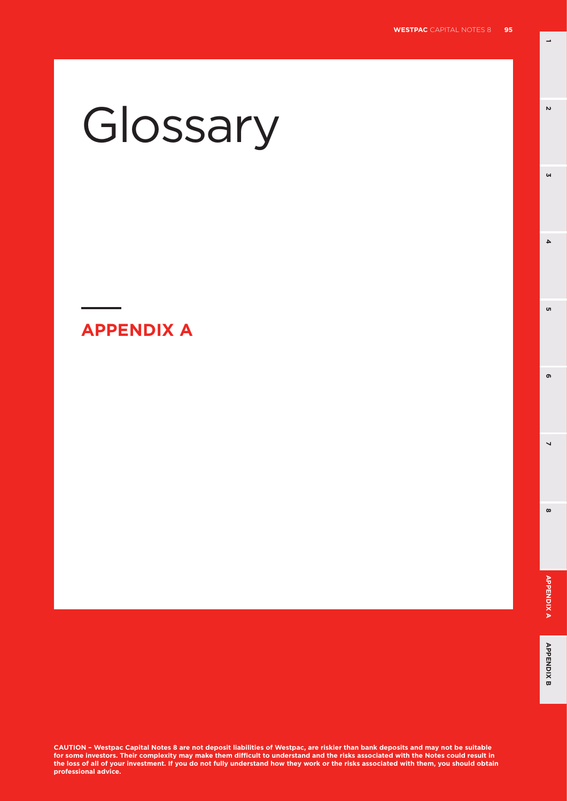**1**

**3**

 $\overline{4}$ 

<sub>o</sub>

 $\mathbf{v}$ 

# Glossary

**APPENDIX A**

**CAUTION – Westpac Capital Notes 8 are not deposit liabilities of Westpac, are riskier than bank deposits and may not be suitable for some investors. Their complexity may make them difficult to understand and the risks associated with the Notes could result in the loss of all of your investment. If you do not fully understand how they work or the risks associated with them, you should obtain professional advice.**

**8 5**

 $\overline{\phantom{0}}$ 

 $\infty$ 

ີ ຕ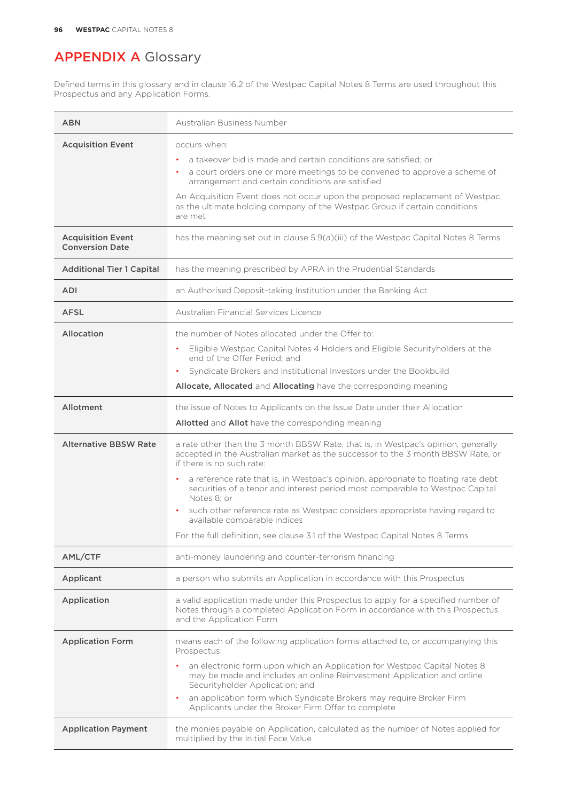Defined terms in this glossary and in clause 16.2 of the Westpac Capital Notes 8 Terms are used throughout this Prospectus and any Application Forms.

| <b>ABN</b>                                         | Australian Business Number                                                                                                                                                                                                                                                                                                                                                                                                                                                                                                                                                           |
|----------------------------------------------------|--------------------------------------------------------------------------------------------------------------------------------------------------------------------------------------------------------------------------------------------------------------------------------------------------------------------------------------------------------------------------------------------------------------------------------------------------------------------------------------------------------------------------------------------------------------------------------------|
| <b>Acquisition Event</b>                           | occurs when:<br>a takeover bid is made and certain conditions are satisfied: or<br>٠<br>a court orders one or more meetings to be convened to approve a scheme of<br>٠<br>arrangement and certain conditions are satisfied<br>An Acquisition Event does not occur upon the proposed replacement of Westpac<br>as the ultimate holding company of the Westpac Group if certain conditions<br>are met                                                                                                                                                                                  |
| <b>Acquisition Event</b><br><b>Conversion Date</b> | has the meaning set out in clause 5.9(a)(iii) of the Westpac Capital Notes 8 Terms                                                                                                                                                                                                                                                                                                                                                                                                                                                                                                   |
| <b>Additional Tier 1 Capital</b>                   | has the meaning prescribed by APRA in the Prudential Standards                                                                                                                                                                                                                                                                                                                                                                                                                                                                                                                       |
| <b>ADI</b>                                         | an Authorised Deposit-taking Institution under the Banking Act                                                                                                                                                                                                                                                                                                                                                                                                                                                                                                                       |
| <b>AFSL</b>                                        | Australian Financial Services Licence                                                                                                                                                                                                                                                                                                                                                                                                                                                                                                                                                |
| Allocation                                         | the number of Notes allocated under the Offer to:<br>Eligible Westpac Capital Notes 4 Holders and Eligible Security holders at the<br>end of the Offer Period: and<br>Syndicate Brokers and Institutional Investors under the Bookbuild<br>Allocate, Allocated and Allocating have the corresponding meaning                                                                                                                                                                                                                                                                         |
| Allotment                                          | the issue of Notes to Applicants on the Issue Date under their Allocation<br>Allotted and Allot have the corresponding meaning                                                                                                                                                                                                                                                                                                                                                                                                                                                       |
|                                                    |                                                                                                                                                                                                                                                                                                                                                                                                                                                                                                                                                                                      |
| <b>Alternative BBSW Rate</b>                       | a rate other than the 3 month BBSW Rate, that is, in Westpac's opinion, generally<br>accepted in the Australian market as the successor to the 3 month BBSW Rate, or<br>if there is no such rate:<br>a reference rate that is, in Westpac's opinion, appropriate to floating rate debt<br>securities of a tenor and interest period most comparable to Westpac Capital<br>Notes 8; or<br>such other reference rate as Westpac considers appropriate having regard to<br>available comparable indices<br>For the full definition, see clause 3.1 of the Westpac Capital Notes 8 Terms |
| AML/CTF                                            | anti-money laundering and counter-terrorism financing                                                                                                                                                                                                                                                                                                                                                                                                                                                                                                                                |
| Applicant                                          | a person who submits an Application in accordance with this Prospectus                                                                                                                                                                                                                                                                                                                                                                                                                                                                                                               |
| Application                                        | a valid application made under this Prospectus to apply for a specified number of<br>Notes through a completed Application Form in accordance with this Prospectus<br>and the Application Form                                                                                                                                                                                                                                                                                                                                                                                       |
| <b>Application Form</b>                            | means each of the following application forms attached to, or accompanying this<br>Prospectus:<br>an electronic form upon which an Application for Westpac Capital Notes 8<br>may be made and includes an online Reinvestment Application and online<br>Securityholder Application; and<br>an application form which Syndicate Brokers may require Broker Firm<br>Applicants under the Broker Firm Offer to complete                                                                                                                                                                 |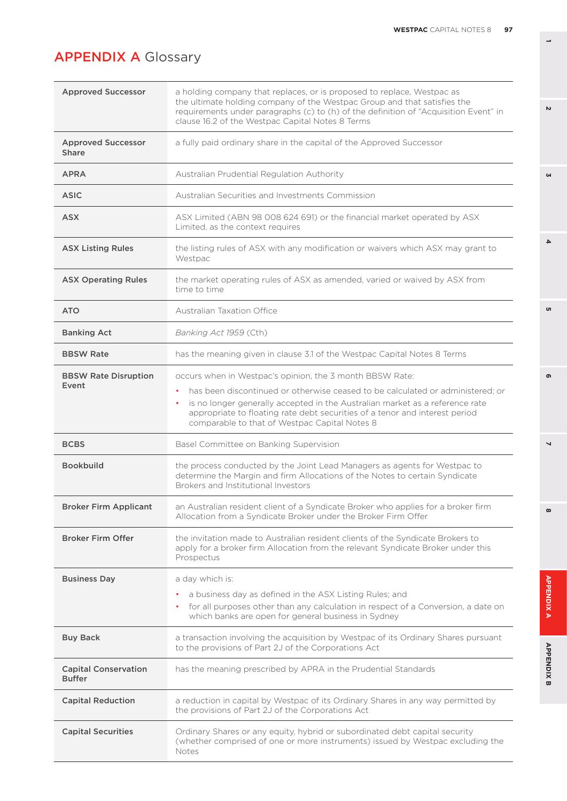| <b>Approved Successor</b>                    | a holding company that replaces, or is proposed to replace, Westpac as<br>the ultimate holding company of the Westpac Group and that satisfies the<br>requirements under paragraphs (c) to (h) of the definition of "Acquisition Event" in<br>clause 16.2 of the Westpac Capital Notes 8 Terms                                                                       |
|----------------------------------------------|----------------------------------------------------------------------------------------------------------------------------------------------------------------------------------------------------------------------------------------------------------------------------------------------------------------------------------------------------------------------|
| <b>Approved Successor</b><br>Share           | a fully paid ordinary share in the capital of the Approved Successor                                                                                                                                                                                                                                                                                                 |
| <b>APRA</b>                                  | Australian Prudential Regulation Authority                                                                                                                                                                                                                                                                                                                           |
| <b>ASIC</b>                                  | Australian Securities and Investments Commission                                                                                                                                                                                                                                                                                                                     |
| <b>ASX</b>                                   | ASX Limited (ABN 98 008 624 691) or the financial market operated by ASX<br>Limited, as the context requires                                                                                                                                                                                                                                                         |
| <b>ASX Listing Rules</b>                     | the listing rules of ASX with any modification or waivers which ASX may grant to<br>Westpac                                                                                                                                                                                                                                                                          |
| <b>ASX Operating Rules</b>                   | the market operating rules of ASX as amended, varied or waived by ASX from<br>time to time                                                                                                                                                                                                                                                                           |
| <b>ATO</b>                                   | <b>Australian Taxation Office</b>                                                                                                                                                                                                                                                                                                                                    |
| <b>Banking Act</b>                           | Banking Act 1959 (Cth)                                                                                                                                                                                                                                                                                                                                               |
| <b>BBSW Rate</b>                             | has the meaning given in clause 3.1 of the Westpac Capital Notes 8 Terms                                                                                                                                                                                                                                                                                             |
| <b>BBSW Rate Disruption</b><br>Event         | occurs when in Westpac's opinion, the 3 month BBSW Rate:<br>has been discontinued or otherwise ceased to be calculated or administered; or<br>٠<br>is no longer generally accepted in the Australian market as a reference rate<br>٠<br>appropriate to floating rate debt securities of a tenor and interest period<br>comparable to that of Westpac Capital Notes 8 |
| <b>BCBS</b>                                  | Basel Committee on Banking Supervision                                                                                                                                                                                                                                                                                                                               |
| <b>Bookbuild</b>                             | the process conducted by the Joint Lead Managers as agents for Westpac to<br>determine the Margin and firm Allocations of the Notes to certain Syndicate<br>Brokers and Institutional Investors                                                                                                                                                                      |
| <b>Broker Firm Applicant</b>                 | an Australian resident client of a Syndicate Broker who applies for a broker firm<br>Allocation from a Syndicate Broker under the Broker Firm Offer                                                                                                                                                                                                                  |
| <b>Broker Firm Offer</b>                     | the invitation made to Australian resident clients of the Syndicate Brokers to<br>apply for a broker firm Allocation from the relevant Syndicate Broker under this<br>Prospectus                                                                                                                                                                                     |
| <b>Business Day</b>                          | a day which is:                                                                                                                                                                                                                                                                                                                                                      |
|                                              | a business day as defined in the ASX Listing Rules; and<br>for all purposes other than any calculation in respect of a Conversion, a date on<br>which banks are open for general business in Sydney                                                                                                                                                                  |
| <b>Buy Back</b>                              | a transaction involving the acquisition by Westpac of its Ordinary Shares pursuant<br>to the provisions of Part 2J of the Corporations Act                                                                                                                                                                                                                           |
| <b>Capital Conservation</b><br><b>Buffer</b> | has the meaning prescribed by APRA in the Prudential Standards                                                                                                                                                                                                                                                                                                       |
| <b>Capital Reduction</b>                     | a reduction in capital by Westpac of its Ordinary Shares in any way permitted by<br>the provisions of Part 2J of the Corporations Act                                                                                                                                                                                                                                |
| <b>Capital Securities</b>                    | Ordinary Shares or any equity, hybrid or subordinated debt capital security<br>(whether comprised of one or more instruments) issued by Westpac excluding the<br>Notes                                                                                                                                                                                               |

**1**

**3**

 $\overline{\mathbf{4}}$ 

<sub>ហ</sub>

 $\sim$ 

 $\overline{\phantom{0}}$ 

 $\infty$ 

**APPENDIXA** 

**APPENDIX B** 

 $\bullet$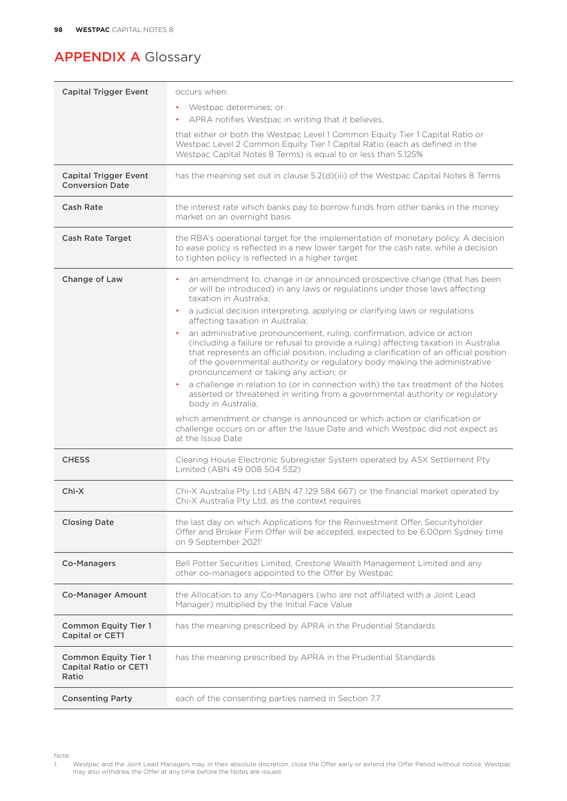| <b>Capital Trigger Event</b>                                         | occurs when:                                                                                                                                                                                                                                                                                                                                                                       |
|----------------------------------------------------------------------|------------------------------------------------------------------------------------------------------------------------------------------------------------------------------------------------------------------------------------------------------------------------------------------------------------------------------------------------------------------------------------|
|                                                                      | Westpac determines; or                                                                                                                                                                                                                                                                                                                                                             |
|                                                                      | APRA notifies Westpac in writing that it believes,                                                                                                                                                                                                                                                                                                                                 |
|                                                                      | that either or both the Westpac Level 1 Common Equity Tier 1 Capital Ratio or<br>Westpac Level 2 Common Equity Tier 1 Capital Ratio (each as defined in the<br>Westpac Capital Notes 8 Terms) is equal to or less than 5.125%                                                                                                                                                      |
| <b>Capital Trigger Event</b><br><b>Conversion Date</b>               | has the meaning set out in clause 5.2(d)(iii) of the Westpac Capital Notes 8 Terms                                                                                                                                                                                                                                                                                                 |
| Cash Rate                                                            | the interest rate which banks pay to borrow funds from other banks in the money<br>market on an overnight basis                                                                                                                                                                                                                                                                    |
| <b>Cash Rate Target</b>                                              | the RBA's operational target for the implementation of monetary policy. A decision<br>to ease policy is reflected in a new lower target for the cash rate, while a decision<br>to tighten policy is reflected in a higher target                                                                                                                                                   |
| Change of Law                                                        | an amendment to, change in or announced prospective change (that has been<br>or will be introduced) in any laws or regulations under those laws affecting<br>taxation in Australia:                                                                                                                                                                                                |
|                                                                      | a judicial decision interpreting, applying or clarifying laws or regulations<br>affecting taxation in Australia;                                                                                                                                                                                                                                                                   |
|                                                                      | an administrative pronouncement, ruling, confirmation, advice or action<br>(including a failure or refusal to provide a ruling) affecting taxation in Australia<br>that represents an official position, including a clarification of an official position<br>of the governmental authority or regulatory body making the administrative<br>pronouncement or taking any action; or |
|                                                                      | a challenge in relation to (or in connection with) the tax treatment of the Notes<br>asserted or threatened in writing from a governmental authority or regulatory<br>body in Australia,                                                                                                                                                                                           |
|                                                                      | which amendment or change is announced or which action or clarification or<br>challenge occurs on or after the Issue Date and which Westpac did not expect as<br>at the Issue Date                                                                                                                                                                                                 |
| <b>CHESS</b>                                                         | Clearing House Electronic Subregister System operated by ASX Settlement Pty<br>Limited (ABN 49 008 504 532)                                                                                                                                                                                                                                                                        |
| Chi-X                                                                | Chi-X Australia Pty Ltd (ABN 47129 584 667) or the financial market operated by<br>Chi-X Australia Pty Ltd, as the context requires                                                                                                                                                                                                                                                |
| <b>Closing Date</b>                                                  | the last day on which Applications for the Reinvestment Offer, Securityholder<br>Offer and Broker Firm Offer will be accepted, expected to be 6.00pm Sydney time<br>on 9 September 2021 <sup>1</sup>                                                                                                                                                                               |
| <b>Co-Managers</b>                                                   | Bell Potter Securities Limited, Crestone Wealth Management Limited and any<br>other co-managers appointed to the Offer by Westpac                                                                                                                                                                                                                                                  |
| <b>Co-Manager Amount</b>                                             | the Allocation to any Co-Managers (who are not affiliated with a Joint Lead<br>Manager) multiplied by the Initial Face Value                                                                                                                                                                                                                                                       |
| <b>Common Equity Tier 1</b><br>Capital or CET1                       | has the meaning prescribed by APRA in the Prudential Standards                                                                                                                                                                                                                                                                                                                     |
| <b>Common Equity Tier 1</b><br><b>Capital Ratio or CET1</b><br>Ratio | has the meaning prescribed by APRA in the Prudential Standards                                                                                                                                                                                                                                                                                                                     |
| <b>Consenting Party</b>                                              | each of the consenting parties named in Section 7.7                                                                                                                                                                                                                                                                                                                                |

Note:<br>1. 1. Westpac and the Joint Lead Managers may, in their absolute discretion, close the Offer early or extend the Offer Period without notice. Westpac may also withdraw the Offer at any time before the Notes are issued.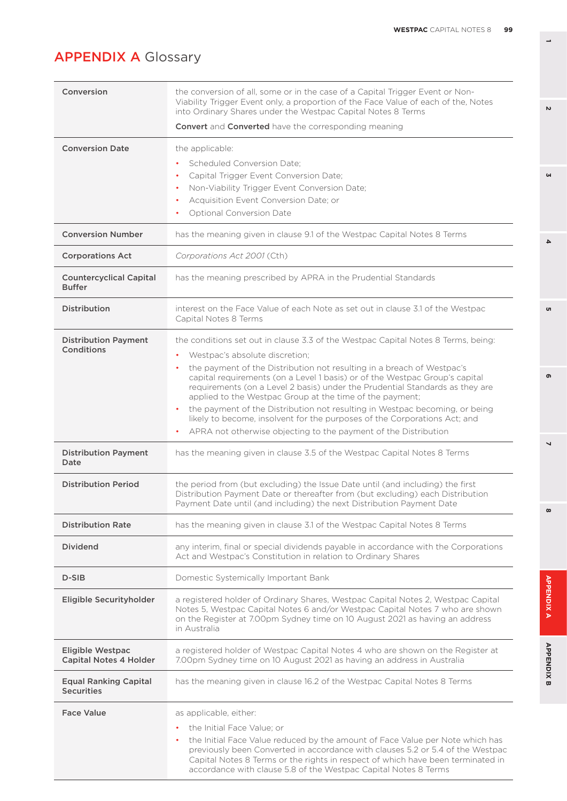| Conversion                                               | the conversion of all, some or in the case of a Capital Trigger Event or Non-<br>Viability Trigger Event only, a proportion of the Face Value of each of the, Notes<br>into Ordinary Shares under the Westpac Capital Notes 8 Terms  |
|----------------------------------------------------------|--------------------------------------------------------------------------------------------------------------------------------------------------------------------------------------------------------------------------------------|
|                                                          | <b>Convert</b> and <b>Converted</b> have the corresponding meaning                                                                                                                                                                   |
| <b>Conversion Date</b>                                   | the applicable:                                                                                                                                                                                                                      |
|                                                          | <b>Scheduled Conversion Date:</b>                                                                                                                                                                                                    |
|                                                          | Capital Trigger Event Conversion Date;<br>٠                                                                                                                                                                                          |
|                                                          | Non-Viability Trigger Event Conversion Date;                                                                                                                                                                                         |
|                                                          | Acquisition Event Conversion Date; or                                                                                                                                                                                                |
|                                                          | Optional Conversion Date<br>٠                                                                                                                                                                                                        |
| <b>Conversion Number</b>                                 | has the meaning given in clause 9.1 of the Westpac Capital Notes 8 Terms                                                                                                                                                             |
| <b>Corporations Act</b>                                  | Corporations Act 2001 (Cth)                                                                                                                                                                                                          |
| <b>Countercyclical Capital</b><br><b>Buffer</b>          | has the meaning prescribed by APRA in the Prudential Standards                                                                                                                                                                       |
| <b>Distribution</b>                                      | interest on the Face Value of each Note as set out in clause 3.1 of the Westpac<br>Capital Notes 8 Terms                                                                                                                             |
| <b>Distribution Payment</b>                              | the conditions set out in clause 3.3 of the Westpac Capital Notes 8 Terms, being:                                                                                                                                                    |
| <b>Conditions</b>                                        | Westpac's absolute discretion;<br>٠                                                                                                                                                                                                  |
|                                                          | the payment of the Distribution not resulting in a breach of Westpac's                                                                                                                                                               |
|                                                          | capital requirements (on a Level 1 basis) or of the Westpac Group's capital<br>requirements (on a Level 2 basis) under the Prudential Standards as they are                                                                          |
|                                                          | applied to the Westpac Group at the time of the payment;                                                                                                                                                                             |
|                                                          | the payment of the Distribution not resulting in Westpac becoming, or being                                                                                                                                                          |
|                                                          | likely to become, insolvent for the purposes of the Corporations Act; and<br>APRA not otherwise objecting to the payment of the Distribution                                                                                         |
|                                                          |                                                                                                                                                                                                                                      |
| <b>Distribution Payment</b><br>Date                      | has the meaning given in clause 3.5 of the Westpac Capital Notes 8 Terms                                                                                                                                                             |
| <b>Distribution Period</b>                               | the period from (but excluding) the Issue Date until (and including) the first                                                                                                                                                       |
|                                                          | Distribution Payment Date or thereafter from (but excluding) each Distribution                                                                                                                                                       |
|                                                          | Payment Date until (and including) the next Distribution Payment Date                                                                                                                                                                |
| <b>Distribution Rate</b>                                 | has the meaning given in clause 3.1 of the Westpac Capital Notes 8 Terms                                                                                                                                                             |
| <b>Dividend</b>                                          | any interim, final or special dividends payable in accordance with the Corporations<br>Act and Westpac's Constitution in relation to Ordinary Shares                                                                                 |
| $D-SIB$                                                  | Domestic Systemically Important Bank                                                                                                                                                                                                 |
| Eligible Securityholder                                  | a registered holder of Ordinary Shares, Westpac Capital Notes 2, Westpac Capital                                                                                                                                                     |
|                                                          | Notes 5, Westpac Capital Notes 6 and/or Westpac Capital Notes 7 who are shown<br>on the Register at 7.00pm Sydney time on 10 August 2021 as having an address<br>in Australia                                                        |
| <b>Eligible Westpac</b><br><b>Capital Notes 4 Holder</b> | a registered holder of Westpac Capital Notes 4 who are shown on the Register at<br>7.00pm Sydney time on 10 August 2021 as having an address in Australia                                                                            |
| <b>Equal Ranking Capital</b><br><b>Securities</b>        | has the meaning given in clause 16.2 of the Westpac Capital Notes 8 Terms                                                                                                                                                            |
| <b>Face Value</b>                                        | as applicable, either:                                                                                                                                                                                                               |
|                                                          | the Initial Face Value; or                                                                                                                                                                                                           |
|                                                          | the Initial Face Value reduced by the amount of Face Value per Note which has                                                                                                                                                        |
|                                                          | previously been Converted in accordance with clauses 5.2 or 5.4 of the Westpac<br>Capital Notes 8 Terms or the rights in respect of which have been terminated in<br>accordance with clause 5.8 of the Westpac Capital Notes 8 Terms |

**1**

**3**

 $\overline{\mathbf{4}}$ 

o,

 $\overline{v}$ 

 $\overline{ }$ 

 $\infty$ 

APPENDIX A

**APPENDIX B** 

 $\bullet$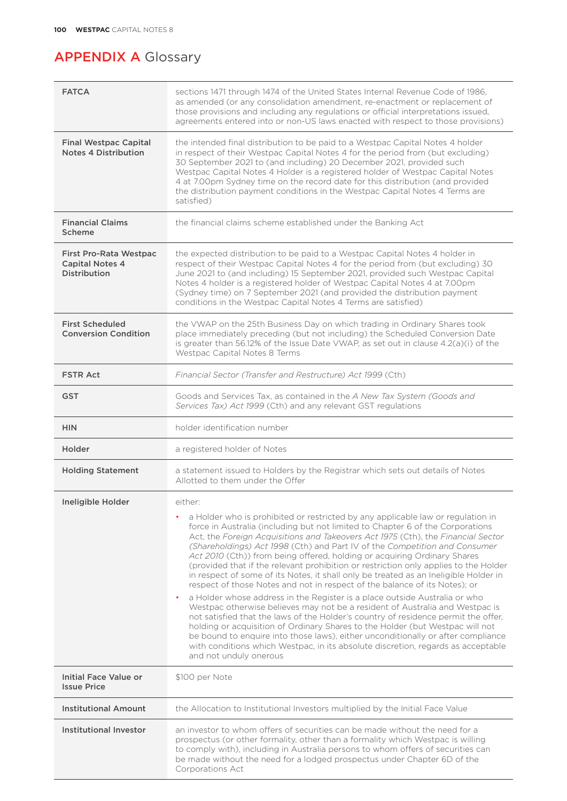| <b>FATCA</b>                                                                   | sections 1471 through 1474 of the United States Internal Revenue Code of 1986,<br>as amended (or any consolidation amendment, re-enactment or replacement of<br>those provisions and including any regulations or official interpretations issued,<br>agreements entered into or non-US laws enacted with respect to those provisions)                                                                                                                                                                                                                                                                                                                                                                                                                                                                                                                                                                                                                                                                                                                                                                                                                                                                                          |
|--------------------------------------------------------------------------------|---------------------------------------------------------------------------------------------------------------------------------------------------------------------------------------------------------------------------------------------------------------------------------------------------------------------------------------------------------------------------------------------------------------------------------------------------------------------------------------------------------------------------------------------------------------------------------------------------------------------------------------------------------------------------------------------------------------------------------------------------------------------------------------------------------------------------------------------------------------------------------------------------------------------------------------------------------------------------------------------------------------------------------------------------------------------------------------------------------------------------------------------------------------------------------------------------------------------------------|
| <b>Final Westpac Capital</b><br><b>Notes 4 Distribution</b>                    | the intended final distribution to be paid to a Westpac Capital Notes 4 holder<br>in respect of their Westpac Capital Notes 4 for the period from (but excluding)<br>30 September 2021 to (and including) 20 December 2021, provided such<br>Westpac Capital Notes 4 Holder is a registered holder of Westpac Capital Notes<br>4 at 7.00pm Sydney time on the record date for this distribution (and provided<br>the distribution payment conditions in the Westpac Capital Notes 4 Terms are<br>satisfied)                                                                                                                                                                                                                                                                                                                                                                                                                                                                                                                                                                                                                                                                                                                     |
| <b>Financial Claims</b><br>Scheme                                              | the financial claims scheme established under the Banking Act                                                                                                                                                                                                                                                                                                                                                                                                                                                                                                                                                                                                                                                                                                                                                                                                                                                                                                                                                                                                                                                                                                                                                                   |
| <b>First Pro-Rata Westpac</b><br><b>Capital Notes 4</b><br><b>Distribution</b> | the expected distribution to be paid to a Westpac Capital Notes 4 holder in<br>respect of their Westpac Capital Notes 4 for the period from (but excluding) 30<br>June 2021 to (and including) 15 September 2021, provided such Westpac Capital<br>Notes 4 holder is a registered holder of Westpac Capital Notes 4 at 7.00pm<br>(Sydney time) on 7 September 2021 (and provided the distribution payment<br>conditions in the Westpac Capital Notes 4 Terms are satisfied)                                                                                                                                                                                                                                                                                                                                                                                                                                                                                                                                                                                                                                                                                                                                                     |
| <b>First Scheduled</b><br><b>Conversion Condition</b>                          | the VWAP on the 25th Business Day on which trading in Ordinary Shares took<br>place immediately preceding (but not including) the Scheduled Conversion Date<br>is greater than 56.12% of the Issue Date VWAP, as set out in clause $4.2(a)(i)$ of the<br>Westpac Capital Notes 8 Terms                                                                                                                                                                                                                                                                                                                                                                                                                                                                                                                                                                                                                                                                                                                                                                                                                                                                                                                                          |
| <b>FSTR Act</b>                                                                | Financial Sector (Transfer and Restructure) Act 1999 (Cth)                                                                                                                                                                                                                                                                                                                                                                                                                                                                                                                                                                                                                                                                                                                                                                                                                                                                                                                                                                                                                                                                                                                                                                      |
| <b>GST</b>                                                                     | Goods and Services Tax, as contained in the A New Tax System (Goods and<br>Services Tax) Act 1999 (Cth) and any relevant GST regulations                                                                                                                                                                                                                                                                                                                                                                                                                                                                                                                                                                                                                                                                                                                                                                                                                                                                                                                                                                                                                                                                                        |
| <b>HIN</b>                                                                     | holder identification number                                                                                                                                                                                                                                                                                                                                                                                                                                                                                                                                                                                                                                                                                                                                                                                                                                                                                                                                                                                                                                                                                                                                                                                                    |
| Holder                                                                         | a registered holder of Notes                                                                                                                                                                                                                                                                                                                                                                                                                                                                                                                                                                                                                                                                                                                                                                                                                                                                                                                                                                                                                                                                                                                                                                                                    |
| <b>Holding Statement</b>                                                       | a statement issued to Holders by the Registrar which sets out details of Notes<br>Allotted to them under the Offer                                                                                                                                                                                                                                                                                                                                                                                                                                                                                                                                                                                                                                                                                                                                                                                                                                                                                                                                                                                                                                                                                                              |
| Ineligible Holder                                                              | either:<br>a Holder who is prohibited or restricted by any applicable law or regulation in<br>force in Australia (including but not limited to Chapter 6 of the Corporations<br>Act, the Foreign Acquisitions and Takeovers Act 1975 (Cth), the Financial Sector<br>(Shareholdings) Act 1998 (Cth) and Part IV of the Competition and Consumer<br>Act 2010 (Cth)) from being offered, holding or acquiring Ordinary Shares<br>(provided that if the relevant prohibition or restriction only applies to the Holder<br>in respect of some of its Notes, it shall only be treated as an Ineligible Holder in<br>respect of those Notes and not in respect of the balance of its Notes); or<br>a Holder whose address in the Register is a place outside Australia or who<br>Westpac otherwise believes may not be a resident of Australia and Westpac is<br>not satisfied that the laws of the Holder's country of residence permit the offer,<br>holding or acquisition of Ordinary Shares to the Holder (but Westpac will not<br>be bound to enquire into those laws), either unconditionally or after compliance<br>with conditions which Westpac, in its absolute discretion, regards as acceptable<br>and not unduly onerous |
| Initial Face Value or<br><b>Issue Price</b>                                    | \$100 per Note                                                                                                                                                                                                                                                                                                                                                                                                                                                                                                                                                                                                                                                                                                                                                                                                                                                                                                                                                                                                                                                                                                                                                                                                                  |
| <b>Institutional Amount</b>                                                    | the Allocation to Institutional Investors multiplied by the Initial Face Value                                                                                                                                                                                                                                                                                                                                                                                                                                                                                                                                                                                                                                                                                                                                                                                                                                                                                                                                                                                                                                                                                                                                                  |
| Institutional Investor                                                         | an investor to whom offers of securities can be made without the need for a<br>prospectus (or other formality, other than a formality which Westpac is willing<br>to comply with), including in Australia persons to whom offers of securities can<br>be made without the need for a lodged prospectus under Chapter 6D of the<br>Corporations Act                                                                                                                                                                                                                                                                                                                                                                                                                                                                                                                                                                                                                                                                                                                                                                                                                                                                              |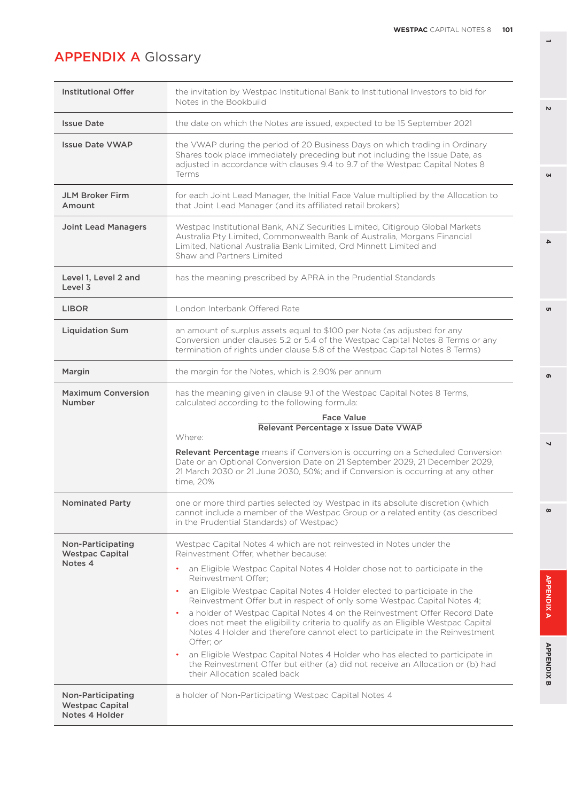| <b>Institutional Offer</b>                                    | the invitation by Westpac Institutional Bank to Institutional Investors to bid for<br>Notes in the Bookbuild                                                                                                                                                                                                                                                                                                                                                                                                                                                                                                                                                                                                                                                                                                                                      |
|---------------------------------------------------------------|---------------------------------------------------------------------------------------------------------------------------------------------------------------------------------------------------------------------------------------------------------------------------------------------------------------------------------------------------------------------------------------------------------------------------------------------------------------------------------------------------------------------------------------------------------------------------------------------------------------------------------------------------------------------------------------------------------------------------------------------------------------------------------------------------------------------------------------------------|
| <b>Issue Date</b>                                             | the date on which the Notes are issued, expected to be 15 September 2021                                                                                                                                                                                                                                                                                                                                                                                                                                                                                                                                                                                                                                                                                                                                                                          |
| <b>Issue Date VWAP</b>                                        | the VWAP during the period of 20 Business Days on which trading in Ordinary<br>Shares took place immediately preceding but not including the Issue Date, as<br>adjusted in accordance with clauses 9.4 to 9.7 of the Westpac Capital Notes 8<br>Terms                                                                                                                                                                                                                                                                                                                                                                                                                                                                                                                                                                                             |
| <b>JLM Broker Firm</b><br>Amount                              | for each Joint Lead Manager, the Initial Face Value multiplied by the Allocation to<br>that Joint Lead Manager (and its affiliated retail brokers)                                                                                                                                                                                                                                                                                                                                                                                                                                                                                                                                                                                                                                                                                                |
| <b>Joint Lead Managers</b>                                    | Westpac Institutional Bank, ANZ Securities Limited, Citigroup Global Markets<br>Australia Pty Limited, Commonwealth Bank of Australia, Morgans Financial<br>Limited, National Australia Bank Limited, Ord Minnett Limited and<br>Shaw and Partners Limited                                                                                                                                                                                                                                                                                                                                                                                                                                                                                                                                                                                        |
| Level 1, Level 2 and<br>Level 3                               | has the meaning prescribed by APRA in the Prudential Standards                                                                                                                                                                                                                                                                                                                                                                                                                                                                                                                                                                                                                                                                                                                                                                                    |
| <b>LIBOR</b>                                                  | London Interbank Offered Rate                                                                                                                                                                                                                                                                                                                                                                                                                                                                                                                                                                                                                                                                                                                                                                                                                     |
| <b>Liquidation Sum</b>                                        | an amount of surplus assets equal to \$100 per Note (as adjusted for any<br>Conversion under clauses 5.2 or 5.4 of the Westpac Capital Notes 8 Terms or any<br>termination of rights under clause 5.8 of the Westpac Capital Notes 8 Terms)                                                                                                                                                                                                                                                                                                                                                                                                                                                                                                                                                                                                       |
| Margin                                                        | the margin for the Notes, which is 2.90% per annum                                                                                                                                                                                                                                                                                                                                                                                                                                                                                                                                                                                                                                                                                                                                                                                                |
| <b>Maximum Conversion</b><br><b>Number</b>                    | has the meaning given in clause 9.1 of the Westpac Capital Notes 8 Terms,<br>calculated according to the following formula:                                                                                                                                                                                                                                                                                                                                                                                                                                                                                                                                                                                                                                                                                                                       |
|                                                               | <b>Face Value</b><br>Relevant Percentage x Issue Date VWAP<br>Where:<br>Relevant Percentage means if Conversion is occurring on a Scheduled Conversion<br>Date or an Optional Conversion Date on 21 September 2029, 21 December 2029,<br>21 March 2030 or 21 June 2030, 50%; and if Conversion is occurring at any other<br>time, 20%                                                                                                                                                                                                                                                                                                                                                                                                                                                                                                             |
| <b>Nominated Party</b>                                        | one or more third parties selected by Westpac in its absolute discretion (which<br>cannot include a member of the Westpac Group or a related entity (as described<br>in the Prudential Standards) of Westpac)                                                                                                                                                                                                                                                                                                                                                                                                                                                                                                                                                                                                                                     |
| Non-Participating<br><b>Westpac Capital</b><br>Notes 4        | Westpac Capital Notes 4 which are not reinvested in Notes under the<br>Reinvestment Offer, whether because:<br>an Eligible Westpac Capital Notes 4 Holder chose not to participate in the<br>٠<br>Reinvestment Offer:<br>an Eligible Westpac Capital Notes 4 Holder elected to participate in the<br>٠<br>Reinvestment Offer but in respect of only some Westpac Capital Notes 4;<br>a holder of Westpac Capital Notes 4 on the Reinvestment Offer Record Date<br>does not meet the eligibility criteria to qualify as an Eligible Westpac Capital<br>Notes 4 Holder and therefore cannot elect to participate in the Reinvestment<br>Offer: or<br>an Eligible Westpac Capital Notes 4 Holder who has elected to participate in<br>the Reinvestment Offer but either (a) did not receive an Allocation or (b) had<br>their Allocation scaled back |
| Non-Participating<br><b>Westpac Capital</b><br>Notes 4 Holder | a holder of Non-Participating Westpac Capital Notes 4                                                                                                                                                                                                                                                                                                                                                                                                                                                                                                                                                                                                                                                                                                                                                                                             |

**1**

**3**

 $\overline{\mathbf{4}}$ 

<sub>ហ</sub>

 $\overline{v}$ 

 $\overline{ }$ 

 $\infty$ 

APPENDIX A

**APPENDIX B** 

 $\bullet$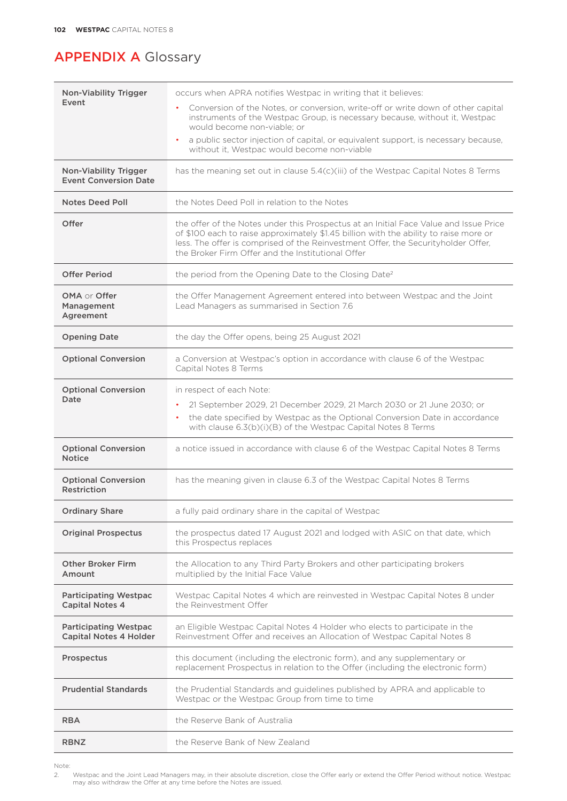| <b>Non-Viability Trigger</b><br>Event                         | occurs when APRA notifies Westpac in writing that it believes:                                                                                                                                                                                                                                                           |
|---------------------------------------------------------------|--------------------------------------------------------------------------------------------------------------------------------------------------------------------------------------------------------------------------------------------------------------------------------------------------------------------------|
|                                                               | Conversion of the Notes, or conversion, write-off or write down of other capital<br>instruments of the Westpac Group, is necessary because, without it, Westpac<br>would become non-viable: or                                                                                                                           |
|                                                               | a public sector injection of capital, or equivalent support, is necessary because,<br>$\bullet$<br>without it, Westpac would become non-viable                                                                                                                                                                           |
| <b>Non-Viability Trigger</b><br><b>Event Conversion Date</b>  | has the meaning set out in clause 5.4(c)(iii) of the Westpac Capital Notes 8 Terms                                                                                                                                                                                                                                       |
| <b>Notes Deed Poll</b>                                        | the Notes Deed Poll in relation to the Notes                                                                                                                                                                                                                                                                             |
| Offer                                                         | the offer of the Notes under this Prospectus at an Initial Face Value and Issue Price<br>of \$100 each to raise approximately \$1.45 billion with the ability to raise more or<br>less. The offer is comprised of the Reinvestment Offer, the Securityholder Offer,<br>the Broker Firm Offer and the Institutional Offer |
| <b>Offer Period</b>                                           | the period from the Opening Date to the Closing Date <sup>2</sup>                                                                                                                                                                                                                                                        |
| <b>OMA</b> or Offer<br>Management<br>Agreement                | the Offer Management Agreement entered into between Westpac and the Joint<br>Lead Managers as summarised in Section 7.6                                                                                                                                                                                                  |
| <b>Opening Date</b>                                           | the day the Offer opens, being 25 August 2021                                                                                                                                                                                                                                                                            |
| <b>Optional Conversion</b>                                    | a Conversion at Westpac's option in accordance with clause 6 of the Westpac<br>Capital Notes 8 Terms                                                                                                                                                                                                                     |
| <b>Optional Conversion</b><br>Date                            | in respect of each Note:                                                                                                                                                                                                                                                                                                 |
|                                                               | 21 September 2029, 21 December 2029, 21 March 2030 or 21 June 2030; or<br>the date specified by Westpac as the Optional Conversion Date in accordance<br>٠<br>with clause 6.3(b)(i)(B) of the Westpac Capital Notes 8 Terms                                                                                              |
| <b>Optional Conversion</b><br><b>Notice</b>                   | a notice issued in accordance with clause 6 of the Westpac Capital Notes 8 Terms                                                                                                                                                                                                                                         |
| <b>Optional Conversion</b><br><b>Restriction</b>              | has the meaning given in clause 6.3 of the Westpac Capital Notes 8 Terms                                                                                                                                                                                                                                                 |
| <b>Ordinary Share</b>                                         | a fully paid ordinary share in the capital of Westpac                                                                                                                                                                                                                                                                    |
| <b>Original Prospectus</b>                                    | the prospectus dated 17 August 2021 and lodged with ASIC on that date, which<br>this Prospectus replaces                                                                                                                                                                                                                 |
| <b>Other Broker Firm</b><br>Amount                            | the Allocation to any Third Party Brokers and other participating brokers<br>multiplied by the Initial Face Value                                                                                                                                                                                                        |
| <b>Participating Westpac</b><br><b>Capital Notes 4</b>        | Westpac Capital Notes 4 which are reinvested in Westpac Capital Notes 8 under<br>the Reinvestment Offer                                                                                                                                                                                                                  |
| <b>Participating Westpac</b><br><b>Capital Notes 4 Holder</b> | an Eligible Westpac Capital Notes 4 Holder who elects to participate in the<br>Reinvestment Offer and receives an Allocation of Westpac Capital Notes 8                                                                                                                                                                  |
| Prospectus                                                    | this document (including the electronic form), and any supplementary or<br>replacement Prospectus in relation to the Offer (including the electronic form)                                                                                                                                                               |
| <b>Prudential Standards</b>                                   | the Prudential Standards and guidelines published by APRA and applicable to<br>Westpac or the Westpac Group from time to time                                                                                                                                                                                            |
| <b>RBA</b>                                                    | the Reserve Bank of Australia                                                                                                                                                                                                                                                                                            |
| <b>RBNZ</b>                                                   | the Reserve Bank of New Zealand                                                                                                                                                                                                                                                                                          |

Note:<br>2. 2. Westpac and the Joint Lead Managers may, in their absolute discretion, close the Offer early or extend the Offer Period without notice. Westpac may also withdraw the Offer at any time before the Notes are issued.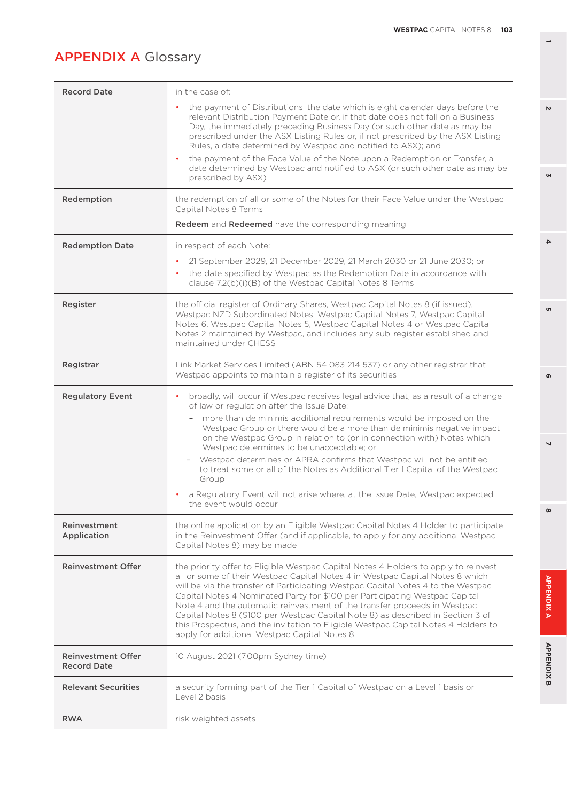| <b>Record Date</b>                              | in the case of:                                                                                                                                                                                                                                                                                                                                                                                                                                                                                                                                                                                                                               |
|-------------------------------------------------|-----------------------------------------------------------------------------------------------------------------------------------------------------------------------------------------------------------------------------------------------------------------------------------------------------------------------------------------------------------------------------------------------------------------------------------------------------------------------------------------------------------------------------------------------------------------------------------------------------------------------------------------------|
|                                                 | the payment of Distributions, the date which is eight calendar days before the<br>relevant Distribution Payment Date or, if that date does not fall on a Business<br>Day, the immediately preceding Business Day (or such other date as may be<br>prescribed under the ASX Listing Rules or, if not prescribed by the ASX Listing<br>Rules, a date determined by Westpac and notified to ASX); and                                                                                                                                                                                                                                            |
|                                                 | the payment of the Face Value of the Note upon a Redemption or Transfer, a<br>date determined by Westpac and notified to ASX (or such other date as may be<br>prescribed by ASX)                                                                                                                                                                                                                                                                                                                                                                                                                                                              |
| Redemption                                      | the redemption of all or some of the Notes for their Face Value under the Westpac<br>Capital Notes 8 Terms                                                                                                                                                                                                                                                                                                                                                                                                                                                                                                                                    |
|                                                 | <b>Redeem</b> and Redeemed have the corresponding meaning                                                                                                                                                                                                                                                                                                                                                                                                                                                                                                                                                                                     |
| <b>Redemption Date</b>                          | in respect of each Note:<br>21 September 2029, 21 December 2029, 21 March 2030 or 21 June 2030; or<br>the date specified by Westpac as the Redemption Date in accordance with<br>٠<br>clause 7.2(b)(i)(B) of the Westpac Capital Notes 8 Terms                                                                                                                                                                                                                                                                                                                                                                                                |
| Register                                        | the official register of Ordinary Shares, Westpac Capital Notes 8 (if issued),<br>Westpac NZD Subordinated Notes, Westpac Capital Notes 7, Westpac Capital<br>Notes 6, Westpac Capital Notes 5, Westpac Capital Notes 4 or Westpac Capital<br>Notes 2 maintained by Westpac, and includes any sub-register established and<br>maintained under CHESS                                                                                                                                                                                                                                                                                          |
| Registrar                                       | Link Market Services Limited (ABN 54 083 214 537) or any other registrar that<br>Westpac appoints to maintain a register of its securities                                                                                                                                                                                                                                                                                                                                                                                                                                                                                                    |
| <b>Regulatory Event</b>                         | broadly, will occur if Westpac receives legal advice that, as a result of a change<br>of law or regulation after the Issue Date:                                                                                                                                                                                                                                                                                                                                                                                                                                                                                                              |
|                                                 | more than de minimis additional requirements would be imposed on the<br>Westpac Group or there would be a more than de minimis negative impact<br>on the Westpac Group in relation to (or in connection with) Notes which<br>Westpac determines to be unacceptable; or                                                                                                                                                                                                                                                                                                                                                                        |
|                                                 | Westpac determines or APRA confirms that Westpac will not be entitled<br>$\overline{\phantom{a}}$<br>to treat some or all of the Notes as Additional Tier 1 Capital of the Westpac<br>Group                                                                                                                                                                                                                                                                                                                                                                                                                                                   |
|                                                 | a Regulatory Event will not arise where, at the Issue Date, Westpac expected<br>the event would occur                                                                                                                                                                                                                                                                                                                                                                                                                                                                                                                                         |
| Reinvestment<br>Application                     | the online application by an Eligible Westpac Capital Notes 4 Holder to participate<br>in the Reinvestment Offer (and if applicable, to apply for any additional Westpac<br>Capital Notes 8) may be made                                                                                                                                                                                                                                                                                                                                                                                                                                      |
| <b>Reinvestment Offer</b>                       | the priority offer to Eligible Westpac Capital Notes 4 Holders to apply to reinvest<br>all or some of their Westpac Capital Notes 4 in Westpac Capital Notes 8 which<br>will be via the transfer of Participating Westpac Capital Notes 4 to the Westpac<br>Capital Notes 4 Nominated Party for \$100 per Participating Westpac Capital<br>Note 4 and the automatic reinvestment of the transfer proceeds in Westpac<br>Capital Notes 8 (\$100 per Westpac Capital Note 8) as described in Section 3 of<br>this Prospectus, and the invitation to Eligible Westpac Capital Notes 4 Holders to<br>apply for additional Westpac Capital Notes 8 |
| <b>Reinvestment Offer</b><br><b>Record Date</b> | 10 August 2021 (7.00pm Sydney time)                                                                                                                                                                                                                                                                                                                                                                                                                                                                                                                                                                                                           |
| <b>Relevant Securities</b>                      | a security forming part of the Tier 1 Capital of Westpac on a Level 1 basis or<br>Level 2 basis                                                                                                                                                                                                                                                                                                                                                                                                                                                                                                                                               |
| <b>RWA</b>                                      | risk weighted assets                                                                                                                                                                                                                                                                                                                                                                                                                                                                                                                                                                                                                          |

**1**

**3**

 $\overline{\mathbf{4}}$ 

o,

 $\overline{v}$ 

 $\overline{ }$ 

 $\infty$ 

APPENDIX A

**APPENDIX B** 

 $\bullet$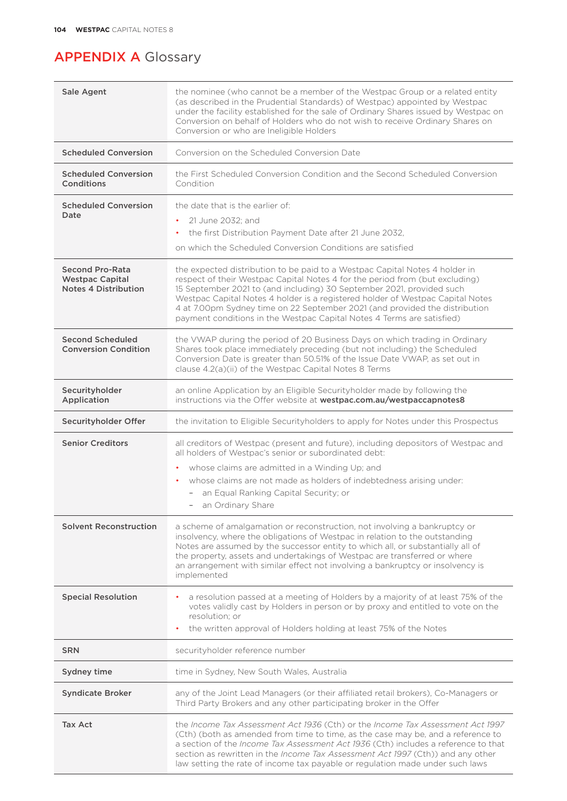| Sale Agent                                                                      | the nominee (who cannot be a member of the Westpac Group or a related entity<br>(as described in the Prudential Standards) of Westpac) appointed by Westpac<br>under the facility established for the sale of Ordinary Shares issued by Westpac on<br>Conversion on behalf of Holders who do not wish to receive Ordinary Shares on<br>Conversion or who are Ineligible Holders                                                                                                 |
|---------------------------------------------------------------------------------|---------------------------------------------------------------------------------------------------------------------------------------------------------------------------------------------------------------------------------------------------------------------------------------------------------------------------------------------------------------------------------------------------------------------------------------------------------------------------------|
| <b>Scheduled Conversion</b>                                                     | Conversion on the Scheduled Conversion Date                                                                                                                                                                                                                                                                                                                                                                                                                                     |
| <b>Scheduled Conversion</b><br>Conditions                                       | the First Scheduled Conversion Condition and the Second Scheduled Conversion<br>Condition                                                                                                                                                                                                                                                                                                                                                                                       |
| <b>Scheduled Conversion</b><br>Date                                             | the date that is the earlier of<br>21 June 2032; and<br>٠<br>the first Distribution Payment Date after 21 June 2032,<br>٠<br>on which the Scheduled Conversion Conditions are satisfied                                                                                                                                                                                                                                                                                         |
| <b>Second Pro-Rata</b><br><b>Westpac Capital</b><br><b>Notes 4 Distribution</b> | the expected distribution to be paid to a Westpac Capital Notes 4 holder in<br>respect of their Westpac Capital Notes 4 for the period from (but excluding)<br>15 September 2021 to (and including) 30 September 2021, provided such<br>Westpac Capital Notes 4 holder is a registered holder of Westpac Capital Notes<br>4 at 7.00pm Sydney time on 22 September 2021 (and provided the distribution<br>payment conditions in the Westpac Capital Notes 4 Terms are satisfied) |
| <b>Second Scheduled</b><br><b>Conversion Condition</b>                          | the VWAP during the period of 20 Business Days on which trading in Ordinary<br>Shares took place immediately preceding (but not including) the Scheduled<br>Conversion Date is greater than 50.51% of the Issue Date VWAP, as set out in<br>clause 4.2(a)(ii) of the Westpac Capital Notes 8 Terms                                                                                                                                                                              |
| Securityholder<br>Application                                                   | an online Application by an Eligible Securityholder made by following the<br>instructions via the Offer website at westpac.com.au/westpaccapnotes8                                                                                                                                                                                                                                                                                                                              |
| Securityholder Offer                                                            | the invitation to Eligible Securityholders to apply for Notes under this Prospectus                                                                                                                                                                                                                                                                                                                                                                                             |
| <b>Senior Creditors</b>                                                         | all creditors of Westpac (present and future), including depositors of Westpac and<br>all holders of Westpac's senior or subordinated debt:                                                                                                                                                                                                                                                                                                                                     |
|                                                                                 | whose claims are admitted in a Winding Up; and<br>٠                                                                                                                                                                                                                                                                                                                                                                                                                             |
|                                                                                 | whose claims are not made as holders of indebtedness arising under:<br>٠<br>an Equal Ranking Capital Security; or<br>$\overline{\phantom{0}}$<br>an Ordinary Share                                                                                                                                                                                                                                                                                                              |
| <b>Solvent Reconstruction</b>                                                   | a scheme of amalgamation or reconstruction, not involving a bankruptcy or<br>insolvency, where the obligations of Westpac in relation to the outstanding<br>Notes are assumed by the successor entity to which all, or substantially all of<br>the property, assets and undertakings of Westpac are transferred or where<br>an arrangement with similar effect not involving a bankruptcy or insolvency is<br>implemented                                                       |
| <b>Special Resolution</b>                                                       | a resolution passed at a meeting of Holders by a majority of at least 75% of the<br>votes validly cast by Holders in person or by proxy and entitled to vote on the<br>resolution: or                                                                                                                                                                                                                                                                                           |
|                                                                                 | the written approval of Holders holding at least 75% of the Notes                                                                                                                                                                                                                                                                                                                                                                                                               |
| <b>SRN</b>                                                                      | securityholder reference number                                                                                                                                                                                                                                                                                                                                                                                                                                                 |
| Sydney time                                                                     | time in Sydney, New South Wales, Australia                                                                                                                                                                                                                                                                                                                                                                                                                                      |
| <b>Syndicate Broker</b>                                                         | any of the Joint Lead Managers (or their affiliated retail brokers), Co-Managers or<br>Third Party Brokers and any other participating broker in the Offer                                                                                                                                                                                                                                                                                                                      |
| <b>Tax Act</b>                                                                  | the Income Tax Assessment Act 1936 (Cth) or the Income Tax Assessment Act 1997<br>(Cth) (both as amended from time to time, as the case may be, and a reference to<br>a section of the Income Tax Assessment Act 1936 (Cth) includes a reference to that<br>section as rewritten in the Income Tax Assessment Act 1997 (Cth)) and any other<br>law setting the rate of income tax payable or regulation made under such laws                                                    |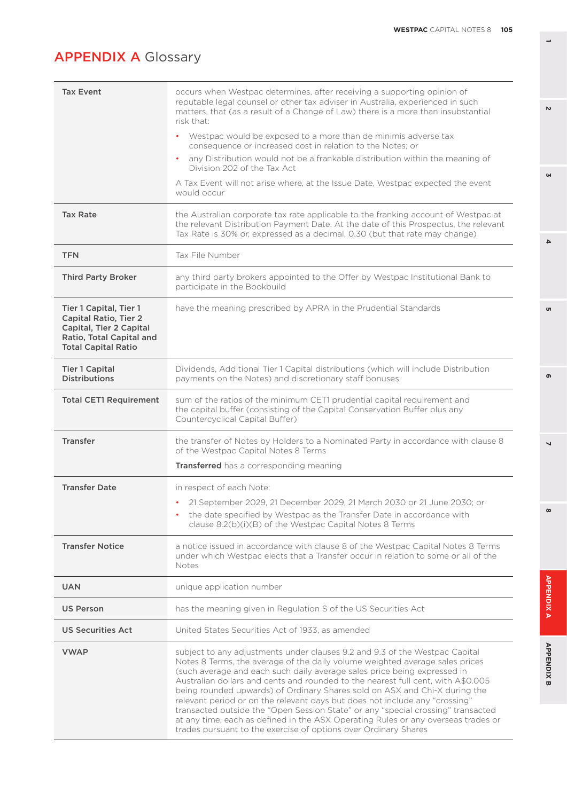| <b>Tax Event</b>                                                                                                                            | occurs when Westpac determines, after receiving a supporting opinion of<br>reputable legal counsel or other tax adviser in Australia, experienced in such<br>matters, that (as a result of a Change of Law) there is a more than insubstantial<br>risk that:                                                                                                                                                                                                                                                                                                                                                                                                                                                                         |
|---------------------------------------------------------------------------------------------------------------------------------------------|--------------------------------------------------------------------------------------------------------------------------------------------------------------------------------------------------------------------------------------------------------------------------------------------------------------------------------------------------------------------------------------------------------------------------------------------------------------------------------------------------------------------------------------------------------------------------------------------------------------------------------------------------------------------------------------------------------------------------------------|
|                                                                                                                                             | • Westpac would be exposed to a more than de minimis adverse tax<br>consequence or increased cost in relation to the Notes; or                                                                                                                                                                                                                                                                                                                                                                                                                                                                                                                                                                                                       |
|                                                                                                                                             | any Distribution would not be a frankable distribution within the meaning of<br>$\bullet$<br>Division 202 of the Tax Act                                                                                                                                                                                                                                                                                                                                                                                                                                                                                                                                                                                                             |
|                                                                                                                                             | A Tax Event will not arise where, at the Issue Date, Westpac expected the event<br>would occur                                                                                                                                                                                                                                                                                                                                                                                                                                                                                                                                                                                                                                       |
| <b>Tax Rate</b>                                                                                                                             | the Australian corporate tax rate applicable to the franking account of Westpac at<br>the relevant Distribution Payment Date. At the date of this Prospectus, the relevant<br>Tax Rate is 30% or, expressed as a decimal, 0.30 (but that rate may change)                                                                                                                                                                                                                                                                                                                                                                                                                                                                            |
| <b>TFN</b>                                                                                                                                  | Tax File Number                                                                                                                                                                                                                                                                                                                                                                                                                                                                                                                                                                                                                                                                                                                      |
| <b>Third Party Broker</b>                                                                                                                   | any third party brokers appointed to the Offer by Westpac Institutional Bank to<br>participate in the Bookbuild                                                                                                                                                                                                                                                                                                                                                                                                                                                                                                                                                                                                                      |
| Tier 1 Capital, Tier 1<br><b>Capital Ratio, Tier 2</b><br>Capital, Tier 2 Capital<br>Ratio, Total Capital and<br><b>Total Capital Ratio</b> | have the meaning prescribed by APRA in the Prudential Standards                                                                                                                                                                                                                                                                                                                                                                                                                                                                                                                                                                                                                                                                      |
| <b>Tier 1 Capital</b><br><b>Distributions</b>                                                                                               | Dividends, Additional Tier 1 Capital distributions (which will include Distribution<br>payments on the Notes) and discretionary staff bonuses                                                                                                                                                                                                                                                                                                                                                                                                                                                                                                                                                                                        |
| <b>Total CET1 Requirement</b>                                                                                                               | sum of the ratios of the minimum CET1 prudential capital requirement and<br>the capital buffer (consisting of the Capital Conservation Buffer plus any<br>Countercyclical Capital Buffer)                                                                                                                                                                                                                                                                                                                                                                                                                                                                                                                                            |
| <b>Transfer</b>                                                                                                                             | the transfer of Notes by Holders to a Nominated Party in accordance with clause 8<br>of the Westpac Capital Notes 8 Terms                                                                                                                                                                                                                                                                                                                                                                                                                                                                                                                                                                                                            |
|                                                                                                                                             | <b>Transferred</b> has a corresponding meaning                                                                                                                                                                                                                                                                                                                                                                                                                                                                                                                                                                                                                                                                                       |
| <b>Transfer Date</b>                                                                                                                        | in respect of each Note:                                                                                                                                                                                                                                                                                                                                                                                                                                                                                                                                                                                                                                                                                                             |
|                                                                                                                                             | • 21 September 2029, 21 December 2029, 21 March 2030 or 21 June 2030; or                                                                                                                                                                                                                                                                                                                                                                                                                                                                                                                                                                                                                                                             |
|                                                                                                                                             | the date specified by Westpac as the Transfer Date in accordance with<br>٠<br>clause 8.2(b)(i)(B) of the Westpac Capital Notes 8 Terms                                                                                                                                                                                                                                                                                                                                                                                                                                                                                                                                                                                               |
| <b>Transfer Notice</b>                                                                                                                      | a notice issued in accordance with clause 8 of the Westpac Capital Notes 8 Terms<br>under which Westpac elects that a Transfer occur in relation to some or all of the<br>Notes                                                                                                                                                                                                                                                                                                                                                                                                                                                                                                                                                      |
| <b>UAN</b>                                                                                                                                  | unique application number                                                                                                                                                                                                                                                                                                                                                                                                                                                                                                                                                                                                                                                                                                            |
| <b>US Person</b>                                                                                                                            | has the meaning given in Regulation S of the US Securities Act                                                                                                                                                                                                                                                                                                                                                                                                                                                                                                                                                                                                                                                                       |
| <b>US Securities Act</b>                                                                                                                    | United States Securities Act of 1933, as amended                                                                                                                                                                                                                                                                                                                                                                                                                                                                                                                                                                                                                                                                                     |
| <b>VWAP</b>                                                                                                                                 | subject to any adjustments under clauses 9.2 and 9.3 of the Westpac Capital<br>Notes 8 Terms, the average of the daily volume weighted average sales prices<br>(such average and each such daily average sales price being expressed in<br>Australian dollars and cents and rounded to the nearest full cent, with A\$0.005<br>being rounded upwards) of Ordinary Shares sold on ASX and Chi-X during the<br>relevant period or on the relevant days but does not include any "crossing"<br>transacted outside the "Open Session State" or any "special crossing" transacted<br>at any time, each as defined in the ASX Operating Rules or any overseas trades or<br>trades pursuant to the exercise of options over Ordinary Shares |

**1**

**3**

 $\overline{\mathbf{4}}$ 

<sub>ហ</sub>

 $\overline{v}$ 

 $\overline{\phantom{0}}$ 

 $\infty$ 

APPENDIX A

**APPENDIX B** 

 $\bullet$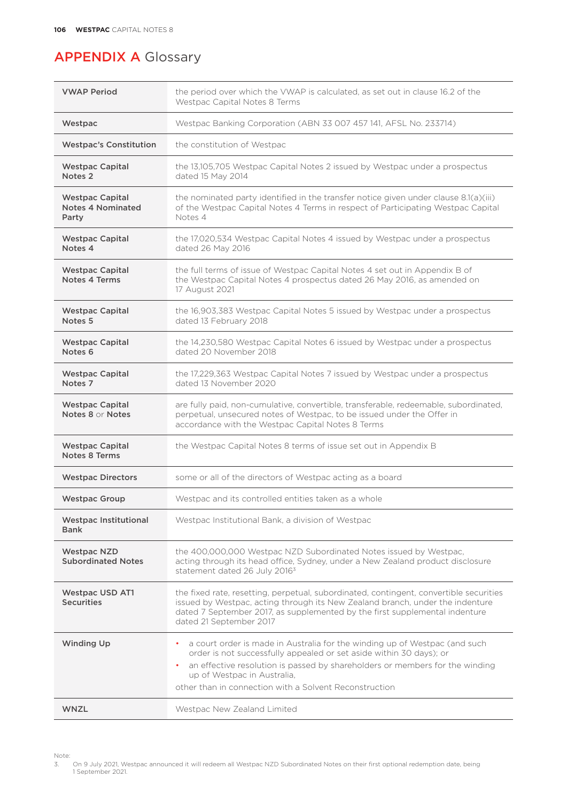| <b>VWAP Period</b>                                   | the period over which the VWAP is calculated, as set out in clause 16.2 of the<br>Westpac Capital Notes 8 Terms                                                                                                                                                                   |
|------------------------------------------------------|-----------------------------------------------------------------------------------------------------------------------------------------------------------------------------------------------------------------------------------------------------------------------------------|
| Westpac                                              | Westpac Banking Corporation (ABN 33 007 457 141, AFSL No. 233714)                                                                                                                                                                                                                 |
| <b>Westpac's Constitution</b>                        | the constitution of Westpac                                                                                                                                                                                                                                                       |
| <b>Westpac Capital</b><br>Notes <sub>2</sub>         | the 13,105,705 Westpac Capital Notes 2 issued by Westpac under a prospectus<br>dated 15 May 2014                                                                                                                                                                                  |
| <b>Westpac Capital</b><br>Notes 4 Nominated<br>Party | the nominated party identified in the transfer notice given under clause 8.1(a)(iii)<br>of the Westpac Capital Notes 4 Terms in respect of Participating Westpac Capital<br>Notes 4                                                                                               |
| <b>Westpac Capital</b><br>Notes <sub>4</sub>         | the 17,020,534 Westpac Capital Notes 4 issued by Westpac under a prospectus<br>dated 26 May 2016                                                                                                                                                                                  |
| <b>Westpac Capital</b><br>Notes 4 Terms              | the full terms of issue of Westpac Capital Notes 4 set out in Appendix B of<br>the Westpac Capital Notes 4 prospectus dated 26 May 2016, as amended on<br>17 August 2021                                                                                                          |
| <b>Westpac Capital</b><br>Notes <sub>5</sub>         | the 16,903,383 Westpac Capital Notes 5 issued by Westpac under a prospectus<br>dated 13 February 2018                                                                                                                                                                             |
| <b>Westpac Capital</b><br>Notes <sub>6</sub>         | the 14,230,580 Westpac Capital Notes 6 issued by Westpac under a prospectus<br>dated 20 November 2018                                                                                                                                                                             |
| <b>Westpac Capital</b><br>Notes <sub>7</sub>         | the 17,229,363 Westpac Capital Notes 7 issued by Westpac under a prospectus<br>dated 13 November 2020                                                                                                                                                                             |
| <b>Westpac Capital</b><br>Notes 8 or Notes           | are fully paid, non-cumulative, convertible, transferable, redeemable, subordinated,<br>perpetual, unsecured notes of Westpac, to be issued under the Offer in<br>accordance with the Westpac Capital Notes 8 Terms                                                               |
| <b>Westpac Capital</b><br>Notes 8 Terms              | the Westpac Capital Notes 8 terms of issue set out in Appendix B                                                                                                                                                                                                                  |
| <b>Westpac Directors</b>                             | some or all of the directors of Westpac acting as a board                                                                                                                                                                                                                         |
| <b>Westpac Group</b>                                 | Westpac and its controlled entities taken as a whole                                                                                                                                                                                                                              |
| <b>Westpac Institutional</b><br><b>Bank</b>          | Westpac Institutional Bank, a division of Westpac                                                                                                                                                                                                                                 |
| <b>Westpac NZD</b><br><b>Subordinated Notes</b>      | the 400,000,000 Westpac NZD Subordinated Notes issued by Westpac,<br>acting through its head office, Sydney, under a New Zealand product disclosure<br>statement dated 26 July 2016 <sup>3</sup>                                                                                  |
| <b>Westpac USD AT1</b><br><b>Securities</b>          | the fixed rate, resetting, perpetual, subordinated, contingent, convertible securities<br>issued by Westpac, acting through its New Zealand branch, under the indenture<br>dated 7 September 2017, as supplemented by the first supplemental indenture<br>dated 21 September 2017 |
| <b>Winding Up</b>                                    | a court order is made in Australia for the winding up of Westpac (and such<br>order is not successfully appealed or set aside within 30 days); or                                                                                                                                 |
|                                                      | an effective resolution is passed by shareholders or members for the winding<br>up of Westpac in Australia,                                                                                                                                                                       |
|                                                      | other than in connection with a Solvent Reconstruction                                                                                                                                                                                                                            |
| <b>WNZL</b>                                          | Westpac New Zealand Limited                                                                                                                                                                                                                                                       |

Note:<br>3. 3. On 9 July 2021, Westpac announced it will redeem all Westpac NZD Subordinated Notes on their first optional redemption date, being 1 September 2021.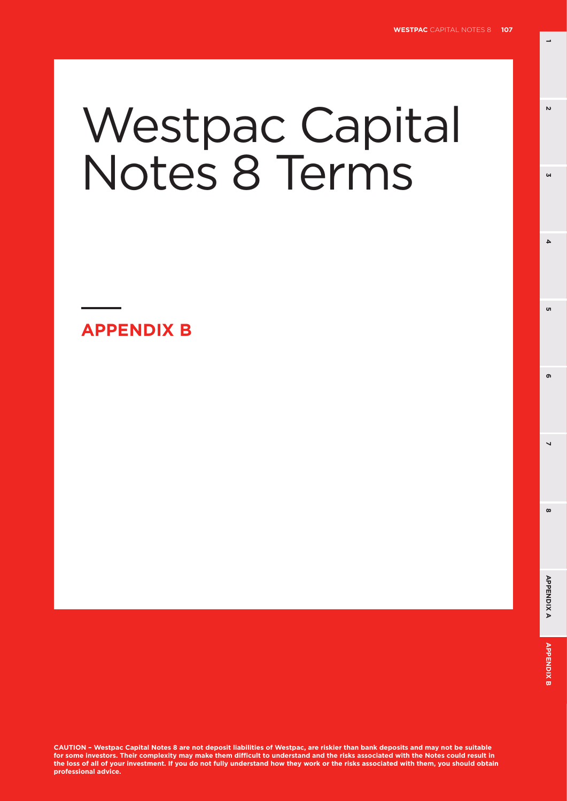**1**

**3**

 $\Delta$ 

'n

 $\mathbf{v}$ 

# Westpac Capital Notes 8 Terms

**APPENDIX B**

**CAUTION – Westpac Capital Notes 8 are not deposit liabilities of Westpac, are riskier than bank deposits and may not be suitable for some investors. Their complexity may make them difficult to understand and the risks associated with the Notes could result in the loss of all of your investment. If you do not fully understand how they work or the risks associated with them, you should obtain professional advice.**

**8 5**

 $\overline{\phantom{0}}$ 

 $\infty$ 

ക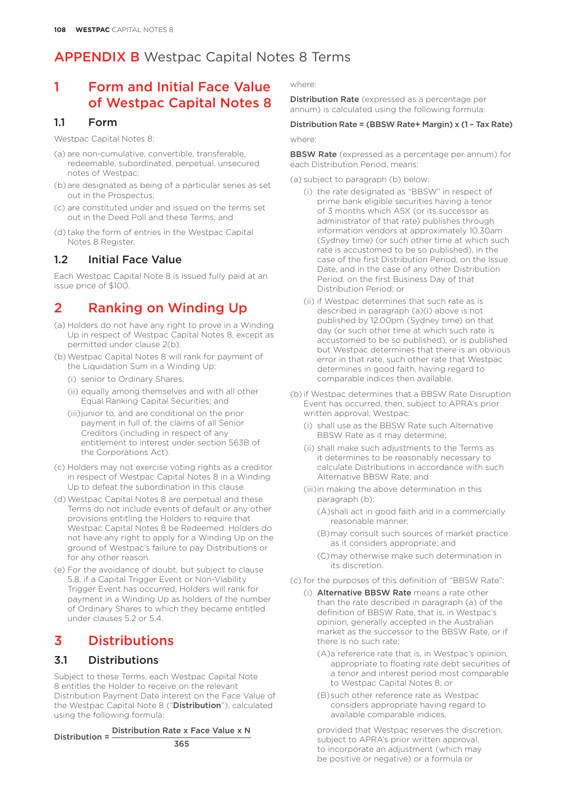### 1 Form and Initial Face Value of Westpac Capital Notes 8

### 1.1 Form

Westpac Capital Notes 8:

- (a) are non-cumulative, convertible, transferable, redeemable, subordinated, perpetual, unsecured notes of Westpac;
- (b) are designated as being of a particular series as set out in the Prospectus;
- (c) are constituted under and issued on the terms set out in the Deed Poll and these Terms; and
- (d) take the form of entries in the Westpac Capital Notes 8 Register.

### 1.2 Initial Face Value

Each Westpac Capital Note 8 is issued fully paid at an issue price of \$100.

### 2 Ranking on Winding Up

- (a) Holders do not have any right to prove in a Winding Up in respect of Westpac Capital Notes 8, except as permitted under clause 2(b).
- (b)Westpac Capital Notes 8 will rank for payment of the Liquidation Sum in a Winding Up:
	- (i) senior to Ordinary Shares;
	- (ii) equally among themselves and with all other Equal Ranking Capital Securities; and
	- (iii)junior to, and are conditional on the prior payment in full of, the claims of all Senior Creditors (including in respect of any entitlement to interest under section 563B of the Corporations Act).
- (c) Holders may not exercise voting rights as a creditor in respect of Westpac Capital Notes 8 in a Winding Up to defeat the subordination in this clause.
- (d)Westpac Capital Notes 8 are perpetual and these Terms do not include events of default or any other provisions entitling the Holders to require that Westpac Capital Notes 8 be Redeemed. Holders do not have any right to apply for a Winding Up on the ground of Westpac's failure to pay Distributions or for any other reason.
- (e) For the avoidance of doubt, but subject to clause 5.8, if a Capital Trigger Event or Non-Viability Trigger Event has occurred, Holders will rank for payment in a Winding Up as holders of the number of Ordinary Shares to which they became entitled under clauses 5.2 or 5.4.

### 3 Distributions

### 3.1 Distributions

Subject to these Terms, each Westpac Capital Note 8 entitles the Holder to receive on the relevant Distribution Payment Date interest on the Face Value of the Westpac Capital Note 8 ("Distribution"), calculated using the following formula:

Distribution = Distribution Rate x Face Value x N

365

where:

Distribution Rate (expressed as a percentage per annum) is calculated using the following formula:

#### Distribution Rate = (BBSW Rate+ Margin) x (1 – Tax Rate)

where:

**BBSW Rate** (expressed as a percentage per annum) for each Distribution Period, means:

- (a) subject to paragraph (b) below:
	- (i) the rate designated as "BBSW" in respect of prime bank eligible securities having a tenor of 3 months which ASX (or its successor as administrator of that rate) publishes through information vendors at approximately 10.30am (Sydney time) (or such other time at which such rate is accustomed to be so published), in the case of the first Distribution Period, on the Issue Date, and in the case of any other Distribution Period, on the first Business Day of that Distribution Period; or
	- (ii) if Westpac determines that such rate as is described in paragraph (a)(i) above is not published by 12.00pm (Sydney time) on that day (or such other time at which such rate is accustomed to be so published), or is published but Westpac determines that there is an obvious error in that rate, such other rate that Westpac determines in good faith, having regard to comparable indices then available.
- (b) if Westpac determines that a BBSW Rate Disruption Event has occurred, then, subject to APRA's prior written approval, Westpac:
	- (i) shall use as the BBSW Rate such Alternative BBSW Rate as it may determine;
	- (ii) shall make such adjustments to the Terms as it determines to be reasonably necessary to calculate Distributions in accordance with such Alternative BBSW Rate; and
	- (iii)in making the above determination in this paragraph (b):
		- (A)shall act in good faith and in a commercially reasonable manner;
		- (B)may consult such sources of market practice as it considers appropriate; and
		- (C)may otherwise make such determination in its discretion.
- (c) for the purposes of this definition of "BBSW Rate":
	- (i) Alternative BBSW Rate means a rate other than the rate described in paragraph (a) of the definition of BBSW Rate, that is, in Westpac's opinion, generally accepted in the Australian market as the successor to the BBSW Rate, or if there is no such rate:
		- (A)a reference rate that is, in Westpac's opinion, appropriate to floating rate debt securities of a tenor and interest period most comparable to Westpac Capital Notes 8; or
		- (B)such other reference rate as Westpac considers appropriate having regard to available comparable indices,

provided that Westpac reserves the discretion, subject to APRA's prior written approval, to incorporate an adjustment (which may be positive or negative) or a formula or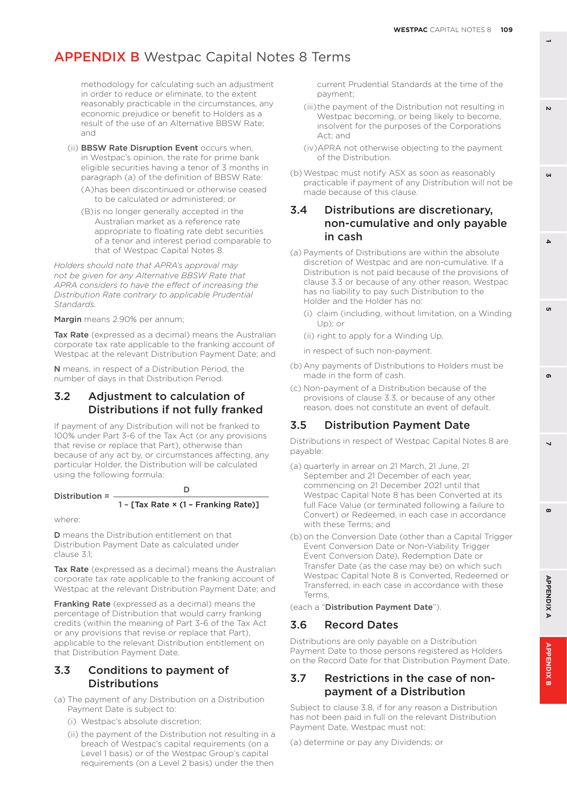methodology for calculating such an adjustment in order to reduce or eliminate, to the extent reasonably practicable in the circumstances, any economic prejudice or benefit to Holders as a result of the use of an Alternative BBSW Rate; and

- (ii) BBSW Rate Disruption Event occurs when, in Westpac's opinion, the rate for prime bank eligible securities having a tenor of 3 months in paragraph (a) of the definition of BBSW Rate:
	- (A)has been discontinued or otherwise ceased to be calculated or administered; or
	- (B)is no longer generally accepted in the Australian market as a reference rate appropriate to floating rate debt securities of a tenor and interest period comparable to that of Westpac Capital Notes 8.

*Holders should note that APRA's approval may not be given for any Alternative BBSW Rate that APRA considers to have the effect of increasing the Distribution Rate contrary to applicable Prudential Standards.*

Margin means 2.90% per annum;

Tax Rate (expressed as a decimal) means the Australian corporate tax rate applicable to the franking account of Westpac at the relevant Distribution Payment Date; and

N means, in respect of a Distribution Period, the number of days in that Distribution Period.

### 3.2 Adjustment to calculation of Distributions if not fully franked

If payment of any Distribution will not be franked to 100% under Part 3-6 of the Tax Act (or any provisions that revise or replace that Part), otherwise than because of any act by, or circumstances affecting, any particular Holder, the Distribution will be calculated using the following formula:

#### Distribution = D 1 – [Tax Rate × (1 – Franking Rate)]

where:

D means the Distribution entitlement on that Distribution Payment Date as calculated under clause 3.1;

Tax Rate (expressed as a decimal) means the Australian corporate tax rate applicable to the franking account of Westpac at the relevant Distribution Payment Date; and

Franking Rate (expressed as a decimal) means the percentage of Distribution that would carry franking credits (within the meaning of Part 3-6 of the Tax Act or any provisions that revise or replace that Part), applicable to the relevant Distribution entitlement on that Distribution Payment Date.

### 3.3 Conditions to payment of **Distributions**

(a) The payment of any Distribution on a Distribution Payment Date is subject to:

- (i) Westpac's absolute discretion;
- (ii) the payment of the Distribution not resulting in a breach of Westpac's capital requirements (on a Level 1 basis) or of the Westpac Group's capital requirements (on a Level 2 basis) under the then

current Prudential Standards at the time of the payment;

- (iii)the payment of the Distribution not resulting in Westpac becoming, or being likely to become, insolvent for the purposes of the Corporations Act; and
- (iv)APRA not otherwise objecting to the payment of the Distribution.
- (b)Westpac must notify ASX as soon as reasonably practicable if payment of any Distribution will not be made because of this clause.

### 3.4 Distributions are discretionary, non-cumulative and only payable in cash

- (a) Payments of Distributions are within the absolute discretion of Westpac and are non-cumulative. If a Distribution is not paid because of the provisions of clause 3.3 or because of any other reason, Westpac has no liability to pay such Distribution to the Holder and the Holder has no:
	- (i) claim (including, without limitation, on a Winding Up); or
	- (ii) right to apply for a Winding Up,

in respect of such non-payment.

- (b) Any payments of Distributions to Holders must be made in the form of cash.
- (c) Non-payment of a Distribution because of the provisions of clause 3.3, or because of any other reason, does not constitute an event of default.

### 3.5 Distribution Payment Date

Distributions in respect of Westpac Capital Notes 8 are payable:

- (a) quarterly in arrear on 21 March, 21 June, 21 September and 21 December of each year, commencing on 21 December 2021 until that Westpac Capital Note 8 has been Converted at its full Face Value (or terminated following a failure to Convert) or Redeemed, in each case in accordance with these Terms; and
- (b) on the Conversion Date (other than a Capital Trigger Event Conversion Date or Non-Viability Trigger Event Conversion Date), Redemption Date or Transfer Date (as the case may be) on which such Westpac Capital Note 8 is Converted, Redeemed or Transferred, in each case in accordance with these Terms,

(each a "Distribution Payment Date").

### 3.6 Record Dates

Distributions are only payable on a Distribution Payment Date to those persons registered as Holders on the Record Date for that Distribution Payment Date.

### 3.7 Restrictions in the case of nonpayment of a Distribution

Subject to clause 3.8, if for any reason a Distribution has not been paid in full on the relevant Distribution Payment Date, Westpac must not:

(a) determine or pay any Dividends; or

**3**

 $\Delta$ 

'n

 $\mathbf{v}$ 

**APPENDIX B 2 7 4 APPENDIX A 6 APPENDIXA** 

**8 5**

 $\overline{\phantom{0}}$ 

 $\boldsymbol{\omega}$ 

 $\mathbf{r}$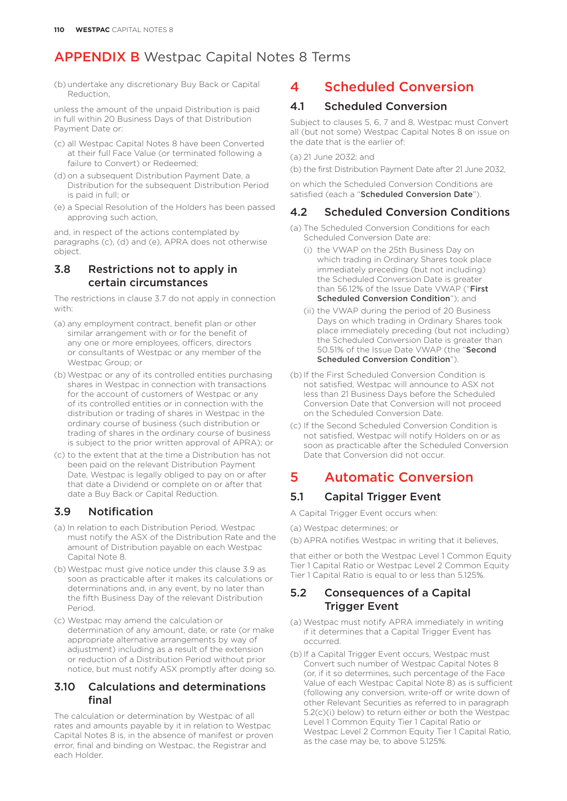(b) undertake any discretionary Buy Back or Capital Reduction,

unless the amount of the unpaid Distribution is paid in full within 20 Business Days of that Distribution Payment Date or:

- (c) all Westpac Capital Notes 8 have been Converted at their full Face Value (or terminated following a failure to Convert) or Redeemed;
- (d) on a subsequent Distribution Payment Date, a Distribution for the subsequent Distribution Period is paid in full; or
- (e) a Special Resolution of the Holders has been passed approving such action,

and, in respect of the actions contemplated by paragraphs (c), (d) and (e), APRA does not otherwise object.

### 3.8 Restrictions not to apply in certain circumstances

The restrictions in clause 3.7 do not apply in connection with:

- (a) any employment contract, benefit plan or other similar arrangement with or for the benefit of any one or more employees, officers, directors or consultants of Westpac or any member of the Westpac Group; or
- (b)Westpac or any of its controlled entities purchasing shares in Westpac in connection with transactions for the account of customers of Westpac or any of its controlled entities or in connection with the distribution or trading of shares in Westpac in the ordinary course of business (such distribution or trading of shares in the ordinary course of business is subject to the prior written approval of APRA); or
- (c) to the extent that at the time a Distribution has not been paid on the relevant Distribution Payment Date, Westpac is legally obliged to pay on or after that date a Dividend or complete on or after that date a Buy Back or Capital Reduction.

### 3.9 Notification

- (a) In relation to each Distribution Period, Westpac must notify the ASX of the Distribution Rate and the amount of Distribution payable on each Westpac Capital Note 8.
- (b)Westpac must give notice under this clause 3.9 as soon as practicable after it makes its calculations or determinations and, in any event, by no later than the fifth Business Day of the relevant Distribution Period.
- (c) Westpac may amend the calculation or determination of any amount, date, or rate (or make appropriate alternative arrangements by way of adjustment) including as a result of the extension or reduction of a Distribution Period without prior notice, but must notify ASX promptly after doing so.

### 3.10 Calculations and determinations final

The calculation or determination by Westpac of all rates and amounts payable by it in relation to Westpac Capital Notes 8 is, in the absence of manifest or proven error, final and binding on Westpac, the Registrar and each Holder.

# 4 Scheduled Conversion

### 4.1 Scheduled Conversion

Subject to clauses 5, 6, 7 and 8, Westpac must Convert all (but not some) Westpac Capital Notes 8 on issue on the date that is the earlier of:

(a) 21 June 2032; and

(b) the first Distribution Payment Date after 21 June 2032,

on which the Scheduled Conversion Conditions are satisfied (each a "Scheduled Conversion Date").

### 4.2 Scheduled Conversion Conditions

- (a) The Scheduled Conversion Conditions for each Scheduled Conversion Date are:
	- (i) the VWAP on the 25th Business Day on which trading in Ordinary Shares took place immediately preceding (but not including) the Scheduled Conversion Date is greater than 56.12% of the Issue Date VWAP ("First Scheduled Conversion Condition"); and
	- (ii) the VWAP during the period of 20 Business Days on which trading in Ordinary Shares took place immediately preceding (but not including) the Scheduled Conversion Date is greater than 50.51% of the Issue Date VWAP (the "Second Scheduled Conversion Condition").
- (b) If the First Scheduled Conversion Condition is not satisfied, Westpac will announce to ASX not less than 21 Business Days before the Scheduled Conversion Date that Conversion will not proceed on the Scheduled Conversion Date.
- (c) If the Second Scheduled Conversion Condition is not satisfied, Westpac will notify Holders on or as soon as practicable after the Scheduled Conversion Date that Conversion did not occur.

### 5 Automatic Conversion

### 5.1 Capital Trigger Event

A Capital Trigger Event occurs when:

(a) Westpac determines; or

(b) APRA notifies Westpac in writing that it believes,

that either or both the Westpac Level 1 Common Equity Tier 1 Capital Ratio or Westpac Level 2 Common Equity Tier 1 Capital Ratio is equal to or less than 5.125%.

### 5.2 Consequences of a Capital Trigger Event

- (a) Westpac must notify APRA immediately in writing if it determines that a Capital Trigger Event has occurred.
- (b) If a Capital Trigger Event occurs, Westpac must Convert such number of Westpac Capital Notes 8 (or, if it so determines, such percentage of the Face Value of each Westpac Capital Note 8) as is sufficient (following any conversion, write-off or write down of other Relevant Securities as referred to in paragraph 5.2(c)(i) below) to return either or both the Westpac Level 1 Common Equity Tier 1 Capital Ratio or Westpac Level 2 Common Equity Tier 1 Capital Ratio, as the case may be, to above 5.125%.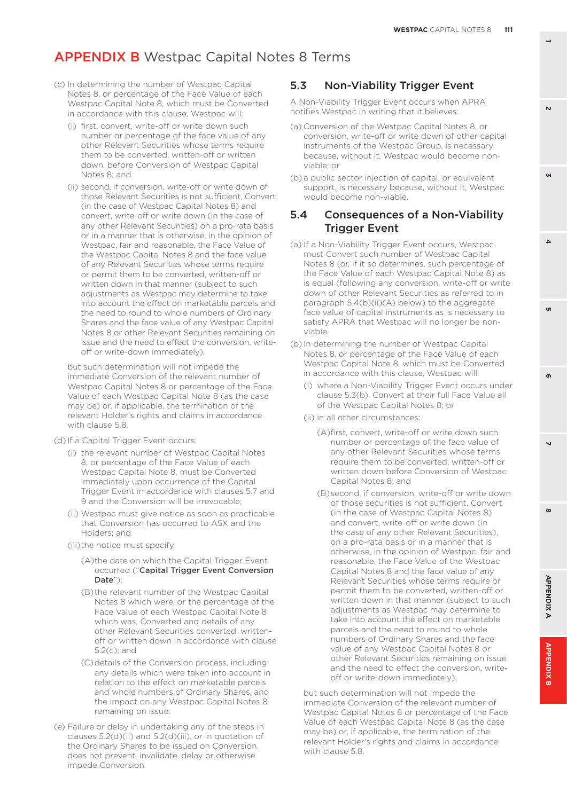- (c) In determining the number of Westpac Capital Notes 8, or percentage of the Face Value of each Westpac Capital Note 8, which must be Converted in accordance with this clause, Westpac will:
	- (i) first, convert, write-off or write down such number or percentage of the face value of any other Relevant Securities whose terms require them to be converted, written-off or written down, before Conversion of Westpac Capital Notes 8; and
	- (ii) second, if conversion, write-off or write down of those Relevant Securities is not sufficient, Convert (in the case of Westpac Capital Notes 8) and convert, write-off or write down (in the case of any other Relevant Securities) on a pro-rata basis or in a manner that is otherwise, in the opinion of Westpac, fair and reasonable, the Face Value of the Westpac Capital Notes 8 and the face value of any Relevant Securities whose terms require or permit them to be converted, written-off or written down in that manner (subject to such adjustments as Westpac may determine to take into account the effect on marketable parcels and the need to round to whole numbers of Ordinary Shares and the face value of any Westpac Capital Notes 8 or other Relevant Securities remaining on issue and the need to effect the conversion, writeoff or write-down immediately),

but such determination will not impede the immediate Conversion of the relevant number of Westpac Capital Notes 8 or percentage of the Face Value of each Westpac Capital Note  $8$  (as the case may be) or, if applicable, the termination of the relevant Holder's rights and claims in accordance with clause 5.8.

(d) If a Capital Trigger Event occurs:

- (i) the relevant number of Westpac Capital Notes 8, or percentage of the Face Value of each Westpac Capital Note 8, must be Converted immediately upon occurrence of the Capital Trigger Event in accordance with clauses 5.7 and 9 and the Conversion will be irrevocable;
- (ii) Westpac must give notice as soon as practicable that Conversion has occurred to ASX and the Holders; and
- (iii)the notice must specify:
	- (A)the date on which the Capital Trigger Event occurred ("Capital Trigger Event Conversion Date");
	- (B)the relevant number of the Westpac Capital Notes 8 which were, or the percentage of the Face Value of each Westpac Capital Note 8 which was, Converted and details of any other Relevant Securities converted, writtenoff or written down in accordance with clause 5.2(c); and
	- (C)details of the Conversion process, including any details which were taken into account in relation to the effect on marketable parcels and whole numbers of Ordinary Shares, and the impact on any Westpac Capital Notes 8 remaining on issue.
- (e) Failure or delay in undertaking any of the steps in clauses 5.2(d)(ii) and 5.2(d)(iii), or in quotation of the Ordinary Shares to be issued on Conversion, does not prevent, invalidate, delay or otherwise impede Conversion.

### 5.3 Non-Viability Trigger Event

A Non-Viability Trigger Event occurs when APRA notifies Westpac in writing that it believes:

- (a) Conversion of the Westpac Capital Notes 8, or conversion, write-off or write down of other capital instruments of the Westpac Group, is necessary because, without it, Westpac would become nonviable; or
- (b) a public sector injection of capital, or equivalent support, is necessary because, without it, Westpac would become non-viable.

### 5.4 Consequences of a Non-Viability Trigger Event

- (a) If a Non-Viability Trigger Event occurs, Westpac must Convert such number of Westpac Capital Notes 8 (or, if it so determines, such percentage of the Face Value of each Westpac Capital Note 8) as is equal (following any conversion, write-off or write down of other Relevant Securities as referred to in paragraph 5.4(b)(ii)(A) below) to the aggregate face value of capital instruments as is necessary to satisfy APRA that Westpac will no longer be nonviable.
- (b) In determining the number of Westpac Capital Notes 8, or percentage of the Face Value of each Westpac Capital Note 8, which must be Converted in accordance with this clause, Westpac will:
	- (i) where a Non-Viability Trigger Event occurs under clause 5.3(b), Convert at their full Face Value all of the Westpac Capital Notes 8; or
	- (ii) in all other circumstances:
		- (A)first, convert, write-off or write down such number or percentage of the face value of any other Relevant Securities whose terms require them to be converted, written-off or written down before Conversion of Westpac Capital Notes 8; and
		- (B)second, if conversion, write-off or write down of those securities is not sufficient, Convert (in the case of Westpac Capital Notes 8) and convert, write-off or write down (in the case of any other Relevant Securities), on a pro-rata basis or in a manner that is otherwise, in the opinion of Westpac, fair and reasonable, the Face Value of the Westpac Capital Notes 8 and the face value of any Relevant Securities whose terms require or permit them to be converted, written-off or written down in that manner (subject to such adjustments as Westpac may determine to take into account the effect on marketable parcels and the need to round to whole numbers of Ordinary Shares and the face value of any Westpac Capital Notes 8 or other Relevant Securities remaining on issue and the need to effect the conversion, writeoff or write-down immediately),

but such determination will not impede the immediate Conversion of the relevant number of Westpac Capital Notes 8 or percentage of the Face Value of each Westpac Capital Note 8 (as the case may be) or, if applicable, the termination of the relevant Holder's rights and claims in accordance with clause 5.8.

**3**

 $\Delta$ 

'n

 $\mathbf{v}$ 

**8 5**

 $\overline{\phantom{0}}$ 

 $\boldsymbol{\omega}$ 

ക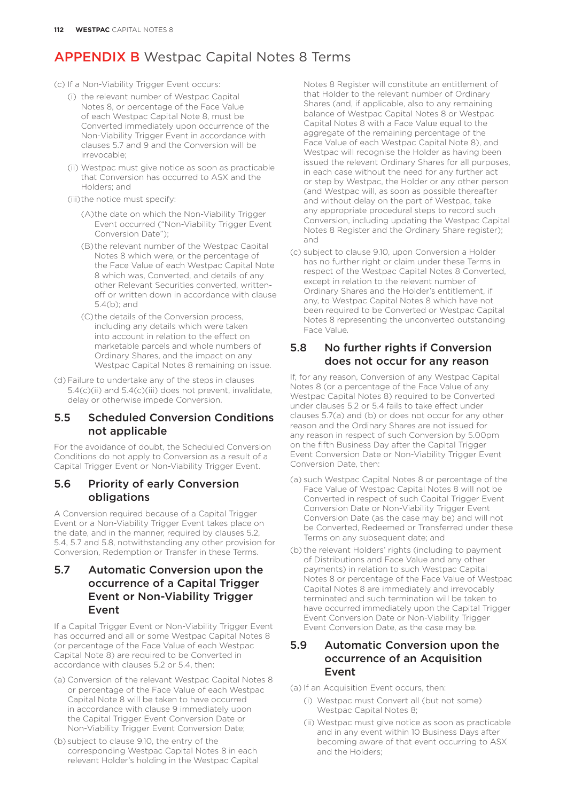#### (c) If a Non-Viability Trigger Event occurs:

- (i) the relevant number of Westpac Capital Notes 8, or percentage of the Face Value of each Westpac Capital Note 8, must be Converted immediately upon occurrence of the Non-Viability Trigger Event in accordance with clauses 5.7 and 9 and the Conversion will be irrevocable;
- (ii) Westpac must give notice as soon as practicable that Conversion has occurred to ASX and the Holders; and
- (iii)the notice must specify:
	- (A)the date on which the Non-Viability Trigger Event occurred ("Non-Viability Trigger Event Conversion Date");
	- (B)the relevant number of the Westpac Capital Notes 8 which were, or the percentage of the Face Value of each Westpac Capital Note 8 which was, Converted, and details of any other Relevant Securities converted, writtenoff or written down in accordance with clause 5.4(b); and
	- (C)the details of the Conversion process, including any details which were taken into account in relation to the effect on marketable parcels and whole numbers of Ordinary Shares, and the impact on any Westpac Capital Notes 8 remaining on issue.
- (d) Failure to undertake any of the steps in clauses 5.4(c)(ii) and 5.4(c)(iii) does not prevent, invalidate, delay or otherwise impede Conversion.

#### 5.5 Scheduled Conversion Conditions not applicable

For the avoidance of doubt, the Scheduled Conversion Conditions do not apply to Conversion as a result of a Capital Trigger Event or Non-Viability Trigger Event.

### 5.6 Priority of early Conversion obligations

A Conversion required because of a Capital Trigger Event or a Non-Viability Trigger Event takes place on the date, and in the manner, required by clauses 5.2, 5.4, 5.7 and 5.8, notwithstanding any other provision for Conversion, Redemption or Transfer in these Terms.

### 5.7 Automatic Conversion upon the occurrence of a Capital Trigger Event or Non-Viability Trigger Event

If a Capital Trigger Event or Non-Viability Trigger Event has occurred and all or some Westpac Capital Notes 8 (or percentage of the Face Value of each Westpac Capital Note 8) are required to be Converted in accordance with clauses 5.2 or 5.4, then:

- (a) Conversion of the relevant Westpac Capital Notes 8 or percentage of the Face Value of each Westpac Capital Note 8 will be taken to have occurred in accordance with clause 9 immediately upon the Capital Trigger Event Conversion Date or Non-Viability Trigger Event Conversion Date;
- (b) subject to clause 9.10, the entry of the corresponding Westpac Capital Notes 8 in each relevant Holder's holding in the Westpac Capital

Notes 8 Register will constitute an entitlement of that Holder to the relevant number of Ordinary Shares (and, if applicable, also to any remaining balance of Westpac Capital Notes 8 or Westpac Capital Notes 8 with a Face Value equal to the aggregate of the remaining percentage of the Face Value of each Westpac Capital Note 8), and Westpac will recognise the Holder as having been issued the relevant Ordinary Shares for all purposes, in each case without the need for any further act or step by Westpac, the Holder or any other person (and Westpac will, as soon as possible thereafter and without delay on the part of Westpac, take any appropriate procedural steps to record such Conversion, including updating the Westpac Capital Notes 8 Register and the Ordinary Share register); and

(c) subject to clause 9.10, upon Conversion a Holder has no further right or claim under these Terms in respect of the Westpac Capital Notes 8 Converted, except in relation to the relevant number of Ordinary Shares and the Holder's entitlement, if any, to Westpac Capital Notes 8 which have not been required to be Converted or Westpac Capital Notes 8 representing the unconverted outstanding Face Value.

### 5.8 No further rights if Conversion does not occur for any reason

If, for any reason, Conversion of any Westpac Capital Notes 8 (or a percentage of the Face Value of any Westpac Capital Notes 8) required to be Converted under clauses 5.2 or 5.4 fails to take effect under clauses 5.7(a) and (b) or does not occur for any other reason and the Ordinary Shares are not issued for any reason in respect of such Conversion by 5.00pm on the fifth Business Day after the Capital Trigger Event Conversion Date or Non-Viability Trigger Event Conversion Date, then:

- (a) such Westpac Capital Notes 8 or percentage of the Face Value of Westpac Capital Notes 8 will not be Converted in respect of such Capital Trigger Event Conversion Date or Non-Viability Trigger Event Conversion Date (as the case may be) and will not be Converted, Redeemed or Transferred under these Terms on any subsequent date; and
- (b) the relevant Holders' rights (including to payment of Distributions and Face Value and any other payments) in relation to such Westpac Capital Notes 8 or percentage of the Face Value of Westpac Capital Notes 8 are immediately and irrevocably terminated and such termination will be taken to have occurred immediately upon the Capital Trigger Event Conversion Date or Non-Viability Trigger Event Conversion Date, as the case may be.

### 5.9 Automatic Conversion upon the occurrence of an Acquisition Event

- (a) If an Acquisition Event occurs, then:
	- (i) Westpac must Convert all (but not some) Westpac Capital Notes 8;
	- (ii) Westpac must give notice as soon as practicable and in any event within 10 Business Days after becoming aware of that event occurring to ASX and the Holders;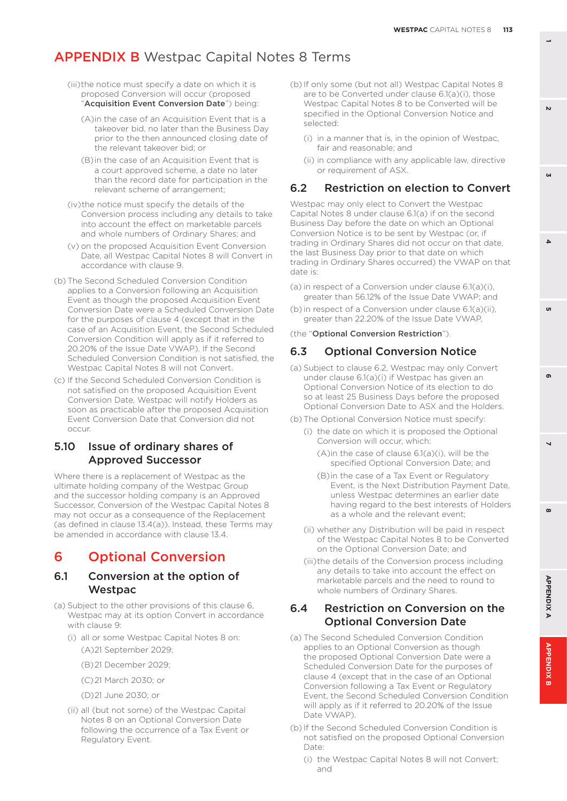- (iii)the notice must specify a date on which it is proposed Conversion will occur (proposed "Acquisition Event Conversion Date") being:
	- (A)in the case of an Acquisition Event that is a takeover bid, no later than the Business Day prior to the then announced closing date of the relevant takeover bid; or
	- (B)in the case of an Acquisition Event that is a court approved scheme, a date no later than the record date for participation in the relevant scheme of arrangement;
- (iv)the notice must specify the details of the Conversion process including any details to take into account the effect on marketable parcels and whole numbers of Ordinary Shares; and
- (v) on the proposed Acquisition Event Conversion Date, all Westpac Capital Notes 8 will Convert in accordance with clause 9.
- (b) The Second Scheduled Conversion Condition applies to a Conversion following an Acquisition Event as though the proposed Acquisition Event Conversion Date were a Scheduled Conversion Date for the purposes of clause 4 (except that in the case of an Acquisition Event, the Second Scheduled Conversion Condition will apply as if it referred to 20.20% of the Issue Date VWAP). If the Second Scheduled Conversion Condition is not satisfied, the Westpac Capital Notes 8 will not Convert.
- (c) If the Second Scheduled Conversion Condition is not satisfied on the proposed Acquisition Event Conversion Date, Westpac will notify Holders as soon as practicable after the proposed Acquisition Event Conversion Date that Conversion did not occur.

#### 5.10 Issue of ordinary shares of Approved Successor

Where there is a replacement of Westpac as the ultimate holding company of the Westpac Group and the successor holding company is an Approved Successor, Conversion of the Westpac Capital Notes 8 may not occur as a consequence of the Replacement (as defined in clause 13.4(a)). Instead, these Terms may be amended in accordance with clause 13.4.

### 6 Optional Conversion

#### 6.1 Conversion at the option of **Westpac**

- (a) Subject to the other provisions of this clause 6, Westpac may at its option Convert in accordance with clause 9:
	- (i) all or some Westpac Capital Notes 8 on: (A)21 September 2029;
		- (B)21 December 2029;
		- (C)21 March 2030; or
		- (D)21 June 2030; or
	- (ii) all (but not some) of the Westpac Capital Notes 8 on an Optional Conversion Date following the occurrence of a Tax Event or Regulatory Event.
- (b) If only some (but not all) Westpac Capital Notes 8 are to be Converted under clause 6.1(a)(i), those Westpac Capital Notes 8 to be Converted will be specified in the Optional Conversion Notice and selected:
	- (i) in a manner that is, in the opinion of Westpac, fair and reasonable; and
	- (ii) in compliance with any applicable law, directive or requirement of ASX.

#### 6.2 Restriction on election to Convert

Westpac may only elect to Convert the Westpac Capital Notes 8 under clause 6.1(a) if on the second Business Day before the date on which an Optional Conversion Notice is to be sent by Westpac (or, if trading in Ordinary Shares did not occur on that date, the last Business Day prior to that date on which trading in Ordinary Shares occurred) the VWAP on that date is:

- (a) in respect of a Conversion under clause 6.1(a)(i), greater than 56.12% of the Issue Date VWAP; and
- (b) in respect of a Conversion under clause 6.1(a)(ii), greater than 22.20% of the Issue Date VWAP,
- (the "Optional Conversion Restriction").

#### 6.3 Optional Conversion Notice

- (a) Subject to clause 6.2, Westpac may only Convert under clause 6.1(a)(i) if Westpac has given an Optional Conversion Notice of its election to do so at least 25 Business Days before the proposed Optional Conversion Date to ASX and the Holders.
- (b) The Optional Conversion Notice must specify:
	- (i) the date on which it is proposed the Optional Conversion will occur, which:
		- (A)in the case of clause 6.1(a)(i), will be the specified Optional Conversion Date; and
		- (B)in the case of a Tax Event or Regulatory Event, is the Next Distribution Payment Date, unless Westpac determines an earlier date having regard to the best interests of Holders as a whole and the relevant event;
	- (ii) whether any Distribution will be paid in respect of the Westpac Capital Notes 8 to be Converted on the Optional Conversion Date; and
	- (iii)the details of the Conversion process including any details to take into account the effect on marketable parcels and the need to round to whole numbers of Ordinary Shares.

### 6.4 Restriction on Conversion on the Optional Conversion Date

- (a) The Second Scheduled Conversion Condition applies to an Optional Conversion as though the proposed Optional Conversion Date were a Scheduled Conversion Date for the purposes of clause 4 (except that in the case of an Optional Conversion following a Tax Event or Regulatory Event, the Second Scheduled Conversion Condition will apply as if it referred to 20.20% of the Issue Date VWAP).
- (b) If the Second Scheduled Conversion Condition is not satisfied on the proposed Optional Conversion Date:
	- (i) the Westpac Capital Notes 8 will not Convert; and

**1**

**3**

 $\Delta$ 

 $\mathbf{v}$ 

'n

 $\overline{\phantom{0}}$ 

 $\boldsymbol{\omega}$ 

 $\mathbf{r}$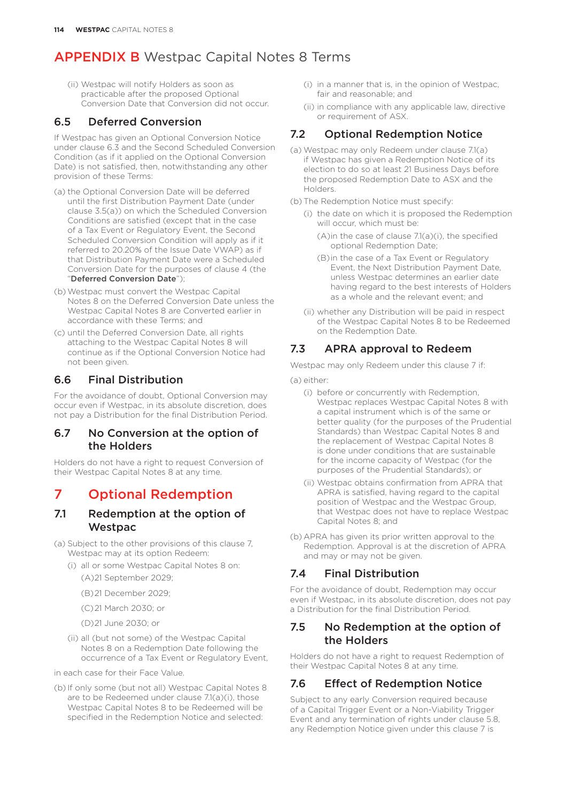(ii) Westpac will notify Holders as soon as practicable after the proposed Optional Conversion Date that Conversion did not occur.

#### 6.5 Deferred Conversion

If Westpac has given an Optional Conversion Notice under clause 6.3 and the Second Scheduled Conversion Condition (as if it applied on the Optional Conversion Date) is not satisfied, then, notwithstanding any other provision of these Terms:

- (a) the Optional Conversion Date will be deferred until the first Distribution Payment Date (under clause 3.5(a)) on which the Scheduled Conversion Conditions are satisfied (except that in the case of a Tax Event or Regulatory Event, the Second Scheduled Conversion Condition will apply as if it referred to 20.20% of the Issue Date VWAP) as if that Distribution Payment Date were a Scheduled Conversion Date for the purposes of clause 4 (the "Deferred Conversion Date");
- (b)Westpac must convert the Westpac Capital Notes 8 on the Deferred Conversion Date unless the Westpac Capital Notes 8 are Converted earlier in accordance with these Terms; and
- (c) until the Deferred Conversion Date, all rights attaching to the Westpac Capital Notes 8 will continue as if the Optional Conversion Notice had not been given.

### 6.6 Final Distribution

For the avoidance of doubt, Optional Conversion may occur even if Westpac, in its absolute discretion, does not pay a Distribution for the final Distribution Period.

### 6.7 No Conversion at the option of the Holders

Holders do not have a right to request Conversion of their Westpac Capital Notes 8 at any time.

### 7 Optional Redemption

### 7.1 Redemption at the option of **Westpac**

(a) Subject to the other provisions of this clause 7, Westpac may at its option Redeem:

- (i) all or some Westpac Capital Notes 8 on: (A)21 September 2029;
	- (B)21 December 2029;
	- (C)21 March 2030; or
	- (D)21 June 2030; or
- (ii) all (but not some) of the Westpac Capital Notes 8 on a Redemption Date following the occurrence of a Tax Event or Regulatory Event,

in each case for their Face Value.

(b) If only some (but not all) Westpac Capital Notes 8 are to be Redeemed under clause 7.1(a)(i), those Westpac Capital Notes 8 to be Redeemed will be specified in the Redemption Notice and selected:

- (i) in a manner that is, in the opinion of Westpac, fair and reasonable; and
- (ii) in compliance with any applicable law, directive or requirement of ASX.

### 7.2 Optional Redemption Notice

- (a) Westpac may only Redeem under clause 7.1(a) if Westpac has given a Redemption Notice of its election to do so at least 21 Business Days before the proposed Redemption Date to ASX and the Holders.
- (b) The Redemption Notice must specify:
	- (i) the date on which it is proposed the Redemption will occur, which must be:
		- (A)in the case of clause 7.1(a)(i), the specified optional Redemption Date;
		- (B)in the case of a Tax Event or Regulatory Event, the Next Distribution Payment Date, unless Westpac determines an earlier date having regard to the best interests of Holders as a whole and the relevant event; and
	- (ii) whether any Distribution will be paid in respect of the Westpac Capital Notes 8 to be Redeemed on the Redemption Date.

### 7.3 APRA approval to Redeem

Westpac may only Redeem under this clause 7 if:

- (a) either:
	- (i) before or concurrently with Redemption, Westpac replaces Westpac Capital Notes 8 with a capital instrument which is of the same or better quality (for the purposes of the Prudential Standards) than Westpac Capital Notes 8 and the replacement of Westpac Capital Notes 8 is done under conditions that are sustainable for the income capacity of Westpac (for the purposes of the Prudential Standards); or
	- (ii) Westpac obtains confirmation from APRA that APRA is satisfied, having regard to the capital position of Westpac and the Westpac Group, that Westpac does not have to replace Westpac Capital Notes 8; and
- (b) APRA has given its prior written approval to the Redemption. Approval is at the discretion of APRA and may or may not be given.

### 7.4 Final Distribution

For the avoidance of doubt, Redemption may occur even if Westpac, in its absolute discretion, does not pay a Distribution for the final Distribution Period.

### 7.5 No Redemption at the option of the Holders

Holders do not have a right to request Redemption of their Westpac Capital Notes 8 at any time.

### 7.6 Effect of Redemption Notice

Subject to any early Conversion required because of a Capital Trigger Event or a Non-Viability Trigger Event and any termination of rights under clause 5.8, any Redemption Notice given under this clause 7 is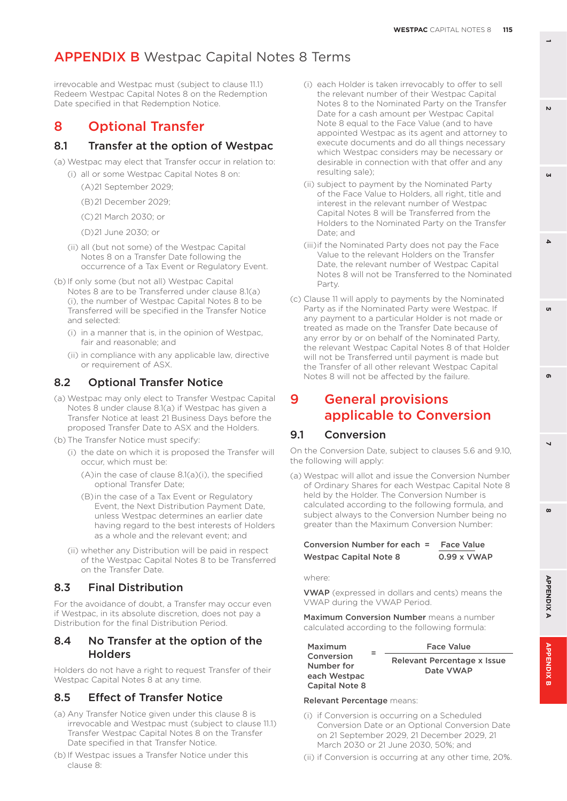irrevocable and Westpac must (subject to clause 11.1) Redeem Westpac Capital Notes 8 on the Redemption Date specified in that Redemption Notice.

### 8 Optional Transfer

#### 8.1 Transfer at the option of Westpac

(a) Westpac may elect that Transfer occur in relation to:

- (i) all or some Westpac Capital Notes 8 on:
	- (A)21 September 2029;
	- (B)21 December 2029;
	- (C)21 March 2030; or
	- (D)21 June 2030; or
	- (ii) all (but not some) of the Westpac Capital Notes 8 on a Transfer Date following the occurrence of a Tax Event or Regulatory Event.
- (b) If only some (but not all) Westpac Capital Notes 8 are to be Transferred under clause 8.1(a) (i), the number of Westpac Capital Notes 8 to be Transferred will be specified in the Transfer Notice and selected:
	- (i) in a manner that is, in the opinion of Westpac, fair and reasonable; and
	- (ii) in compliance with any applicable law, directive or requirement of ASX.

### 8.2 Optional Transfer Notice

(a) Westpac may only elect to Transfer Westpac Capital Notes 8 under clause 8.1(a) if Westpac has given a Transfer Notice at least 21 Business Days before the proposed Transfer Date to ASX and the Holders.

(b) The Transfer Notice must specify:

- (i) the date on which it is proposed the Transfer will occur, which must be:
	- (A)in the case of clause 8.1(a)(i), the specified optional Transfer Date;
	- (B)in the case of a Tax Event or Regulatory Event, the Next Distribution Payment Date, unless Westpac determines an earlier date having regard to the best interests of Holders as a whole and the relevant event; and
- (ii) whether any Distribution will be paid in respect of the Westpac Capital Notes 8 to be Transferred on the Transfer Date.

### 8.3 Final Distribution

For the avoidance of doubt, a Transfer may occur even if Westpac, in its absolute discretion, does not pay a Distribution for the final Distribution Period.

### 8.4 No Transfer at the option of the **Holders**

Holders do not have a right to request Transfer of their Westpac Capital Notes 8 at any time.

### 8.5 Effect of Transfer Notice

- (a) Any Transfer Notice given under this clause 8 is irrevocable and Westpac must (subject to clause 11.1) Transfer Westpac Capital Notes 8 on the Transfer Date specified in that Transfer Notice.
- (b) If Westpac issues a Transfer Notice under this clause 8:
- (i) each Holder is taken irrevocably to offer to sell the relevant number of their Westpac Capital Notes 8 to the Nominated Party on the Transfer Date for a cash amount per Westpac Capital Note 8 equal to the Face Value (and to have appointed Westpac as its agent and attorney to execute documents and do all things necessary which Westpac considers may be necessary or desirable in connection with that offer and any resulting sale);
- (ii) subject to payment by the Nominated Party of the Face Value to Holders, all right, title and interest in the relevant number of Westpac Capital Notes 8 will be Transferred from the Holders to the Nominated Party on the Transfer Date; and
- (iii)if the Nominated Party does not pay the Face Value to the relevant Holders on the Transfer Date, the relevant number of Westpac Capital Notes 8 will not be Transferred to the Nominated Party.
- (c) Clause 11 will apply to payments by the Nominated Party as if the Nominated Party were Westpac. If any payment to a particular Holder is not made or treated as made on the Transfer Date because of any error by or on behalf of the Nominated Party, the relevant Westpac Capital Notes 8 of that Holder will not be Transferred until payment is made but the Transfer of all other relevant Westpac Capital Notes 8 will not be affected by the failure.

### 9 General provisions applicable to Conversion

### 9.1 Conversion

On the Conversion Date, subject to clauses 5.6 and 9.10, the following will apply:

(a) Westpac will allot and issue the Conversion Number of Ordinary Shares for each Westpac Capital Note 8 held by the Holder. The Conversion Number is calculated according to the following formula, and subject always to the Conversion Number being no greater than the Maximum Conversion Number:

#### Conversion Number for each = Face Value Westpac Capital Note 8 0.99 x VWAP

where:

VWAP (expressed in dollars and cents) means the VWAP during the VWAP Period.

Maximum Conversion Number means a number calculated according to the following formula:

Maximum Conversion Number for each Westpac Capital Note 8

<sup>=</sup> Face Value Relevant Percentage x Issue Date VWAP

#### Relevant Percentage means:

- (i) if Conversion is occurring on a Scheduled Conversion Date or an Optional Conversion Date on 21 September 2029, 21 December 2029, 21 March 2030 or 21 June 2030, 50%; and
- (ii) if Conversion is occurring at any other time, 20%.

 $\boldsymbol{\omega}$ 

 $\overline{\phantom{0}}$ 

 $\mathbf{r}$ 

**1**

**3**

 $\Delta$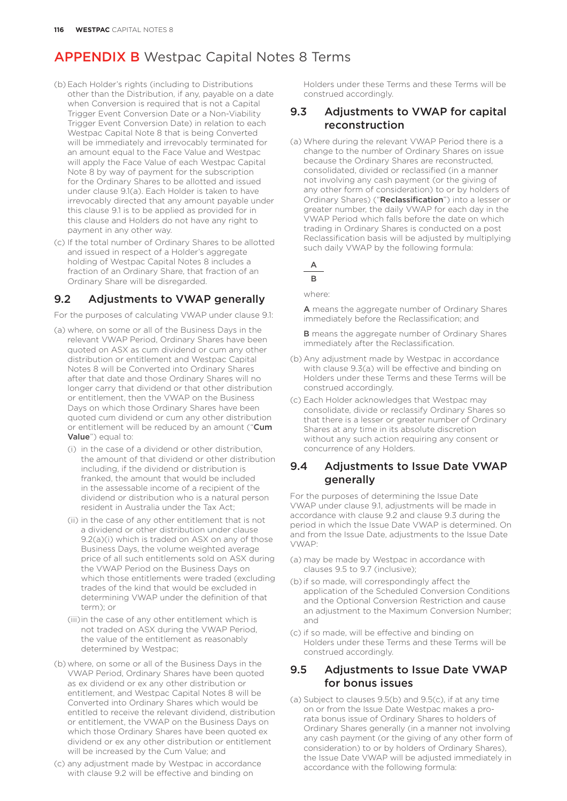- (b) Each Holder's rights (including to Distributions other than the Distribution, if any, payable on a date when Conversion is required that is not a Capital Trigger Event Conversion Date or a Non-Viability Trigger Event Conversion Date) in relation to each Westpac Capital Note 8 that is being Converted will be immediately and irrevocably terminated for an amount equal to the Face Value and Westpac will apply the Face Value of each Westpac Capital Note 8 by way of payment for the subscription for the Ordinary Shares to be allotted and issued under clause 9.1(a). Each Holder is taken to have irrevocably directed that any amount payable under this clause 9.1 is to be applied as provided for in this clause and Holders do not have any right to payment in any other way.
- (c) If the total number of Ordinary Shares to be allotted and issued in respect of a Holder's aggregate holding of Westpac Capital Notes 8 includes a fraction of an Ordinary Share, that fraction of an Ordinary Share will be disregarded.

### 9.2 Adjustments to VWAP generally

For the purposes of calculating VWAP under clause 9.1:

- (a) where, on some or all of the Business Days in the relevant VWAP Period, Ordinary Shares have been quoted on ASX as cum dividend or cum any other distribution or entitlement and Westpac Capital Notes 8 will be Converted into Ordinary Shares after that date and those Ordinary Shares will no longer carry that dividend or that other distribution or entitlement, then the VWAP on the Business Days on which those Ordinary Shares have been quoted cum dividend or cum any other distribution or entitlement will be reduced by an amount ("Cum Value") equal to:
	- (i) in the case of a dividend or other distribution, the amount of that dividend or other distribution including, if the dividend or distribution is franked, the amount that would be included in the assessable income of a recipient of the dividend or distribution who is a natural person resident in Australia under the Tax Act;
	- (ii) in the case of any other entitlement that is not a dividend or other distribution under clause 9.2(a)(i) which is traded on ASX on any of those Business Days, the volume weighted average price of all such entitlements sold on ASX during the VWAP Period on the Business Days on which those entitlements were traded (excluding trades of the kind that would be excluded in determining VWAP under the definition of that term); or
	- (iii)in the case of any other entitlement which is not traded on ASX during the VWAP Period, the value of the entitlement as reasonably determined by Westpac;
- (b) where, on some or all of the Business Days in the VWAP Period, Ordinary Shares have been quoted as ex dividend or ex any other distribution or entitlement, and Westpac Capital Notes 8 will be Converted into Ordinary Shares which would be entitled to receive the relevant dividend, distribution or entitlement, the VWAP on the Business Days on which those Ordinary Shares have been quoted ex dividend or ex any other distribution or entitlement will be increased by the Cum Value; and
- (c) any adjustment made by Westpac in accordance with clause 9.2 will be effective and binding on

Holders under these Terms and these Terms will be construed accordingly.

### 9.3 Adjustments to VWAP for capital reconstruction

(a) Where during the relevant VWAP Period there is a change to the number of Ordinary Shares on issue because the Ordinary Shares are reconstructed, consolidated, divided or reclassified (in a manner not involving any cash payment (or the giving of any other form of consideration) to or by holders of Ordinary Shares) ("Reclassification") into a lesser or greater number, the daily VWAP for each day in the VWAP Period which falls before the date on which trading in Ordinary Shares is conducted on a post Reclassification basis will be adjusted by multiplying such daily VWAP by the following formula:

A

 $\overline{B}$ 

where:

A means the aggregate number of Ordinary Shares immediately before the Reclassification; and

**B** means the aggregate number of Ordinary Shares immediately after the Reclassification.

- (b) Any adjustment made by Westpac in accordance with clause 9.3(a) will be effective and binding on Holders under these Terms and these Terms will be construed accordingly.
- (c) Each Holder acknowledges that Westpac may consolidate, divide or reclassify Ordinary Shares so that there is a lesser or greater number of Ordinary Shares at any time in its absolute discretion without any such action requiring any consent or concurrence of any Holders.

### 9.4 Adjustments to Issue Date VWAP generally

For the purposes of determining the Issue Date VWAP under clause 9.1, adjustments will be made in accordance with clause 9.2 and clause 9.3 during the period in which the Issue Date VWAP is determined. On and from the Issue Date, adjustments to the Issue Date VWAP:

- (a) may be made by Westpac in accordance with clauses 9.5 to 9.7 (inclusive);
- (b) if so made, will correspondingly affect the application of the Scheduled Conversion Conditions and the Optional Conversion Restriction and cause an adjustment to the Maximum Conversion Number; and
- (c) if so made, will be effective and binding on Holders under these Terms and these Terms will be construed accordingly.

### 9.5 Adjustments to Issue Date VWAP for bonus issues

(a) Subject to clauses 9.5(b) and 9.5(c), if at any time on or from the Issue Date Westpac makes a prorata bonus issue of Ordinary Shares to holders of Ordinary Shares generally (in a manner not involving any cash payment (or the giving of any other form of consideration) to or by holders of Ordinary Shares), the Issue Date VWAP will be adjusted immediately in accordance with the following formula: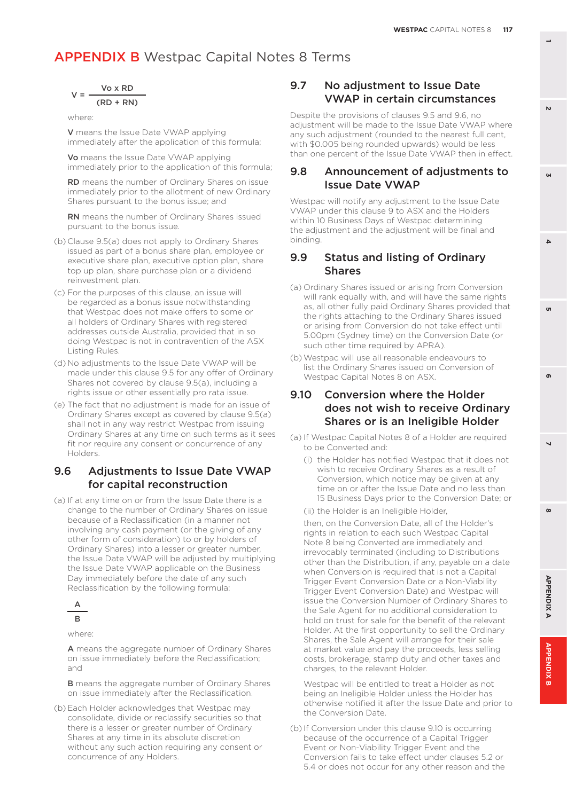$$
V = \frac{Vo \times RD}{(RD + RN)}
$$

where:

V means the Issue Date VWAP applying immediately after the application of this formula;

Vo means the Issue Date VWAP applying immediately prior to the application of this formula;

RD means the number of Ordinary Shares on issue immediately prior to the allotment of new Ordinary Shares pursuant to the bonus issue; and

RN means the number of Ordinary Shares issued pursuant to the bonus issue.

- (b) Clause 9.5(a) does not apply to Ordinary Shares issued as part of a bonus share plan, employee or executive share plan, executive option plan, share top up plan, share purchase plan or a dividend reinvestment plan.
- (c) For the purposes of this clause, an issue will be regarded as a bonus issue notwithstanding that Westpac does not make offers to some or all holders of Ordinary Shares with registered addresses outside Australia, provided that in so doing Westpac is not in contravention of the ASX Listing Rules.
- (d) No adjustments to the Issue Date VWAP will be made under this clause 9.5 for any offer of Ordinary Shares not covered by clause 9.5(a), including a rights issue or other essentially pro rata issue.
- (e) The fact that no adjustment is made for an issue of Ordinary Shares except as covered by clause 9.5(a) shall not in any way restrict Westpac from issuing Ordinary Shares at any time on such terms as it sees fit nor require any consent or concurrence of any Holders.

### 9.6 Adjustments to Issue Date VWAP for capital reconstruction

(a) If at any time on or from the Issue Date there is a change to the number of Ordinary Shares on issue because of a Reclassification (in a manner not involving any cash payment (or the giving of any other form of consideration) to or by holders of Ordinary Shares) into a lesser or greater number, the Issue Date VWAP will be adjusted by multiplying the Issue Date VWAP applicable on the Business Day immediately before the date of any such Reclassification by the following formula:



where:

A means the aggregate number of Ordinary Shares on issue immediately before the Reclassification; and

**B** means the aggregate number of Ordinary Shares on issue immediately after the Reclassification.

(b) Each Holder acknowledges that Westpac may consolidate, divide or reclassify securities so that there is a lesser or greater number of Ordinary Shares at any time in its absolute discretion without any such action requiring any consent or concurrence of any Holders.

### 9.7 No adjustment to Issue Date VWAP in certain circumstances

Despite the provisions of clauses 9.5 and 9.6, no adjustment will be made to the Issue Date VWAP where any such adjustment (rounded to the nearest full cent, with \$0.005 being rounded upwards) would be less than one percent of the Issue Date VWAP then in effect.

### 9.8 Announcement of adjustments to Issue Date VWAP

Westpac will notify any adjustment to the Issue Date VWAP under this clause 9 to ASX and the Holders within 10 Business Days of Westpac determining the adjustment and the adjustment will be final and binding.

### 9.9 Status and listing of Ordinary Shares

- (a) Ordinary Shares issued or arising from Conversion will rank equally with, and will have the same rights as, all other fully paid Ordinary Shares provided that the rights attaching to the Ordinary Shares issued or arising from Conversion do not take effect until 5.00pm (Sydney time) on the Conversion Date (or such other time required by APRA).
- (b) Westpac will use all reasonable endeavours to list the Ordinary Shares issued on Conversion of Westpac Capital Notes 8 on ASX.

### 9.10 Conversion where the Holder does not wish to receive Ordinary Shares or is an Ineligible Holder

- (a) If Westpac Capital Notes 8 of a Holder are required to be Converted and:
	- (i) the Holder has notified Westpac that it does not wish to receive Ordinary Shares as a result of Conversion, which notice may be given at any time on or after the Issue Date and no less than 15 Business Days prior to the Conversion Date; or

(ii) the Holder is an Ineligible Holder,

then, on the Conversion Date, all of the Holder's rights in relation to each such Westpac Capital Note 8 being Converted are immediately and irrevocably terminated (including to Distributions other than the Distribution, if any, payable on a date when Conversion is required that is not a Capital Trigger Event Conversion Date or a Non-Viability Trigger Event Conversion Date) and Westpac will issue the Conversion Number of Ordinary Shares to the Sale Agent for no additional consideration to hold on trust for sale for the benefit of the relevant Holder. At the first opportunity to sell the Ordinary Shares, the Sale Agent will arrange for their sale at market value and pay the proceeds, less selling costs, brokerage, stamp duty and other taxes and charges, to the relevant Holder.

Westpac will be entitled to treat a Holder as not being an Ineligible Holder unless the Holder has otherwise notified it after the Issue Date and prior to the Conversion Date.

(b) If Conversion under this clause 9.10 is occurring because of the occurrence of a Capital Trigger Event or Non-Viability Trigger Event and the Conversion fails to take effect under clauses 5.2 or 5.4 or does not occur for any other reason and the **3**

 $\Delta$ 

 $\mathbf{v}$ 

**8 5**

 $\overline{\phantom{0}}$ 

 $\boldsymbol{\omega}$ 

 $\mathbf{r}$ 

**APPENDIX** 

õ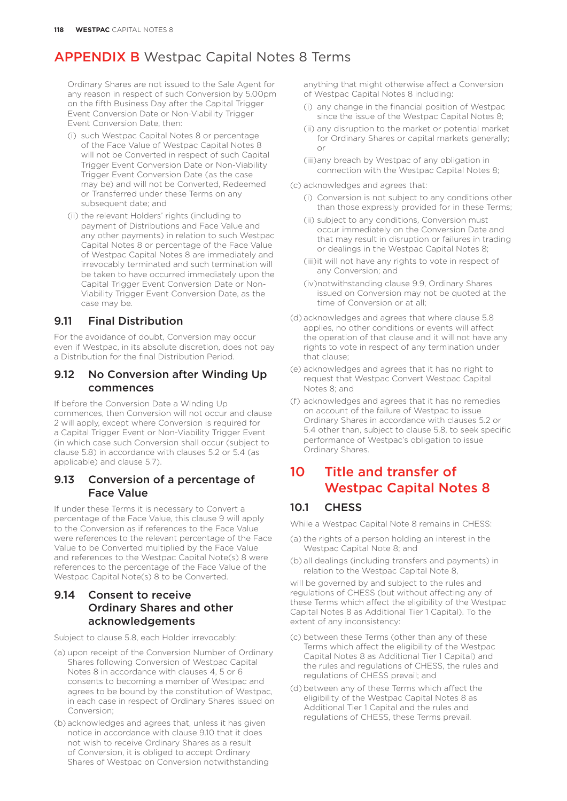Ordinary Shares are not issued to the Sale Agent for any reason in respect of such Conversion by 5.00pm on the fifth Business Day after the Capital Trigger Event Conversion Date or Non-Viability Trigger Event Conversion Date, then:

- (i) such Westpac Capital Notes 8 or percentage of the Face Value of Westpac Capital Notes 8 will not be Converted in respect of such Capital Trigger Event Conversion Date or Non-Viability Trigger Event Conversion Date (as the case may be) and will not be Converted, Redeemed or Transferred under these Terms on any subsequent date; and
- (ii) the relevant Holders' rights (including to payment of Distributions and Face Value and any other payments) in relation to such Westpac Capital Notes 8 or percentage of the Face Value of Westpac Capital Notes 8 are immediately and irrevocably terminated and such termination will be taken to have occurred immediately upon the Capital Trigger Event Conversion Date or Non-Viability Trigger Event Conversion Date, as the case may be.

### 9.11 Final Distribution

For the avoidance of doubt, Conversion may occur even if Westpac, in its absolute discretion, does not pay a Distribution for the final Distribution Period.

### 9.12 No Conversion after Winding Up commences

If before the Conversion Date a Winding Up commences, then Conversion will not occur and clause 2 will apply, except where Conversion is required for a Capital Trigger Event or Non-Viability Trigger Event (in which case such Conversion shall occur (subject to clause 5.8) in accordance with clauses 5.2 or 5.4 (as applicable) and clause 5.7).

### 9.13 Conversion of a percentage of Face Value

If under these Terms it is necessary to Convert a percentage of the Face Value, this clause 9 will apply to the Conversion as if references to the Face Value were references to the relevant percentage of the Face Value to be Converted multiplied by the Face Value and references to the Westpac Capital Note(s) 8 were references to the percentage of the Face Value of the Westpac Capital Note(s) 8 to be Converted.

### 9.14 Consent to receive Ordinary Shares and other acknowledgements

Subject to clause 5.8, each Holder irrevocably:

- (a) upon receipt of the Conversion Number of Ordinary Shares following Conversion of Westpac Capital Notes 8 in accordance with clauses 4, 5 or 6 consents to becoming a member of Westpac and agrees to be bound by the constitution of Westpac, in each case in respect of Ordinary Shares issued on Conversion;
- (b) acknowledges and agrees that, unless it has given notice in accordance with clause 9.10 that it does not wish to receive Ordinary Shares as a result of Conversion, it is obliged to accept Ordinary Shares of Westpac on Conversion notwithstanding

anything that might otherwise affect a Conversion of Westpac Capital Notes 8 including:

- (i) any change in the financial position of Westpac since the issue of the Westpac Capital Notes 8;
- (ii) any disruption to the market or potential market for Ordinary Shares or capital markets generally; or
- (iii)any breach by Westpac of any obligation in connection with the Westpac Capital Notes 8;
- (c) acknowledges and agrees that:
	- (i) Conversion is not subject to any conditions other than those expressly provided for in these Terms;
	- (ii) subject to any conditions, Conversion must occur immediately on the Conversion Date and that may result in disruption or failures in trading or dealings in the Westpac Capital Notes 8;
	- (iii)it will not have any rights to vote in respect of any Conversion; and
	- (iv)notwithstanding clause 9.9, Ordinary Shares issued on Conversion may not be quoted at the time of Conversion or at all;
- (d) acknowledges and agrees that where clause 5.8 applies, no other conditions or events will affect the operation of that clause and it will not have any rights to vote in respect of any termination under that clause;
- (e) acknowledges and agrees that it has no right to request that Westpac Convert Westpac Capital Notes 8; and
- (f) acknowledges and agrees that it has no remedies on account of the failure of Westpac to issue Ordinary Shares in accordance with clauses 5.2 or 5.4 other than, subject to clause 5.8, to seek specific performance of Westpac's obligation to issue Ordinary Shares.

### 10 Title and transfer of Westpac Capital Notes 8

### 10.1 CHESS

While a Westpac Capital Note 8 remains in CHESS:

- (a) the rights of a person holding an interest in the Westpac Capital Note 8; and
- (b) all dealings (including transfers and payments) in relation to the Westpac Capital Note 8,

will be governed by and subject to the rules and regulations of CHESS (but without affecting any of these Terms which affect the eligibility of the Westpac Capital Notes 8 as Additional Tier 1 Capital). To the extent of any inconsistency:

- (c) between these Terms (other than any of these Terms which affect the eligibility of the Westpac Capital Notes 8 as Additional Tier 1 Capital) and the rules and regulations of CHESS, the rules and regulations of CHESS prevail; and
- (d) between any of these Terms which affect the eligibility of the Westpac Capital Notes 8 as Additional Tier 1 Capital and the rules and regulations of CHESS, these Terms prevail.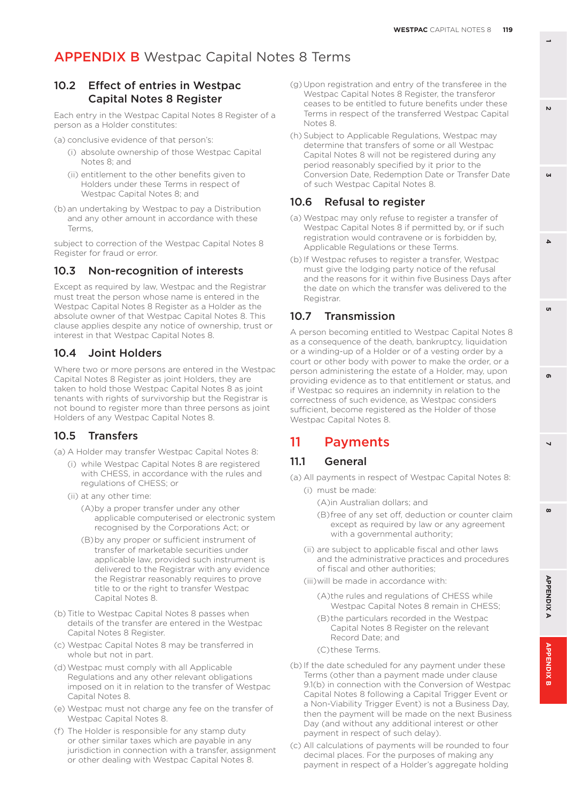### 10.2 Effect of entries in Westpac Capital Notes 8 Register

Each entry in the Westpac Capital Notes 8 Register of a person as a Holder constitutes:

- (a) conclusive evidence of that person's:
	- (i) absolute ownership of those Westpac Capital Notes 8; and
	- (ii) entitlement to the other benefits given to Holders under these Terms in respect of Westpac Capital Notes 8; and
- (b) an undertaking by Westpac to pay a Distribution and any other amount in accordance with these Terms,

subject to correction of the Westpac Capital Notes 8 Register for fraud or error.

### 10.3 Non-recognition of interests

Except as required by law, Westpac and the Registrar must treat the person whose name is entered in the Westpac Capital Notes 8 Register as a Holder as the absolute owner of that Westpac Capital Notes 8. This clause applies despite any notice of ownership, trust or interest in that Westpac Capital Notes 8.

### 10.4 Joint Holders

Where two or more persons are entered in the Westpac Capital Notes 8 Register as joint Holders, they are taken to hold those Westpac Capital Notes 8 as joint tenants with rights of survivorship but the Registrar is not bound to register more than three persons as joint Holders of any Westpac Capital Notes 8.

### 10.5 Transfers

(a) A Holder may transfer Westpac Capital Notes 8:

- (i) while Westpac Capital Notes 8 are registered with CHESS, in accordance with the rules and regulations of CHESS; or
- (ii) at any other time:
	- (A)by a proper transfer under any other applicable computerised or electronic system recognised by the Corporations Act; or
	- (B)by any proper or sufficient instrument of transfer of marketable securities under applicable law, provided such instrument is delivered to the Registrar with any evidence the Registrar reasonably requires to prove title to or the right to transfer Westpac Capital Notes 8.
- (b) Title to Westpac Capital Notes 8 passes when details of the transfer are entered in the Westpac Capital Notes 8 Register.
- (c) Westpac Capital Notes 8 may be transferred in whole but not in part.
- (d)Westpac must comply with all Applicable Regulations and any other relevant obligations imposed on it in relation to the transfer of Westpac Capital Notes 8.
- (e) Westpac must not charge any fee on the transfer of Westpac Capital Notes 8.
- (f) The Holder is responsible for any stamp duty or other similar taxes which are payable in any jurisdiction in connection with a transfer, assignment or other dealing with Westpac Capital Notes 8.
- (g) Upon registration and entry of the transferee in the Westpac Capital Notes 8 Register, the transferor ceases to be entitled to future benefits under these Terms in respect of the transferred Westpac Capital Notes 8.
- (h) Subject to Applicable Regulations, Westpac may determine that transfers of some or all Westpac Capital Notes 8 will not be registered during any period reasonably specified by it prior to the Conversion Date, Redemption Date or Transfer Date of such Westpac Capital Notes 8.

### 10.6 Refusal to register

- (a) Westpac may only refuse to register a transfer of Westpac Capital Notes 8 if permitted by, or if such registration would contravene or is forbidden by, Applicable Regulations or these Terms.
- (b) If Westpac refuses to register a transfer, Westpac must give the lodging party notice of the refusal and the reasons for it within five Business Days after the date on which the transfer was delivered to the Registrar.

### 10.7 Transmission

A person becoming entitled to Westpac Capital Notes 8 as a consequence of the death, bankruptcy, liquidation or a winding-up of a Holder or of a vesting order by a court or other body with power to make the order, or a person administering the estate of a Holder, may, upon providing evidence as to that entitlement or status, and if Westpac so requires an indemnity in relation to the correctness of such evidence, as Westpac considers sufficient, become registered as the Holder of those Westpac Capital Notes 8.

### 11 Payments

### 11.1 General

- (a) All payments in respect of Westpac Capital Notes 8:
	- (i) must be made:
		- (A)in Australian dollars; and
		- (B)free of any set off, deduction or counter claim except as required by law or any agreement with a governmental authority;
	- (ii) are subject to applicable fiscal and other laws and the administrative practices and procedures of fiscal and other authorities;
	- (iii)will be made in accordance with:
		- (A)the rules and regulations of CHESS while Westpac Capital Notes 8 remain in CHESS;
		- (B)the particulars recorded in the Westpac Capital Notes 8 Register on the relevant Record Date; and
		- (C)these Terms.
- (b) If the date scheduled for any payment under these Terms (other than a payment made under clause 9.1(b) in connection with the Conversion of Westpac Capital Notes 8 following a Capital Trigger Event or a Non-Viability Trigger Event) is not a Business Day, then the payment will be made on the next Business Day (and without any additional interest or other payment in respect of such delay).
- (c) All calculations of payments will be rounded to four decimal places. For the purposes of making any payment in respect of a Holder's aggregate holding

**1**

**3**

 $\Delta$ 

'n

 $\mathbf{v}$ 

**8 5 APPENDIX B 2 7 4 APPENDIX A 6**

 $\overline{\phantom{0}}$ 

 $\infty$ 

**APPENDIXA** 

**APPENDIX** 

õ

 $\mathbf{r}$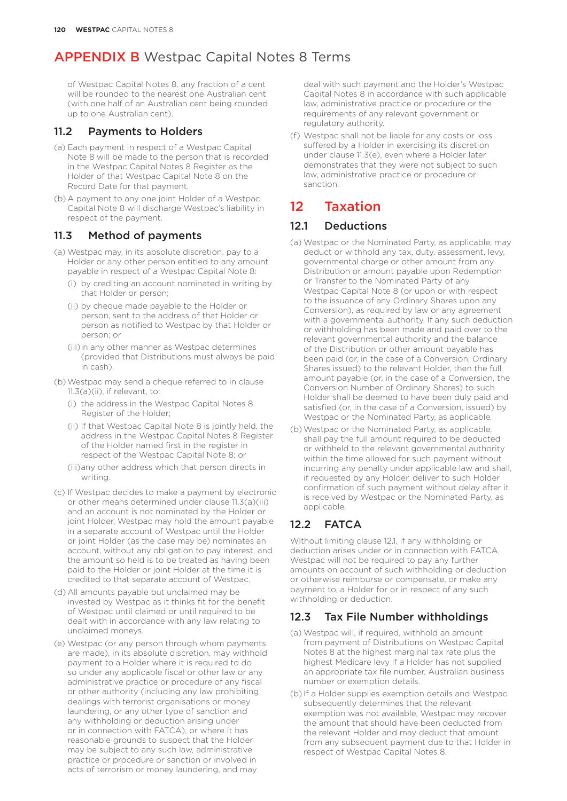of Westpac Capital Notes 8, any fraction of a cent will be rounded to the nearest one Australian cent (with one half of an Australian cent being rounded up to one Australian cent).

### 11.2 Payments to Holders

- (a) Each payment in respect of a Westpac Capital Note 8 will be made to the person that is recorded in the Westpac Capital Notes 8 Register as the Holder of that Westpac Capital Note 8 on the Record Date for that payment.
- (b) A payment to any one joint Holder of a Westpac Capital Note 8 will discharge Westpac's liability in respect of the payment.

### 11.3 Method of payments

- (a) Westpac may, in its absolute discretion, pay to a Holder or any other person entitled to any amount payable in respect of a Westpac Capital Note 8:
	- (i) by crediting an account nominated in writing by that Holder or person;
	- (ii) by cheque made payable to the Holder or person, sent to the address of that Holder or person as notified to Westpac by that Holder or person; or
	- (iii)in any other manner as Westpac determines (provided that Distributions must always be paid in cash).
- (b)Westpac may send a cheque referred to in clause 11.3(a)(ii), if relevant, to:
	- (i) the address in the Westpac Capital Notes 8 Register of the Holder;
	- (ii) if that Westpac Capital Note 8 is jointly held, the address in the Westpac Capital Notes 8 Register of the Holder named first in the register in respect of the Westpac Capital Note 8; or
	- (iii)any other address which that person directs in writing.
- (c) If Westpac decides to make a payment by electronic or other means determined under clause 11.3(a)(iii) and an account is not nominated by the Holder or joint Holder, Westpac may hold the amount payable in a separate account of Westpac until the Holder or joint Holder (as the case may be) nominates an account, without any obligation to pay interest, and the amount so held is to be treated as having been paid to the Holder or joint Holder at the time it is credited to that separate account of Westpac.
- (d) All amounts payable but unclaimed may be invested by Westpac as it thinks fit for the benefit of Westpac until claimed or until required to be dealt with in accordance with any law relating to unclaimed moneys.
- (e) Westpac (or any person through whom payments are made), in its absolute discretion, may withhold payment to a Holder where it is required to do so under any applicable fiscal or other law or any administrative practice or procedure of any fiscal or other authority (including any law prohibiting dealings with terrorist organisations or money laundering, or any other type of sanction and any withholding or deduction arising under or in connection with FATCA), or where it has reasonable grounds to suspect that the Holder may be subject to any such law, administrative practice or procedure or sanction or involved in acts of terrorism or money laundering, and may

deal with such payment and the Holder's Westpac Capital Notes 8 in accordance with such applicable law, administrative practice or procedure or the requirements of any relevant government or regulatory authority.

(f) Westpac shall not be liable for any costs or loss suffered by a Holder in exercising its discretion under clause 11.3(e), even where a Holder later demonstrates that they were not subject to such law, administrative practice or procedure or sanction.

# 12 Taxation

### 12.1 Deductions

- (a) Westpac or the Nominated Party, as applicable, may deduct or withhold any tax, duty, assessment, levy, governmental charge or other amount from any Distribution or amount payable upon Redemption or Transfer to the Nominated Party of any Westpac Capital Note 8 (or upon or with respect to the issuance of any Ordinary Shares upon any Conversion), as required by law or any agreement with a governmental authority. If any such deduction or withholding has been made and paid over to the relevant governmental authority and the balance of the Distribution or other amount payable has been paid (or, in the case of a Conversion, Ordinary Shares issued) to the relevant Holder, then the full amount payable (or, in the case of a Conversion, the Conversion Number of Ordinary Shares) to such Holder shall be deemed to have been duly paid and satisfied (or, in the case of a Conversion, issued) by Westpac or the Nominated Party, as applicable.
- (b)Westpac or the Nominated Party, as applicable, shall pay the full amount required to be deducted or withheld to the relevant governmental authority within the time allowed for such payment without incurring any penalty under applicable law and shall, if requested by any Holder, deliver to such Holder confirmation of such payment without delay after it is received by Westpac or the Nominated Party, as applicable.

### 12.2 FATCA

Without limiting clause 12.1, if any withholding or deduction arises under or in connection with FATCA, Westpac will not be required to pay any further amounts on account of such withholding or deduction or otherwise reimburse or compensate, or make any payment to, a Holder for or in respect of any such withholding or deduction.

### 12.3 Tax File Number withholdings

- (a) Westpac will, if required, withhold an amount from payment of Distributions on Westpac Capital Notes 8 at the highest marginal tax rate plus the highest Medicare levy if a Holder has not supplied an appropriate tax file number, Australian business number or exemption details.
- (b) If a Holder supplies exemption details and Westpac subsequently determines that the relevant exemption was not available, Westpac may recover the amount that should have been deducted from the relevant Holder and may deduct that amount from any subsequent payment due to that Holder in respect of Westpac Capital Notes 8.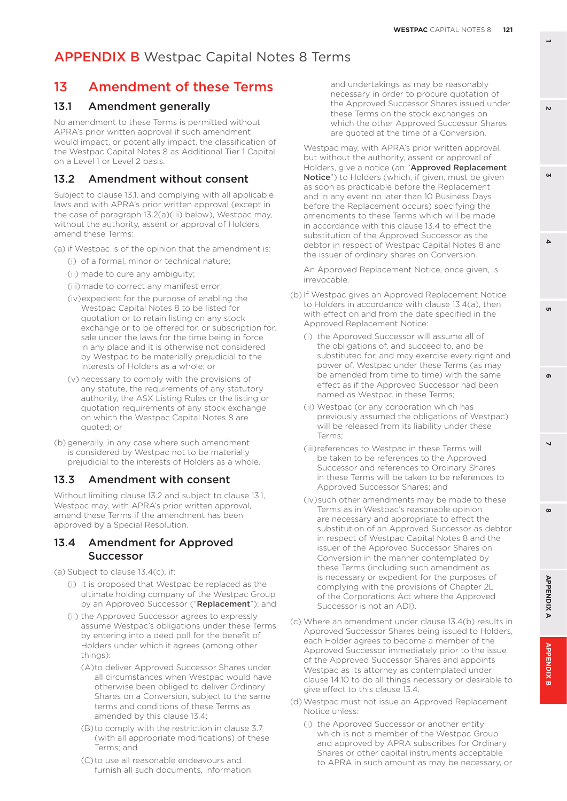### 13 Amendment of these Terms

#### 13.1 Amendment generally

No amendment to these Terms is permitted without APRA's prior written approval if such amendment would impact, or potentially impact, the classification of the Westpac Capital Notes 8 as Additional Tier 1 Capital on a Level 1 or Level 2 basis.

#### 13.2 Amendment without consent

Subject to clause 13.1, and complying with all applicable laws and with APRA's prior written approval (except in the case of paragraph 13.2(a)(iii) below), Westpac may, without the authority, assent or approval of Holders, amend these Terms:

(a) if Westpac is of the opinion that the amendment is:

- (i) of a formal, minor or technical nature;
- (ii) made to cure any ambiguity;
- (iii)made to correct any manifest error;
- (iv)expedient for the purpose of enabling the Westpac Capital Notes 8 to be listed for quotation or to retain listing on any stock exchange or to be offered for, or subscription for, sale under the laws for the time being in force in any place and it is otherwise not considered by Westpac to be materially prejudicial to the interests of Holders as a whole; or
- (v) necessary to comply with the provisions of any statute, the requirements of any statutory authority, the ASX Listing Rules or the listing or quotation requirements of any stock exchange on which the Westpac Capital Notes 8 are quoted; or
- (b) generally, in any case where such amendment is considered by Westpac not to be materially prejudicial to the interests of Holders as a whole.

#### 13.3 Amendment with consent

Without limiting clause 13.2 and subject to clause 13.1, Westpac may, with APRA's prior written approval, amend these Terms if the amendment has been approved by a Special Resolution.

#### 13.4 Amendment for Approved Successor

(a) Subject to clause 13.4(c), if:

- (i) it is proposed that Westpac be replaced as the ultimate holding company of the Westpac Group by an Approved Successor ("Replacement"); and
- (ii) the Approved Successor agrees to expressly assume Westpac's obligations under these Terms by entering into a deed poll for the benefit of Holders under which it agrees (among other things):
	- (A)to deliver Approved Successor Shares under all circumstances when Westpac would have otherwise been obliged to deliver Ordinary Shares on a Conversion, subject to the same terms and conditions of these Terms as amended by this clause 13.4;
	- (B)to comply with the restriction in clause 3.7 (with all appropriate modifications) of these Terms; and
	- (C)to use all reasonable endeavours and furnish all such documents, information

and undertakings as may be reasonably necessary in order to procure quotation of the Approved Successor Shares issued under these Terms on the stock exchanges on which the other Approved Successor Shares are quoted at the time of a Conversion,

Westpac may, with APRA's prior written approval, but without the authority, assent or approval of Holders, give a notice (an "Approved Replacement Notice") to Holders (which, if given, must be given as soon as practicable before the Replacement and in any event no later than 10 Business Days before the Replacement occurs) specifying the amendments to these Terms which will be made in accordance with this clause 13.4 to effect the substitution of the Approved Successor as the debtor in respect of Westpac Capital Notes 8 and the issuer of ordinary shares on Conversion.

An Approved Replacement Notice, once given, is irrevocable.

- (b) If Westpac gives an Approved Replacement Notice to Holders in accordance with clause 13.4(a), then with effect on and from the date specified in the Approved Replacement Notice:
	- (i) the Approved Successor will assume all of the obligations of, and succeed to, and be substituted for, and may exercise every right and power of, Westpac under these Terms (as may be amended from time to time) with the same effect as if the Approved Successor had been named as Westpac in these Terms;
	- (ii) Westpac (or any corporation which has previously assumed the obligations of Westpac) will be released from its liability under these Terms;
	- (iii)references to Westpac in these Terms will be taken to be references to the Approved Successor and references to Ordinary Shares in these Terms will be taken to be references to Approved Successor Shares; and
	- (iv)such other amendments may be made to these Terms as in Westpac's reasonable opinion are necessary and appropriate to effect the substitution of an Approved Successor as debtor in respect of Westpac Capital Notes 8 and the issuer of the Approved Successor Shares on Conversion in the manner contemplated by these Terms (including such amendment as is necessary or expedient for the purposes of complying with the provisions of Chapter 2L of the Corporations Act where the Approved Successor is not an ADI).
- (c) Where an amendment under clause 13.4(b) results in Approved Successor Shares being issued to Holders, each Holder agrees to become a member of the Approved Successor immediately prior to the issue of the Approved Successor Shares and appoints Westpac as its attorney as contemplated under clause 14.10 to do all things necessary or desirable to give effect to this clause 13.4.
- (d)Westpac must not issue an Approved Replacement Notice unless:
	- (i) the Approved Successor or another entity which is not a member of the Westpac Group and approved by APRA subscribes for Ordinary Shares or other capital instruments acceptable to APRA in such amount as may be necessary, or

 $\mathbf{r}$ 

**1**

 $\mathbf{v}$ 

**3**

 $\Delta$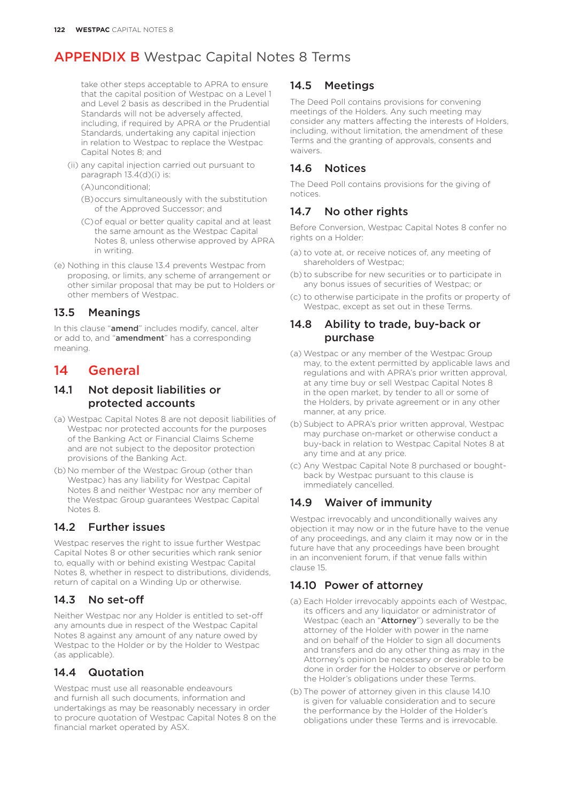take other steps acceptable to APRA to ensure that the capital position of Westpac on a Level 1 and Level 2 basis as described in the Prudential Standards will not be adversely affected, including, if required by APRA or the Prudential Standards, undertaking any capital injection in relation to Westpac to replace the Westpac Capital Notes 8; and

- (ii) any capital injection carried out pursuant to paragraph 13.4(d)(i) is:
	- (A)unconditional;
	- (B)occurs simultaneously with the substitution of the Approved Successor; and
	- (C)of equal or better quality capital and at least the same amount as the Westpac Capital Notes 8, unless otherwise approved by APRA in writing.
- (e) Nothing in this clause 13.4 prevents Westpac from proposing, or limits, any scheme of arrangement or other similar proposal that may be put to Holders or other members of Westpac.

### 13.5 Meanings

In this clause "amend" includes modify, cancel, alter or add to, and "amendment" has a corresponding meaning.

### 14 General

### 14.1 Not deposit liabilities or protected accounts

- (a) Westpac Capital Notes 8 are not deposit liabilities of Westpac nor protected accounts for the purposes of the Banking Act or Financial Claims Scheme and are not subject to the depositor protection provisions of the Banking Act.
- (b) No member of the Westpac Group (other than Westpac) has any liability for Westpac Capital Notes 8 and neither Westpac nor any member of the Westpac Group guarantees Westpac Capital Notes 8.

### 14.2 Further issues

Westpac reserves the right to issue further Westpac Capital Notes 8 or other securities which rank senior to, equally with or behind existing Westpac Capital Notes 8, whether in respect to distributions, dividends, return of capital on a Winding Up or otherwise.

### 14.3 No set-off

Neither Westpac nor any Holder is entitled to set-off any amounts due in respect of the Westpac Capital Notes 8 against any amount of any nature owed by Westpac to the Holder or by the Holder to Westpac (as applicable).

### 14.4 Quotation

Westpac must use all reasonable endeavours and furnish all such documents, information and undertakings as may be reasonably necessary in order to procure quotation of Westpac Capital Notes 8 on the financial market operated by ASX.

### 14.5 Meetings

The Deed Poll contains provisions for convening meetings of the Holders. Any such meeting may consider any matters affecting the interests of Holders, including, without limitation, the amendment of these Terms and the granting of approvals, consents and waivers.

### 14.6 Notices

The Deed Poll contains provisions for the giving of notices.

### 14.7 No other rights

Before Conversion, Westpac Capital Notes 8 confer no rights on a Holder:

- (a) to vote at, or receive notices of, any meeting of shareholders of Westpac;
- (b) to subscribe for new securities or to participate in any bonus issues of securities of Westpac; or
- (c) to otherwise participate in the profits or property of Westpac, except as set out in these Terms.

### 14.8 Ability to trade, buy-back or purchase

- (a) Westpac or any member of the Westpac Group may, to the extent permitted by applicable laws and regulations and with APRA's prior written approval, at any time buy or sell Westpac Capital Notes 8 in the open market, by tender to all or some of the Holders, by private agreement or in any other manner, at any price.
- (b) Subject to APRA's prior written approval, Westpac may purchase on-market or otherwise conduct a buy-back in relation to Westpac Capital Notes 8 at any time and at any price.
- (c) Any Westpac Capital Note 8 purchased or boughtback by Westpac pursuant to this clause is immediately cancelled.

### 14.9 Waiver of immunity

Westpac irrevocably and unconditionally waives any objection it may now or in the future have to the venue of any proceedings, and any claim it may now or in the future have that any proceedings have been brought in an inconvenient forum, if that venue falls within clause 15.

### 14.10 Power of attorney

- (a) Each Holder irrevocably appoints each of Westpac, its officers and any liquidator or administrator of Westpac (each an "Attorney") severally to be the attorney of the Holder with power in the name and on behalf of the Holder to sign all documents and transfers and do any other thing as may in the Attorney's opinion be necessary or desirable to be done in order for the Holder to observe or perform the Holder's obligations under these Terms.
- (b) The power of attorney given in this clause 14.10 is given for valuable consideration and to secure the performance by the Holder of the Holder's obligations under these Terms and is irrevocable.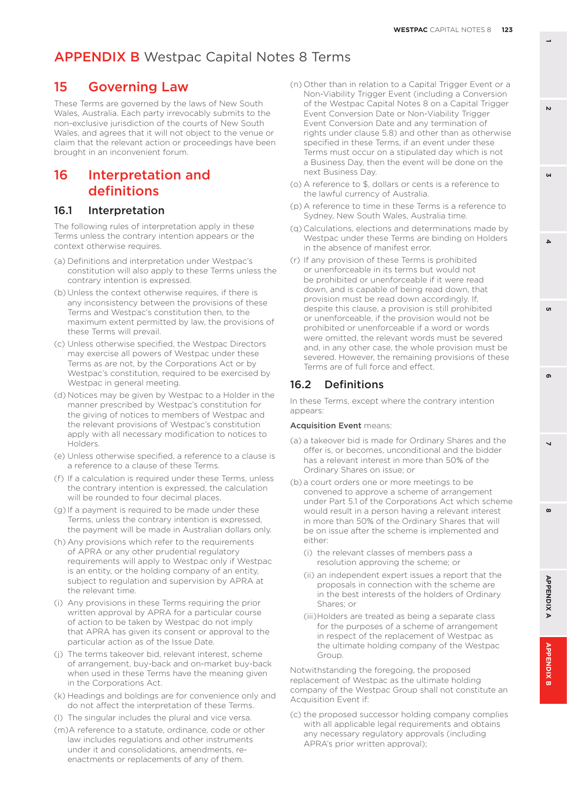### 15 Governing Law

These Terms are governed by the laws of New South Wales, Australia. Each party irrevocably submits to the non-exclusive jurisdiction of the courts of New South Wales, and agrees that it will not object to the venue or claim that the relevant action or proceedings have been brought in an inconvenient forum.

### 16 Interpretation and definitions

### 16.1 Interpretation

The following rules of interpretation apply in these Terms unless the contrary intention appears or the context otherwise requires.

- (a) Definitions and interpretation under Westpac's constitution will also apply to these Terms unless the contrary intention is expressed.
- (b) Unless the context otherwise requires, if there is any inconsistency between the provisions of these Terms and Westpac's constitution then, to the maximum extent permitted by law, the provisions of these Terms will prevail.
- (c) Unless otherwise specified, the Westpac Directors may exercise all powers of Westpac under these Terms as are not, by the Corporations Act or by Westpac's constitution, required to be exercised by Westpac in general meeting.
- (d) Notices may be given by Westpac to a Holder in the manner prescribed by Westpac's constitution for the giving of notices to members of Westpac and the relevant provisions of Westpac's constitution apply with all necessary modification to notices to Holders.
- (e) Unless otherwise specified, a reference to a clause is a reference to a clause of these Terms.
- (f) If a calculation is required under these Terms, unless the contrary intention is expressed, the calculation will be rounded to four decimal places.
- (g) If a payment is required to be made under these Terms, unless the contrary intention is expressed, the payment will be made in Australian dollars only.
- (h) Any provisions which refer to the requirements of APRA or any other prudential regulatory requirements will apply to Westpac only if Westpac is an entity, or the holding company of an entity, subject to regulation and supervision by APRA at the relevant time.
- (i) Any provisions in these Terms requiring the prior written approval by APRA for a particular course of action to be taken by Westpac do not imply that APRA has given its consent or approval to the particular action as of the Issue Date.
- (j) The terms takeover bid, relevant interest, scheme of arrangement, buy-back and on-market buy-back when used in these Terms have the meaning given in the Corporations Act.
- (k) Headings and boldings are for convenience only and do not affect the interpretation of these Terms.
- (l) The singular includes the plural and vice versa.
- (m)A reference to a statute, ordinance, code or other law includes regulations and other instruments under it and consolidations, amendments, reenactments or replacements of any of them.
- (n) Other than in relation to a Capital Trigger Event or a Non-Viability Trigger Event (including a Conversion of the Westpac Capital Notes 8 on a Capital Trigger Event Conversion Date or Non-Viability Trigger Event Conversion Date and any termination of rights under clause 5.8) and other than as otherwise specified in these Terms, if an event under these Terms must occur on a stipulated day which is not a Business Day, then the event will be done on the next Business Day.
- (o) A reference to \$, dollars or cents is a reference to the lawful currency of Australia.
- (p) A reference to time in these Terms is a reference to Sydney, New South Wales, Australia time.
- (q) Calculations, elections and determinations made by Westpac under these Terms are binding on Holders in the absence of manifest error.
- (r) If any provision of these Terms is prohibited or unenforceable in its terms but would not be prohibited or unenforceable if it were read down, and is capable of being read down, that provision must be read down accordingly. If, despite this clause, a provision is still prohibited or unenforceable, if the provision would not be prohibited or unenforceable if a word or words were omitted, the relevant words must be severed and, in any other case, the whole provision must be severed. However, the remaining provisions of these Terms are of full force and effect.

### 16.2 Definitions

In these Terms, except where the contrary intention appears:

#### Acquisition Event means:

- (a) a takeover bid is made for Ordinary Shares and the offer is, or becomes, unconditional and the bidder has a relevant interest in more than 50% of the Ordinary Shares on issue; or
- (b) a court orders one or more meetings to be convened to approve a scheme of arrangement under Part 5.1 of the Corporations Act which scheme would result in a person having a relevant interest in more than 50% of the Ordinary Shares that will be on issue after the scheme is implemented and either:
	- (i) the relevant classes of members pass a resolution approving the scheme; or
	- (ii) an independent expert issues a report that the proposals in connection with the scheme are in the best interests of the holders of Ordinary Shares; or
	- (iii)Holders are treated as being a separate class for the purposes of a scheme of arrangement in respect of the replacement of Westpac as the ultimate holding company of the Westpac Group

Notwithstanding the foregoing, the proposed replacement of Westpac as the ultimate holding company of the Westpac Group shall not constitute an Acquisition Event if:

(c) the proposed successor holding company complies with all applicable legal requirements and obtains any necessary regulatory approvals (including APRA's prior written approval);

**3**

 $\Delta$ 

 $\overline{a}$ 

ക

 $\mathbf{v}$ 

 $\boldsymbol{\omega}$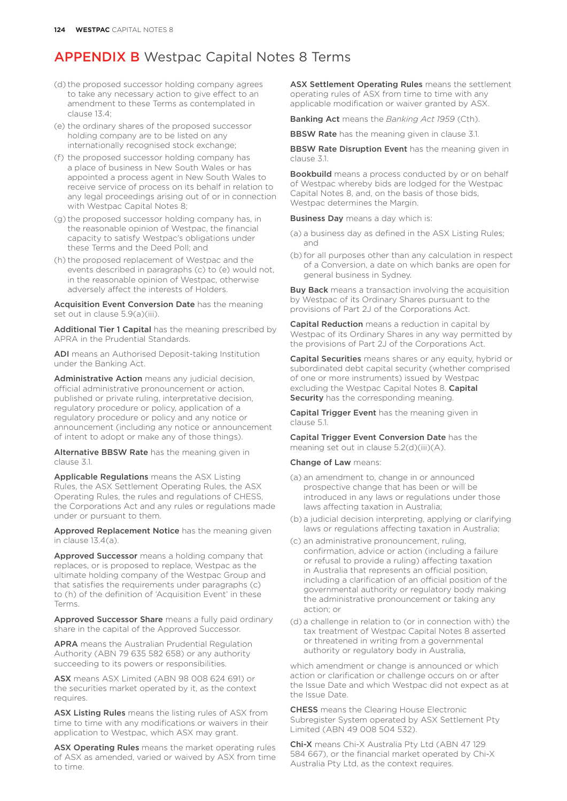- (d) the proposed successor holding company agrees to take any necessary action to give effect to an amendment to these Terms as contemplated in clause 13.4;
- (e) the ordinary shares of the proposed successor holding company are to be listed on any internationally recognised stock exchange;
- (f) the proposed successor holding company has a place of business in New South Wales or has appointed a process agent in New South Wales to receive service of process on its behalf in relation to any legal proceedings arising out of or in connection with Westpac Capital Notes 8:
- (g) the proposed successor holding company has, in the reasonable opinion of Westpac, the financial capacity to satisfy Westpac's obligations under these Terms and the Deed Poll; and
- (h) the proposed replacement of Westpac and the events described in paragraphs (c) to (e) would not, in the reasonable opinion of Westpac, otherwise adversely affect the interests of Holders.

Acquisition Event Conversion Date has the meaning set out in clause 5.9(a)(iii).

Additional Tier 1 Capital has the meaning prescribed by APRA in the Prudential Standards.

ADI means an Authorised Deposit-taking Institution under the Banking Act.

Administrative Action means any judicial decision, official administrative pronouncement or action, published or private ruling, interpretative decision, regulatory procedure or policy, application of a regulatory procedure or policy and any notice or announcement (including any notice or announcement of intent to adopt or make any of those things).

Alternative BBSW Rate has the meaning given in clause 3.1.

Applicable Regulations means the ASX Listing Rules, the ASX Settlement Operating Rules, the ASX Operating Rules, the rules and regulations of CHESS, the Corporations Act and any rules or regulations made under or pursuant to them.

Approved Replacement Notice has the meaning given in clause 13.4(a).

Approved Successor means a holding company that replaces, or is proposed to replace, Westpac as the ultimate holding company of the Westpac Group and that satisfies the requirements under paragraphs (c) to (h) of the definition of 'Acquisition Event' in these Terms.

Approved Successor Share means a fully paid ordinary share in the capital of the Approved Successor.

APRA means the Australian Prudential Regulation Authority (ABN 79 635 582 658) or any authority succeeding to its powers or responsibilities.

ASX means ASX Limited (ABN 98 008 624 691) or the securities market operated by it, as the context requires.

ASX Listing Rules means the listing rules of ASX from time to time with any modifications or waivers in their application to Westpac, which ASX may grant.

ASX Operating Rules means the market operating rules of ASX as amended, varied or waived by ASX from time to time.

ASX Settlement Operating Rules means the settlement operating rules of ASX from time to time with any applicable modification or waiver granted by ASX.

Banking Act means the *Banking Act 1959* (Cth).

**BBSW Rate** has the meaning given in clause 3.1.

**BBSW Rate Disruption Event** has the meaning given in clause 3.1.

Bookbuild means a process conducted by or on behalf of Westpac whereby bids are lodged for the Westpac Capital Notes 8, and, on the basis of those bids, Westpac determines the Margin.

**Business Day** means a day which is:

- (a) a business day as defined in the ASX Listing Rules; and
- (b) for all purposes other than any calculation in respect of a Conversion, a date on which banks are open for general business in Sydney.

**Buy Back** means a transaction involving the acquisition by Westpac of its Ordinary Shares pursuant to the provisions of Part 2J of the Corporations Act.

Capital Reduction means a reduction in capital by Westpac of its Ordinary Shares in any way permitted by the provisions of Part 2J of the Corporations Act.

Capital Securities means shares or any equity, hybrid or subordinated debt capital security (whether comprised of one or more instruments) issued by Westpac excluding the Westpac Capital Notes 8. Capital Security has the corresponding meaning.

Capital Trigger Event has the meaning given in clause 5.1.

Capital Trigger Event Conversion Date has the meaning set out in clause 5.2(d)(iii)(A).

Change of Law means:

- (a) an amendment to, change in or announced prospective change that has been or will be introduced in any laws or regulations under those laws affecting taxation in Australia;
- (b) a judicial decision interpreting, applying or clarifying laws or regulations affecting taxation in Australia;
- (c) an administrative pronouncement, ruling, confirmation, advice or action (including a failure or refusal to provide a ruling) affecting taxation in Australia that represents an official position, including a clarification of an official position of the governmental authority or regulatory body making the administrative pronouncement or taking any action; or
- (d) a challenge in relation to (or in connection with) the tax treatment of Westpac Capital Notes 8 asserted or threatened in writing from a governmental authority or regulatory body in Australia,

which amendment or change is announced or which action or clarification or challenge occurs on or after the Issue Date and which Westpac did not expect as at the Issue Date.

CHESS means the Clearing House Electronic Subregister System operated by ASX Settlement Pty Limited (ABN 49 008 504 532).

Chi-X means Chi-X Australia Pty Ltd (ABN 47 129 584 667), or the financial market operated by Chi-X Australia Pty Ltd, as the context requires.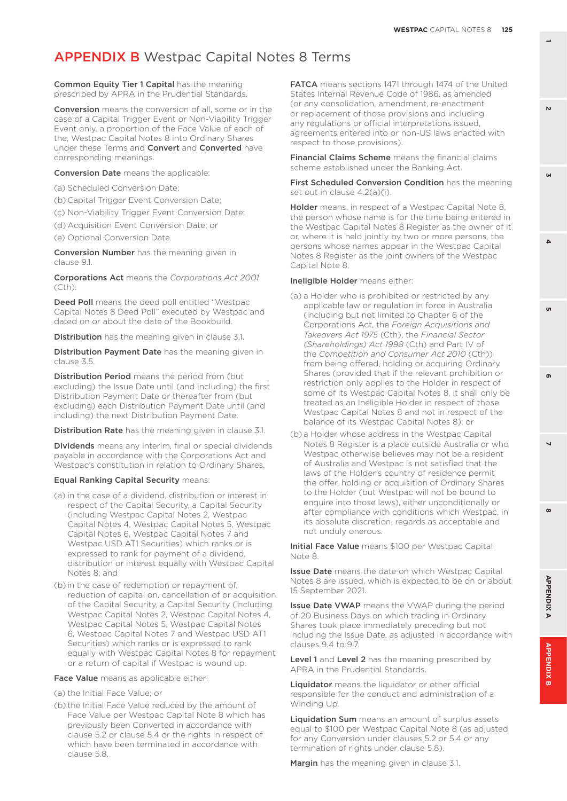Common Equity Tier 1 Capital has the meaning prescribed by APRA in the Prudential Standards.

Conversion means the conversion of all, some or in the case of a Capital Trigger Event or Non-Viability Trigger Event only, a proportion of the Face Value of each of the, Westpac Capital Notes 8 into Ordinary Shares under these Terms and Convert and Converted have corresponding meanings.

**Conversion Date** means the applicable:

(a) Scheduled Conversion Date;

(b) Capital Trigger Event Conversion Date;

(c) Non-Viability Trigger Event Conversion Date;

(d) Acquisition Event Conversion Date; or

(e) Optional Conversion Date.

Conversion Number has the meaning given in clause 9.1.

Corporations Act means the *Corporations Act 2001* (Cth).

Deed Poll means the deed poll entitled "Westpac Capital Notes 8 Deed Poll" executed by Westpac and dated on or about the date of the Bookbuild.

**Distribution** has the meaning given in clause 3.1.

**Distribution Payment Date** has the meaning given in clause 3.5.

Distribution Period means the period from (but excluding) the Issue Date until (and including) the first Distribution Payment Date or thereafter from (but excluding) each Distribution Payment Date until (and including) the next Distribution Payment Date.

Distribution Rate has the meaning given in clause 3.1.

**Dividends** means any interim, final or special dividends payable in accordance with the Corporations Act and Westpac's constitution in relation to Ordinary Shares.

#### Equal Ranking Capital Security means:

- (a) in the case of a dividend, distribution or interest in respect of the Capital Security, a Capital Security (including Westpac Capital Notes 2, Westpac Capital Notes 4, Westpac Capital Notes 5, Westpac Capital Notes 6, Westpac Capital Notes 7 and Westpac USD AT1 Securities) which ranks or is expressed to rank for payment of a dividend, distribution or interest equally with Westpac Capital Notes 8; and
- (b) in the case of redemption or repayment of, reduction of capital on, cancellation of or acquisition of the Capital Security, a Capital Security (including Westpac Capital Notes 2, Westpac Capital Notes 4, Westpac Capital Notes 5, Westpac Capital Notes 6, Westpac Capital Notes 7 and Westpac USD AT1 Securities) which ranks or is expressed to rank equally with Westpac Capital Notes 8 for repayment or a return of capital if Westpac is wound up.

Face Value means as applicable either:

- (a) the Initial Face Value; or
- (b) the Initial Face Value reduced by the amount of Face Value per Westpac Capital Note 8 which has previously been Converted in accordance with clause 5.2 or clause 5.4 or the rights in respect of which have been terminated in accordance with clause 5.8.

FATCA means sections 1471 through 1474 of the United States Internal Revenue Code of 1986, as amended (or any consolidation, amendment, re-enactment or replacement of those provisions and including any regulations or official interpretations issued, agreements entered into or non-US laws enacted with respect to those provisions).

Financial Claims Scheme means the financial claims scheme established under the Banking Act.

First Scheduled Conversion Condition has the meaning set out in clause 4.2(a)(i).

Holder means, in respect of a Westpac Capital Note 8, the person whose name is for the time being entered in the Westpac Capital Notes 8 Register as the owner of it or, where it is held jointly by two or more persons, the persons whose names appear in the Westpac Capital Notes 8 Register as the joint owners of the Westpac Capital Note 8.

#### Ineligible Holder means either:

- (a) a Holder who is prohibited or restricted by any applicable law or regulation in force in Australia (including but not limited to Chapter 6 of the Corporations Act, the *Foreign Acquisitions and Takeovers Act 1975* (Cth), the *Financial Sector (Shareholdings) Act 1998* (Cth) and Part IV of the *Competition and Consumer Act 2010* (Cth)) from being offered, holding or acquiring Ordinary Shares (provided that if the relevant prohibition or restriction only applies to the Holder in respect of some of its Westpac Capital Notes 8, it shall only be treated as an Ineligible Holder in respect of those Westpac Capital Notes 8 and not in respect of the balance of its Westpac Capital Notes 8); or
- (b) a Holder whose address in the Westpac Capital Notes 8 Register is a place outside Australia or who Westpac otherwise believes may not be a resident of Australia and Westpac is not satisfied that the laws of the Holder's country of residence permit the offer, holding or acquisition of Ordinary Shares to the Holder (but Westpac will not be bound to enquire into those laws), either unconditionally or after compliance with conditions which Westpac, in its absolute discretion, regards as acceptable and not unduly onerous.

Initial Face Value means \$100 per Westpac Capital Note 8.

**Issue Date** means the date on which Westpac Capital Notes 8 are issued, which is expected to be on or about 15 September 2021.

**Issue Date VWAP** means the VWAP during the period of 20 Business Days on which trading in Ordinary Shares took place immediately preceding but not including the Issue Date, as adjusted in accordance with clauses 9.4 to 9.7.

Level 1 and Level 2 has the meaning prescribed by APRA in the Prudential Standards.

Liquidator means the liquidator or other official responsible for the conduct and administration of a Winding Up.

Liquidation Sum means an amount of surplus assets equal to \$100 per Westpac Capital Note 8 (as adjusted for any Conversion under clauses 5.2 or 5.4 or any termination of rights under clause 5.8).

Margin has the meaning given in clause 3.1.

**3**

 $\Delta$ 

'n

 $\mathbf{v}$ 

**8 5 APPENDIX B 2 7 4 APPENDIX A 6**

 $\overline{\phantom{0}}$ 

 $\boldsymbol{\omega}$ 

**APPENDIXA** 

APPENDIX

G

 $\mathbf{r}$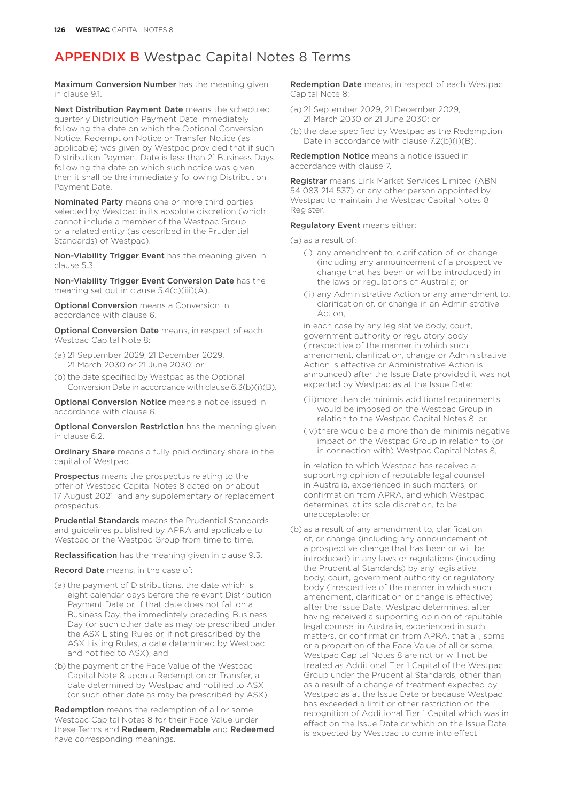Maximum Conversion Number has the meaning given in clause 9.1.

Next Distribution Payment Date means the scheduled quarterly Distribution Payment Date immediately following the date on which the Optional Conversion Notice, Redemption Notice or Transfer Notice (as applicable) was given by Westpac provided that if such Distribution Payment Date is less than 21 Business Days following the date on which such notice was given then it shall be the immediately following Distribution Payment Date.

Nominated Party means one or more third parties selected by Westpac in its absolute discretion (which cannot include a member of the Westpac Group or a related entity (as described in the Prudential Standards) of Westpac).

Non-Viability Trigger Event has the meaning given in clause 5.3.

Non-Viability Trigger Event Conversion Date has the meaning set out in clause 5.4(c)(iii)(A).

Optional Conversion means a Conversion in accordance with clause 6.

Optional Conversion Date means, in respect of each Westpac Capital Note 8:

- (a) 21 September 2029, 21 December 2029, 21 March 2030 or 21 June 2030; or
- (b) the date specified by Westpac as the Optional Conversion Date in accordance with clause 6.3(b)(i)(B).

Optional Conversion Notice means a notice issued in accordance with clause 6.

**Optional Conversion Restriction** has the meaning given in clause 6.2.

**Ordinary Share** means a fully paid ordinary share in the capital of Westpac.

Prospectus means the prospectus relating to the offer of Westpac Capital Notes 8 dated on or about 17 August 2021 and any supplementary or replacement prospectus.

Prudential Standards means the Prudential Standards and guidelines published by APRA and applicable to Westpac or the Westpac Group from time to time.

Reclassification has the meaning given in clause 9.3.

Record Date means, in the case of:

- (a) the payment of Distributions, the date which is eight calendar days before the relevant Distribution Payment Date or, if that date does not fall on a Business Day, the immediately preceding Business Day (or such other date as may be prescribed under the ASX Listing Rules or, if not prescribed by the ASX Listing Rules, a date determined by Westpac and notified to ASX); and
- (b) the payment of the Face Value of the Westpac Capital Note 8 upon a Redemption or Transfer, a date determined by Westpac and notified to ASX (or such other date as may be prescribed by ASX).

Redemption means the redemption of all or some Westpac Capital Notes 8 for their Face Value under these Terms and Redeem, Redeemable and Redeemed have corresponding meanings.

Redemption Date means, in respect of each Westpac Capital Note 8:

- (a) 21 September 2029, 21 December 2029, 21 March 2030 or 21 June 2030; or
- (b) the date specified by Westpac as the Redemption Date in accordance with clause 7.2(b)(i)(B).

Redemption Notice means a notice issued in accordance with clause 7.

Registrar means Link Market Services Limited (ABN 54 083 214 537) or any other person appointed by Westpac to maintain the Westpac Capital Notes 8 Register.

#### Regulatory Event means either:

(a) as a result of:

- (i) any amendment to, clarification of, or change (including any announcement of a prospective change that has been or will be introduced) in the laws or regulations of Australia; or
- (ii) any Administrative Action or any amendment to, clarification of, or change in an Administrative Action,

in each case by any legislative body, court, government authority or regulatory body (irrespective of the manner in which such amendment, clarification, change or Administrative Action is effective or Administrative Action is announced) after the Issue Date provided it was not expected by Westpac as at the Issue Date:

- (iii)more than de minimis additional requirements would be imposed on the Westpac Group in relation to the Westpac Capital Notes 8; or
- (iv)there would be a more than de minimis negative impact on the Westpac Group in relation to (or in connection with) Westpac Capital Notes 8,

in relation to which Westpac has received a supporting opinion of reputable legal counsel in Australia, experienced in such matters, or confirmation from APRA, and which Westpac determines, at its sole discretion, to be unacceptable; or

(b) as a result of any amendment to, clarification of, or change (including any announcement of a prospective change that has been or will be introduced) in any laws or regulations (including the Prudential Standards) by any legislative body, court, government authority or regulatory body (irrespective of the manner in which such amendment, clarification or change is effective) after the Issue Date, Westpac determines, after having received a supporting opinion of reputable legal counsel in Australia, experienced in such matters, or confirmation from APRA, that all, some or a proportion of the Face Value of all or some, Westpac Capital Notes 8 are not or will not be treated as Additional Tier 1 Capital of the Westpac Group under the Prudential Standards, other than as a result of a change of treatment expected by Westpac as at the Issue Date or because Westpac has exceeded a limit or other restriction on the recognition of Additional Tier 1 Capital which was in effect on the Issue Date or which on the Issue Date is expected by Westpac to come into effect.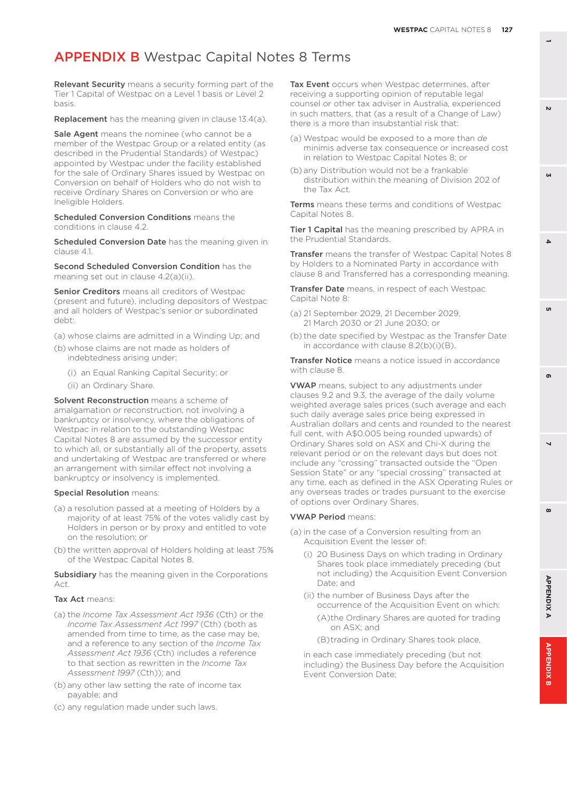Relevant Security means a security forming part of the Tier 1 Capital of Westpac on a Level 1 basis or Level 2 basis.

Replacement has the meaning given in clause 13.4(a).

Sale Agent means the nominee (who cannot be a member of the Westpac Group or a related entity (as described in the Prudential Standards) of Westpac) appointed by Westpac under the facility established for the sale of Ordinary Shares issued by Westpac on Conversion on behalf of Holders who do not wish to receive Ordinary Shares on Conversion or who are Ineligible Holders.

Scheduled Conversion Conditions means the conditions in clause 4.2.

Scheduled Conversion Date has the meaning given in clause 4.1.

Second Scheduled Conversion Condition has the meaning set out in clause 4.2(a)(ii).

Senior Creditors means all creditors of Westpac (present and future), including depositors of Westpac and all holders of Westpac's senior or subordinated debt:

- (a) whose claims are admitted in a Winding Up; and
- (b) whose claims are not made as holders of indebtedness arising under:
	- (i) an Equal Ranking Capital Security; or
	- (ii) an Ordinary Share.

Solvent Reconstruction means a scheme of amalgamation or reconstruction, not involving a bankruptcy or insolvency, where the obligations of Westpac in relation to the outstanding Westpac Capital Notes 8 are assumed by the successor entity to which all, or substantially all of the property, assets and undertaking of Westpac are transferred or where an arrangement with similar effect not involving a bankruptcy or insolvency is implemented.

#### Special Resolution means:

- (a) a resolution passed at a meeting of Holders by a majority of at least 75% of the votes validly cast by Holders in person or by proxy and entitled to vote on the resolution; or
- (b) the written approval of Holders holding at least 75% of the Westpac Capital Notes 8.

Subsidiary has the meaning given in the Corporations Act.

#### Tax Act means:

- (a) the *Income Tax Assessment Act 1936* (Cth) or the *Income Tax Assessment Act 1997* (Cth) (both as amended from time to time, as the case may be, and a reference to any section of the *Income Tax Assessment Act 1936* (Cth) includes a reference to that section as rewritten in the *Income Tax Assessment 1997* (Cth)); and
- (b) any other law setting the rate of income tax payable; and
- (c) any regulation made under such laws.

Tax Event occurs when Westpac determines, after receiving a supporting opinion of reputable legal counsel or other tax adviser in Australia, experienced in such matters, that (as a result of a Change of Law) there is a more than insubstantial risk that:

- (a) Westpac would be exposed to a more than *de*  minimis adverse tax consequence or increased cost in relation to Westpac Capital Notes 8; or
- (b) any Distribution would not be a frankable distribution within the meaning of Division 202 of the Tax Act.

Terms means these terms and conditions of Westpac Capital Notes 8.

Tier 1 Capital has the meaning prescribed by APRA in the Prudential Standards.

Transfer means the transfer of Westpac Capital Notes 8 by Holders to a Nominated Party in accordance with clause 8 and Transferred has a corresponding meaning.

Transfer Date means, in respect of each Westpac Capital Note 8:

- (a) 21 September 2029, 21 December 2029, 21 March 2030 or 21 June 2030; or
- (b) the date specified by Westpac as the Transfer Date in accordance with clause 8.2(b)(i)(B).

**Transfer Notice** means a notice issued in accordance with clause 8.

VWAP means, subject to any adjustments under clauses 9.2 and 9.3, the average of the daily volume weighted average sales prices (such average and each such daily average sales price being expressed in Australian dollars and cents and rounded to the nearest full cent, with A\$0.005 being rounded upwards) of Ordinary Shares sold on ASX and Chi-X during the relevant period or on the relevant days but does not include any "crossing" transacted outside the "Open Session State" or any "special crossing" transacted at any time, each as defined in the ASX Operating Rules or any overseas trades or trades pursuant to the exercise of options over Ordinary Shares.

#### VWAP Period means:

- (a) in the case of a Conversion resulting from an Acquisition Event the lesser of:
	- (i) 20 Business Days on which trading in Ordinary Shares took place immediately preceding (but not including) the Acquisition Event Conversion Date; and
	- (ii) the number of Business Days after the occurrence of the Acquisition Event on which: (A)the Ordinary Shares are quoted for trading on ASX; and
		- (B)trading in Ordinary Shares took place,

in each case immediately preceding (but not including) the Business Day before the Acquisition Event Conversion Date;

**3**

 $\Delta$ 

**8 5**

 $\overline{\phantom{0}}$ 

 $\boldsymbol{\omega}$ 

ക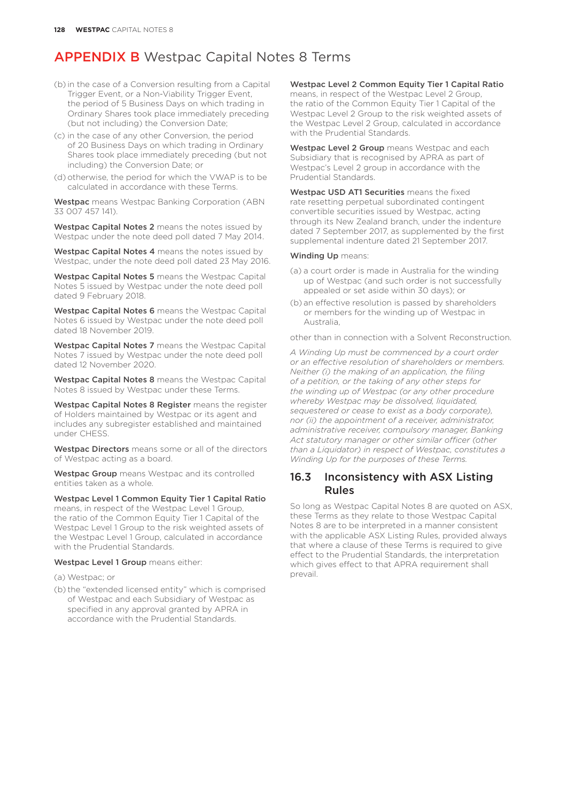- (b) in the case of a Conversion resulting from a Capital Trigger Event, or a Non-Viability Trigger Event, the period of 5 Business Days on which trading in Ordinary Shares took place immediately preceding (but not including) the Conversion Date;
- (c) in the case of any other Conversion, the period of 20 Business Days on which trading in Ordinary Shares took place immediately preceding (but not including) the Conversion Date; or
- (d) otherwise, the period for which the VWAP is to be calculated in accordance with these Terms.

Westpac means Westpac Banking Corporation (ABN 33 007 457 141).

Westpac Capital Notes 2 means the notes issued by Westpac under the note deed poll dated 7 May 2014.

Westpac Capital Notes 4 means the notes issued by Westpac, under the note deed poll dated 23 May 2016.

Westpac Capital Notes 5 means the Westpac Capital Notes 5 issued by Westpac under the note deed poll dated 9 February 2018.

Westpac Capital Notes 6 means the Westpac Capital Notes 6 issued by Westpac under the note deed poll dated 18 November 2019.

Westpac Capital Notes 7 means the Westpac Capital Notes 7 issued by Westpac under the note deed poll dated 12 November 2020.

Westpac Capital Notes 8 means the Westpac Capital Notes 8 issued by Westpac under these Terms.

Westpac Capital Notes 8 Register means the register of Holders maintained by Westpac or its agent and includes any subregister established and maintained under CHESS.

Westpac Directors means some or all of the directors of Westpac acting as a board.

Westpac Group means Westpac and its controlled entities taken as a whole.

Westpac Level 1 Common Equity Tier 1 Capital Ratio means, in respect of the Westpac Level 1 Group, the ratio of the Common Equity Tier 1 Capital of the Westpac Level 1 Group to the risk weighted assets of the Westpac Level 1 Group, calculated in accordance with the Prudential Standards.

#### Westpac Level 1 Group means either:

(a) Westpac; or

(b) the "extended licensed entity" which is comprised of Westpac and each Subsidiary of Westpac as specified in any approval granted by APRA in accordance with the Prudential Standards.

Westpac Level 2 Common Equity Tier 1 Capital Ratio means, in respect of the Westpac Level 2 Group, the ratio of the Common Equity Tier 1 Capital of the Westpac Level 2 Group to the risk weighted assets of the Westpac Level 2 Group, calculated in accordance with the Prudential Standards.

Westpac Level 2 Group means Westpac and each Subsidiary that is recognised by APRA as part of Westpac's Level 2 group in accordance with the Prudential Standards.

Westpac USD AT1 Securities means the fixed rate resetting perpetual subordinated contingent convertible securities issued by Westpac, acting through its New Zealand branch, under the indenture dated 7 September 2017, as supplemented by the first supplemental indenture dated 21 September 2017.

#### Winding Up means:

- (a) a court order is made in Australia for the winding up of Westpac (and such order is not successfully appealed or set aside within 30 days); or
- (b) an effective resolution is passed by shareholders or members for the winding up of Westpac in Australia,

other than in connection with a Solvent Reconstruction.

*A Winding Up must be commenced by a court order or an effective resolution of shareholders or members. Neither (i) the making of an application, the filing of a petition, or the taking of any other steps for the winding up of Westpac (or any other procedure whereby Westpac may be dissolved, liquidated, sequestered or cease to exist as a body corporate), nor (ii) the appointment of a receiver, administrator, administrative receiver, compulsory manager, Banking Act statutory manager or other similar officer (other than a Liquidator) in respect of Westpac, constitutes a Winding Up for the purposes of these Terms.*

### 16.3 Inconsistency with ASX Listing Rules

So long as Westpac Capital Notes 8 are quoted on ASX, these Terms as they relate to those Westpac Capital Notes 8 are to be interpreted in a manner consistent with the applicable ASX Listing Rules, provided always that where a clause of these Terms is required to give effect to the Prudential Standards, the interpretation which gives effect to that APRA requirement shall prevail.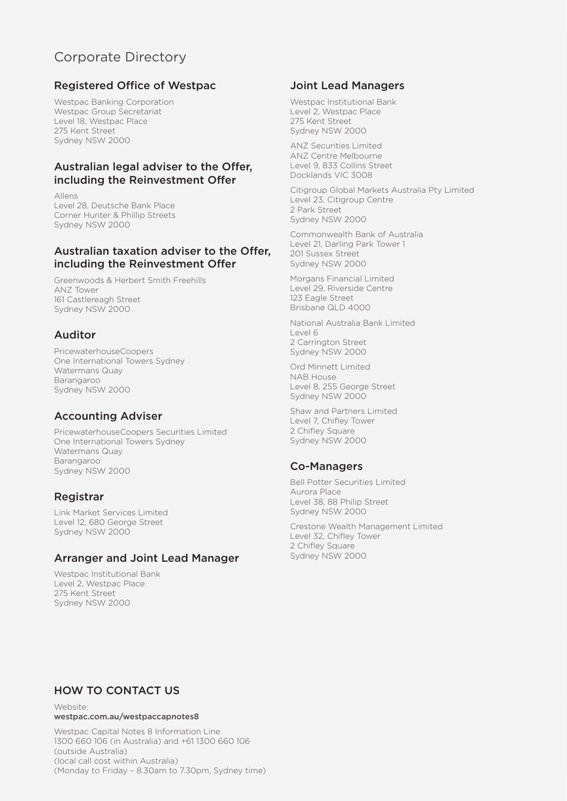### Corporate Directory

### Registered Office of Westpac

Westpac Banking Corporation Westpac Group Secretariat Level 18, Westpac Place 275 Kent Street Sydney NSW 2000

#### Australian legal adviser to the Offer, including the Reinvestment Offer

Allens Level 28, Deutsche Bank Place Corner Hunter & Phillip Streets Sydney NSW 2000

### Australian taxation adviser to the Offer, including the Reinvestment Offer

Greenwoods & Herbert Smith Freehills ANZ Tower 161 Castlereagh Street Sydney NSW 2000

### Auditor

PricewaterhouseCoopers One International Towers Sydney Watermans Quay Barangaroo Sydney NSW 2000

### Accounting Adviser

PricewaterhouseCoopers Securities Limited One International Towers Sydney Watermans Quay Barangaroo Sydney NSW 2000

### Registrar

Link Market Services Limited Level 12, 680 George Street Sydney NSW 2000

### Arranger and Joint Lead Manager

Westpac Institutional Bank Level 2, Westpac Place 275 Kent Street Sydney NSW 2000

#### Joint Lead Managers

Westpac Institutional Bank Level 2, Westpac Place 275 Kent Street Sydney NSW 2000

ANZ Securities Limited ANZ Centre Melbourne Level 9, 833 Collins Street Docklands VIC 3008

Citigroup Global Markets Australia Pty Limited Level 23, Citigroup Centre 2 Park Street Sydney NSW 2000

Commonwealth Bank of Australia Level 21, Darling Park Tower 1 201 Sussex Street Sydney NSW 2000

Morgans Financial Limited Level 29, Riverside Centre 123 Eagle Street Brisbane QLD 4000

National Australia Bank Limited  $|$  AVA $|$  6 2 Carrington Street Sydney NSW 2000

Ord Minnett Limited NAB House Level 8, 255 George Street Sydney NSW 2000

Shaw and Partners Limited Level 7, Chifley Tower 2 Chifley Square Sydney NSW 2000

### Co-Managers

Bell Potter Securities Limited Aurora Place Level 38, 88 Philip Street Sydney NSW 2000

Crestone Wealth Management Limited Level 32, Chifley Tower 2 Chifley Square Sydney NSW 2000

### HOW TO CONTACT US

Website: [westpac.com.au/westpaccapnotes8](http://westpac.com.au/westpaccapnotes8)

Westpac Capital Notes 8 Information Line 1300 660 106 (in Australia) and +61 1300 660 106 (outside Australia) (local call cost within Australia) (Monday to Friday – 8.30am to 7.30pm, Sydney time)